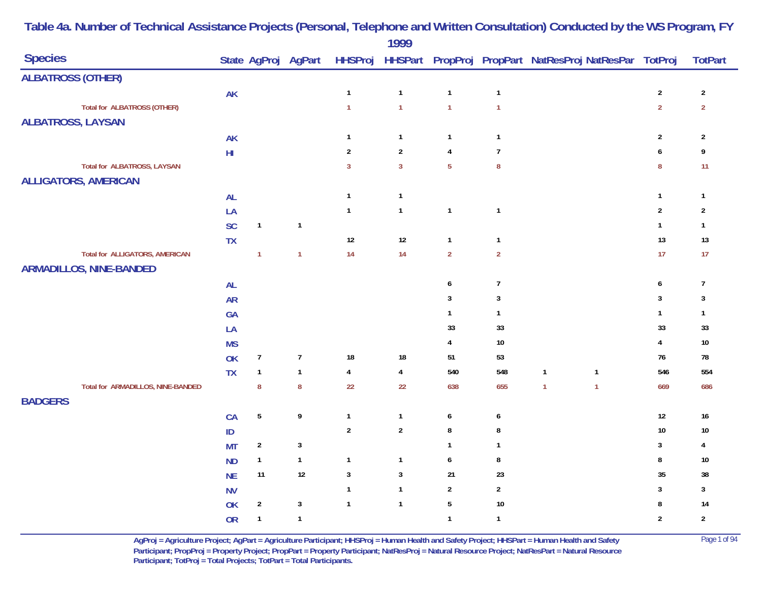|                                       |            |                  |                     |                | 1777                    |                  |                  |                                                        |                  |                |
|---------------------------------------|------------|------------------|---------------------|----------------|-------------------------|------------------|------------------|--------------------------------------------------------|------------------|----------------|
| <b>Species</b>                        |            |                  | State AgProj AgPart | <b>HHSProj</b> |                         |                  |                  | HHSPart PropProj PropPart NatResProj NatResPar TotProj |                  | <b>TotPart</b> |
| <b>ALBATROSS (OTHER)</b>              |            |                  |                     |                |                         |                  |                  |                                                        |                  |                |
|                                       | <b>AK</b>  |                  |                     | $\mathbf{1}$   | $\mathbf{1}$            | $\mathbf{1}$     | $\mathbf{1}$     |                                                        | $\sqrt{2}$       | $\sqrt{2}$     |
| <b>Total for ALBATROSS (OTHER)</b>    |            |                  |                     | $\mathbf{1}$   | $\mathbf{1}$            | $\overline{1}$   | $\mathbf{1}$     |                                                        | $\overline{2}$   | $\overline{2}$ |
| <b>ALBATROSS, LAYSAN</b>              |            |                  |                     |                |                         |                  |                  |                                                        |                  |                |
|                                       | <b>AK</b>  |                  |                     | $\mathbf{1}$   | $\mathbf{1}$            | $\mathbf{1}$     | $\mathbf{1}$     |                                                        | $\sqrt{2}$       | $\overline{2}$ |
|                                       | ${\sf HI}$ |                  |                     | $\overline{2}$ | $\boldsymbol{2}$        | $\pmb{4}$        | $\overline{7}$   |                                                        | $\boldsymbol{6}$ | 9              |
| <b>Total for ALBATROSS, LAYSAN</b>    |            |                  |                     | $\overline{3}$ | $\overline{3}$          | $\overline{5}$   | ${\bf 8}$        |                                                        | ${\bf 8}$        | 11             |
| <b>ALLIGATORS, AMERICAN</b>           |            |                  |                     |                |                         |                  |                  |                                                        |                  |                |
|                                       | <b>AL</b>  |                  |                     | $\mathbf{1}$   | $\mathbf{1}$            |                  |                  |                                                        | $\mathbf{1}$     | $\mathbf{1}$   |
|                                       | LA         |                  |                     | $\mathbf{1}$   | $\mathbf{1}$            | $\mathbf{1}$     | $\mathbf{1}$     |                                                        | $\sqrt{2}$       | $\sqrt{2}$     |
|                                       | SC         | $\mathbf{1}$     | $\mathbf{1}$        |                |                         |                  |                  |                                                        | $\mathbf{1}$     | $\mathbf{1}$   |
|                                       | TX         |                  |                     | $12\,$         | $12\,$                  | $\mathbf{1}$     | $\mathbf{1}$     |                                                        | 13               | 13             |
| <b>Total for ALLIGATORS, AMERICAN</b> |            | $\overline{1}$   | $\mathbf{1}$        | 14             | 14                      | $\overline{2}$   | $\overline{2}$   |                                                        | 17               | 17             |
| <b>ARMADILLOS, NINE-BANDED</b>        |            |                  |                     |                |                         |                  |                  |                                                        |                  |                |
|                                       | <b>AL</b>  |                  |                     |                |                         | $\boldsymbol{6}$ | $\boldsymbol{7}$ |                                                        | $\boldsymbol{6}$ | $\overline{7}$ |
|                                       | <b>AR</b>  |                  |                     |                |                         | $\sqrt{3}$       | $\mathbf{3}$     |                                                        | $\sqrt{3}$       | $\mathbf{3}$   |
|                                       | GA         |                  |                     |                |                         | $\mathbf{1}$     | $\mathbf{1}$     |                                                        | $\mathbf{1}$     | $\overline{1}$ |
|                                       | LA         |                  |                     |                |                         | 33               | 33               |                                                        | $33\,$           | $33\,$         |
|                                       | <b>MS</b>  |                  |                     |                |                         | $\overline{4}$   | $10$             |                                                        | $\overline{4}$   | $10\,$         |
|                                       | OK         | $\overline{7}$   | $\overline{7}$      | $18\,$         | $18\,$                  | 51               | 53               |                                                        | 76               | 78             |
|                                       | <b>TX</b>  | $\mathbf{1}$     | $\mathbf{1}$        | $\pmb{4}$      | $\overline{\mathbf{4}}$ | 540              | 548              | $\mathbf{1}$<br>$\mathbf{1}$                           | 546              | 554            |
| Total for ARMADILLOS, NINE-BANDED     |            | $\pmb{8}$        | $\pmb{8}$           | 22             | 22                      | 638              | 655              | $\mathbf{1}$<br>$\mathbf{1}$                           | 669              | 686            |
| <b>BADGERS</b>                        |            |                  |                     |                |                         |                  |                  |                                                        |                  |                |
|                                       | CA         | $\overline{5}$   | $\boldsymbol{9}$    | $\mathbf{1}$   | $\mathbf{1}$            | $\boldsymbol{6}$ | 6                |                                                        | 12               | 16             |
|                                       | ID         |                  |                     | $\sqrt{2}$     | $\boldsymbol{2}$        | $\bf 8$          | 8                |                                                        | $10\,$           | $10\,$         |
|                                       | <b>MT</b>  | $\boldsymbol{2}$ | $\mathbf{3}$        |                |                         | $\mathbf{1}$     | $\mathbf{1}$     |                                                        | $\mathbf{3}$     | 4              |
|                                       | <b>ND</b>  | $\mathbf{1}$     | $\mathbf{1}$        | $\mathbf{1}$   | $\mathbf{1}$            | $\boldsymbol{6}$ | $\bf 8$          |                                                        | 8                | $10\,$         |
|                                       | <b>NE</b>  | 11               | $12$                | $\sqrt{3}$     | $\mathbf{3}$            | $21$             | 23               |                                                        | $35\,$           | $38\,$         |
|                                       | <b>NV</b>  |                  |                     | $\mathbf{1}$   | $\mathbf{1}$            | $\overline{2}$   | $\boldsymbol{2}$ |                                                        | $\mathbf{3}$     | $\mathbf 3$    |
|                                       | OK         | $\sqrt{2}$       | $\mathbf{3}$        | $\mathbf{1}$   | $\overline{1}$          | $\sqrt{5}$       | $10$             |                                                        | 8                | 14             |
|                                       | <b>OR</b>  | $\mathbf{1}$     | $\mathbf{1}$        |                |                         | $\mathbf{1}$     | $\mathbf{1}$     |                                                        | $\overline{2}$   | $\overline{2}$ |
|                                       |            |                  |                     |                |                         |                  |                  |                                                        |                  |                |

> **AgProj = Agriculture Project; AgPart = Agriculture Participant; HHSProj = Human Health and Safety Project; HHSPart = Human Health and Safety** Page 1 of 94 **Participant; PropProj = Property Project; PropPart = Property Participant; NatResProj = Natural Resource Project; NatResPart = Natural Resource**  Participant; TotProj = Total Projects; TotPart = Total Participants.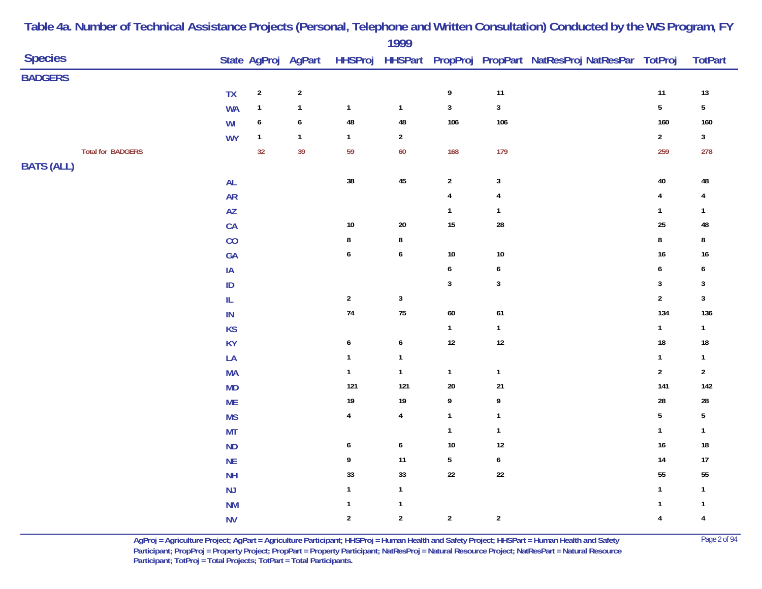| <b>Species</b>           |                        |                  | State AgProj AgPart     |                  | $\frac{1}{2}$    |                  |                         | HHSProj HHSPart PropProj PropPart NatResProj NatResPar TotProj |                  | <b>TotPart</b>   |
|--------------------------|------------------------|------------------|-------------------------|------------------|------------------|------------------|-------------------------|----------------------------------------------------------------|------------------|------------------|
| <b>BADGERS</b>           |                        |                  |                         |                  |                  |                  |                         |                                                                |                  |                  |
|                          | <b>TX</b>              | $\overline{2}$   | $\overline{\mathbf{c}}$ |                  |                  | $\boldsymbol{9}$ | 11                      |                                                                | 11               | $13\,$           |
|                          | <b>WA</b>              | $\mathbf{1}$     | $\mathbf{1}$            | $\mathbf{1}$     | $\mathbf{1}$     | $\mathbf 3$      | $\mathbf 3$             |                                                                | $\sqrt{5}$       | $5\phantom{.0}$  |
|                          | WI                     | $\boldsymbol{6}$ | $\pmb{6}$               | $\bf 48$         | 48               | 106              | 106                     |                                                                | 160              | 160              |
|                          | <b>WY</b>              | $\mathbf{1}$     | $\mathbf{1}$            | $\mathbf{1}$     | $\sqrt{2}$       |                  |                         |                                                                | $\sqrt{2}$       | $\mathbf{3}$     |
| <b>Total for BADGERS</b> |                        | 32               | 39                      | 59               | 60               | 168              | 179                     |                                                                | 259              | 278              |
| <b>BATS (ALL)</b>        |                        |                  |                         |                  |                  |                  |                         |                                                                |                  |                  |
|                          | $\mathsf{AL}$          |                  |                         | $38\,$           | $\bf 45$         | $\overline{2}$   | $\sqrt{3}$              |                                                                | 40               | 48               |
|                          | <b>AR</b>              |                  |                         |                  |                  | $\pmb{4}$        | 4                       |                                                                | $\overline{4}$   | 4                |
|                          | $\mathsf{A}\mathsf{Z}$ |                  |                         |                  |                  | $\mathbf{1}$     | $\mathbf{1}$            |                                                                | $\mathbf{1}$     | $\mathbf{1}$     |
|                          | CA                     |                  |                         | $10\,$           | $20\,$           | $15\,$           | ${\bf 28}$              |                                                                | 25               | 48               |
|                          | CO                     |                  |                         | $\bf 8$          | 8                |                  |                         |                                                                | $\bf 8$          | 8                |
|                          | GA                     |                  |                         | $\boldsymbol{6}$ | $\boldsymbol{6}$ | $10\,$           | $10$                    |                                                                | 16               | $16\,$           |
|                          | $\sf IA$               |                  |                         |                  |                  | $\pmb{6}$        | $\boldsymbol{6}$        |                                                                | $\boldsymbol{6}$ | $\boldsymbol{6}$ |
|                          | $\sf ID$               |                  |                         |                  |                  | $\sqrt{3}$       | $\mathsf 3$             |                                                                | $\sqrt{3}$       | $\mathsf 3$      |
|                          | IL                     |                  |                         | $\overline{2}$   | $\mathbf 3$      |                  |                         |                                                                | $\sqrt{2}$       | $\mathbf{3}$     |
|                          | $\sf IN$               |                  |                         | ${\bf 74}$       | ${\bf 75}$       | $60\,$           | 61                      |                                                                | 134              | 136              |
|                          | <b>KS</b>              |                  |                         |                  |                  | $\mathbf{1}$     | $\mathbf{1}$            |                                                                | $\mathbf{1}$     | $\mathbf{1}$     |
|                          | KY                     |                  |                         | $\pmb{6}$        | $\boldsymbol{6}$ | $12\,$           | $12$                    |                                                                | 18               | ${\bf 18}$       |
|                          | LA                     |                  |                         | $\mathbf{1}$     | $\mathbf{1}$     |                  |                         |                                                                | $\mathbf{1}$     | $\mathbf{1}$     |
|                          | MA                     |                  |                         | $\mathbf{1}$     | $\mathbf{1}$     | $\mathbf{1}$     | $\mathbf{1}$            |                                                                | $\sqrt{2}$       | $\sqrt{2}$       |
|                          | MD                     |                  |                         | 121              | 121              | $20\,$           | $21\,$                  |                                                                | 141              | $142$            |
|                          | <b>ME</b>              |                  |                         | $19\,$           | 19               | 9                | 9                       |                                                                | 28               | ${\bf 28}$       |
|                          | <b>MS</b>              |                  |                         | $\pmb{4}$        | $\pmb{4}$        | $\mathbf{1}$     | $\overline{\mathbf{1}}$ |                                                                | $\sqrt{5}$       | $\sqrt{5}$       |
|                          | <b>MT</b>              |                  |                         |                  |                  | $\mathbf{1}$     | $\overline{\mathbf{1}}$ |                                                                | $\mathbf{1}$     | $\mathbf{1}$     |
|                          | <b>ND</b>              |                  |                         | $\boldsymbol{6}$ | $\boldsymbol{6}$ | $10\,$           | 12                      |                                                                | $16$             | ${\bf 18}$       |
|                          | $\sf NE$               |                  |                         | 9                | 11               | $\sqrt{5}$       | 6                       |                                                                | 14               | $17\,$           |
|                          | <b>NH</b>              |                  |                         | 33               | 33               | $22\,$           | $22\,$                  |                                                                | 55               | 55               |
|                          | $\mathsf{NJ}$          |                  |                         | $\mathbf{1}$     | $\mathbf{1}$     |                  |                         |                                                                | $\mathbf{1}$     | $\mathbf{1}$     |
|                          | N <sub>M</sub>         |                  |                         | $\mathbf{1}$     | $\mathbf{1}$     |                  |                         |                                                                | $\mathbf{1}$     | $\mathbf{1}$     |
|                          | <b>NV</b>              |                  |                         | $\boldsymbol{2}$ | $\boldsymbol{2}$ | $\sqrt{2}$       | $\sqrt{2}$              |                                                                | $\pmb{4}$        | $\overline{4}$   |

> **AgProj = Agriculture Project; AgPart = Agriculture Participant; HHSProj = Human Health and Safety Project; HHSPart = Human Health and Safety** Page 2 of 94 **Participant; PropProj = Property Project; PropPart = Property Participant; NatResProj = Natural Resource Project; NatResPart = Natural Resource**  Participant; TotProj = Total Projects; TotPart = Total Participants.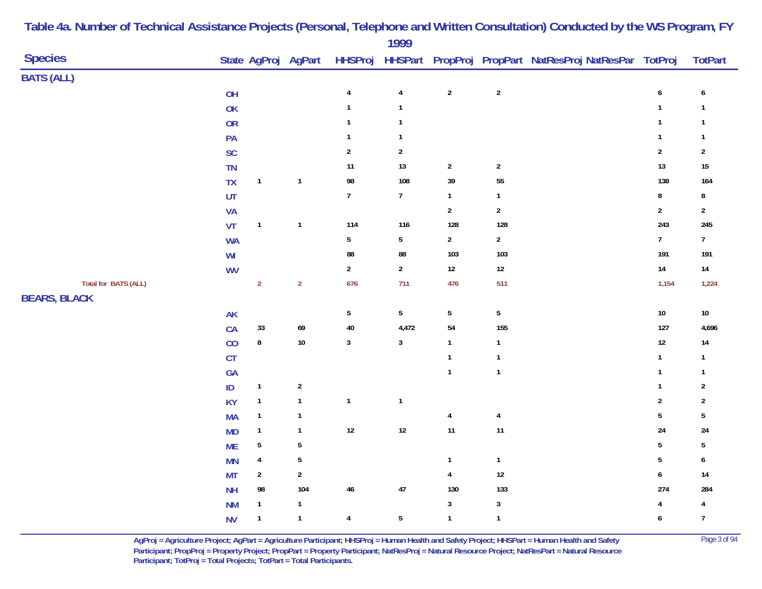|                             |               |                         |                     |                  | $\frac{1}{2}$           |                |                |                                                                |                  |                         |
|-----------------------------|---------------|-------------------------|---------------------|------------------|-------------------------|----------------|----------------|----------------------------------------------------------------|------------------|-------------------------|
| <b>Species</b>              |               |                         | State AgProj AgPart |                  |                         |                |                | HHSProj HHSPart PropProj PropPart NatResProj NatResPar TotProj |                  | <b>TotPart</b>          |
| <b>BATS (ALL)</b>           |               |                         |                     |                  |                         |                |                |                                                                |                  |                         |
|                             | OH            |                         |                     | $\pmb{4}$        | $\overline{4}$          | $\sqrt{2}$     | $\sqrt{2}$     |                                                                | $\pmb{6}$        | $\boldsymbol{6}$        |
|                             | OK            |                         |                     | $\mathbf{1}$     | $\mathbf{1}$            |                |                |                                                                | $\mathbf{1}$     | $\mathbf{1}$            |
|                             | OR            |                         |                     | $\mathbf{1}$     | $\mathbf{1}$            |                |                |                                                                | $\mathbf{1}$     | $\mathbf{1}$            |
|                             | PA            |                         |                     | $\mathbf{1}$     | $\mathbf{1}$            |                |                |                                                                | $\mathbf{1}$     | $\mathbf{1}$            |
|                             | <b>SC</b>     |                         |                     | $\overline{2}$   | $\overline{\mathbf{c}}$ |                |                |                                                                | $\sqrt{2}$       | $\overline{\mathbf{c}}$ |
|                             | <b>TN</b>     |                         |                     | $11\,$           | 13                      | $\sqrt{2}$     | $\sqrt{2}$     |                                                                | 13               | $15\,$                  |
|                             | <b>TX</b>     | $\overline{1}$          | $\mathbf{1}$        | 98               | 108                     | 39             | ${\bf 55}$     |                                                                | 138              | 164                     |
|                             | UT            |                         |                     | $\boldsymbol{7}$ | $\boldsymbol{7}$        | $\mathbf{1}$   | $\mathbf{1}$   |                                                                | $\bf 8$          | ${\bf 8}$               |
|                             | <b>VA</b>     |                         |                     |                  |                         | $\sqrt{2}$     | $\sqrt{2}$     |                                                                | $\sqrt{2}$       | $\overline{2}$          |
|                             | VT            | $\mathbf{1}$            | $\mathbf{1}$        | $114$            | 116                     | 128            | 128            |                                                                | 243              | 245                     |
|                             | <b>WA</b>     |                         |                     | $\sqrt{5}$       | $5\phantom{.0}$         | $\sqrt{2}$     | $\sqrt{2}$     |                                                                | $\boldsymbol{7}$ | 7 <sup>7</sup>          |
|                             | WI            |                         |                     | ${\bf 88}$       | 88                      | 103            | 103            |                                                                | 191              | 191                     |
|                             | <b>WV</b>     |                         |                     | $\boldsymbol{2}$ | $\mathbf 2$             | $12\,$         | $12\,$         |                                                                | $14\,$           | $14\,$                  |
| <b>Total for BATS (ALL)</b> |               | $\mathbf 2$             | $\overline{2}$      | 676              | 711                     | 476            | 511            |                                                                | 1,154            | 1,224                   |
| <b>BEARS, BLACK</b>         |               |                         |                     |                  |                         |                |                |                                                                |                  |                         |
|                             | <b>AK</b>     |                         |                     | $\sqrt{5}$       | $5\phantom{.0}$         | $\sqrt{5}$     | ${\bf 5}$      |                                                                | $10\,$           | $10\,$                  |
|                             | CA            | $33\,$                  | 69                  | 40               | 4,472                   | 54             | 155            |                                                                | 127              | 4,696                   |
|                             | CO            | ${\bf 8}$               | $10\,$              | $\mathbf{3}$     | $\mathbf{3}$            | $\mathbf{1}$   | $\mathbf{1}$   |                                                                | $12\,$           | $14\,$                  |
|                             | CT            |                         |                     |                  |                         | $\mathbf{1}$   | $\mathbf{1}$   |                                                                | $\mathbf{1}$     | $\mathbf{1}$            |
|                             | GA            |                         |                     |                  |                         | $\mathbf{1}$   | $\mathbf{1}$   |                                                                | $\mathbf{1}$     | $\mathbf{1}$            |
|                             | $\mathsf{ID}$ | $\mathbf{1}$            | $\sqrt{2}$          |                  |                         |                |                |                                                                | $\mathbf{1}$     | $\sqrt{2}$              |
|                             | <b>KY</b>     | $\mathbf{1}$            | $\mathbf{1}$        | $\mathbf 1$      | $\mathbf{1}$            |                |                |                                                                | $\sqrt{2}$       | $\sqrt{2}$              |
|                             | <b>MA</b>     | $\overline{\mathbf{1}}$ | $\mathbf{1}$        |                  |                         | $\overline{4}$ | $\overline{4}$ |                                                                | $\sqrt{5}$       | $\sqrt{5}$              |
|                             | <b>MD</b>     | $\mathbf{1}$            | $\mathbf{1}$        | $12\,$           | $12$                    | $11$           | 11             |                                                                | 24               | 24                      |
|                             | <b>ME</b>     | $\sqrt{5}$              | $\overline{5}$      |                  |                         |                |                |                                                                | $\sqrt{5}$       | $\sqrt{5}$              |
|                             | <b>MN</b>     | $\overline{\mathbf{r}}$ | $\sqrt{5}$          |                  |                         | $\mathbf{1}$   | $\mathbf{1}$   |                                                                | $\sqrt{5}$       | 6                       |
|                             | <b>MT</b>     | $\overline{2}$          | $\overline{2}$      |                  |                         | $\pmb{4}$      | $12$           |                                                                | $\pmb{6}$        | $14\,$                  |
|                             | <b>NH</b>     | 98                      | 104                 | $\bf 46$         | 47                      | 130            | 133            |                                                                | 274              | 284                     |
|                             | <b>NM</b>     | $\overline{\mathbf{1}}$ | $\mathbf{1}$        |                  |                         | $\sqrt{3}$     | $\overline{3}$ |                                                                | 4                | $\overline{\mathbf{4}}$ |
|                             | <b>NV</b>     | $\mathbf{1}$            | $\mathbf{1}$        | $\overline{4}$   | $5\phantom{.0}$         | $\mathbf{1}$   | $\mathbf{1}$   |                                                                | $\boldsymbol{6}$ | $\overline{7}$          |
|                             |               |                         |                     |                  |                         |                |                |                                                                |                  |                         |

> **AgProj = Agriculture Project; AgPart = Agriculture Participant; HHSProj = Human Health and Safety Project; HHSPart = Human Health and Safety** Page 3 of 94 **Participant; PropProj = Property Project; PropPart = Property Participant; NatResProj = Natural Resource Project; NatResPart = Natural Resource**  Participant; TotProj = Total Projects; TotPart = Total Participants.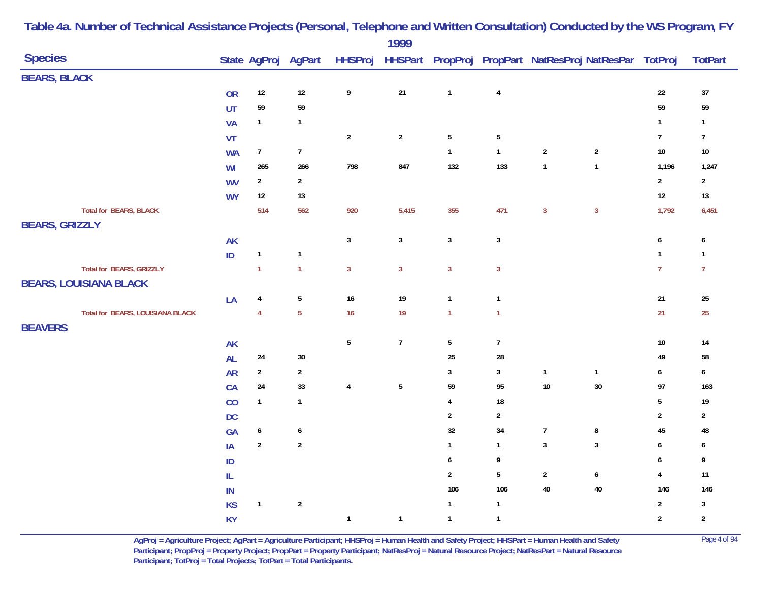| <b>Species</b>        |                                  |           |                  | State AgProj AgPart |                         |                 |                  |                         |                  | HHSProj HHSPart PropProj PropPart NatResProj NatResPar TotProj |                  | <b>TotPart</b>          |
|-----------------------|----------------------------------|-----------|------------------|---------------------|-------------------------|-----------------|------------------|-------------------------|------------------|----------------------------------------------------------------|------------------|-------------------------|
| <b>BEARS, BLACK</b>   |                                  |           |                  |                     |                         |                 |                  |                         |                  |                                                                |                  |                         |
|                       |                                  | <b>OR</b> | $12\,$           | $12\,$              | 9                       | $21$            | $\mathbf{1}$     | $\overline{\mathbf{4}}$ |                  |                                                                | $22\,$           | $37\,$                  |
|                       |                                  | UT        | 59               | 59                  |                         |                 |                  |                         |                  |                                                                | 59               | 59                      |
|                       |                                  | <b>VA</b> | $\mathbf{1}$     | $\mathbf{1}$        |                         |                 |                  |                         |                  |                                                                | $\mathbf{1}$     | $\mathbf{1}$            |
|                       |                                  | VT        |                  |                     | $\sqrt{2}$              | $\overline{2}$  | $\sqrt{5}$       | $\overline{5}$          |                  |                                                                | $\boldsymbol{7}$ | $\overline{7}$          |
|                       |                                  | <b>WA</b> | $7\overline{ }$  | $\overline{7}$      |                         |                 | $\mathbf{1}$     | $\mathbf{1}$            | $\sqrt{2}$       | $\sqrt{2}$                                                     | $10\,$           | $10\,$                  |
|                       |                                  | WI        | 265              | 266                 | 798                     | 847             | 132              | 133                     | $\mathbf{1}$     | $\mathbf{1}$                                                   | 1,196            | 1,247                   |
|                       |                                  | <b>WV</b> | $\overline{2}$   | $\overline{2}$      |                         |                 |                  |                         |                  |                                                                | $\overline{2}$   | $\overline{2}$          |
|                       |                                  | <b>WY</b> | $12\,$           | 13                  |                         |                 |                  |                         |                  |                                                                | $12\,$           | $13\,$                  |
|                       | <b>Total for BEARS, BLACK</b>    |           | 514              | 562                 | 920                     | 5,415           | 355              | 471                     | $\mathbf{3}$     | $\mathbf{3}$                                                   | 1,792            | 6,451                   |
| <b>BEARS, GRIZZLY</b> |                                  |           |                  |                     |                         |                 |                  |                         |                  |                                                                |                  |                         |
|                       |                                  | AK        |                  |                     | $\mathbf{3}$            | $\mathbf{3}$    | $\mathbf{3}$     | $\mathbf{3}$            |                  |                                                                | $\boldsymbol{6}$ | 6                       |
|                       |                                  | ID        | $\mathbf{1}$     | $\mathbf{1}$        |                         |                 |                  |                         |                  |                                                                | $\mathbf{1}$     | $\mathbf{1}$            |
|                       | Total for BEARS, GRIZZLY         |           | $\mathbf{1}$     | $\mathbf{1}$        | $\overline{3}$          | $\overline{3}$  | $\overline{3}$   | $\overline{3}$          |                  |                                                                | $\overline{7}$   | $\overline{7}$          |
|                       | <b>BEARS, LOUISIANA BLACK</b>    |           |                  |                     |                         |                 |                  |                         |                  |                                                                |                  |                         |
|                       |                                  | LA        | 4                | $\sqrt{5}$          | 16                      | 19              | $\mathbf{1}$     | $\mathbf{1}$            |                  |                                                                | $21\,$           | 25                      |
|                       | Total for BEARS, LOUISIANA BLACK |           | $\overline{4}$   | $\overline{5}$      | 16                      | 19              | $\mathbf{1}$     | $\mathbf{1}$            |                  |                                                                | 21               | $25\phantom{.0}$        |
| <b>BEAVERS</b>        |                                  |           |                  |                     |                         |                 |                  |                         |                  |                                                                |                  |                         |
|                       |                                  | AK        |                  |                     | $5\phantom{.0}$         | $\overline{7}$  | $\sqrt{5}$       | $\boldsymbol{7}$        |                  |                                                                | $10\,$           | 14                      |
|                       |                                  | AL        | 24               | 30                  |                         |                 | 25               | 28                      |                  |                                                                | 49               | 58                      |
|                       |                                  | <b>AR</b> | $\overline{2}$   | $\overline{2}$      |                         |                 | $\mathbf{3}$     | 3                       | $\mathbf{1}$     | $\mathbf{1}$                                                   | $\boldsymbol{6}$ | 6                       |
|                       |                                  | CA        | 24               | 33                  | $\overline{\mathbf{4}}$ | $5\phantom{.0}$ | 59               | 95                      | $10\,$           | $30\,$                                                         | 97               | 163                     |
|                       |                                  | CO        | $\mathbf{1}$     | $\mathbf{1}$        |                         |                 | $\overline{4}$   | 18                      |                  |                                                                | $\sqrt{5}$       | $19$                    |
|                       |                                  | <b>DC</b> |                  |                     |                         |                 | $\boldsymbol{2}$ | $\sqrt{2}$              |                  |                                                                | $\mathbf 2$      | $\overline{\mathbf{c}}$ |
|                       |                                  | GA        | 6                | 6                   |                         |                 | $32\,$           | 34                      | $\boldsymbol{7}$ | 8                                                              | 45               | 48                      |
|                       |                                  | IA        | $\boldsymbol{2}$ | $\overline{2}$      |                         |                 | $\mathbf{1}$     | $\mathbf{1}$            | $\sqrt{3}$       | $\mathbf{3}$                                                   | $\boldsymbol{6}$ | 6                       |
|                       |                                  | $\sf ID$  |                  |                     |                         |                 | 6                | 9                       |                  |                                                                | $\boldsymbol{6}$ | 9                       |
|                       |                                  | IL        |                  |                     |                         |                 | $\overline{2}$   | 5                       | $\overline{2}$   | $\pmb{6}$                                                      | $\pmb{4}$        | $11$                    |
|                       |                                  | $\sf IN$  |                  |                     |                         |                 | 106              | 106                     | $40\,$           | $40\,$                                                         | 146              | 146                     |
|                       |                                  | <b>KS</b> | $\mathbf{1}$     | $\mathbf 2$         |                         |                 | $\mathbf{1}$     | $\mathbf{1}$            |                  |                                                                | $\overline{2}$   | $\mathbf{3}$            |
|                       |                                  | <b>KY</b> |                  |                     | $\mathbf{1}$            | $\mathbf{1}$    | $\mathbf{1}$     | $\mathbf{1}$            |                  |                                                                | $\overline{2}$   | $\sqrt{2}$              |

> **AgProj = Agriculture Project; AgPart = Agriculture Participant; HHSProj = Human Health and Safety Project; HHSPart = Human Health and Safety** Page 4 of 94 **Participant; PropProj = Property Project; PropPart = Property Participant; NatResProj = Natural Resource Project; NatResPart = Natural Resource**  Participant; TotProj = Total Projects; TotPart = Total Participants.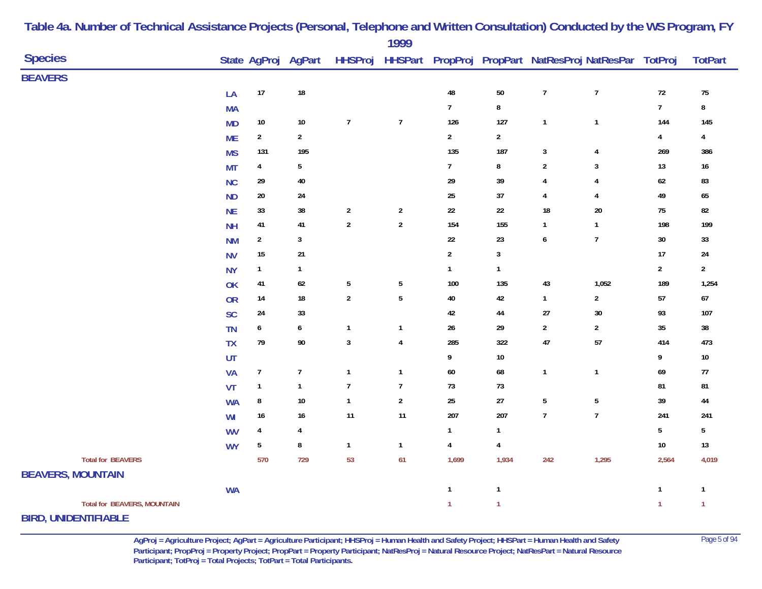|                                    |           |                |                     |                | 1777                     |                |                         |                  |                                                                |                |                |
|------------------------------------|-----------|----------------|---------------------|----------------|--------------------------|----------------|-------------------------|------------------|----------------------------------------------------------------|----------------|----------------|
| <b>Species</b>                     |           |                | State AgProj AgPart |                |                          |                |                         |                  | HHSProj HHSPart PropProj PropPart NatResProj NatResPar TotProj |                | <b>TotPart</b> |
| <b>BEAVERS</b>                     |           |                |                     |                |                          |                |                         |                  |                                                                |                |                |
|                                    | LA        | $17\,$         | $18\,$              |                |                          | $\bf 48$       | $50\,$                  | $\boldsymbol{7}$ | $\boldsymbol{7}$                                               | $72\,$         | $75\,$         |
|                                    | <b>MA</b> |                |                     |                |                          | $\overline{7}$ | $\bf 8$                 |                  |                                                                | $\overline{7}$ | 8              |
|                                    | <b>MD</b> | $10\,$         | $10\,$              | $\overline{7}$ | $\overline{7}$           | 126            | 127                     | $\mathbf{1}$     | $\mathbf{1}$                                                   | 144            | 145            |
|                                    | <b>ME</b> | $\overline{2}$ | $\overline{2}$      |                |                          | $\overline{2}$ | $\overline{2}$          |                  |                                                                | $\pmb{4}$      | 4              |
|                                    | <b>MS</b> | 131            | 195                 |                |                          | 135            | 187                     | $\mathbf{3}$     | $\overline{4}$                                                 | 269            | 386            |
|                                    | <b>MT</b> | $\overline{4}$ | $\overline{5}$      |                |                          | $\overline{7}$ | $\bf 8$                 | $\sqrt{2}$       | 3                                                              | $13$           | $16\,$         |
|                                    | <b>NC</b> | 29             | 40                  |                |                          | 29             | 39                      | 4                | 4                                                              | $62\,$         | 83             |
|                                    | <b>ND</b> | $20\,$         | 24                  |                |                          | $25\,$         | 37                      | 4                | $\overline{4}$                                                 | 49             | 65             |
|                                    | <b>NE</b> | 33             | 38                  | $\overline{2}$ | $\overline{c}$           | $22\,$         | $22\,$                  | 18               | $20\,$                                                         | $75\,$         | 82             |
|                                    | <b>NH</b> | 41             | 41                  | $\sqrt{2}$     | $\mathbf{2}$             | 154            | 155                     | $\mathbf{1}$     | $\mathbf{1}$                                                   | 198            | 199            |
|                                    | <b>NM</b> | $\overline{2}$ | 3                   |                |                          | 22             | 23                      | $\boldsymbol{6}$ | $\overline{1}$                                                 | $30\,$         | 33             |
|                                    | <b>NV</b> | 15             | 21                  |                |                          | $\overline{2}$ | 3                       |                  |                                                                | 17             | 24             |
|                                    | <b>NY</b> | $\mathbf{1}$   | $\mathbf{1}$        |                |                          | $\mathbf{1}$   | $\mathbf{1}$            |                  |                                                                | $\overline{2}$ | $\overline{2}$ |
|                                    | OK        | $41\,$         | 62                  | $\overline{5}$ | 5                        | 100            | 135                     | $43\,$           | 1,052                                                          | 189            | 1,254          |
|                                    | <b>OR</b> | 14             | $18\,$              | $\sqrt{2}$     | 5                        | $40\,$         | 42                      | $\mathbf{1}$     | $\sqrt{2}$                                                     | 57             | $67\,$         |
|                                    | SC        | 24             | 33                  |                |                          | 42             | 44                      | $27\,$           | 30                                                             | 93             | 107            |
|                                    | <b>TN</b> | 6              | $\boldsymbol{6}$    | $\mathbf{1}$   | $\mathbf{1}$             | $26\,$         | 29                      | $\overline{2}$   | $\overline{2}$                                                 | 35             | $38\,$         |
|                                    | <b>TX</b> | 79             | 90                  | $\mathbf{3}$   | 4                        | 285            | 322                     | $47\,$           | 57                                                             | 414            | 473            |
|                                    | UT        |                |                     |                |                          | 9              | $10\,$                  |                  |                                                                | 9              | $10\,$         |
|                                    | VA        | $\overline{7}$ | $\boldsymbol{7}$    | $\overline{1}$ | $\mathbf{1}$             | 60             | 68                      | $\mathbf{1}$     | $\mathbf{1}$                                                   | 69             | $77$           |
|                                    | VT        | $\mathbf{1}$   | $\mathbf{1}$        | $\overline{1}$ | $\overline{\mathcal{L}}$ | 73             | 73                      |                  |                                                                | 81             | 81             |
|                                    | <b>WA</b> | 8              | $10\,$              | $\overline{1}$ | $\mathbf{2}$             | $25\,$         | $27\,$                  | $5\,$            | $\overline{5}$                                                 | 39             | 44             |
|                                    | WI        | $16\,$         | $16\,$              | 11             | 11                       | 207            | 207                     | $\boldsymbol{7}$ | $\overline{1}$                                                 | 241            | 241            |
|                                    | <b>WV</b> | 4              | 4                   |                |                          | $\mathbf{1}$   | $\mathbf{1}$            |                  |                                                                | 5              | 5              |
|                                    | <b>WY</b> | $\sqrt{5}$     | 8                   | $\mathbf{1}$   | $\mathbf{1}$             | $\pmb{4}$      | $\overline{\mathbf{4}}$ |                  |                                                                | $10\,$         | 13             |
| <b>Total for BEAVERS</b>           |           | 570            | 729                 | 53             | 61                       | 1,699          | 1,934                   | 242              | 1,295                                                          | 2,564          | 4,019          |
| <b>BEAVERS, MOUNTAIN</b>           |           |                |                     |                |                          |                |                         |                  |                                                                |                |                |
|                                    | <b>WA</b> |                |                     |                |                          | $\mathbf{1}$   | 1                       |                  |                                                                | $\mathbf{1}$   | $\mathbf{1}$   |
| <b>Total for BEAVERS, MOUNTAIN</b> |           |                |                     |                |                          | $\mathbf{1}$   | $\mathbf{1}$            |                  |                                                                | $\mathbf{1}$   | $\mathbf{1}$   |
|                                    |           |                |                     |                |                          |                |                         |                  |                                                                |                |                |

**BIRD, UNIDENTIFIABLE**

**AgProj = Agriculture Project; AgPart = Agriculture Participant; HHSProj = Human Health and Safety Project; HHSPart = Human Health and Safety** Page 5 of 94 **Participant; PropProj = Property Project; PropPart = Property Participant; NatResProj = Natural Resource Project; NatResPart = Natural Resource**  Participant; TotProj = Total Projects; TotPart = Total Participants.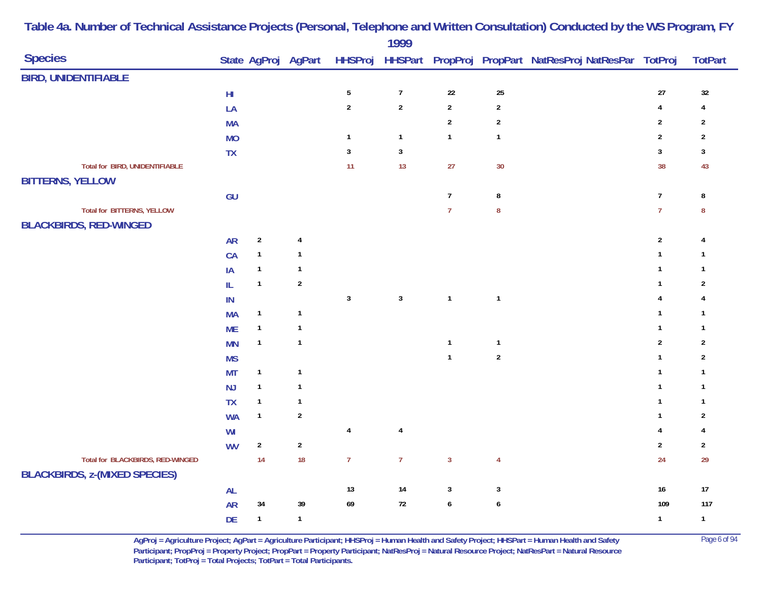|                                                                          |                                   |              |                     |                | 1777             |                |                  |                                                        |                         |                |
|--------------------------------------------------------------------------|-----------------------------------|--------------|---------------------|----------------|------------------|----------------|------------------|--------------------------------------------------------|-------------------------|----------------|
| <b>Species</b>                                                           |                                   |              | State AgProj AgPart | <b>HHSProj</b> |                  |                |                  | HHSPart PropProj PropPart NatResProj NatResPar TotProj |                         | <b>TotPart</b> |
| <b>BIRD, UNIDENTIFIABLE</b>                                              |                                   |              |                     |                |                  |                |                  |                                                        |                         |                |
|                                                                          | $\mathsf{H}\mathsf{I}$            |              |                     | $\sqrt{5}$     | $\boldsymbol{7}$ | $22\,$         | 25               |                                                        | $27\,$                  | $32\,$         |
|                                                                          | LA                                |              |                     | $\sqrt{2}$     | $\sqrt{2}$       | $\overline{2}$ | $\boldsymbol{2}$ |                                                        | $\overline{\mathbf{4}}$ | 4              |
|                                                                          | <b>MA</b>                         |              |                     |                |                  | $\sqrt{2}$     | $\boldsymbol{2}$ |                                                        | $\sqrt{2}$              | $\overline{2}$ |
|                                                                          | <b>MO</b>                         |              |                     | $\overline{1}$ | $\mathbf{1}$     | $\mathbf{1}$   | $\mathbf{1}$     |                                                        | $\sqrt{2}$              | $\overline{2}$ |
|                                                                          | TX                                |              |                     | $\mathbf{3}$   | $\mathbf{3}$     |                |                  |                                                        | $\overline{3}$          | $\mathbf{3}$   |
| Total for BIRD, UNIDENTIFIABLE                                           |                                   |              |                     | 11             | 13               | 27             | 30               |                                                        | 38                      | 43             |
| <b>BITTERNS, YELLOW</b>                                                  |                                   |              |                     |                |                  |                |                  |                                                        |                         |                |
|                                                                          | GU                                |              |                     |                |                  | $\overline{7}$ | $\bf 8$          |                                                        | $\overline{7}$          | 8              |
| <b>Total for BITTERNS, YELLOW</b>                                        |                                   |              |                     |                |                  | $\overline{7}$ | $\bf 8$          |                                                        | $\overline{7}$          | 8              |
| <b>BLACKBIRDS, RED-WINGED</b>                                            |                                   |              |                     |                |                  |                |                  |                                                        |                         |                |
|                                                                          | <b>AR</b>                         | $\sqrt{2}$   | $\sqrt{4}$          |                |                  |                |                  |                                                        | $\sqrt{2}$              | 4              |
|                                                                          | CA                                | $\mathbf{1}$ | $\mathbf{1}$        |                |                  |                |                  |                                                        | $\mathbf{1}$            | $\overline{1}$ |
|                                                                          | IA                                | $\mathbf{1}$ | $\mathbf{1}$        |                |                  |                |                  |                                                        | $\mathbf{1}$            | $\mathbf{1}$   |
|                                                                          | $\ensuremath{\mathsf{IL}}\xspace$ | $\mathbf{1}$ | $\sqrt{2}$          |                |                  |                |                  |                                                        | $\mathbf{1}$            | $\overline{2}$ |
|                                                                          | $\sf IN$                          |              |                     | $\mathbf{3}$   | $\mathbf{3}$     | $\mathbf{1}$   | $\overline{1}$   |                                                        | $\overline{4}$          | 4              |
|                                                                          | <b>MA</b>                         | $\mathbf{1}$ | $\mathbf{1}$        |                |                  |                |                  |                                                        | $\mathbf{1}$            | $\mathbf{1}$   |
|                                                                          | <b>ME</b>                         | $\mathbf{1}$ | $\mathbf{1}$        |                |                  |                |                  |                                                        | $\mathbf{1}$            | $\mathbf{1}$   |
|                                                                          | <b>MN</b>                         | $\mathbf{1}$ | $\mathbf{1}$        |                |                  | $\mathbf{1}$   | $\mathbf{1}$     |                                                        | $\sqrt{2}$              | $\overline{2}$ |
|                                                                          | <b>MS</b>                         |              |                     |                |                  | $\mathbf{1}$   | $\boldsymbol{2}$ |                                                        | $\mathbf{1}$            | $\sqrt{2}$     |
|                                                                          | <b>MT</b>                         | $\mathbf{1}$ | $\mathbf{1}$        |                |                  |                |                  |                                                        | $\mathbf{1}$            | $\overline{1}$ |
|                                                                          | NJ                                | $\mathbf{1}$ | $\mathbf{1}$        |                |                  |                |                  |                                                        | $\mathbf{1}$            | $\overline{1}$ |
|                                                                          | <b>TX</b>                         | $\mathbf{1}$ | $\mathbf{1}$        |                |                  |                |                  |                                                        | $\mathbf{1}$            | $\overline{1}$ |
|                                                                          | <b>WA</b>                         | $\mathbf{1}$ | $\overline{2}$      |                |                  |                |                  |                                                        | $\mathbf{1}$            | $\sqrt{2}$     |
|                                                                          | WI                                |              |                     | $\pmb{4}$      | $\pmb{4}$        |                |                  |                                                        | $\overline{4}$          | 4              |
|                                                                          | <b>WV</b>                         | $\sqrt{2}$   | $\sqrt{2}$          |                |                  |                |                  |                                                        | $\overline{2}$          | $\overline{2}$ |
| Total for BLACKBIRDS, RED-WINGED<br><b>BLACKBIRDS, z-(MIXED SPECIES)</b> |                                   | 14           | 18                  | $\overline{7}$ | $\overline{7}$   | $\overline{3}$ | $\overline{4}$   |                                                        | 24                      | 29             |
|                                                                          | AL                                |              |                     | 13             | 14               | $\mathbf{3}$   | $\mathbf{3}$     |                                                        | 16                      | $17$           |
|                                                                          | <b>AR</b>                         | 34           | 39                  | 69             | $72\,$           | $\pmb{6}$      | $\pmb{6}$        |                                                        | 109                     | 117            |
|                                                                          | DE                                | $\mathbf{1}$ | $\mathbf{1}$        |                |                  |                |                  |                                                        | $\mathbf{1}$            | $\overline{1}$ |
|                                                                          |                                   |              |                     |                |                  |                |                  |                                                        |                         |                |

> **AgProj = Agriculture Project; AgPart = Agriculture Participant; HHSProj = Human Health and Safety Project; HHSPart = Human Health and Safety** Page 6 of 94 **Participant; PropProj = Property Project; PropPart = Property Participant; NatResProj = Natural Resource Project; NatResPart = Natural Resource**  Participant; TotProj = Total Projects; TotPart = Total Participants.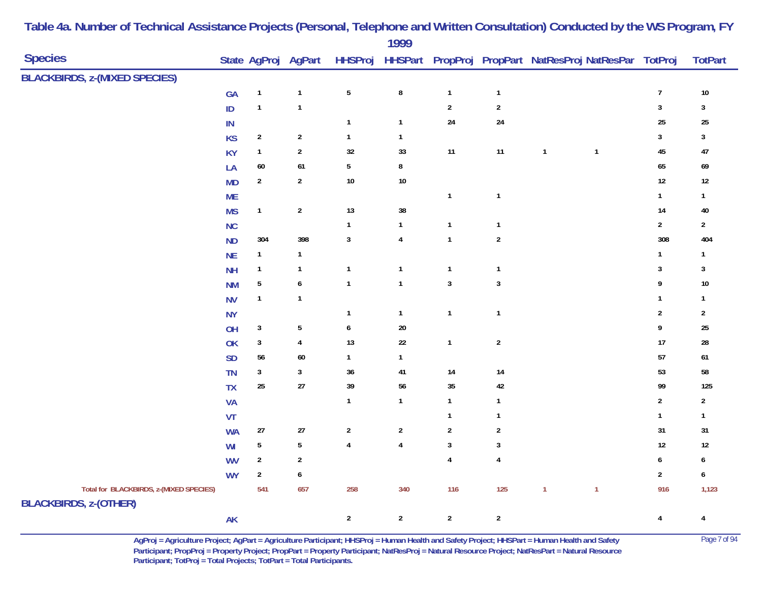|                                                                         |               |                         |                     |                | 1999           |                         |                  |              |                                                                |                  |                  |
|-------------------------------------------------------------------------|---------------|-------------------------|---------------------|----------------|----------------|-------------------------|------------------|--------------|----------------------------------------------------------------|------------------|------------------|
| <b>Species</b>                                                          |               |                         | State AgProj AgPart |                |                |                         |                  |              | HHSProj HHSPart PropProj PropPart NatResProj NatResPar TotProj |                  | <b>TotPart</b>   |
| <b>BLACKBIRDS, z-(MIXED SPECIES)</b>                                    |               |                         |                     |                |                |                         |                  |              |                                                                |                  |                  |
|                                                                         | GA            | $\overline{\mathbf{1}}$ | $\mathbf{1}$        | $\sqrt{5}$     | $\bf 8$        | $\mathbf{1}$            | $\mathbf{1}$     |              |                                                                | $\boldsymbol{7}$ | $10\,$           |
|                                                                         | ID            | $\mathbf{1}$            | $\mathbf 1$         |                |                | $\mathbf 2$             | $\sqrt{2}$       |              |                                                                | $\mathbf{3}$     | $\mathbf{3}$     |
|                                                                         | IN            |                         |                     | $\mathbf{1}$   | $\mathbf{1}$   | 24                      | 24               |              |                                                                | 25               | 25               |
|                                                                         | <b>KS</b>     | $\overline{2}$          | $\mathbf 2$         | $\mathbf{1}$   | $\mathbf{1}$   |                         |                  |              |                                                                | 3                | $\mathbf{3}$     |
|                                                                         | <b>KY</b>     | $\mathbf{1}$            | $\boldsymbol{2}$    | 32             | $33\,$         | 11                      | $11$             | $\mathbf{1}$ | $\overline{\mathbf{1}}$                                        | 45               | 47               |
|                                                                         | LA            | $60\,$                  | $\bf 61$            | $5\,$          | 8              |                         |                  |              |                                                                | 65               | 69               |
|                                                                         | <b>MD</b>     | $\overline{2}$          | $\overline{2}$      | $10\,$         | $10\,$         |                         |                  |              |                                                                | $12\,$           | $12\,$           |
|                                                                         | <b>ME</b>     |                         |                     |                |                | $\mathbf{1}$            | $\mathbf{1}$     |              |                                                                | $\mathbf{1}$     | $\mathbf{1}$     |
|                                                                         | <b>MS</b>     | $\mathbf{1}$            | $\sqrt{2}$          | 13             | $38\,$         |                         |                  |              |                                                                | 14               | $40\,$           |
|                                                                         | NC            |                         |                     | $\mathbf{1}$   | $\mathbf{1}$   | $\mathbf{1}$            | $\mathbf{1}$     |              |                                                                | $\sqrt{2}$       | $\sqrt{2}$       |
|                                                                         | <b>ND</b>     | 304                     | 398                 | $\mathbf{3}$   | $\overline{4}$ | $\mathbf{1}$            | $\sqrt{2}$       |              |                                                                | 308              | 404              |
|                                                                         | <b>NE</b>     | $\mathbf{1}$            | $\mathbf{1}$        |                |                |                         |                  |              |                                                                | $\mathbf{1}$     | $\mathbf{1}$     |
|                                                                         | <b>NH</b>     | $\mathbf{1}$            | $\mathbf{1}$        | $\mathbf{1}$   | $\mathbf{1}$   | $\mathbf{1}$            | $\mathbf{1}$     |              |                                                                | 3                | $\mathbf{3}$     |
|                                                                         | <b>NM</b>     | 5                       | $\pmb{6}$           | $\mathbf{1}$   | $\mathbf{1}$   | $\sqrt{3}$              | $\mathbf 3$      |              |                                                                | 9                | $10\,$           |
|                                                                         | <b>NV</b>     | $\mathbf{1}$            | $\mathbf{1}$        |                |                |                         |                  |              |                                                                | $\mathbf{1}$     | $\mathbf{1}$     |
|                                                                         | <b>NY</b>     |                         |                     | $\mathbf{1}$   | $\mathbf{1}$   | $\mathbf{1}$            | $\mathbf{1}$     |              |                                                                | $\overline{2}$   | $\sqrt{2}$       |
|                                                                         | OH            | $\mathbf{3}$            | $\sqrt{5}$          | $\pmb{6}$      | $20\,$         |                         |                  |              |                                                                | 9                | 25               |
|                                                                         | OK            | $\mathbf{3}$            | $\pmb{4}$           | 13             | $22\,$         | $\mathbf{1}$            | $\boldsymbol{2}$ |              |                                                                | 17               | ${\bf 28}$       |
|                                                                         | <b>SD</b>     | 56                      | $60\,$              | $\mathbf{1}$   | $\mathbf{1}$   |                         |                  |              |                                                                | 57               | $\bf 61$         |
|                                                                         | TN            | $\mathbf{3}$            | $\sqrt{3}$          | $36\,$         | 41             | 14                      | 14               |              |                                                                | 53               | ${\bf 58}$       |
|                                                                         | <b>TX</b>     | $25\,$                  | $27\,$              | $39\,$         | $56\,$         | $35\,$                  | $42\,$           |              |                                                                | 99               | 125              |
|                                                                         | <b>VA</b>     |                         |                     | $\mathbf{1}$   | $\mathbf{1}$   | $\mathbf{1}$            | $\mathbf{1}$     |              |                                                                | $\overline{2}$   | $\sqrt{2}$       |
|                                                                         | VT            |                         |                     |                |                | $\overline{1}$          | $\mathbf{1}$     |              |                                                                | $\mathbf{1}$     | $\mathbf{1}$     |
|                                                                         | <b>WA</b>     | $27\,$                  | $27\,$              | $\sqrt{2}$     | $\sqrt{2}$     | $\sqrt{2}$              | $\sqrt{2}$       |              |                                                                | 31               | 31               |
|                                                                         | WI            | $\overline{5}$          | ${\bf 5}$           | $\pmb{4}$      | $\overline{4}$ | $\mathbf{3}$            | $\mathbf{3}$     |              |                                                                | 12               | $12\,$           |
|                                                                         | <b>WV</b>     | $\overline{2}$          | $\sqrt{2}$          |                |                | $\overline{\mathbf{4}}$ | $\overline{4}$   |              |                                                                | $\boldsymbol{6}$ | $\boldsymbol{6}$ |
|                                                                         | <b>WY</b>     | $\mathbf{2}$            | $\boldsymbol{6}$    |                |                |                         |                  |              |                                                                | $\sqrt{2}$       | $\boldsymbol{6}$ |
| Total for BLACKBIRDS, z-(MIXED SPECIES)<br><b>BLACKBIRDS, z-(OTHER)</b> |               | 541                     | 657                 | 258            | 340            | 116                     | 125              | $\mathbf{1}$ | $\mathbf{1}$                                                   | 916              | 1,123            |
|                                                                         | $\mathsf{AK}$ |                         |                     | $\overline{2}$ | $\overline{2}$ | $\overline{2}$          | $\overline{2}$   |              |                                                                | $\overline{4}$   | $\overline{4}$   |

> **AgProj = Agriculture Project; AgPart = Agriculture Participant; HHSProj = Human Health and Safety Project; HHSPart = Human Health and Safety** Page 7 of 94 **Participant; PropProj = Property Project; PropPart = Property Participant; NatResProj = Natural Resource Project; NatResPart = Natural Resource**  Participant; TotProj = Total Projects; TotPart = Total Participants.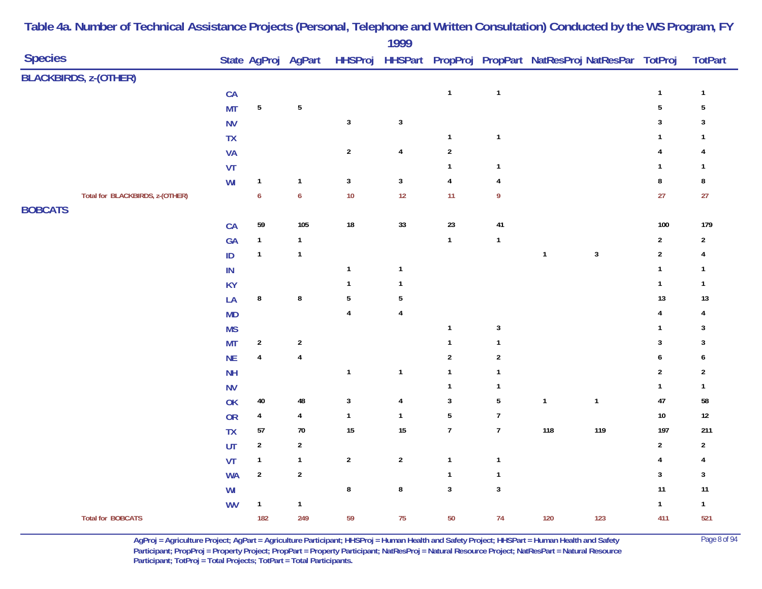| <b>Species</b> |                                 |               |                  | State AgProj AgPart     |                  | .                       |                |                  | HHSProj HHSPart PropProj PropPart NatResProj NatResPar TotProj |              |                         | <b>TotPart</b> |
|----------------|---------------------------------|---------------|------------------|-------------------------|------------------|-------------------------|----------------|------------------|----------------------------------------------------------------|--------------|-------------------------|----------------|
|                | <b>BLACKBIRDS, z-(OTHER)</b>    |               |                  |                         |                  |                         |                |                  |                                                                |              |                         |                |
|                |                                 | CA            |                  |                         |                  |                         | $\mathbf{1}$   | $\mathbf{1}$     |                                                                |              | $\mathbf{1}$            | $\mathbf{1}$   |
|                |                                 | <b>MT</b>     | $\sqrt{5}$       | ${\bf 5}$               |                  |                         |                |                  |                                                                |              | $5\phantom{a}$          | $\sqrt{5}$     |
|                |                                 | <b>NV</b>     |                  |                         | $\mathbf 3$      | $\mathbf 3$             |                |                  |                                                                |              | $\mathbf{3}$            | $\mathsf 3$    |
|                |                                 | TX            |                  |                         |                  |                         | $\mathbf{1}$   | $\mathbf{1}$     |                                                                |              | $\mathbf{1}$            | $\mathbf{1}$   |
|                |                                 | <b>VA</b>     |                  |                         | $\sqrt{2}$       | $\overline{\mathbf{4}}$ | $\sqrt{2}$     |                  |                                                                |              | 4                       | 4              |
|                |                                 | VT            |                  |                         |                  |                         | $\mathbf{1}$   | $\mathbf{1}$     |                                                                |              | $\mathbf{1}$            | $\mathbf{1}$   |
|                |                                 | WI            | $\mathbf{1}$     | $\mathbf{1}$            | $\mathbf 3$      | $\mathbf 3$             | $\pmb{4}$      | $\overline{4}$   |                                                                |              | $\bf 8$                 | 8              |
|                | Total for BLACKBIRDS, z-(OTHER) |               | $\boldsymbol{6}$ | $\pmb{6}$               | $10$             | 12                      | 11             | 9                |                                                                |              | 27                      | 27             |
| <b>BOBCATS</b> |                                 |               |                  |                         |                  |                         |                |                  |                                                                |              |                         |                |
|                |                                 | CA            | 59               | 105                     | ${\bf 18}$       | $33\,$                  | 23             | 41               |                                                                |              | $100\,$                 | 179            |
|                |                                 | GA            | $\mathbf{1}$     | $\mathbf{1}$            |                  |                         | $\mathbf{1}$   | $\mathbf{1}$     |                                                                |              | $\overline{2}$          | $\mathbf{2}$   |
|                |                                 | $\sf ID$      | $\mathbf{1}$     | $\mathbf{1}$            |                  |                         |                |                  | $\mathbf{1}$                                                   | $\sqrt{3}$   | $\boldsymbol{2}$        | $\overline{4}$ |
|                |                                 | $\mathsf{IN}$ |                  |                         | $\mathbf{1}$     | $\mathbf{1}$            |                |                  |                                                                |              | $\mathbf{1}$            | $\mathbf{1}$   |
|                |                                 | <b>KY</b>     |                  |                         | $\mathbf{1}$     | $\mathbf{1}$            |                |                  |                                                                |              | $\mathbf{1}$            | $\mathbf{1}$   |
|                |                                 | LA            | $\bf 8$          | $\pmb{8}$               | $\sqrt{5}$       | $\overline{5}$          |                |                  |                                                                |              | 13                      | 13             |
|                |                                 | MD            |                  |                         | $\pmb{4}$        | $\overline{\mathbf{4}}$ |                |                  |                                                                |              | 4                       | 4              |
|                |                                 | <b>MS</b>     |                  |                         |                  |                         | $\mathbf{1}$   | $\mathbf{3}$     |                                                                |              | $\mathbf{1}$            | 3              |
|                |                                 | <b>MT</b>     | $\sqrt{2}$       | $\overline{2}$          |                  |                         | $\mathbf{1}$   | $\mathbf{1}$     |                                                                |              | $\mathbf{3}$            | $\sqrt{3}$     |
|                |                                 | NE            | $\pmb{4}$        | $\pmb{4}$               |                  |                         | $\sqrt{2}$     | $\sqrt{2}$       |                                                                |              | 6                       | 6              |
|                |                                 | <b>NH</b>     |                  |                         | $\mathbf{1}$     | $\mathbf{1}$            | $\mathbf{1}$   | $\mathbf{1}$     |                                                                |              | $\mathbf 2$             | $\overline{2}$ |
|                |                                 | <b>NV</b>     |                  |                         |                  |                         | $\mathbf{1}$   | $\mathbf{1}$     |                                                                |              | $\mathbf{1}$            | $\mathbf{1}$   |
|                |                                 | OK            | $40\,$           | 48                      | $\mathbf 3$      | $\overline{\mathbf{4}}$ | $\sqrt{3}$     | $\overline{5}$   | $\mathbf{1}$                                                   | $\mathbf{1}$ | 47                      | 58             |
|                |                                 | <b>OR</b>     | $\overline{4}$   | $\overline{\mathbf{4}}$ | $\mathbf{1}$     | $\mathbf{1}$            | $\sqrt{5}$     | $\boldsymbol{7}$ |                                                                |              | $10\,$                  | $12\,$         |
|                |                                 | <b>TX</b>     | 57               | $70\,$                  | $15\,$           | 15                      | $\overline{7}$ | $\overline{7}$   | 118                                                            | 119          | 197                     | 211            |
|                |                                 | UT            | $\boldsymbol{2}$ | $\boldsymbol{2}$        |                  |                         |                |                  |                                                                |              | $\mathbf 2$             | $\overline{2}$ |
|                |                                 | VT            | $\mathbf{1}$     | $\mathbf{1}$            | $\boldsymbol{2}$ | $\overline{2}$          | $\mathbf{1}$   | $\mathbf{1}$     |                                                                |              | $\overline{\mathbf{4}}$ | 4              |
|                |                                 | <b>WA</b>     | $\sqrt{2}$       | $\boldsymbol{2}$        |                  |                         | $\mathbf{1}$   | $\mathbf{1}$     |                                                                |              | $\overline{3}$          | $\mathbf{3}$   |
|                |                                 | WI            |                  |                         | 8                | 8                       | $\mathbf{3}$   | $\mathbf{3}$     |                                                                |              | 11                      | $11$           |
|                |                                 | <b>WV</b>     | $\mathbf{1}$     | $\mathbf{1}$            |                  |                         |                |                  |                                                                |              | $\mathbf{1}$            | $\mathbf{1}$   |
|                | <b>Total for BOBCATS</b>        |               | 182              | 249                     | 59               | 75                      | 50             | 74               | 120                                                            | 123          | 411                     | 521            |

> **AgProj = Agriculture Project; AgPart = Agriculture Participant; HHSProj = Human Health and Safety Project; HHSPart = Human Health and Safety** Page 8 of 94 **Participant; PropProj = Property Project; PropPart = Property Participant; NatResProj = Natural Resource Project; NatResPart = Natural Resource**  Participant; TotProj = Total Projects; TotPart = Total Participants.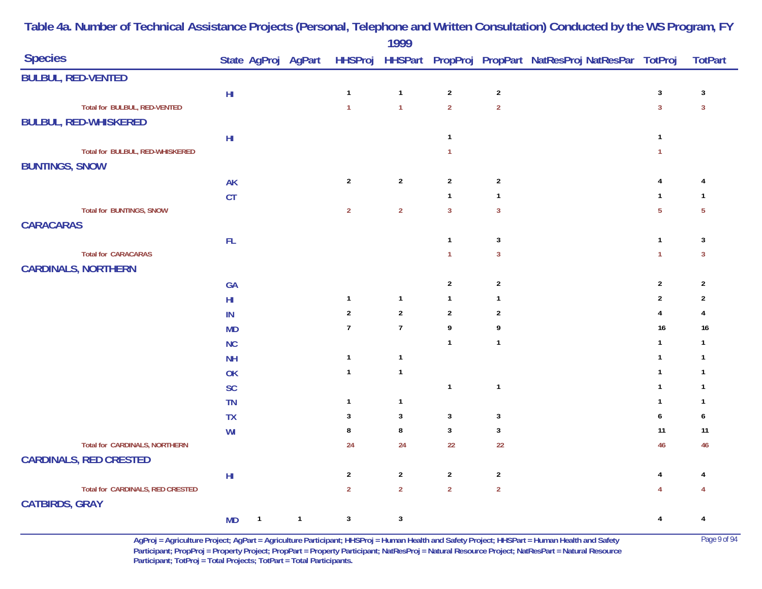|                                  |               |                |                |                | 1777             |                |                  |                                                                                    |                         |                |
|----------------------------------|---------------|----------------|----------------|----------------|------------------|----------------|------------------|------------------------------------------------------------------------------------|-------------------------|----------------|
| <b>Species</b>                   |               |                |                |                |                  |                |                  | State AgProj AgPart HHSProj HHSPart PropProj PropPart NatResProj NatResPar TotProj |                         | <b>TotPart</b> |
| <b>BULBUL, RED-VENTED</b>        |               |                |                |                |                  |                |                  |                                                                                    |                         |                |
|                                  | $H\!I$        |                |                | $\overline{1}$ | $\mathbf{1}$     | $\overline{2}$ | $\overline{2}$   |                                                                                    | $\mathbf{3}$            | $\sqrt{3}$     |
| Total for BULBUL, RED-VENTED     |               |                |                | $\overline{1}$ | $\mathbf{1}$     | $\overline{2}$ | $\mathbf 2$      |                                                                                    | $\overline{3}$          | $\overline{3}$ |
| <b>BULBUL, RED-WHISKERED</b>     |               |                |                |                |                  |                |                  |                                                                                    |                         |                |
|                                  | $\mathsf{HI}$ |                |                |                |                  | $\mathbf{1}$   |                  |                                                                                    | $\mathbf{1}$            |                |
| Total for BULBUL, RED-WHISKERED  |               |                |                |                |                  | $\mathbf{1}$   |                  |                                                                                    | $\mathbf{1}$            |                |
| <b>BUNTINGS, SNOW</b>            |               |                |                |                |                  |                |                  |                                                                                    |                         |                |
|                                  | <b>AK</b>     |                |                | $\overline{2}$ | $\boldsymbol{2}$ | $\overline{2}$ | $\boldsymbol{2}$ |                                                                                    | 4                       | $\overline{4}$ |
|                                  | CT            |                |                |                |                  | $\mathbf{1}$   | $\mathbf{1}$     |                                                                                    | $\mathbf{1}$            | $\mathbf{1}$   |
| <b>Total for BUNTINGS, SNOW</b>  |               |                |                | $\overline{2}$ | $\overline{2}$   | $\overline{3}$ | $\mathbf{3}$     |                                                                                    | $\overline{5}$          | $\overline{5}$ |
| <b>CARACARAS</b>                 |               |                |                |                |                  |                |                  |                                                                                    |                         |                |
|                                  | FL            |                |                |                |                  | $\mathbf{1}$   | $\sqrt{3}$       |                                                                                    | $\mathbf{1}$            | $\sqrt{3}$     |
| <b>Total for CARACARAS</b>       |               |                |                |                |                  | $\mathbf{1}$   | $\mathbf{3}$     |                                                                                    | $\mathbf{1}$            | $\mathbf{3}$   |
| <b>CARDINALS, NORTHERN</b>       |               |                |                |                |                  |                |                  |                                                                                    |                         |                |
|                                  | GA            |                |                |                |                  | $\overline{2}$ | $\overline{2}$   |                                                                                    | $\sqrt{2}$              | $\overline{2}$ |
|                                  | $H\!I$        |                |                | $\mathbf{1}$   | $\mathbf{1}$     | $\mathbf{1}$   | $\mathbf{1}$     |                                                                                    | $\overline{2}$          | $\overline{2}$ |
|                                  | IN            |                |                | $\sqrt{2}$     | $\overline{2}$   | $\overline{2}$ | $\overline{2}$   |                                                                                    | 4                       | 4              |
|                                  | <b>MD</b>     |                |                | $\overline{7}$ | $\boldsymbol{7}$ | 9              | 9                |                                                                                    | 16                      | 16             |
|                                  | NC            |                |                |                |                  | $\mathbf{1}$   | $\mathbf{1}$     |                                                                                    | $\mathbf{1}$            | $\mathbf{1}$   |
|                                  | <b>NH</b>     |                |                | $\overline{1}$ | $\mathbf{1}$     |                |                  |                                                                                    | $\mathbf{1}$            | $\mathbf{1}$   |
|                                  | OK            |                |                | $\mathbf{1}$   | $\mathbf{1}$     |                |                  |                                                                                    | $\mathbf{1}$            | $\mathbf{1}$   |
|                                  | <b>SC</b>     |                |                |                |                  | $\mathbf{1}$   | $\mathbf{1}$     |                                                                                    | $\mathbf{1}$            | $\mathbf{1}$   |
|                                  | <b>TN</b>     |                |                | $\mathbf{1}$   | $\mathbf{1}$     |                |                  |                                                                                    | $\mathbf{1}$            | -1             |
|                                  | <b>TX</b>     |                |                | 3              | 3                | $\mathbf{3}$   | $\mathbf{3}$     |                                                                                    | $\boldsymbol{6}$        | 6              |
|                                  | WI            |                |                | 8              | $\bf 8$          | $\mathbf{3}$   | $\mathbf{3}$     |                                                                                    | 11                      | 11             |
| Total for CARDINALS, NORTHERN    |               |                |                | 24             | 24               | 22             | 22               |                                                                                    | 46                      | 46             |
| <b>CARDINALS, RED CRESTED</b>    |               |                |                |                |                  |                |                  |                                                                                    |                         |                |
|                                  | $\mathsf{HI}$ |                |                | $\overline{2}$ | $\boldsymbol{2}$ | $\sqrt{2}$     | $\overline{2}$   |                                                                                    | $\overline{\mathbf{4}}$ | 4              |
| Total for CARDINALS, RED CRESTED |               |                |                | $\overline{2}$ | $\overline{2}$   | $\overline{2}$ | $\overline{2}$   |                                                                                    | $\overline{4}$          |                |
| <b>CATBIRDS, GRAY</b>            |               |                |                |                |                  |                |                  |                                                                                    |                         |                |
|                                  | <b>MD</b>     | $\overline{1}$ | $\overline{1}$ | $\mathbf{3}$   | $\mathbf{3}$     |                |                  |                                                                                    | $\overline{4}$          | 4              |

> **AgProj = Agriculture Project; AgPart = Agriculture Participant; HHSProj = Human Health and Safety Project; HHSPart = Human Health and Safety** Page 9 of 94 **Participant; PropProj = Property Project; PropPart = Property Participant; NatResProj = Natural Resource Project; NatResPart = Natural Resource**  Participant; TotProj = Total Projects; TotPart = Total Participants.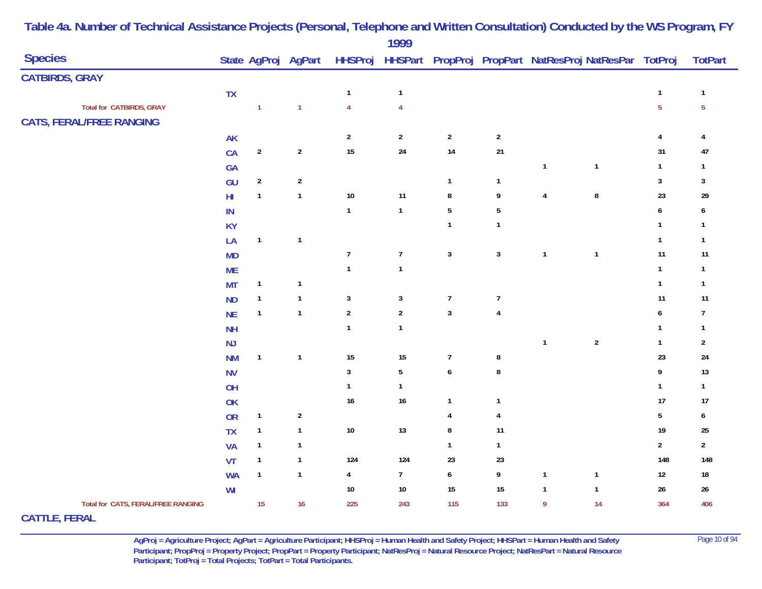|                                                             |                        |                  |                     |                  | 1777           |                  |                |                                                                |                  |                  |                |
|-------------------------------------------------------------|------------------------|------------------|---------------------|------------------|----------------|------------------|----------------|----------------------------------------------------------------|------------------|------------------|----------------|
| <b>Species</b>                                              |                        |                  | State AgProj AgPart |                  |                |                  |                | HHSProj HHSPart PropProj PropPart NatResProj NatResPar TotProj |                  |                  | <b>TotPart</b> |
| <b>CATBIRDS, GRAY</b>                                       |                        |                  |                     |                  |                |                  |                |                                                                |                  |                  |                |
|                                                             | <b>TX</b>              |                  |                     | $\mathbf{1}$     | $\mathbf{1}$   |                  |                |                                                                |                  | $\mathbf{1}$     | $\mathbf{1}$   |
| Total for CATBIRDS, GRAY<br><b>CATS, FERAL/FREE RANGING</b> |                        | $\mathbf{1}$     | $\mathbf{1}$        | $\overline{4}$   | $\overline{4}$ |                  |                |                                                                |                  | $\overline{5}$   | $\overline{5}$ |
|                                                             | <b>AK</b>              |                  |                     | $\sqrt{2}$       | $\overline{2}$ | $\overline{2}$   | $\sqrt{2}$     |                                                                |                  | $\overline{4}$   | 4              |
|                                                             | CA                     | $\sqrt{2}$       | $\sqrt{2}$          | 15               | ${\bf 24}$     | 14               | $21\,$         |                                                                |                  | 31               | 47             |
|                                                             | GA                     |                  |                     |                  |                |                  |                | $\mathbf{1}$                                                   | $\mathbf{1}$     | $\mathbf{1}$     | $\mathbf{1}$   |
|                                                             | GU                     | $\boldsymbol{2}$ | $\sqrt{2}$          |                  |                | $\mathbf{1}$     | $\mathbf{1}$   |                                                                |                  | $\mathbf{3}$     | $\mathbf{3}$   |
|                                                             | $\mathsf{H}\mathsf{I}$ | $\mathbf{1}$     | $\mathbf{1}$        | $10\,$           | 11             | 8                | 9              | $\overline{4}$                                                 | $\bf 8$          | 23               | 29             |
|                                                             | IN                     |                  |                     | $\mathbf{1}$     | $\mathbf{1}$   | $\sqrt{5}$       | $\overline{5}$ |                                                                |                  | $\boldsymbol{6}$ | 6              |
|                                                             | <b>KY</b>              |                  |                     |                  |                | $\mathbf{1}$     | $\mathbf{1}$   |                                                                |                  | $\mathbf{1}$     | -1             |
|                                                             | LA                     | $\mathbf{1}$     | $\mathbf{1}$        |                  |                |                  |                |                                                                |                  | $\mathbf{1}$     | $\mathbf{1}$   |
|                                                             | <b>MD</b>              |                  |                     | $\boldsymbol{7}$ | $\overline{7}$ | $\mathbf 3$      | $\sqrt{3}$     | $\mathbf{1}$                                                   | $\mathbf{1}$     | 11               | 11             |
|                                                             | <b>ME</b>              |                  |                     | $\mathbf{1}$     | $\mathbf{1}$   |                  |                |                                                                |                  | $\mathbf{1}$     | $\overline{1}$ |
|                                                             | <b>MT</b>              | $\mathbf{1}$     | $\mathbf{1}$        |                  |                |                  |                |                                                                |                  | $\mathbf{1}$     | $\overline{1}$ |
|                                                             | <b>ND</b>              | $\mathbf{1}$     | $\mathbf{1}$        | $\mathbf{3}$     | $\mathbf{3}$   | $\boldsymbol{7}$ | $\overline{7}$ |                                                                |                  | 11               | 11             |
|                                                             | <b>NE</b>              | $\mathbf{1}$     | $\mathbf{1}$        | $\sqrt{2}$       | $\mathbf 2$    | $\mathbf 3$      | $\overline{4}$ |                                                                |                  | $\boldsymbol{6}$ | $\overline{7}$ |
|                                                             | <b>NH</b>              |                  |                     | $\mathbf{1}$     | $\mathbf{1}$   |                  |                |                                                                |                  | $\mathbf{1}$     | $\overline{1}$ |
|                                                             | NJ                     |                  |                     |                  |                |                  |                | $\mathbf{1}$                                                   | $\boldsymbol{2}$ | $\mathbf{1}$     | $\overline{2}$ |
|                                                             | <b>NM</b>              | $\mathbf{1}$     | $\mathbf{1}$        | 15               | $15\,$         | $\boldsymbol{7}$ | 8              |                                                                |                  | 23               | 24             |
|                                                             | <b>NV</b>              |                  |                     | $\mathbf{3}$     | $\sqrt{5}$     | $\boldsymbol{6}$ | 8              |                                                                |                  | $\pmb{9}$        | 13             |
|                                                             | OH                     |                  |                     | $\mathbf{1}$     | $\mathbf{1}$   |                  |                |                                                                |                  | $\mathbf{1}$     | $\mathbf{1}$   |
|                                                             | OK                     |                  |                     | $16$             | $16\,$         | $\mathbf{1}$     | $\mathbf{1}$   |                                                                |                  | 17               | $17$           |
|                                                             | OR                     | $\mathbf{1}$     | $\sqrt{2}$          |                  |                | 4                | 4              |                                                                |                  | $5\phantom{.0}$  | 6              |
|                                                             | <b>TX</b>              | $\mathbf{1}$     | $\mathbf{1}$        | $10\,$           | $13$           | $\bf 8$          | 11             |                                                                |                  | $19$             | 25             |
|                                                             | <b>VA</b>              | $\mathbf{1}$     | $\mathbf{1}$        |                  |                | $\mathbf{1}$     | $\mathbf{1}$   |                                                                |                  | $\sqrt{2}$       | $\overline{2}$ |
|                                                             | VT                     | $\mathbf{1}$     | $\mathbf{1}$        | 124              | 124            | 23               | 23             |                                                                |                  | 148              | 148            |
|                                                             | <b>WA</b>              | $\mathbf{1}$     | $\mathbf{1}$        | $\overline{4}$   | 7 <sup>7</sup> | $\boldsymbol{6}$ | 9              | $\mathbf{1}$                                                   | $\mathbf{1}$     | $12$             | $18\,$         |
|                                                             | WI                     |                  |                     | $10\,$           | $10\,$         | 15               | $15\,$         | $\mathbf{1}$                                                   | $\mathbf{1}$     | $26\,$           | $26\,$         |
| Total for CATS, FERAL/FREE RANGING                          |                        | 15               | $16$                | 225              | 243            | 115              | 133            | 9                                                              | 14               | 364              | 406            |

# **CATTLE, FERAL**

**AgProj = Agriculture Project; AgPart = Agriculture Participant; HHSProj = Human Health and Safety Project; HHSPart = Human Health and Safety** Page 10 of 94 **Participant; PropProj = Property Project; PropPart = Property Participant; NatResProj = Natural Resource Project; NatResPart = Natural Resource**  Participant; TotProj = Total Projects; TotPart = Total Participants.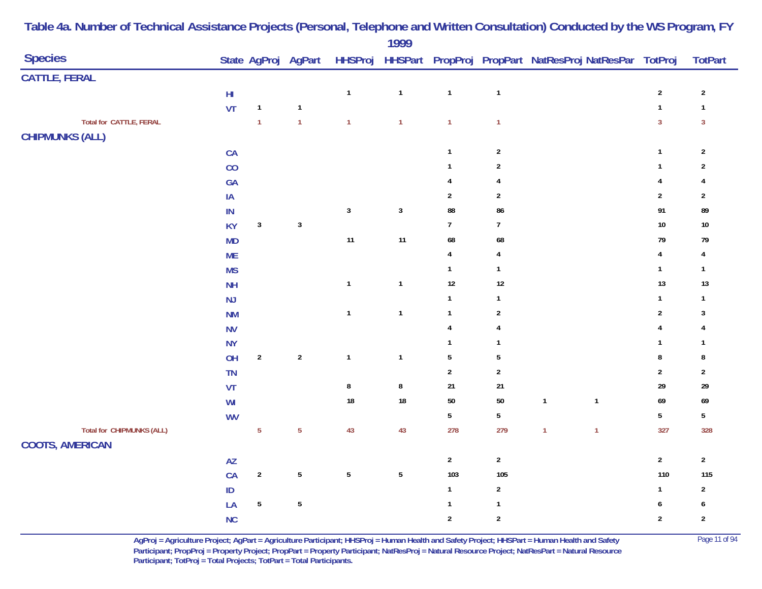| <b>Species</b>                   |                        |                | State AgProj AgPart |                | .              |                         |                         | HHSProj HHSPart PropProj PropPart NatResProj NatResPar TotProj |                         | <b>TotPart</b>   |
|----------------------------------|------------------------|----------------|---------------------|----------------|----------------|-------------------------|-------------------------|----------------------------------------------------------------|-------------------------|------------------|
| <b>CATTLE, FERAL</b>             |                        |                |                     |                |                |                         |                         |                                                                |                         |                  |
|                                  | $\mathsf{HI}$          |                |                     | $\mathbf{1}$   | $\mathbf{1}$   | $\mathbf{1}$            | $\mathbf{1}$            |                                                                | $\sqrt{2}$              | $\sqrt{2}$       |
|                                  | VT                     | $\mathbf{1}$   | $\mathbf{1}$        |                |                |                         |                         |                                                                | $\mathbf{1}$            | $\mathbf{1}$     |
| <b>Total for CATTLE, FERAL</b>   |                        | $\overline{1}$ | $\overline{1}$      | $\mathbf{1}$   | $\overline{1}$ | $\mathbf{1}$            | $\mathbf{1}$            |                                                                | $\overline{3}$          | $\mathbf{3}$     |
| <b>CHIPMUNKS (ALL)</b>           |                        |                |                     |                |                |                         |                         |                                                                |                         |                  |
|                                  | CA                     |                |                     |                |                | $\mathbf{1}$            | $\sqrt{2}$              |                                                                | $\mathbf{1}$            | $\sqrt{2}$       |
|                                  | CO                     |                |                     |                |                | $\mathbf{1}$            | $\boldsymbol{2}$        |                                                                | $\mathbf{1}$            | $\overline{2}$   |
|                                  | GA                     |                |                     |                |                | $\overline{4}$          | $\overline{\mathbf{4}}$ |                                                                | $\overline{4}$          | 4                |
|                                  | $\mathsf{IA}$          |                |                     |                |                | $\sqrt{2}$              | $\boldsymbol{2}$        |                                                                | $\sqrt{2}$              | $\sqrt{2}$       |
|                                  | IN                     |                |                     | $\mathsf 3$    | $\mathbf 3$    | 88                      | 86                      |                                                                | 91                      | 89               |
|                                  | <b>KY</b>              | $\mathbf{3}$   | $\mathbf{3}$        |                |                | $\overline{7}$          | $\overline{7}$          |                                                                | $10\,$                  | $10\,$           |
|                                  | MD                     |                |                     | $11$           | 11             | 68                      | 68                      |                                                                | 79                      | 79               |
|                                  | ME                     |                |                     |                |                | $\overline{\mathbf{4}}$ | $\overline{\mathbf{4}}$ |                                                                | $\overline{\mathbf{4}}$ | $\overline{4}$   |
|                                  | <b>MS</b>              |                |                     |                |                | $\mathbf{1}$            | $\mathbf 1$             |                                                                | $\mathbf{1}$            | $\mathbf{1}$     |
|                                  | <b>NH</b>              |                |                     | $\mathbf 1$    | $\mathbf{1}$   | $12\,$                  | $12\,$                  |                                                                | 13                      | 13               |
|                                  | NJ                     |                |                     |                |                | $\mathbf{1}$            | $\mathbf{1}$            |                                                                | $\mathbf{1}$            | $\mathbf{1}$     |
|                                  | <b>NM</b>              |                |                     | $\mathbf{1}$   | $\mathbf{1}$   | $\mathbf{1}$            | $\sqrt{2}$              |                                                                | $\overline{2}$          | $\mathbf{3}$     |
|                                  | <b>NV</b>              |                |                     |                |                | 4                       | $\pmb{4}$               |                                                                | $\pmb{4}$               | 4                |
|                                  | <b>NY</b>              |                |                     |                |                | $\mathbf{1}$            | $\mathbf 1$             |                                                                | $\mathbf{1}$            | $\overline{1}$   |
|                                  | OH                     | $\sqrt{2}$     | $\sqrt{2}$          | $\mathbf 1$    | $\mathbf{1}$   | $\sqrt{5}$              | $\sqrt{5}$              |                                                                | $\bf 8$                 | 8                |
|                                  | TN                     |                |                     |                |                | $\overline{2}$          | $\sqrt{2}$              |                                                                | $\overline{2}$          | $\sqrt{2}$       |
|                                  | VT                     |                |                     | $\bf 8$        | $\bf 8$        | $21$                    | $21\,$                  |                                                                | $29\,$                  | 29               |
|                                  | WI                     |                |                     | $18\,$         | $18\,$         | $50\,$                  | 50                      | $\mathbf{1}$<br>$\mathbf{1}$                                   | 69                      | $69\,$           |
|                                  | <b>WV</b>              |                |                     |                |                | $5\phantom{.0}$         | $\overline{5}$          |                                                                | $5\phantom{a}$          | $5\phantom{.0}$  |
| <b>Total for CHIPMUNKS (ALL)</b> |                        | $\overline{5}$ | $\overline{5}$      | 43             | 43             | 278                     | 279                     | $\mathbf{1}$<br>$\mathbf{1}$                                   | 327                     | 328              |
| <b>COOTS, AMERICAN</b>           |                        |                |                     |                |                |                         |                         |                                                                |                         |                  |
|                                  | $\mathsf{A}\mathsf{Z}$ |                |                     |                |                | $\overline{2}$          | $\mathbf{2}$            |                                                                | $\overline{2}$          | $\overline{2}$   |
|                                  | CA                     | $\sqrt{2}$     | $\overline{5}$      | $\overline{5}$ | $\overline{5}$ | 103                     | 105                     |                                                                | 110                     | 115              |
|                                  | $\sf ID$               |                |                     |                |                | $\mathbf{1}$            | $\overline{2}$          |                                                                | $\mathbf{1}$            | $\overline{2}$   |
|                                  | LA                     | $5\phantom{a}$ | $\overline{5}$      |                |                | $\mathbf{1}$            | $\mathbf 1$             |                                                                | $\boldsymbol{6}$        | $\boldsymbol{6}$ |
|                                  | NC                     |                |                     |                |                | $\overline{2}$          | $\sqrt{2}$              |                                                                | $\overline{2}$          | $\sqrt{2}$       |

> **AgProj = Agriculture Project; AgPart = Agriculture Participant; HHSProj = Human Health and Safety Project; HHSPart = Human Health and Safety** Page 11 of 94 **Participant; PropProj = Property Project; PropPart = Property Participant; NatResProj = Natural Resource Project; NatResPart = Natural Resource**  Participant; TotProj = Total Projects; TotPart = Total Participants.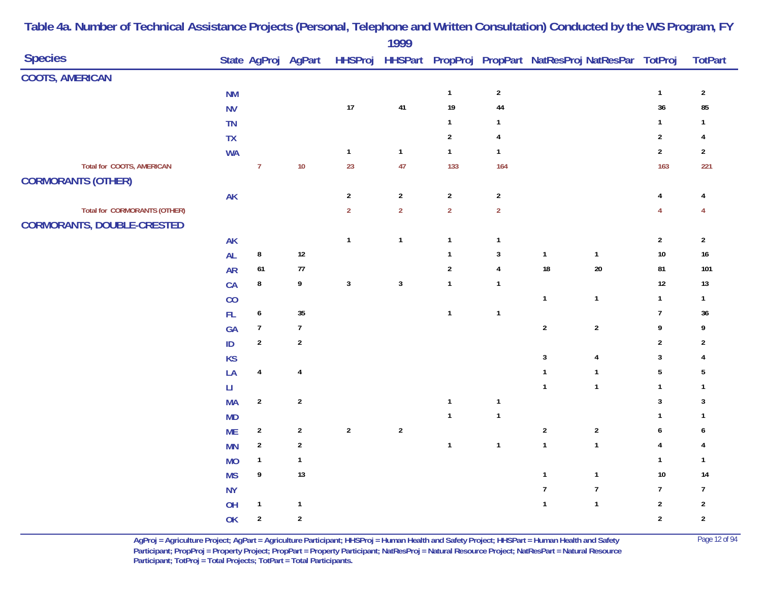|                                     |                        |                  |                         |                | 1777                    |                |                         |                                                |                         |                  |
|-------------------------------------|------------------------|------------------|-------------------------|----------------|-------------------------|----------------|-------------------------|------------------------------------------------|-------------------------|------------------|
| <b>Species</b>                      |                        |                  | State AgProj AgPart     | <b>HHSProj</b> | <b>HHSPart</b>          |                |                         | PropProj PropPart NatResProj NatResPar TotProj |                         | <b>TotPart</b>   |
| <b>COOTS, AMERICAN</b>              |                        |                  |                         |                |                         |                |                         |                                                |                         |                  |
|                                     | $\mathsf{N}\mathsf{M}$ |                  |                         |                |                         | $\mathbf{1}$   | $\sqrt{2}$              |                                                | $\mathbf{1}$            | $\sqrt{2}$       |
|                                     | <b>NV</b>              |                  |                         | $17\,$         | 41                      | $19$           | 44                      |                                                | 36                      | 85               |
|                                     | TN                     |                  |                         |                |                         | $\mathbf{1}$   | $\mathbf{1}$            |                                                | $\mathbf{1}$            | 1                |
|                                     | TX                     |                  |                         |                |                         | $\sqrt{2}$     | $\overline{4}$          |                                                | $\overline{2}$          | 4                |
|                                     | <b>WA</b>              |                  |                         | $\mathbf{1}$   | $\overline{\mathbf{1}}$ | $\mathbf{1}$   | $\mathbf{1}$            |                                                | $\mathbf{2}$            | $\mathbf{2}$     |
| <b>Total for COOTS, AMERICAN</b>    |                        | $\overline{7}$   | $10$                    | 23             | 47                      | 133            | 164                     |                                                | 163                     | 221              |
| <b>CORMORANTS (OTHER)</b>           |                        |                  |                         |                |                         |                |                         |                                                |                         |                  |
|                                     | <b>AK</b>              |                  |                         | $\sqrt{2}$     | $\sqrt{2}$              | $\sqrt{2}$     | $\sqrt{2}$              |                                                | $\overline{4}$          | 4                |
| <b>Total for CORMORANTS (OTHER)</b> |                        |                  |                         | $\overline{2}$ | $\overline{2}$          | $\overline{2}$ | $\overline{2}$          |                                                | $\overline{4}$          | 4                |
| <b>CORMORANTS, DOUBLE-CRESTED</b>   |                        |                  |                         |                |                         |                |                         |                                                |                         |                  |
|                                     | <b>AK</b>              |                  |                         | $\mathbf{1}$   | $\overline{\mathbf{1}}$ | $\mathbf{1}$   | $\overline{1}$          |                                                | $\sqrt{2}$              | $\mathbf{2}$     |
|                                     | <b>AL</b>              | $\bf 8$          | $12\,$                  |                |                         | $\mathbf{1}$   | $\mathbf{3}$            | $\mathbf{1}$<br>$\mathbf{1}$                   | $10$                    | $16\,$           |
|                                     | <b>AR</b>              | 61               | $77$                    |                |                         | $\sqrt{2}$     | $\overline{4}$          | 18<br>$20\,$                                   | 81                      | 101              |
|                                     | CA                     | $\bf 8$          | 9                       | $\mathbf{3}$   | $\mathbf{3}$            | $\mathbf{1}$   | $\overline{\mathbf{1}}$ |                                                | 12                      | 13               |
|                                     | CO                     |                  |                         |                |                         |                |                         | $\mathbf{1}$<br>$\mathbf{1}$                   | $\overline{1}$          | $\mathbf{1}$     |
|                                     | FL.                    | $\boldsymbol{6}$ | $35\,$                  |                |                         | $\mathbf{1}$   | $\mathbf{1}$            |                                                | $\overline{7}$          | $36\,$           |
|                                     | GA                     | $\overline{7}$   | $\overline{7}$          |                |                         |                |                         | $\sqrt{2}$<br>$\boldsymbol{2}$                 | 9                       | 9                |
|                                     | ID                     | $\boldsymbol{2}$ | $\sqrt{2}$              |                |                         |                |                         |                                                | $\sqrt{2}$              | $\boldsymbol{2}$ |
|                                     | KS                     |                  |                         |                |                         |                |                         | $\mathbf{3}$<br>$\overline{4}$                 | $\sqrt{3}$              | 4                |
|                                     | LA                     | $\overline{4}$   | $\overline{\mathbf{4}}$ |                |                         |                |                         | $\overline{1}$<br>$\mathbf{1}$                 | $5\phantom{.0}$         | $\sqrt{5}$       |
|                                     | Ц                      |                  |                         |                |                         |                |                         | $\overline{1}$<br>$\mathbf{1}$                 | $\mathbf{1}$            | $\mathbf{1}$     |
|                                     | <b>MA</b>              | $\sqrt{2}$       | $\sqrt{2}$              |                |                         | $\mathbf 1$    | $\overline{\mathbf{1}}$ |                                                | $\mathbf{3}$            | $\mathbf{3}$     |
|                                     | <b>MD</b>              |                  |                         |                |                         | $\mathbf{1}$   | $\overline{\mathbf{1}}$ |                                                | $\mathbf{1}$            | $\mathbf{1}$     |
|                                     | <b>ME</b>              | $\sqrt{2}$       | $\overline{c}$          | $\sqrt{2}$     | $\sqrt{2}$              |                |                         | $\mathbf 2$<br>$\boldsymbol{2}$                | $\boldsymbol{6}$        | 6                |
|                                     | <b>MN</b>              | $\sqrt{2}$       | $\sqrt{2}$              |                |                         | $\mathbf{1}$   | $\overline{\mathbf{1}}$ | $\mathbf{1}$<br>$\mathbf{1}$                   | $\overline{\mathbf{4}}$ | 4                |
|                                     | <b>MO</b>              | $\mathbf{1}$     | $\mathbf{1}$            |                |                         |                |                         |                                                | $\mathbf{1}$            | $\mathbf{1}$     |
|                                     | <b>MS</b>              | 9                | 13                      |                |                         |                |                         | $\overline{1}$<br>$\mathbf{1}$                 | $10$                    | 14               |
|                                     | <b>NY</b>              |                  |                         |                |                         |                |                         | $\boldsymbol{7}$<br>$\overline{7}$             | $\overline{7}$          | $\overline{7}$   |
|                                     | OH                     | $\mathbf{1}$     | $\mathbf{1}$            |                |                         |                |                         | $\mathbf{1}$<br>$\mathbf{1}$                   | $\overline{2}$          | $\sqrt{2}$       |
|                                     | OK                     | $\sqrt{2}$       | $\sqrt{2}$              |                |                         |                |                         |                                                | $\overline{2}$          | $\sqrt{2}$       |
|                                     |                        |                  |                         |                |                         |                |                         |                                                |                         |                  |

> **AgProj = Agriculture Project; AgPart = Agriculture Participant; HHSProj = Human Health and Safety Project; HHSPart = Human Health and Safety** Page 12 of 94 **Participant; PropProj = Property Project; PropPart = Property Participant; NatResProj = Natural Resource Project; NatResPart = Natural Resource**  Participant; TotProj = Total Projects; TotPart = Total Participants.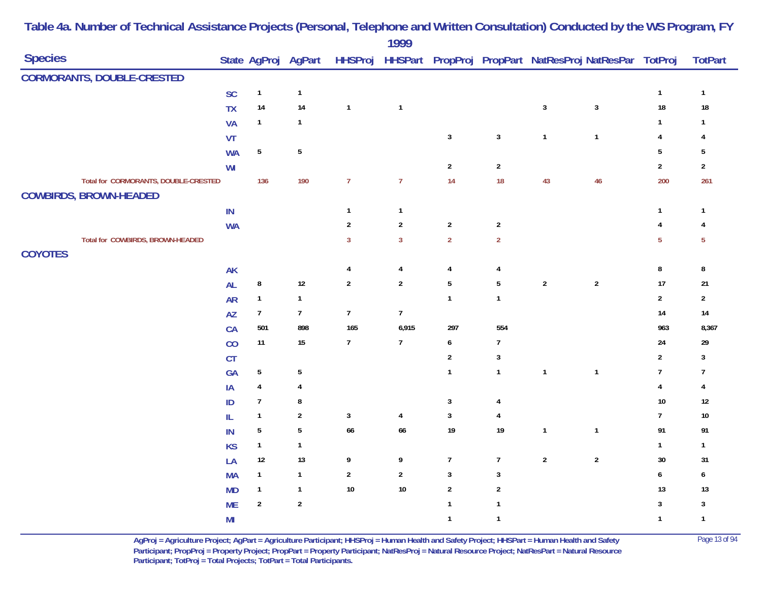|                                                                       |                |                 |                     |                  | 1777           |                         |                |              |                                                        |                |                 |
|-----------------------------------------------------------------------|----------------|-----------------|---------------------|------------------|----------------|-------------------------|----------------|--------------|--------------------------------------------------------|----------------|-----------------|
| <b>Species</b>                                                        |                |                 | State AgProj AgPart | <b>HHSProj</b>   |                |                         |                |              | HHSPart PropProj PropPart NatResProj NatResPar TotProj |                | <b>TotPart</b>  |
| <b>CORMORANTS, DOUBLE-CRESTED</b>                                     |                |                 |                     |                  |                |                         |                |              |                                                        |                |                 |
|                                                                       | SC             | $\mathbf{1}$    | $\mathbf{1}$        |                  |                |                         |                |              |                                                        | $\mathbf{1}$   | $\mathbf{1}$    |
|                                                                       | <b>TX</b>      | $14\,$          | 14                  | $\mathbf{1}$     | $\mathbf{1}$   |                         |                | $\sqrt{3}$   | $\mathbf 3$                                            | $18\,$         | $18\,$          |
|                                                                       | <b>VA</b>      | $\mathbf{1}$    | $\mathbf{1}$        |                  |                |                         |                |              |                                                        | $\mathbf{1}$   | $\overline{1}$  |
|                                                                       | VT             |                 |                     |                  |                | $\mathbf{3}$            | $\mathbf{3}$   | $\mathbf{1}$ | $\mathbf{1}$                                           | $\overline{4}$ | 4               |
|                                                                       | <b>WA</b>      | ${\bf 5}$       | $\sqrt{5}$          |                  |                |                         |                |              |                                                        | $5\phantom{a}$ | 5               |
|                                                                       | WI             |                 |                     |                  |                | $\overline{2}$          | $\sqrt{2}$     |              |                                                        | $\sqrt{2}$     | $\overline{2}$  |
| Total for CORMORANTS, DOUBLE-CRESTED<br><b>COWBIRDS, BROWN-HEADED</b> |                | 136             | 190                 | $\overline{7}$   | $\overline{7}$ | 14                      | 18             | 43           | 46                                                     | 200            | 261             |
|                                                                       | $\sf IN$       |                 |                     | $\mathbf{1}$     | $\mathbf{1}$   |                         |                |              |                                                        | $\mathbf{1}$   | $\overline{1}$  |
|                                                                       | <b>WA</b>      |                 |                     | $\sqrt{2}$       | $\sqrt{2}$     | $\sqrt{2}$              | $\sqrt{2}$     |              |                                                        | $\overline{4}$ | 4               |
| Total for COWBIRDS, BROWN-HEADED                                      |                |                 |                     | $\mathbf{3}$     | $\overline{3}$ | $\overline{2}$          | $\overline{2}$ |              |                                                        | $\overline{5}$ | $5\phantom{.0}$ |
| <b>COYOTES</b>                                                        |                |                 |                     |                  |                |                         |                |              |                                                        |                |                 |
|                                                                       | AK             |                 |                     | 4                | 4              | $\overline{\mathbf{4}}$ | $\overline{4}$ |              |                                                        | $\bf 8$        | 8               |
|                                                                       | <b>AL</b>      | 8               | $12$                | $\boldsymbol{2}$ | $\overline{2}$ | $5\,$                   | $\overline{5}$ | $\sqrt{2}$   | $\sqrt{2}$                                             | $17$           | 21              |
|                                                                       | <b>AR</b>      | $\mathbf{1}$    | $\mathbf{1}$        |                  |                | $\mathbf{1}$            | $\mathbf{1}$   |              |                                                        | $\sqrt{2}$     | $\overline{2}$  |
|                                                                       | AZ             | $7\phantom{.0}$ | $\boldsymbol{7}$    | $\boldsymbol{7}$ | $\overline{7}$ |                         |                |              |                                                        | 14             | 14              |
|                                                                       | CA             | 501             | 898                 | 165              | 6,915          | 297                     | 554            |              |                                                        | 963            | 8,367           |
|                                                                       | CO             | 11              | $15\,$              | $\overline{7}$   | $\overline{7}$ | $\pmb{6}$               | $\overline{7}$ |              |                                                        | $24\,$         | 29              |
|                                                                       | CT             |                 |                     |                  |                | $\overline{2}$          | $\mathbf{3}$   |              |                                                        | $\overline{2}$ | 3               |
|                                                                       | <b>GA</b>      | $\sqrt{5}$      | $\sqrt{5}$          |                  |                | $\mathbf{1}$            | $\mathbf{1}$   | $\mathbf{1}$ | $\mathbf{1}$                                           | $\overline{7}$ | $\overline{7}$  |
|                                                                       | IA             | 4               | 4                   |                  |                |                         |                |              |                                                        | $\overline{4}$ | 4               |
|                                                                       | ID             | $\overline{7}$  | 8                   |                  |                | $\mathbf{3}$            | 4              |              |                                                        | $10\,$         | $12$            |
|                                                                       | IL             | $\mathbf{1}$    | $\sqrt{2}$          | $\mathbf{3}$     | 4              | $\mathbf{3}$            | 4              |              |                                                        | $\overline{7}$ | $10\,$          |
|                                                                       | IN             | $\sqrt{5}$      | $\sqrt{5}$          | 66               | 66             | $19$                    | 19             | $\mathbf{1}$ | $\mathbf 1$                                            | 91             | 91              |
|                                                                       | <b>KS</b>      | $\mathbf{1}$    | $\mathbf{1}$        |                  |                |                         |                |              |                                                        | $\mathbf{1}$   | $\mathbf{1}$    |
|                                                                       | LA             | $12\,$          | $13$                | 9                | 9              | $\boldsymbol{7}$        | $\overline{7}$ | $\sqrt{2}$   | $\sqrt{2}$                                             | $30\,$         | 31              |
|                                                                       | <b>MA</b>      | $\mathbf{1}$    | $\mathbf{1}$        | $\sqrt{2}$       | $\mathbf{2}$   | $\sqrt{3}$              | $\mathbf{3}$   |              |                                                        | $\pmb{6}$      | 6               |
|                                                                       | <b>MD</b>      | $\mathbf{1}$    | $\mathbf{1}$        | $10\,$           | $10\,$         | $\sqrt{2}$              | $\overline{2}$ |              |                                                        | 13             | $13$            |
|                                                                       | <b>ME</b>      | $\sqrt{2}$      | $\sqrt{2}$          |                  |                | $\mathbf{1}$            | $\mathbf{1}$   |              |                                                        | $\mathbf{3}$   | $\mathbf{3}$    |
|                                                                       | M <sub>l</sub> |                 |                     |                  |                | $\mathbf{1}$            | $\mathbf{1}$   |              |                                                        | $\mathbf{1}$   | $\overline{1}$  |

> **AgProj = Agriculture Project; AgPart = Agriculture Participant; HHSProj = Human Health and Safety Project; HHSPart = Human Health and Safety** Page 13 of 94 **Participant; PropProj = Property Project; PropPart = Property Participant; NatResProj = Natural Resource Project; NatResPart = Natural Resource**  Participant; TotProj = Total Projects; TotPart = Total Participants.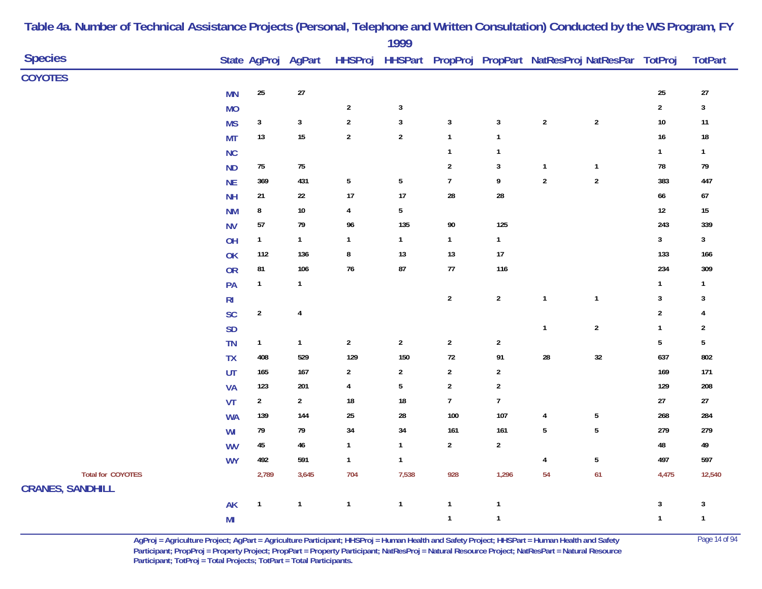|                          |                |                |                     |                | 1777            |                  |                         |                         |                                                        |                  |                |
|--------------------------|----------------|----------------|---------------------|----------------|-----------------|------------------|-------------------------|-------------------------|--------------------------------------------------------|------------------|----------------|
| <b>Species</b>           |                |                | State AgProj AgPart | <b>HHSProj</b> |                 |                  |                         |                         | HHSPart PropProj PropPart NatResProj NatResPar TotProj |                  | <b>TotPart</b> |
| <b>COYOTES</b>           |                |                |                     |                |                 |                  |                         |                         |                                                        |                  |                |
|                          | <b>MN</b>      | $25\,$         | 27                  |                |                 |                  |                         |                         |                                                        | 25               | 27             |
|                          | <b>MO</b>      |                |                     | $\overline{2}$ | $\mathbf{3}$    |                  |                         |                         |                                                        | $\mathbf 2$      | $\sqrt{3}$     |
|                          | <b>MS</b>      | $\mathbf{3}$   | $\mathbf{3}$        | $\sqrt{2}$     | $\mathbf{3}$    | $\sqrt{3}$       | $\mathbf{3}$            | $\boldsymbol{2}$        | $\sqrt{2}$                                             | $10\,$           | 11             |
|                          | <b>MT</b>      | $13$           | 15                  | $\overline{2}$ | $\overline{2}$  | $\mathbf{1}$     | $\mathbf{1}$            |                         |                                                        | 16               | $18\,$         |
|                          | NC             |                |                     |                |                 | $\mathbf{1}$     | $\overline{1}$          |                         |                                                        | $\mathbf{1}$     | $\mathbf{1}$   |
|                          | <b>ND</b>      | $75\,$         | ${\bf 75}$          |                |                 | $\sqrt{2}$       | $\mathbf{3}$            | $\mathbf 1$             | $\mathbf 1$                                            | ${\bf 78}$       | 79             |
|                          | <b>NE</b>      | 369            | 431                 | $5\,$          | $\overline{5}$  | $\overline{7}$   | 9                       | $\sqrt{2}$              | $\sqrt{2}$                                             | 383              | 447            |
|                          | <b>NH</b>      | 21             | 22                  | 17             | $17$            | 28               | 28                      |                         |                                                        | 66               | 67             |
|                          | <b>NM</b>      | $\bf 8$        | $10\,$              | 4              | $5\phantom{.0}$ |                  |                         |                         |                                                        | 12               | 15             |
|                          | <b>NV</b>      | 57             | 79                  | 96             | 135             | $90\,$           | 125                     |                         |                                                        | 243              | 339            |
|                          | OH             | $\mathbf{1}$   | $\mathbf{1}$        | $\mathbf{1}$   | $\mathbf{1}$    | $\mathbf{1}$     | $\mathbf{1}$            |                         |                                                        | $\mathbf{3}$     | $\mathbf{3}$   |
|                          | OK             | 112            | 136                 | 8              | $13$            | 13               | 17                      |                         |                                                        | 133              | 166            |
|                          | <b>OR</b>      | 81             | 106                 | $76$           | 87              | $77\,$           | 116                     |                         |                                                        | 234              | 309            |
|                          | PA             | $\mathbf{1}$   | $\mathbf{1}$        |                |                 |                  |                         |                         |                                                        | $\mathbf{1}$     | $\mathbf{1}$   |
|                          | R <sub>l</sub> |                |                     |                |                 | $\sqrt{2}$       | $\boldsymbol{2}$        | $\mathbf{1}$            | $\mathbf 1$                                            | $\mathbf{3}$     | 3              |
|                          | SC             | $\sqrt{2}$     | $\pmb{4}$           |                |                 |                  |                         |                         |                                                        | $\boldsymbol{2}$ | $\overline{4}$ |
|                          | <b>SD</b>      |                |                     |                |                 |                  |                         | $\mathbf{1}$            | $\sqrt{2}$                                             | $\mathbf{1}$     | $\sqrt{2}$     |
|                          | TN             | $\mathbf{1}$   | $\mathbf{1}$        | $\sqrt{2}$     | $\sqrt{2}$      | $\sqrt{2}$       | $\boldsymbol{2}$        |                         |                                                        | $5\phantom{.0}$  | 5              |
|                          | <b>TX</b>      | 408            | 529                 | 129            | 150             | $72\,$           | 91                      | ${\bf 28}$              | $32\,$                                                 | 637              | 802            |
|                          | UT             | 165            | 167                 | $\overline{a}$ | $\mathbf{2}$    | $\boldsymbol{2}$ | $\overline{2}$          |                         |                                                        | 169              | 171            |
|                          | <b>VA</b>      | 123            | 201                 | 4              | 5               | $\sqrt{2}$       | $\overline{\mathbf{c}}$ |                         |                                                        | 129              | 208            |
|                          | VT             | $\overline{2}$ | $\overline{2}$      | 18             | $18\,$          | $\overline{7}$   | $\overline{1}$          |                         |                                                        | $27\,$           | $27\,$         |
|                          | <b>WA</b>      | 139            | 144                 | 25             | ${\bf 28}$      | 100              | 107                     | $\pmb{4}$               | $\sqrt{5}$                                             | 268              | 284            |
|                          | WI             | 79             | 79                  | 34             | 34              | 161              | 161                     | $\overline{5}$          | ${\bf 5}$                                              | 279              | 279            |
|                          | <b>WV</b>      | $45\,$         | $\bf 46$            | $\mathbf{1}$   | $\mathbf{1}$    | $\mathbf{2}$     | $\boldsymbol{2}$        |                         |                                                        | 48               | 49             |
|                          | <b>WY</b>      | 492            | 591                 | $\mathbf{1}$   | $\mathbf{1}$    |                  |                         | $\overline{\mathbf{r}}$ | $\sqrt{5}$                                             | 497              | 597            |
| <b>Total for COYOTES</b> |                | 2,789          | 3,645               | 704            | 7,538           | 928              | 1,296                   | 54                      | 61                                                     | 4,475            | 12,540         |
| <b>CRANES, SANDHILL</b>  |                |                |                     |                |                 |                  |                         |                         |                                                        |                  |                |
|                          | AK             | $\mathbf{1}$   | $\mathbf{1}$        | $\mathbf 1$    | $\mathbf{1}$    | $\mathbf{1}$     | $\mathbf{1}$            |                         |                                                        | $\mathbf{3}$     | 3              |
|                          | M <sub>l</sub> |                |                     |                |                 | $\mathbf{1}$     | $\mathbf{1}$            |                         |                                                        | $\mathbf{1}$     | $\mathbf{1}$   |

> **AgProj = Agriculture Project; AgPart = Agriculture Participant; HHSProj = Human Health and Safety Project; HHSPart = Human Health and Safety** Page 14 of 94 **Participant; PropProj = Property Project; PropPart = Property Participant; NatResProj = Natural Resource Project; NatResPart = Natural Resource**  Participant; TotProj = Total Projects; TotPart = Total Participants.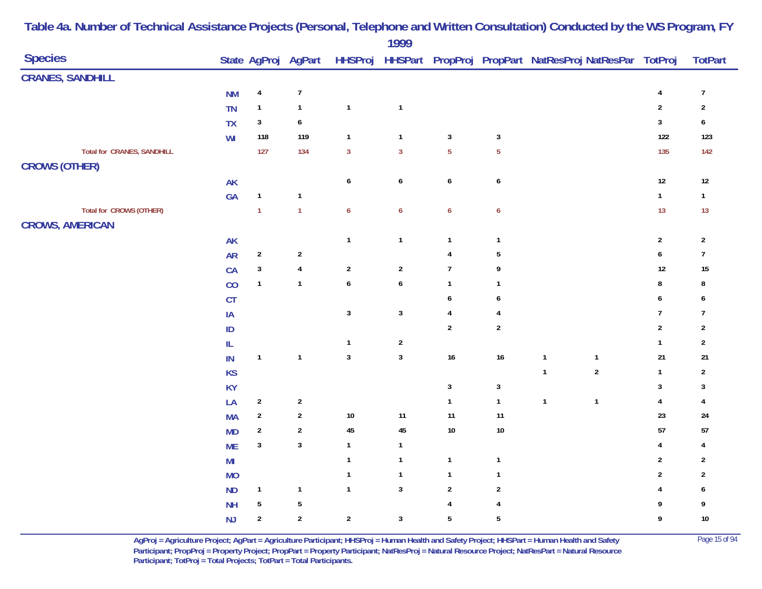|                                                           |                |                  |                         |                  | $1777$           |                         |                         |                                                        |                         |                  |
|-----------------------------------------------------------|----------------|------------------|-------------------------|------------------|------------------|-------------------------|-------------------------|--------------------------------------------------------|-------------------------|------------------|
| <b>Species</b>                                            |                |                  | State AgProj AgPart     | <b>HHSProj</b>   |                  |                         |                         | HHSPart PropProj PropPart NatResProj NatResPar TotProj |                         | <b>TotPart</b>   |
| <b>CRANES, SANDHILL</b>                                   |                |                  |                         |                  |                  |                         |                         |                                                        |                         |                  |
|                                                           | <b>NM</b>      | $\pmb{4}$        | $\boldsymbol{7}$        |                  |                  |                         |                         |                                                        | $\overline{4}$          | $\boldsymbol{7}$ |
|                                                           | TN             | $\mathbf{1}$     | $\mathbf{1}$            | $\mathbf{1}$     | $\mathbf{1}$     |                         |                         |                                                        | $\sqrt{2}$              | $\sqrt{2}$       |
|                                                           | <b>TX</b>      | $\mathbf{3}$     | $\pmb{6}$               |                  |                  |                         |                         |                                                        | $\sqrt{3}$              | $\pmb{6}$        |
|                                                           | WI             | 118              | 119                     | $\mathbf{1}$     | $\mathbf{1}$     | $\mathbf{3}$            | $\mathbf{3}$            |                                                        | 122                     | 123              |
| <b>Total for CRANES, SANDHILL</b><br><b>CROWS (OTHER)</b> |                | 127              | 134                     | $\mathbf{3}$     | $\overline{3}$   | $\overline{5}$          | $\overline{5}$          |                                                        | 135                     | 142              |
|                                                           | AK             |                  |                         | $\pmb{6}$        | $\pmb{6}$        | $\pmb{6}$               | $\boldsymbol{6}$        |                                                        | $12\,$                  | $12\,$           |
|                                                           | GA             | $\mathbf{1}$     | $\mathbf{1}$            |                  |                  |                         |                         |                                                        | $\mathbf{1}$            | $\mathbf{1}$     |
| <b>Total for CROWS (OTHER)</b><br><b>CROWS, AMERICAN</b>  |                | $\mathbf{1}$     | $\mathbf{1}$            | $\boldsymbol{6}$ | $\boldsymbol{6}$ | $\boldsymbol{6}$        | $\boldsymbol{6}$        |                                                        | 13                      | $13$             |
|                                                           | <b>AK</b>      |                  |                         | $\mathbf{1}$     | $\mathbf{1}$     | $\mathbf{1}$            | $\overline{\mathbf{1}}$ |                                                        | $\sqrt{2}$              | $\sqrt{2}$       |
|                                                           | <b>AR</b>      | $\sqrt{2}$       | $\overline{\mathbf{c}}$ |                  |                  | 4                       | $\sqrt{5}$              |                                                        | 6                       | $\boldsymbol{7}$ |
|                                                           | CA             | $\sqrt{3}$       | $\overline{\mathbf{4}}$ | $\overline{2}$   | $\sqrt{2}$       | $\overline{7}$          | 9                       |                                                        | 12                      | 15               |
|                                                           | CO             | $\mathbf{1}$     | $\mathbf{1}$            | $\boldsymbol{6}$ | $\boldsymbol{6}$ | $\mathbf{1}$            | $\overline{1}$          |                                                        | 8                       | 8                |
|                                                           | CT             |                  |                         |                  |                  | 6                       | 6                       |                                                        | 6                       | 6                |
|                                                           | $\sf IA$       |                  |                         | $\sqrt{3}$       | $\mathbf{3}$     | $\overline{\mathbf{4}}$ | $\overline{4}$          |                                                        | $\overline{1}$          | $\boldsymbol{7}$ |
|                                                           | ID             |                  |                         |                  |                  | $\sqrt{2}$              | $\sqrt{2}$              |                                                        | $\sqrt{2}$              | $\sqrt{2}$       |
|                                                           | IL             |                  |                         | $\mathbf{1}$     | $\boldsymbol{2}$ |                         |                         |                                                        | $\mathbf{1}$            | $\sqrt{2}$       |
|                                                           | IN             | $\mathbf{1}$     | $\mathbf{1}$            | $\sqrt{3}$       | $\mathbf{3}$     | $16\,$                  | 16                      | $\mathbf{1}$<br>$\mathbf{1}$                           | 21                      | 21               |
|                                                           | KS             |                  |                         |                  |                  |                         |                         | $\overline{2}$<br>$\mathbf{1}$                         | $\mathbf{1}$            | $\sqrt{2}$       |
|                                                           | <b>KY</b>      |                  |                         |                  |                  | $\mathbf{3}$            | $\mathbf{3}$            |                                                        | 3                       | 3                |
|                                                           | LA             | $\sqrt{2}$       | $\mathbf{2}$            |                  |                  | $\mathbf{1}$            | $\overline{1}$          | $\mathbf{1}$<br>$\mathbf{1}$                           | $\overline{\mathbf{4}}$ | 4                |
|                                                           | <b>MA</b>      | $\overline{a}$   | $\overline{\mathbf{c}}$ | $10\,$           | $11$             | 11                      | 11                      |                                                        | 23                      | 24               |
|                                                           | <b>MD</b>      | $\boldsymbol{2}$ | $\boldsymbol{2}$        | $\bf 45$         | 45               | $10\,$                  | $10$                    |                                                        | 57                      | 57               |
|                                                           | <b>ME</b>      | $\sqrt{3}$       | $\mathbf{3}$            | $\mathbf{1}$     | $\mathbf{1}$     |                         |                         |                                                        | 4                       | 4                |
|                                                           | M <sub>l</sub> |                  |                         | $\mathbf{1}$     | $\mathbf{1}$     | $\mathbf{1}$            | $\overline{\mathbf{1}}$ |                                                        | $\overline{2}$          | $\overline{2}$   |
|                                                           | <b>MO</b>      |                  |                         | $\mathbf{1}$     | $\mathbf{1}$     | $\mathbf{1}$            | $\overline{\mathbf{1}}$ |                                                        | $\sqrt{2}$              | $\sqrt{2}$       |
|                                                           | ND             | $\mathbf{1}$     | $\mathbf{1}$            | $\mathbf{1}$     | $\mathbf{3}$     | $\sqrt{2}$              | $\sqrt{2}$              |                                                        | 4                       | 6                |
|                                                           | <b>NH</b>      | 5                | $\overline{5}$          |                  |                  | $\overline{\mathbf{4}}$ | $\overline{\mathbf{r}}$ |                                                        | 9                       | 9                |
|                                                           | <b>NJ</b>      | $\overline{2}$   | $\mathbf{2}$            | $\overline{2}$   | $\mathbf{3}$     | $\sqrt{5}$              | $\sqrt{5}$              |                                                        | 9                       | $10\,$           |

> **AgProj = Agriculture Project; AgPart = Agriculture Participant; HHSProj = Human Health and Safety Project; HHSPart = Human Health and Safety** Page 15 of 94 **Participant; PropProj = Property Project; PropPart = Property Participant; NatResProj = Natural Resource Project; NatResPart = Natural Resource**  Participant; TotProj = Total Projects; TotPart = Total Participants.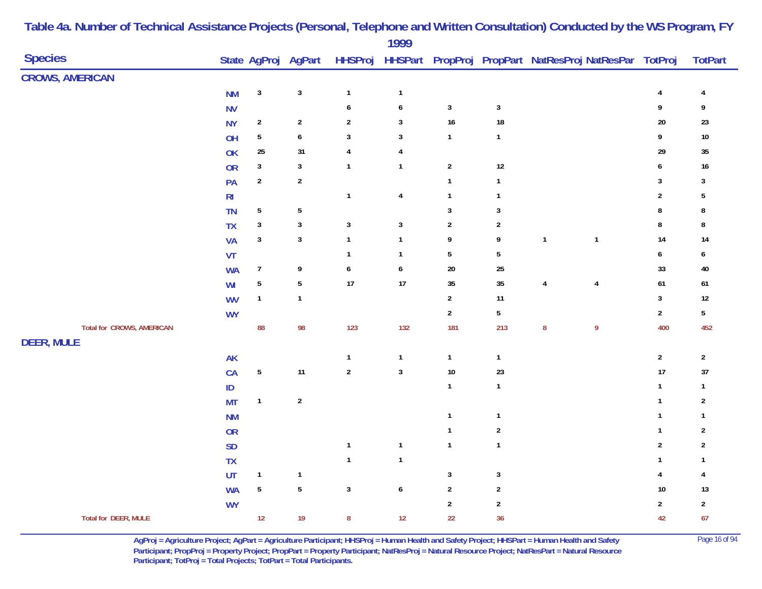|                                  |                |                |                     |                  | 1999                    |                |                  |                                                                |                |                         |                  |
|----------------------------------|----------------|----------------|---------------------|------------------|-------------------------|----------------|------------------|----------------------------------------------------------------|----------------|-------------------------|------------------|
| <b>Species</b>                   |                |                | State AgProj AgPart |                  |                         |                |                  | HHSProj HHSPart PropProj PropPart NatResProj NatResPar TotProj |                |                         | <b>TotPart</b>   |
| <b>CROWS, AMERICAN</b>           |                |                |                     |                  |                         |                |                  |                                                                |                |                         |                  |
|                                  | <b>NM</b>      | $\mathbf{3}$   | $\mathbf{3}$        | $\mathbf 1$      | $\mathbf{1}$            |                |                  |                                                                |                | $\overline{\mathbf{4}}$ | $\overline{4}$   |
|                                  | <b>NV</b>      |                |                     | $\boldsymbol{6}$ | $\boldsymbol{6}$        | $\mathbf{3}$   | $\mathbf{3}$     |                                                                |                | 9                       | 9                |
|                                  | <b>NY</b>      | $\sqrt{2}$     | $\sqrt{2}$          | $\sqrt{2}$       | $\mathbf{3}$            | 16             | $18\,$           |                                                                |                | 20                      | $23\,$           |
|                                  | OH             | $\sqrt{5}$     | $\boldsymbol{6}$    | $\sqrt{3}$       | $\mathbf{3}$            | $\mathbf{1}$   | $\mathbf{1}$     |                                                                |                | 9                       | $10\,$           |
|                                  | OK             | 25             | 31                  | $\pmb{4}$        | 4                       |                |                  |                                                                |                | 29                      | $35\,$           |
|                                  | OR             | $\mathbf{3}$   | $\mathbf{3}$        | $\mathbf{1}$     | $\mathbf{1}$            | $\overline{2}$ | $12\,$           |                                                                |                | 6                       | $16\,$           |
|                                  | PA             | $\sqrt{2}$     | $\sqrt{2}$          |                  |                         | $\mathbf{1}$   | $\mathbf{1}$     |                                                                |                | $\mathbf{3}$            | $\mathbf{3}$     |
|                                  | R <sub>l</sub> |                |                     | $\mathbf{1}$     | $\overline{\mathbf{4}}$ | $\mathbf{1}$   | $\mathbf{1}$     |                                                                |                | $\sqrt{2}$              | $\sqrt{5}$       |
|                                  | <b>TN</b>      | $5\,$          | $5\phantom{.0}$     |                  |                         | $\mathbf{3}$   | $\sqrt{3}$       |                                                                |                | $\bf 8$                 | $\bf 8$          |
|                                  | <b>TX</b>      | $\mathbf{3}$   | $\mathbf{3}$        | $\sqrt{3}$       | $\mathbf{3}$            | $\overline{2}$ | $\sqrt{2}$       |                                                                |                | $\bf 8$                 | 8                |
|                                  | <b>VA</b>      | $\mathbf{3}$   | $\mathbf{3}$        | $\mathbf{1}$     | $\mathbf{1}$            | 9              | 9                | $\overline{1}$                                                 | $\mathbf{1}$   | 14                      | 14               |
|                                  | VT             |                |                     | $\mathbf{1}$     | $\mathbf{1}$            | $\sqrt{5}$     | $\sqrt{5}$       |                                                                |                | $\pmb{6}$               | $\boldsymbol{6}$ |
|                                  | <b>WA</b>      | $\overline{7}$ | 9                   | $\boldsymbol{6}$ | $\boldsymbol{6}$        | $20\,$         | 25               |                                                                |                | 33                      | 40               |
|                                  | WI             | $\overline{5}$ | $\overline{5}$      | $17\,$           | $17\,$                  | $35\,$         | 35               | $\overline{4}$                                                 | $\overline{4}$ | 61                      | $61\,$           |
|                                  | <b>WV</b>      | $\mathbf{1}$   | $\mathbf{1}$        |                  |                         | $\overline{2}$ | 11               |                                                                |                | $\mathbf 3$             | $12\,$           |
|                                  | <b>WY</b>      |                |                     |                  |                         | $\overline{2}$ | $\sqrt{5}$       |                                                                |                | $\overline{2}$          | $5\,$            |
| <b>Total for CROWS, AMERICAN</b> |                | 88             | 98                  | 123              | 132                     | 181            | 213              | $\bf 8$                                                        | $\overline{9}$ | 400                     | 452              |
| <b>DEER, MULE</b>                |                |                |                     |                  |                         |                |                  |                                                                |                |                         |                  |
|                                  | <b>AK</b>      |                |                     | $\mathbf{1}$     | $\mathbf{1}$            | $\mathbf{1}$   | $\mathbf{1}$     |                                                                |                | $\boldsymbol{2}$        | $\overline{2}$   |
|                                  | CA             | $\sqrt{5}$     | 11                  | $\mathbf 2$      | $\mathbf 3$             | $10\,$         | 23               |                                                                |                | 17                      | 37               |
|                                  | ID             |                |                     |                  |                         | $\mathbf{1}$   | $\mathbf{1}$     |                                                                |                | $\mathbf{1}$            | $\mathbf{1}$     |
|                                  | <b>MT</b>      | $\mathbf{1}$   | $\sqrt{2}$          |                  |                         |                |                  |                                                                |                | $\mathbf 1$             | $\overline{2}$   |
|                                  | <b>NM</b>      |                |                     |                  |                         | $\mathbf{1}$   | $\mathbf{1}$     |                                                                |                | $\mathbf{1}$            | $\mathbf{1}$     |
|                                  | OR             |                |                     |                  |                         | $\mathbf{1}$   | $\boldsymbol{2}$ |                                                                |                | $\mathbf{1}$            | $\sqrt{2}$       |
|                                  | <b>SD</b>      |                |                     | $\mathbf{1}$     | $\mathbf{1}$            | $\mathbf{1}$   | $\mathbf{1}$     |                                                                |                | $\boldsymbol{2}$        | $\sqrt{2}$       |
|                                  | <b>TX</b>      |                |                     | $\mathbf{1}$     | $\mathbf{1}$            |                |                  |                                                                |                | $\mathbf{1}$            | $\mathbf{1}$     |
|                                  | UT             | $\mathbf{1}$   | $\mathbf{1}$        |                  |                         | $\mathbf{3}$   | $\sqrt{3}$       |                                                                |                | $\overline{\mathbf{4}}$ | $\overline{4}$   |
|                                  | <b>WA</b>      | ${\bf 5}$      | $\sqrt{5}$          | $\mathbf{3}$     | $\boldsymbol{6}$        | $\overline{2}$ | $\boldsymbol{2}$ |                                                                |                | 10                      | 13               |
|                                  | <b>WY</b>      |                |                     |                  |                         | $\overline{2}$ | $\overline{2}$   |                                                                |                | $\mathbf{2}$            | $\overline{2}$   |
| <b>Total for DEER, MULE</b>      |                | 12             | 19                  | $\bf 8$          | 12                      | 22             | 36               |                                                                |                | 42                      | 67               |

> **AgProj = Agriculture Project; AgPart = Agriculture Participant; HHSProj = Human Health and Safety Project; HHSPart = Human Health and Safety** Page 16 of 94 **Participant; PropProj = Property Project; PropPart = Property Participant; NatResProj = Natural Resource Project; NatResPart = Natural Resource**  Participant; TotProj = Total Projects; TotPart = Total Participants.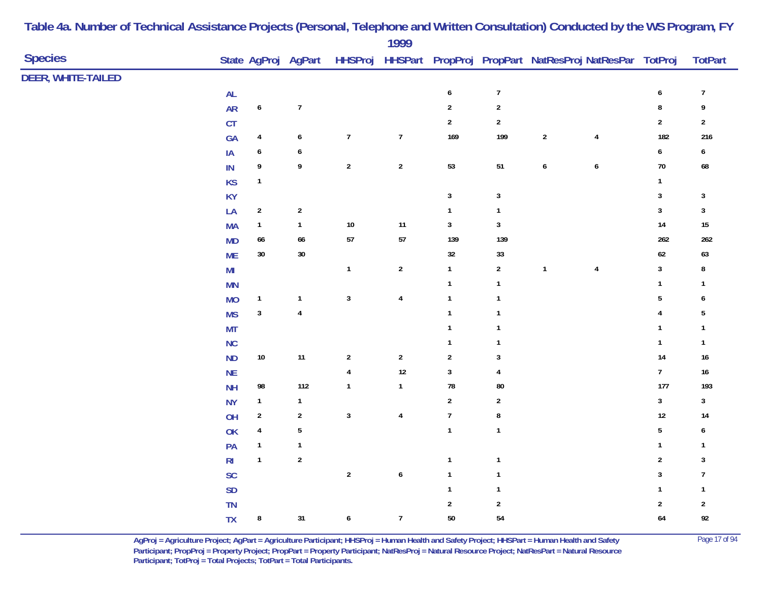|                    |                |                         |                     |                  | 1777                    |                  |                  |                  |                                                        |                  |                  |
|--------------------|----------------|-------------------------|---------------------|------------------|-------------------------|------------------|------------------|------------------|--------------------------------------------------------|------------------|------------------|
| <b>Species</b>     |                |                         | State AgProj AgPart | <b>HHSProj</b>   |                         |                  |                  |                  | HHSPart PropProj PropPart NatResProj NatResPar TotProj |                  | <b>TotPart</b>   |
| DEER, WHITE-TAILED |                |                         |                     |                  |                         |                  |                  |                  |                                                        |                  |                  |
|                    | $\mathsf{AL}$  |                         |                     |                  |                         | $\boldsymbol{6}$ | $\boldsymbol{7}$ |                  |                                                        | $\boldsymbol{6}$ | $\boldsymbol{7}$ |
|                    | <b>AR</b>      | $\pmb{6}$               | $\overline{7}$      |                  |                         | $\overline{2}$   | $\sqrt{2}$       |                  |                                                        | ${\bf 8}$        | $\boldsymbol{9}$ |
|                    | CT             |                         |                     |                  |                         | $\mathbf 2$      | $\sqrt{2}$       |                  |                                                        | $\overline{2}$   | $\boldsymbol{2}$ |
|                    | GA             | $\overline{4}$          | 6                   | $\overline{7}$   | $\overline{7}$          | 169              | 199              | $\boldsymbol{2}$ | $\overline{4}$                                         | 182              | 216              |
|                    | IA             | $\boldsymbol{6}$        | $\boldsymbol{6}$    |                  |                         |                  |                  |                  |                                                        | $\boldsymbol{6}$ | $\boldsymbol{6}$ |
|                    | $\sf IN$       | 9                       | 9                   | $\mathbf 2$      | $\overline{2}$          | 53               | $51\,$           | $\pmb{6}$        | $\boldsymbol{6}$                                       | $70\,$           | 68               |
|                    | <b>KS</b>      | $\mathbf{1}$            |                     |                  |                         |                  |                  |                  |                                                        | 1                |                  |
|                    | KY             |                         |                     |                  |                         | $\mathbf{3}$     | $\mathbf{3}$     |                  |                                                        | 3                | $\sqrt{3}$       |
|                    | LA             | $\sqrt{2}$              | $\overline{2}$      |                  |                         | $\mathbf{1}$     | $\mathbf{1}$     |                  |                                                        | $\mathbf{3}$     | $\sqrt{3}$       |
|                    | <b>MA</b>      | $\mathbf{1}$            | $\mathbf{1}$        | $10\,$           | $11$                    | $\mathbf{3}$     | $\mathbf{3}$     |                  |                                                        | $14\,$           | $15\,$           |
|                    | <b>MD</b>      | 66                      | 66                  | $57\,$           | ${\bf 57}$              | 139              | 139              |                  |                                                        | 262              | 262              |
|                    | <b>ME</b>      | $30\,$                  | $30\,$              |                  |                         | $32\,$           | $33\,$           |                  |                                                        | $62\,$           | 63               |
|                    | M <sub>l</sub> |                         |                     | $\mathbf{1}$     | $\overline{2}$          | $\mathbf{1}$     | $\sqrt{2}$       | $\mathbf{1}$     | $\overline{4}$                                         | $\mathbf{3}$     | 8                |
|                    | <b>MN</b>      |                         |                     |                  |                         | $\mathbf{1}$     | $\mathbf{1}$     |                  |                                                        | $\mathbf{1}$     | $\mathbf{1}$     |
|                    | <b>MO</b>      | $\mathbf{1}$            | $\mathbf{1}$        | $\mathbf{3}$     | $\overline{\mathbf{4}}$ | $\mathbf{1}$     | $\mathbf{1}$     |                  |                                                        | 5                | 6                |
|                    | <b>MS</b>      | $\mathbf{3}$            | $\pmb{4}$           |                  |                         | $\mathbf{1}$     | $\mathbf{1}$     |                  |                                                        | 4                | $\sqrt{5}$       |
|                    | <b>MT</b>      |                         |                     |                  |                         | $\mathbf{1}$     | $\mathbf{1}$     |                  |                                                        | $\mathbf{1}$     | $\mathbf{1}$     |
|                    | <b>NC</b>      |                         |                     |                  |                         | $\mathbf{1}$     | $\mathbf{1}$     |                  |                                                        | $\mathbf{1}$     | $\mathbf{1}$     |
|                    | <b>ND</b>      | $10\,$                  | $11$                | $\overline{2}$   | $\sqrt{2}$              | $\sqrt{2}$       | 3                |                  |                                                        | 14               | $16\,$           |
|                    | $\sf NE$       |                         |                     | 4                | $12$                    | $\mathbf{3}$     | $\overline{4}$   |                  |                                                        | $\boldsymbol{7}$ | $16\,$           |
|                    | <b>NH</b>      | 98                      | 112                 | $\mathbf{1}$     | $\mathbf{1}$            | 78               | ${\bf 80}$       |                  |                                                        | 177              | 193              |
|                    | <b>NY</b>      | $\mathbf{1}$            | $\mathbf{1}$        |                  |                         | $\overline{2}$   | $\sqrt{2}$       |                  |                                                        | $\mathbf 3$      | $\mathbf{3}$     |
|                    | OH             | $\sqrt{2}$              | $\sqrt{2}$          | $\mathbf 3$      | $\pmb{4}$               | $\boldsymbol{7}$ | 8                |                  |                                                        | $12\,$           | 14               |
|                    | OK             | $\overline{\mathbf{4}}$ | $\sqrt{5}$          |                  |                         | $\mathbf{1}$     | $\mathbf{1}$     |                  |                                                        | $\overline{5}$   | 6                |
|                    | PA             | $\mathbf{1}$            | $\mathbf{1}$        |                  |                         |                  |                  |                  |                                                        | $\mathbf{1}$     | $\mathbf{1}$     |
|                    | R <sub>l</sub> | $\mathbf{1}$            | $\sqrt{2}$          |                  |                         | $\mathbf{1}$     | $\mathbf{1}$     |                  |                                                        | $\boldsymbol{2}$ | 3                |
|                    | <b>SC</b>      |                         |                     | $\boldsymbol{2}$ | $\pmb{6}$               | $\mathbf{1}$     | $\mathbf{1}$     |                  |                                                        | $\mathbf{3}$     | $\boldsymbol{7}$ |
|                    | SD             |                         |                     |                  |                         | $\mathbf{1}$     | $\mathbf{1}$     |                  |                                                        | $\mathbf{1}$     | $\mathbf{1}$     |
|                    | TN             |                         |                     |                  |                         | $\boldsymbol{2}$ | $\sqrt{2}$       |                  |                                                        | $\sqrt{2}$       | $\overline{2}$   |
|                    | <b>TX</b>      | $\bf 8$                 | 31                  | $\boldsymbol{6}$ | $\overline{7}$          | $50\,$           | 54               |                  |                                                        | 64               | $92\,$           |
|                    |                |                         |                     |                  |                         |                  |                  |                  |                                                        |                  |                  |

> **AgProj = Agriculture Project; AgPart = Agriculture Participant; HHSProj = Human Health and Safety Project; HHSPart = Human Health and Safety** Page 17 of 94 **Participant; PropProj = Property Project; PropPart = Property Participant; NatResProj = Natural Resource Project; NatResPart = Natural Resource**  Participant; TotProj = Total Projects; TotPart = Total Participants.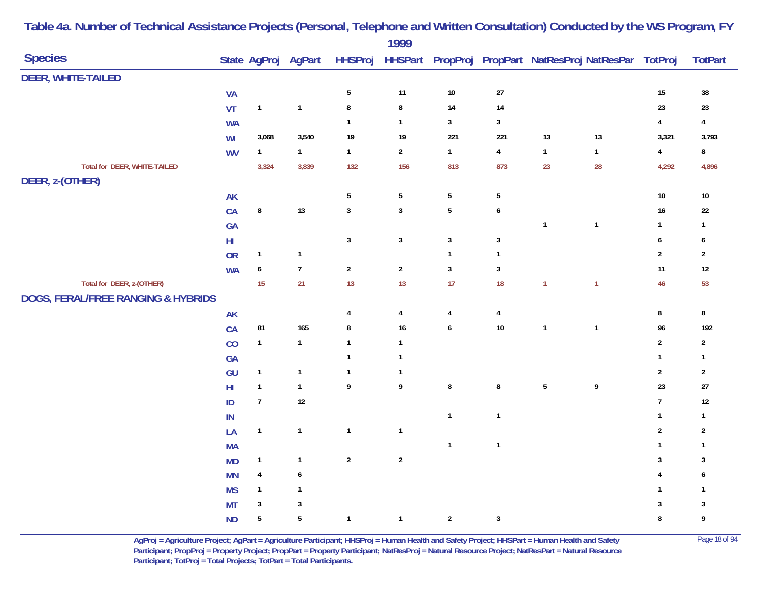|                                               |                                        |                  |                     | 1777                    |                  |                         |              |              |                         |                                                                |
|-----------------------------------------------|----------------------------------------|------------------|---------------------|-------------------------|------------------|-------------------------|--------------|--------------|-------------------------|----------------------------------------------------------------|
|                                               |                                        |                  |                     |                         |                  |                         |              |              |                         | <b>TotPart</b>                                                 |
|                                               |                                        |                  |                     |                         |                  |                         |              |              |                         |                                                                |
| <b>VA</b>                                     |                                        |                  | $\sqrt{5}$          | 11                      | $10\,$           | $27\,$                  |              |              | $15\,$                  | $38\,$                                                         |
| VT                                            | $\mathbf{1}$                           | $\mathbf{1}$     | $\bf 8$             | ${\bf 8}$               | $14$             | 14                      |              |              | 23                      | $23\,$                                                         |
| <b>WA</b>                                     |                                        |                  | $\mathbf{1}$        | $\mathbf{1}$            | $\sqrt{3}$       | $\mathbf{3}$            |              |              | $\overline{\mathbf{4}}$ | $\pmb{4}$                                                      |
| WI                                            | 3,068                                  | 3,540            | $19$                | 19                      | 221              | 221                     | $13$         | 13           | 3,321                   | 3,793                                                          |
| <b>WV</b>                                     | $\mathbf{1}$                           | 1                | $\mathbf{1}$        | $\sqrt{2}$              | $\mathbf{1}$     | 4                       | $\mathbf{1}$ | $\mathbf{1}$ | $\pmb{4}$               | $\bf 8$                                                        |
|                                               | 3,324                                  | 3,839            | 132                 | 156                     | 813              | 873                     | 23           | 28           | 4,292                   | 4,896                                                          |
|                                               |                                        |                  | $\sqrt{5}$          | $\sqrt{5}$              | $\sqrt{5}$       | $\sqrt{5}$              |              |              | $10\,$                  | $10\,$                                                         |
|                                               | $\bf 8$                                | $13$             | $\mathbf{3}$        | $\mathbf 3$             | $\sqrt{5}$       | $\boldsymbol{6}$        |              |              | $16\,$                  | $22\,$                                                         |
|                                               |                                        |                  |                     |                         |                  |                         | $\mathbf{1}$ | $\mathbf{1}$ | $\mathbf{1}$            | $\mathbf{1}$                                                   |
|                                               |                                        |                  | $\mathbf{3}$        | $\mathbf{3}$            | $\mathbf{3}$     | $\mathbf{3}$            |              |              | $\boldsymbol{6}$        | 6                                                              |
| <b>OR</b>                                     | $\mathbf{1}$                           | $\mathbf{1}$     |                     |                         | $\mathbf{1}$     | $\mathbf{1}$            |              |              | $\sqrt{2}$              | $\sqrt{2}$                                                     |
| <b>WA</b>                                     | $\boldsymbol{6}$                       | $\overline{7}$   | $\overline{2}$      | $\sqrt{2}$              | $\overline{3}$   | $\mathbf{3}$            |              |              | 11                      | $12\,$                                                         |
|                                               | 15                                     | 21               | 13                  | 13                      | 17               | 18                      | $\mathbf{1}$ | $\mathbf{1}$ | 46                      | 53                                                             |
| <b>DOGS, FERAL/FREE RANGING &amp; HYBRIDS</b> |                                        |                  |                     |                         |                  |                         |              |              |                         |                                                                |
| <b>AK</b>                                     |                                        |                  | 4                   | $\overline{\mathbf{4}}$ | $\pmb{4}$        | 4                       |              |              | $\bf 8$                 | $\bf 8$                                                        |
| CA                                            | 81                                     | 165              | $\bf 8$             | $16\,$                  | $\boldsymbol{6}$ | $10\,$                  | $\mathbf{1}$ | $\mathbf{1}$ | 96                      | 192                                                            |
| CO                                            | $\mathbf{1}$                           | $\mathbf{1}$     | $\mathbf{1}$        | $\mathbf{1}$            |                  |                         |              |              | $\sqrt{2}$              | $\overline{2}$                                                 |
| GA                                            |                                        |                  | $\mathbf{1}$        | $\mathbf{1}$            |                  |                         |              |              | $\mathbf{1}$            | $\mathbf{1}$                                                   |
| GU                                            | $\mathbf{1}$                           | $\mathbf{1}$     | $\mathbf{1}$        | $\mathbf{1}$            |                  |                         |              |              | $\sqrt{2}$              | $\sqrt{2}$                                                     |
| $H\!I$                                        | $\overline{1}$                         | $\mathbf{1}$     | 9                   | 9                       | $\pmb{8}$        | $\bf 8$                 | $\sqrt{5}$   | 9            | 23                      | $27\,$                                                         |
| ID                                            | $\overline{7}$                         | $12\,$           |                     |                         |                  |                         |              |              | $\boldsymbol{7}$        | $12\,$                                                         |
| $\sf IN$                                      |                                        |                  |                     |                         | $\overline{1}$   | $\mathbf{1}$            |              |              | $\mathbf{1}$            | $\mathbf{1}$                                                   |
| LA                                            | $\mathbf{1}$                           | $\mathbf{1}$     | $\mathbf{1}$        | $\mathbf{1}$            |                  |                         |              |              | $\sqrt{2}$              | $\sqrt{2}$                                                     |
| <b>MA</b>                                     |                                        |                  |                     |                         | $\mathbf{1}$     | $\overline{\mathbf{1}}$ |              |              | $\mathbf{1}$            | $\mathbf{1}$                                                   |
| <b>MD</b>                                     | $\mathbf{1}$                           | $\mathbf{1}$     | $\sqrt{2}$          | $\sqrt{2}$              |                  |                         |              |              | $\sqrt{3}$              | 3                                                              |
| <b>MN</b>                                     | 4                                      | $\boldsymbol{6}$ |                     |                         |                  |                         |              |              | 4                       | 6                                                              |
| <b>MS</b>                                     | $\mathbf{1}$                           | $\mathbf{1}$     |                     |                         |                  |                         |              |              | 1                       | $\mathbf{1}$                                                   |
| <b>MT</b>                                     | $\sqrt{3}$                             | $\sqrt{3}$       |                     |                         |                  |                         |              |              | 3                       | 3                                                              |
| <b>ND</b>                                     | $5\,$                                  | $\sqrt{5}$       | $\mathbf{1}$        | $\mathbf{1}$            | $\overline{2}$   | $\mathbf{3}$            |              |              | $\bf 8$                 | 9                                                              |
|                                               | <b>AK</b><br>CA<br>GA<br>$\mathsf{HI}$ |                  | State AgProj AgPart |                         |                  |                         |              |              |                         | HHSProj HHSPart PropProj PropPart NatResProj NatResPar TotProj |

> **AgProj = Agriculture Project; AgPart = Agriculture Participant; HHSProj = Human Health and Safety Project; HHSPart = Human Health and Safety** Page 18 of 94 **Participant; PropProj = Property Project; PropPart = Property Participant; NatResProj = Natural Resource Project; NatResPart = Natural Resource**  Participant; TotProj = Total Projects; TotPart = Total Participants.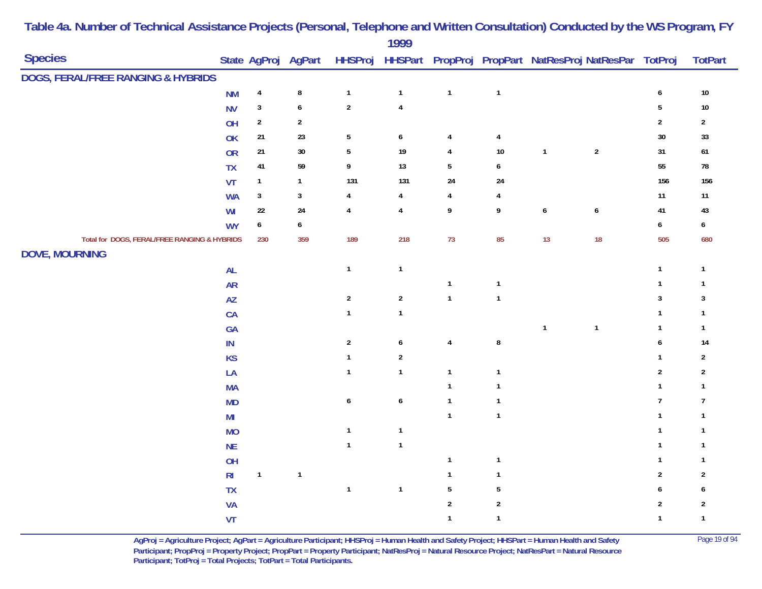|                                              |                |              |                     |                  | 1777             |                  |                         |                  |                                                        |                  |                  |
|----------------------------------------------|----------------|--------------|---------------------|------------------|------------------|------------------|-------------------------|------------------|--------------------------------------------------------|------------------|------------------|
| <b>Species</b>                               |                |              | State AgProj AgPart | <b>HHSProj</b>   |                  |                  |                         |                  | HHSPart PropProj PropPart NatResProj NatResPar TotProj |                  | <b>TotPart</b>   |
| DOGS, FERAL/FREE RANGING & HYBRIDS           |                |              |                     |                  |                  |                  |                         |                  |                                                        |                  |                  |
|                                              | <b>NM</b>      | $\pmb{4}$    | $\bf 8$             | $\mathbf{1}$     | $\mathbf{1}$     | $\mathbf{1}$     | $\mathbf{1}$            |                  |                                                        | $\boldsymbol{6}$ | $10\,$           |
|                                              | <b>NV</b>      | $\mathbf{3}$ | $\boldsymbol{6}$    | $\sqrt{2}$       | $\pmb{4}$        |                  |                         |                  |                                                        | $\sqrt{5}$       | $10\,$           |
|                                              | OH             | $\mathbf{2}$ | $\sqrt{2}$          |                  |                  |                  |                         |                  |                                                        | $\overline{2}$   | $\overline{2}$   |
|                                              | OK             | 21           | 23                  | $5\,$            | $\boldsymbol{6}$ | $\overline{4}$   | 4                       |                  |                                                        | 30               | 33               |
|                                              | OR             | 21           | $30\,$              | $\sqrt{5}$       | 19               | $\overline{4}$   | 10                      | $\mathbf{1}$     | $\sqrt{2}$                                             | 31               | $\bf 61$         |
|                                              | <b>TX</b>      | 41           | 59                  | 9                | 13               | $\sqrt{5}$       | 6                       |                  |                                                        | 55               | ${\bf 78}$       |
|                                              | VT             | $\mathbf{1}$ | $\mathbf{1}$        | 131              | 131              | 24               | 24                      |                  |                                                        | 156              | 156              |
|                                              | <b>WA</b>      | $\mathbf{3}$ | $\sqrt{3}$          | 4                | $\overline{4}$   | $\overline{4}$   | 4                       |                  |                                                        | 11               | 11               |
|                                              | WI             | $22\,$       | 24                  | $\overline{4}$   | $\pmb{4}$        | $\boldsymbol{9}$ | 9                       | $\boldsymbol{6}$ | $\boldsymbol{6}$                                       | 41               | $43\,$           |
|                                              | <b>WY</b>      | 6            | $\boldsymbol{6}$    |                  |                  |                  |                         |                  |                                                        | $\boldsymbol{6}$ | $\boldsymbol{6}$ |
| Total for DOGS, FERAL/FREE RANGING & HYBRIDS |                | 230          | 359                 | 189              | 218              | 73               | 85                      | 13               | 18                                                     | 505              | 680              |
| <b>DOVE, MOURNING</b>                        |                |              |                     |                  |                  |                  |                         |                  |                                                        |                  |                  |
|                                              | AL             |              |                     | $\mathbf{1}$     | $\mathbf{1}$     |                  |                         |                  |                                                        | $\mathbf{1}$     | $\mathbf{1}$     |
|                                              | <b>AR</b>      |              |                     |                  |                  | $\mathbf{1}$     | $\mathbf{1}$            |                  |                                                        | $\mathbf 1$      | $\mathbf{1}$     |
|                                              | AZ             |              |                     | $\sqrt{2}$       | $\boldsymbol{2}$ | $\mathbf{1}$     | $\mathbf{1}$            |                  |                                                        | $\mathbf{3}$     | $\mathbf{3}$     |
|                                              | CA             |              |                     | $\mathbf{1}$     | $\mathbf 1$      |                  |                         |                  |                                                        | $\mathbf{1}$     | $\mathbf{1}$     |
|                                              | GA             |              |                     |                  |                  |                  |                         | $\mathbf{1}$     | $\mathbf{1}$                                           | $\mathbf{1}$     | $\mathbf{1}$     |
|                                              | $\sf IN$       |              |                     | $\overline{2}$   | $\boldsymbol{6}$ | $\overline{4}$   | ${\bf 8}$               |                  |                                                        | 6                | 14               |
|                                              | <b>KS</b>      |              |                     | $\mathbf{1}$     | $\sqrt{2}$       |                  |                         |                  |                                                        | 1                | $\sqrt{2}$       |
|                                              | LA             |              |                     | $\mathbf{1}$     | $\mathbf{1}$     | $\mathbf{1}$     | $\overline{\mathbf{1}}$ |                  |                                                        | $\sqrt{2}$       | $\sqrt{2}$       |
|                                              | <b>MA</b>      |              |                     |                  |                  | $\mathbf{1}$     | $\overline{1}$          |                  |                                                        | $\mathbf{1}$     | $\mathbf{1}$     |
|                                              | MD             |              |                     | $\boldsymbol{6}$ | $\boldsymbol{6}$ | $\mathbf{1}$     | $\overline{1}$          |                  |                                                        | $\overline{7}$   | $\overline{1}$   |
|                                              | M <sub>l</sub> |              |                     |                  |                  | $\overline{1}$   | $\mathbf{1}$            |                  |                                                        | 1                | $\mathbf{1}$     |
|                                              | <b>MO</b>      |              |                     | $\mathbf{1}$     | $\mathbf{1}$     |                  |                         |                  |                                                        | $\mathbf{1}$     | $\mathbf{1}$     |
|                                              | NE             |              |                     | $\mathbf{1}$     | $\mathbf{1}$     |                  |                         |                  |                                                        | 1                | $\mathbf{1}$     |
|                                              | OH             |              |                     |                  |                  | $\mathbf{1}$     | $\mathbf{1}$            |                  |                                                        | 1                | 1                |
|                                              | R <sub>l</sub> | $\mathbf{1}$ | $\mathbf{1}$        |                  |                  | $\mathbf{1}$     | $\mathbf{1}$            |                  |                                                        | $\overline{2}$   | $\overline{2}$   |
|                                              | TX             |              |                     | $\mathbf{1}$     | $\mathbf{1}$     | $\sqrt{5}$       | $\sqrt{5}$              |                  |                                                        | 6                | 6                |
|                                              | <b>VA</b>      |              |                     |                  |                  | $\sqrt{2}$       | $\sqrt{2}$              |                  |                                                        | $\overline{2}$   | $\sqrt{2}$       |
|                                              | VT             |              |                     |                  |                  | $\mathbf{1}$     | $\mathbf{1}$            |                  |                                                        | $\mathbf{1}$     | $\mathbf{1}$     |

**AgProj = Agriculture Project; AgPart = Agriculture Participant; HHSProj = Human Health and Safety Project; HHSPart = Human Health and Safety** Page 19 of 94 **Participant; PropProj = Property Project; PropPart = Property Participant; NatResProj = Natural Resource Project; NatResPart = Natural Resource**  Participant; TotProj = Total Projects; TotPart = Total Participants.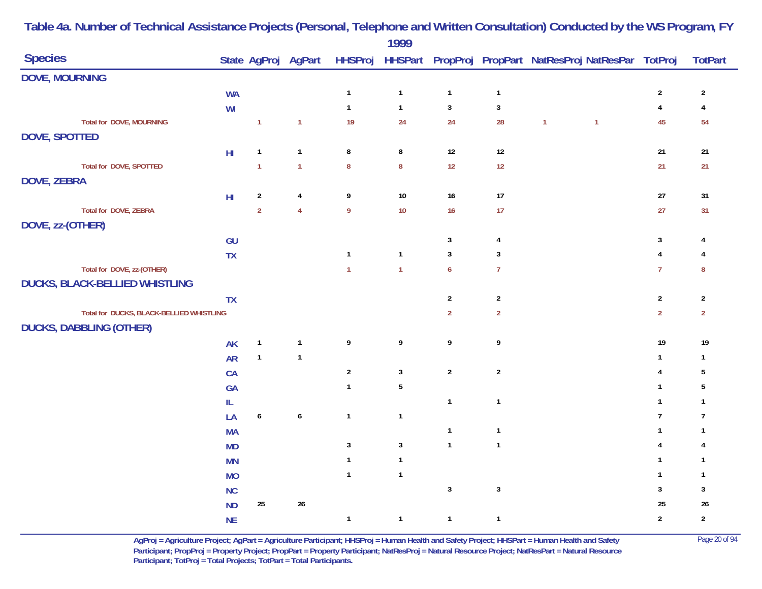|                                          |                         |                  |                     |                  | 1777         |                  |                |              |                                                        |                         |                |
|------------------------------------------|-------------------------|------------------|---------------------|------------------|--------------|------------------|----------------|--------------|--------------------------------------------------------|-------------------------|----------------|
| <b>Species</b>                           |                         |                  | State AgProj AgPart | <b>HHSProj</b>   |              |                  |                |              | HHSPart PropProj PropPart NatResProj NatResPar TotProj |                         | <b>TotPart</b> |
| <b>DOVE, MOURNING</b>                    |                         |                  |                     |                  |              |                  |                |              |                                                        |                         |                |
|                                          | <b>WA</b>               |                  |                     | $\mathbf{1}$     | $\mathbf{1}$ | $\mathbf{1}$     | $\mathbf{1}$   |              |                                                        | $\sqrt{2}$              | $\sqrt{2}$     |
|                                          | WI                      |                  |                     | $\mathbf{1}$     | $\mathbf{1}$ | $\mathbf{3}$     | $\mathbf{3}$   |              |                                                        | $\overline{\mathbf{4}}$ | $\pmb{4}$      |
| <b>Total for DOVE, MOURNING</b>          |                         | $\mathbf{1}$     | $\mathbf{1}$        | 19               | 24           | 24               | 28             | $\mathbf{1}$ | $\overline{1}$                                         | 45                      | 54             |
| <b>DOVE, SPOTTED</b>                     |                         |                  |                     |                  |              |                  |                |              |                                                        |                         |                |
|                                          | $\mathsf{H} \mathsf{I}$ | $\mathbf{1}$     | $\mathbf{1}$        | 8                | $\bf 8$      | $12$             | $12\,$         |              |                                                        | $21\,$                  | $21\,$         |
| Total for DOVE, SPOTTED                  |                         | $\mathbf{1}$     | $\mathbf{1}$        | $\boldsymbol{8}$ | $\bf 8$      | 12               | $12$           |              |                                                        | 21                      | 21             |
| <b>DOVE, ZEBRA</b>                       |                         |                  |                     |                  |              |                  |                |              |                                                        |                         |                |
|                                          | ${\sf HI}$              | $\overline{2}$   | $\overline{4}$      | 9                | $10\,$       | 16               | $17$           |              |                                                        | $27\,$                  | $31\,$         |
| Total for DOVE, ZEBRA                    |                         | $\overline{2}$   | $\overline{4}$      | $\overline{9}$   | $10$         | 16               | $17$           |              |                                                        | 27                      | 31             |
| DOVE, zz-(OTHER)                         |                         |                  |                     |                  |              |                  |                |              |                                                        |                         |                |
|                                          | GU                      |                  |                     |                  |              | $\mathbf{3}$     | 4              |              |                                                        | 3                       | 4              |
|                                          | <b>TX</b>               |                  |                     | $\mathbf{1}$     | $\mathbf{1}$ | $\mathbf{3}$     | 3              |              |                                                        | $\overline{4}$          | 4              |
| Total for DOVE, zz-(OTHER)               |                         |                  |                     | $\overline{1}$   | $\mathbf{1}$ | $\boldsymbol{6}$ | $\overline{7}$ |              |                                                        | $\overline{7}$          | $\bf 8$        |
| DUCKS, BLACK-BELLIED WHISTLING           |                         |                  |                     |                  |              |                  |                |              |                                                        |                         |                |
|                                          | <b>TX</b>               |                  |                     |                  |              | $\overline{2}$   | $\overline{2}$ |              |                                                        | $\sqrt{2}$              | $\sqrt{2}$     |
| Total for DUCKS, BLACK-BELLIED WHISTLING |                         |                  |                     |                  |              | $\overline{2}$   | $\mathbf 2$    |              |                                                        | $\mathbf 2$             | $\mathbf 2$    |
| <b>DUCKS, DABBLING (OTHER)</b>           |                         |                  |                     |                  |              |                  |                |              |                                                        |                         |                |
|                                          | <b>AK</b>               | $\mathbf{1}$     | $\mathbf{1}$        | 9                | 9            | $\boldsymbol{9}$ | 9              |              |                                                        | $19$                    | $19$           |
|                                          | <b>AR</b>               | $\mathbf{1}$     | $\mathbf{1}$        |                  |              |                  |                |              |                                                        | $\mathbf{1}$            | $\mathbf{1}$   |
|                                          | CA                      |                  |                     | $\sqrt{2}$       | $\sqrt{3}$   | $\sqrt{2}$       | $\sqrt{2}$     |              |                                                        | 4                       | 5              |
|                                          | GA                      |                  |                     | $\mathbf{1}$     | $\sqrt{5}$   |                  |                |              |                                                        | $\mathbf{1}$            | 5              |
|                                          | IL.                     |                  |                     |                  |              | $\mathbf{1}$     | $\mathbf{1}$   |              |                                                        | $\mathbf{1}$            | $\mathbf{1}$   |
|                                          | LA                      | $\boldsymbol{6}$ | $\pmb{6}$           | $\mathbf{1}$     | $\mathbf{1}$ |                  |                |              |                                                        | $\overline{7}$          | $\overline{7}$ |
|                                          | <b>MA</b>               |                  |                     |                  |              | $\mathbf{1}$     | $\mathbf{1}$   |              |                                                        | $\mathbf{1}$            | $\mathbf{1}$   |
|                                          | MD                      |                  |                     | $\mathbf{3}$     | $\sqrt{3}$   | $\mathbf{1}$     | $\mathbf{1}$   |              |                                                        | 4                       | 4              |
|                                          | <b>MN</b>               |                  |                     | $\mathbf{1}$     | $\mathbf{1}$ |                  |                |              |                                                        | $\mathbf{1}$            | $\mathbf{1}$   |
|                                          | <b>MO</b>               |                  |                     | $\mathbf{1}$     | $\mathbf{1}$ |                  |                |              |                                                        | $\mathbf{1}$            | $\mathbf{1}$   |
|                                          | NC                      |                  |                     |                  |              | $\mathbf{3}$     | $\mathbf{3}$   |              |                                                        | 3                       | $\mathbf{3}$   |
|                                          | ND                      | $25\,$           | $26\,$              |                  |              |                  |                |              |                                                        | 25                      | $26\,$         |
|                                          | <b>NE</b>               |                  |                     | $\mathbf{1}$     | $\mathbf{1}$ | $\mathbf{1}$     | $\mathbf{1}$   |              |                                                        | $\sqrt{2}$              | $\sqrt{2}$     |
|                                          |                         |                  |                     |                  |              |                  |                |              |                                                        |                         |                |

> **AgProj = Agriculture Project; AgPart = Agriculture Participant; HHSProj = Human Health and Safety Project; HHSPart = Human Health and Safety** Page 20 of 94 **Participant; PropProj = Property Project; PropPart = Property Participant; NatResProj = Natural Resource Project; NatResPart = Natural Resource**  Participant; TotProj = Total Projects; TotPart = Total Participants.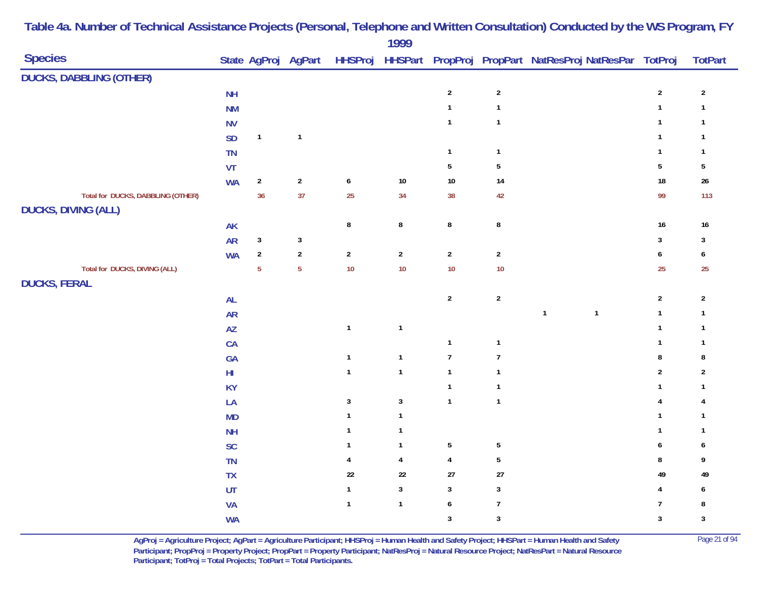| <b>Species</b>                                       |                            |                | State AgProj AgPart |                  | .            |                  |                  | HHSProj HHSPart PropProj PropPart NatResProj NatResPar TotProj |                  | <b>TotPart</b>          |
|------------------------------------------------------|----------------------------|----------------|---------------------|------------------|--------------|------------------|------------------|----------------------------------------------------------------|------------------|-------------------------|
| <b>DUCKS, DABBLING (OTHER)</b>                       |                            |                |                     |                  |              |                  |                  |                                                                |                  |                         |
|                                                      | <b>NH</b>                  |                |                     |                  |              | $\overline{2}$   | $\sqrt{2}$       |                                                                | $\overline{2}$   | $\sqrt{2}$              |
|                                                      | <b>NM</b>                  |                |                     |                  |              | $\mathbf{1}$     | $\mathbf{1}$     |                                                                | $\mathbf{1}$     | $\overline{\mathbf{1}}$ |
|                                                      | <b>NV</b>                  |                |                     |                  |              | $\mathbf{1}$     | $\mathbf{1}$     |                                                                | $\mathbf{1}$     | $\overline{\mathbf{1}}$ |
|                                                      | <b>SD</b>                  | $\mathbf{1}$   | $\mathbf{1}$        |                  |              |                  |                  |                                                                | $\mathbf{1}$     | $\overline{1}$          |
|                                                      | TN                         |                |                     |                  |              | $\mathbf{1}$     | $\mathbf{1}$     |                                                                | $\mathbf{1}$     | $\overline{1}$          |
|                                                      | VT                         |                |                     |                  |              | $\sqrt{5}$       | ${\bf 5}$        |                                                                | $5\phantom{a}$   | $\sqrt{5}$              |
|                                                      | <b>WA</b>                  | $\sqrt{2}$     | $\sqrt{2}$          | $\boldsymbol{6}$ | $10\,$       | $10\,$           | 14               |                                                                | $18\,$           | $26\,$                  |
| Total for DUCKS, DABBLING (OTHER)                    |                            | 36             | 37                  | 25               | 34           | 38               | 42               |                                                                | 99               | 113                     |
| <b>DUCKS, DIVING (ALL)</b>                           |                            |                |                     |                  |              |                  |                  |                                                                |                  |                         |
|                                                      | AK                         |                |                     | $\bf 8$          | 8            | $\bf 8$          | $\bf 8$          |                                                                | $16\,$           | $16\,$                  |
|                                                      | ${\sf AR}$                 | $\sqrt{3}$     | $\mathbf{3}$        |                  |              |                  |                  |                                                                | $\mathbf{3}$     | $\mathbf{3}$            |
|                                                      | <b>WA</b>                  | $\sqrt{2}$     | $\mathbf 2$         | $\sqrt{2}$       | $\mathbf 2$  | $\sqrt{2}$       | $\boldsymbol{2}$ |                                                                | $\boldsymbol{6}$ | 6                       |
| Total for DUCKS, DIVING (ALL)<br><b>DUCKS, FERAL</b> |                            | $\overline{5}$ | $5\phantom{a}$      | 10               | 10           | 10               | 10               |                                                                | 25               | 25                      |
|                                                      | AL                         |                |                     |                  |              | $\overline{2}$   | $\sqrt{2}$       |                                                                | $\overline{2}$   | $\sqrt{2}$              |
|                                                      | <b>AR</b>                  |                |                     |                  |              |                  |                  | $\mathbf{1}$<br>$\mathbf{1}$                                   | $\mathbf{1}$     | $\mathbf{1}$            |
|                                                      | AZ                         |                |                     | $\mathbf{1}$     | $\mathbf{1}$ |                  |                  |                                                                | $\mathbf{1}$     | $\mathbf{1}$            |
|                                                      | CA                         |                |                     |                  |              | $\mathbf{1}$     | $\mathbf{1}$     |                                                                | $\mathbf{1}$     | $\overline{1}$          |
|                                                      | GA                         |                |                     | $\mathbf{1}$     | $\mathbf{1}$ | $\overline{7}$   | $\boldsymbol{7}$ |                                                                | $\bf 8$          | 8                       |
|                                                      | $H\!I$                     |                |                     | $\mathbf{1}$     | $\mathbf{1}$ | $\mathbf{1}$     | $\mathbf{1}$     |                                                                | $\overline{2}$   | $\overline{2}$          |
|                                                      | <b>KY</b>                  |                |                     |                  |              | $\mathbf{1}$     | $\mathbf{1}$     |                                                                | $\mathbf{1}$     | $\mathbf{1}$            |
|                                                      | LA                         |                |                     | $\mathbf{3}$     | $\mathbf{3}$ | $\mathbf{1}$     | $\mathbf{1}$     |                                                                | $\overline{4}$   | 4                       |
|                                                      | MD                         |                |                     | $\mathbf{1}$     | $\mathbf{1}$ |                  |                  |                                                                | $\mathbf{1}$     | $\mathbf{1}$            |
|                                                      | <b>NH</b>                  |                |                     | $\mathbf{1}$     | $\mathbf{1}$ |                  |                  |                                                                | $\mathbf{1}$     | $\mathbf{1}$            |
|                                                      | SC                         |                |                     | $\mathbf{1}$     | $\mathbf{1}$ | $\sqrt{5}$       | $\sqrt{5}$       |                                                                | $\boldsymbol{6}$ | 6                       |
|                                                      | TN                         |                |                     | 4                | 4            | $\pmb{4}$        | $\sqrt{5}$       |                                                                | 8                | 9                       |
|                                                      | TX                         |                |                     | $22\,$           | $22\,$       | $27\,$           | $27\,$           |                                                                | 49               | 49                      |
|                                                      | $\ensuremath{\mathsf{UT}}$ |                |                     | $\mathbf{1}$     | $\mathbf{3}$ | $\mathbf{3}$     | $\mathbf{3}$     |                                                                | $\overline{4}$   | 6                       |
|                                                      | <b>VA</b>                  |                |                     | $\mathbf{1}$     | $\mathbf{1}$ | $\boldsymbol{6}$ | $\boldsymbol{7}$ |                                                                | $\overline{7}$   | 8                       |
|                                                      | <b>WA</b>                  |                |                     |                  |              | $\mathbf{3}$     | $\mathbf{3}$     |                                                                | $\mathbf{3}$     | $\sqrt{3}$              |

**AgProj = Agriculture Project; AgPart = Agriculture Participant; HHSProj = Human Health and Safety Project; HHSPart = Human Health and Safety** Page 21 of 94 **Participant; PropProj = Property Project; PropPart = Property Participant; NatResProj = Natural Resource Project; NatResPart = Natural Resource**  Participant; TotProj = Total Projects; TotPart = Total Participants.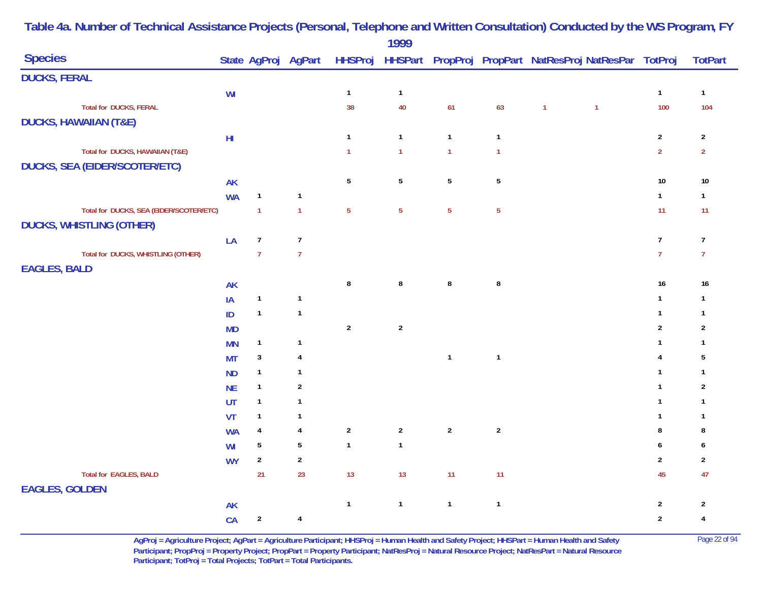|                                         |            |                  |                  |                | 1999             |                 |                |                |                                                                                    |                  |                |
|-----------------------------------------|------------|------------------|------------------|----------------|------------------|-----------------|----------------|----------------|------------------------------------------------------------------------------------|------------------|----------------|
| <b>Species</b>                          |            |                  |                  |                |                  |                 |                |                | State AgProj AgPart HHSProj HHSPart PropProj PropPart NatResProj NatResPar TotProj |                  | <b>TotPart</b> |
| <b>DUCKS, FERAL</b>                     |            |                  |                  |                |                  |                 |                |                |                                                                                    |                  |                |
|                                         | WI         |                  |                  | $\mathbf{1}$   | $\mathbf{1}$     |                 |                |                |                                                                                    | $\mathbf{1}$     | $\mathbf{1}$   |
| <b>Total for DUCKS, FERAL</b>           |            |                  |                  | 38             | 40               | 61              | 63             | $\overline{1}$ | $\mathbf{1}$                                                                       | 100              | 104            |
| <b>DUCKS, HAWAIIAN (T&amp;E)</b>        |            |                  |                  |                |                  |                 |                |                |                                                                                    |                  |                |
|                                         | ${\sf HI}$ |                  |                  | $\mathbf{1}$   | $\mathbf{1}$     | $\mathbf{1}$    | $\mathbf{1}$   |                |                                                                                    | $\overline{2}$   | $\overline{2}$ |
| Total for DUCKS, HAWAIIAN (T&E)         |            |                  |                  | $\mathbf{1}$   | $\mathbf{1}$     | $\overline{1}$  | $\mathbf{1}$   |                |                                                                                    | $\mathbf 2$      | $\overline{2}$ |
| <b>DUCKS, SEA (EIDER/SCOTER/ETC)</b>    |            |                  |                  |                |                  |                 |                |                |                                                                                    |                  |                |
|                                         | <b>AK</b>  |                  |                  | $5\,$          | $\sqrt{5}$       | $5\phantom{.0}$ | $\sqrt{5}$     |                |                                                                                    | $10\,$           | $10\,$         |
|                                         | <b>WA</b>  | $\mathbf{1}$     | $\mathbf{1}$     |                |                  |                 |                |                |                                                                                    | $\mathbf{1}$     | $\mathbf{1}$   |
| Total for DUCKS, SEA (EIDER/SCOTER/ETC) |            | $\overline{1}$   | $\overline{1}$   | $\overline{5}$ | $\overline{5}$   | $\overline{5}$  | $\overline{5}$ |                |                                                                                    | 11               | 11             |
| <b>DUCKS, WHISTLING (OTHER)</b>         |            |                  |                  |                |                  |                 |                |                |                                                                                    |                  |                |
|                                         | LA         | $\boldsymbol{7}$ | $\boldsymbol{7}$ |                |                  |                 |                |                |                                                                                    | $\boldsymbol{7}$ | $\overline{7}$ |
| Total for DUCKS, WHISTLING (OTHER)      |            | $\overline{7}$   | $\overline{7}$   |                |                  |                 |                |                |                                                                                    | $\overline{7}$   | $\overline{7}$ |
| <b>EAGLES, BALD</b>                     |            |                  |                  |                |                  |                 |                |                |                                                                                    |                  |                |
|                                         | <b>AK</b>  |                  |                  | $\bf 8$        | 8                | $\bf 8$         | $\bf 8$        |                |                                                                                    | 16               | $16\,$         |
|                                         | IA         | $\mathbf{1}$     | $\mathbf{1}$     |                |                  |                 |                |                |                                                                                    | $\mathbf{1}$     | $\mathbf{1}$   |
|                                         | ID         | $\mathbf{1}$     | $\mathbf{1}$     |                |                  |                 |                |                |                                                                                    | $\mathbf{1}$     | $\mathbf{1}$   |
|                                         | <b>MD</b>  |                  |                  | $\overline{2}$ | $\boldsymbol{2}$ |                 |                |                |                                                                                    | $\sqrt{2}$       | $\sqrt{2}$     |
|                                         | <b>MN</b>  | $\mathbf{1}$     | $\mathbf{1}$     |                |                  |                 |                |                |                                                                                    | $\mathbf{1}$     | $\mathbf{1}$   |
|                                         | <b>MT</b>  | $\sqrt{3}$       | $\overline{4}$   |                |                  | $\mathbf{1}$    | $\mathbf{1}$   |                |                                                                                    | 4                | 5              |
|                                         | <b>ND</b>  | $\mathbf{1}$     | $\mathbf{1}$     |                |                  |                 |                |                |                                                                                    | $\mathbf{1}$     | $\mathbf{1}$   |
|                                         | <b>NE</b>  | $\mathbf{1}$     | $\sqrt{2}$       |                |                  |                 |                |                |                                                                                    | $\mathbf{1}$     | $\sqrt{2}$     |
|                                         | UT         | $\mathbf{1}$     | $\mathbf{1}$     |                |                  |                 |                |                |                                                                                    | $\mathbf{1}$     | $\mathbf{1}$   |
|                                         | VT         | $\mathbf{1}$     | $\mathbf{1}$     |                |                  |                 |                |                |                                                                                    | $\mathbf{1}$     | $\mathbf{1}$   |
|                                         | <b>WA</b>  | $\overline{4}$   | $\pmb{4}$        | $\sqrt{2}$     | $\overline{2}$   | $\overline{2}$  | $\overline{2}$ |                |                                                                                    | $\bf 8$          | $\bf 8$        |
|                                         | WI         | $\sqrt{5}$       | $5\,$            | $\mathbf{1}$   | $\mathbf{1}$     |                 |                |                |                                                                                    | 6                | 6              |
|                                         | <b>WY</b>  | $\boldsymbol{2}$ | $\sqrt{2}$       |                |                  |                 |                |                |                                                                                    | $\sqrt{2}$       | $\overline{2}$ |
| <b>Total for EAGLES, BALD</b>           |            | 21               | 23               | 13             | 13               | 11              | 11             |                |                                                                                    | 45               | 47             |
| <b>EAGLES, GOLDEN</b>                   |            |                  |                  |                |                  |                 |                |                |                                                                                    |                  |                |
|                                         | <b>AK</b>  |                  |                  | $\mathbf{1}$   | $\mathbf{1}$     | $\mathbf{1}$    | $\mathbf{1}$   |                |                                                                                    | $\overline{2}$   | $\overline{2}$ |
|                                         | CA         | $\boldsymbol{2}$ | $\pmb{4}$        |                |                  |                 |                |                |                                                                                    | $\overline{2}$   | $\pmb{4}$      |

> **AgProj = Agriculture Project; AgPart = Agriculture Participant; HHSProj = Human Health and Safety Project; HHSPart = Human Health and Safety** Page 22 of 94 **Participant; PropProj = Property Project; PropPart = Property Participant; NatResProj = Natural Resource Project; NatResPart = Natural Resource**  Participant; TotProj = Total Projects; TotPart = Total Participants.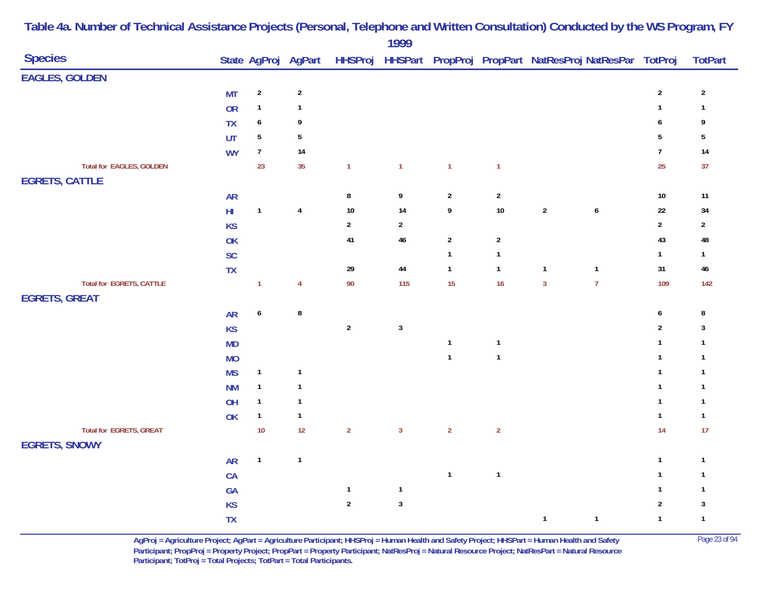| <b>Species</b>                                         |               |                  |                |                  | $\frac{1}{2}$  |                  |                | State AgProj AgPart HHSProj HHSPart PropProj PropPart NatResProj NatResPar TotProj |                  |                  | <b>TotPart</b> |
|--------------------------------------------------------|---------------|------------------|----------------|------------------|----------------|------------------|----------------|------------------------------------------------------------------------------------|------------------|------------------|----------------|
| <b>EAGLES, GOLDEN</b>                                  |               |                  |                |                  |                |                  |                |                                                                                    |                  |                  |                |
|                                                        | <b>MT</b>     | $\overline{2}$   | $\sqrt{2}$     |                  |                |                  |                |                                                                                    |                  | $\sqrt{2}$       | $\sqrt{2}$     |
|                                                        | <b>OR</b>     | $\mathbf{1}$     | $\mathbf{1}$   |                  |                |                  |                |                                                                                    |                  | $\mathbf{1}$     | $\mathbf{1}$   |
|                                                        | <b>TX</b>     | $\boldsymbol{6}$ | 9              |                  |                |                  |                |                                                                                    |                  | $\boldsymbol{6}$ | 9              |
|                                                        | UT            | $\sqrt{5}$       | $\overline{5}$ |                  |                |                  |                |                                                                                    |                  | $\sqrt{5}$       | $\sqrt{5}$     |
|                                                        | <b>WY</b>     | $\overline{7}$   | $14$           |                  |                |                  |                |                                                                                    |                  | $\overline{7}$   | $14$           |
| <b>Total for EAGLES, GOLDEN</b>                        |               | 23               | 35             | $\mathbf{1}$     | $\mathbf{1}$   | $\overline{1}$   | $\mathbf{1}$   |                                                                                    |                  | 25               | 37             |
| <b>EGRETS, CATTLE</b>                                  |               |                  |                |                  |                |                  |                |                                                                                    |                  |                  |                |
|                                                        | <b>AR</b>     |                  |                | 8                | 9              | $\overline{2}$   | $\overline{2}$ |                                                                                    |                  | $10\,$           | $11$           |
|                                                        | $\mathsf{HI}$ | $\mathbf{1}$     | $\overline{4}$ | $10$             | 14             | $\boldsymbol{9}$ | $10\,$         | $\sqrt{2}$                                                                         | $\boldsymbol{6}$ | $22\,$           | 34             |
|                                                        | <b>KS</b>     |                  |                | $\boldsymbol{2}$ | $\overline{2}$ |                  |                |                                                                                    |                  | $\overline{2}$   | $\sqrt{2}$     |
|                                                        | OK            |                  |                | 41               | 46             | $\overline{2}$   | $\overline{2}$ |                                                                                    |                  | 43               | 48             |
|                                                        | SC            |                  |                |                  |                | $\mathbf{1}$     | $\mathbf{1}$   |                                                                                    |                  | $\mathbf{1}$     | $\mathbf{1}$   |
|                                                        | <b>TX</b>     |                  |                | 29               | $\bf 44$       | $\mathbf{1}$     | $\mathbf{1}$   | $\mathbf{1}$                                                                       | $\mathbf{1}$     | 31               | 46             |
| Total for EGRETS, CATTLE                               |               | $\mathbf{1}$     | $\overline{4}$ | 90               | 115            | 15               | 16             | $\overline{3}$                                                                     | $\overline{7}$   | 109              | 142            |
| <b>EGRETS, GREAT</b>                                   |               |                  |                |                  |                |                  |                |                                                                                    |                  |                  |                |
|                                                        | <b>AR</b>     | $\boldsymbol{6}$ | ${\bf 8}$      |                  |                |                  |                |                                                                                    |                  | $\boldsymbol{6}$ | ${\bf 8}$      |
|                                                        | <b>KS</b>     |                  |                | $\boldsymbol{2}$ | $\mathbf 3$    |                  |                |                                                                                    |                  | $\overline{2}$   | $\mathbf{3}$   |
|                                                        | MD            |                  |                |                  |                | $\mathbf{1}$     | $\mathbf{1}$   |                                                                                    |                  | $\mathbf{1}$     | $\mathbf{1}$   |
|                                                        | <b>MO</b>     |                  |                |                  |                | $\mathbf{1}$     | $\mathbf{1}$   |                                                                                    |                  | $\mathbf{1}$     | $\mathbf{1}$   |
|                                                        | <b>MS</b>     | $\mathbf{1}$     | $\mathbf{1}$   |                  |                |                  |                |                                                                                    |                  | $\mathbf{1}$     | $\mathbf{1}$   |
|                                                        | <b>NM</b>     | $\mathbf{1}$     | $\mathbf{1}$   |                  |                |                  |                |                                                                                    |                  | $\mathbf{1}$     | $\mathbf{1}$   |
|                                                        | OH            | $\mathbf{1}$     | $\mathbf{1}$   |                  |                |                  |                |                                                                                    |                  | $\mathbf{1}$     | $\mathbf{1}$   |
|                                                        | <b>OK</b>     | $\mathbf{1}$     | $\mathbf{1}$   |                  |                |                  |                |                                                                                    |                  | $\mathbf{1}$     | $\mathbf{1}$   |
| <b>Total for EGRETS, GREAT</b><br><b>EGRETS, SNOWY</b> |               | $10$             | 12             | $\overline{2}$   | $\mathbf{3}$   | $\overline{2}$   | $\overline{2}$ |                                                                                    |                  | 14               | 17             |
|                                                        | <b>AR</b>     | $\mathbf{1}$     | $\mathbf{1}$   |                  |                |                  |                |                                                                                    |                  | $\mathbf{1}$     | $\mathbf{1}$   |
|                                                        | CA            |                  |                |                  |                | $\mathbf{1}$     | $\mathbf{1}$   |                                                                                    |                  | $\mathbf{1}$     | $\mathbf{1}$   |
|                                                        | GA            |                  |                | $\mathbf{1}$     | $\mathbf{1}$   |                  |                |                                                                                    |                  | $\mathbf{1}$     | $\mathbf{1}$   |
|                                                        | KS            |                  |                | $\overline{2}$   | $\mathbf{3}$   |                  |                |                                                                                    |                  | $\sqrt{2}$       | $\mathbf{3}$   |
|                                                        | TX            |                  |                |                  |                |                  |                | $\mathbf{1}$                                                                       | $\mathbf{1}$     | $\mathbf{1}$     | $\mathbf{1}$   |

> **AgProj = Agriculture Project; AgPart = Agriculture Participant; HHSProj = Human Health and Safety Project; HHSPart = Human Health and Safety** Page 23 of 94 **Participant; PropProj = Property Project; PropPart = Property Participant; NatResProj = Natural Resource Project; NatResPart = Natural Resource**  Participant; TotProj = Total Projects; TotPart = Total Participants.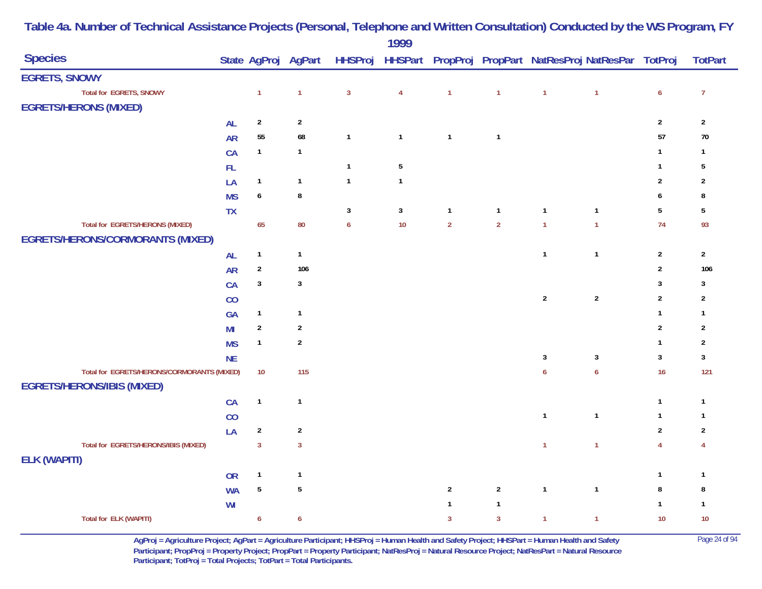| <b>Species</b>                             |                |                  | State AgProj AgPart |                  |                |                  |                |                  | HHSProj HHSPart PropProj PropPart NatResProj NatResPar TotProj |                  | <b>TotPart</b> |
|--------------------------------------------|----------------|------------------|---------------------|------------------|----------------|------------------|----------------|------------------|----------------------------------------------------------------|------------------|----------------|
| <b>EGRETS, SNOWY</b>                       |                |                  |                     |                  |                |                  |                |                  |                                                                |                  |                |
| <b>Total for EGRETS, SNOWY</b>             |                | $\mathbf{1}$     | $\mathbf{1}$        | $\overline{3}$   | $\overline{4}$ | $\overline{1}$   | $\mathbf{1}$   | $\overline{1}$   | $\overline{1}$                                                 | $\boldsymbol{6}$ | $\overline{7}$ |
| <b>EGRETS/HERONS (MIXED)</b>               |                |                  |                     |                  |                |                  |                |                  |                                                                |                  |                |
|                                            | <b>AL</b>      | $\overline{2}$   | $\sqrt{2}$          |                  |                |                  |                |                  |                                                                | $\sqrt{2}$       | $\overline{2}$ |
|                                            | <b>AR</b>      | 55               | 68                  | $\mathbf{1}$     | $\mathbf{1}$   | $\mathbf{1}$     | $\mathbf{1}$   |                  |                                                                | 57               | $70\,$         |
|                                            | CA             | $\mathbf{1}$     | $\mathbf{1}$        |                  |                |                  |                |                  |                                                                | $\mathbf{1}$     | $\mathbf{1}$   |
|                                            | ${\sf FL}$     |                  |                     | $\mathbf{1}$     | $\sqrt{5}$     |                  |                |                  |                                                                | $\mathbf{1}$     | 5              |
|                                            | LA             | $\mathbf{1}$     | $\mathbf{1}$        | $\mathbf{1}$     | $\mathbf{1}$   |                  |                |                  |                                                                | $\sqrt{2}$       | $\overline{2}$ |
|                                            | <b>MS</b>      | $\boldsymbol{6}$ | 8                   |                  |                |                  |                |                  |                                                                | 6                | 8              |
|                                            | <b>TX</b>      |                  |                     | $\mathbf{3}$     | $\sqrt{3}$     | $\mathbf{1}$     | $\mathbf{1}$   | $\overline{1}$   | $\mathbf{1}$                                                   | $5\,$            | $\sqrt{5}$     |
| Total for EGRETS/HERONS (MIXED)            |                | 65               | 80                  | $\boldsymbol{6}$ | 10             | $\overline{2}$   | $\overline{2}$ | $\overline{1}$   | $\overline{1}$                                                 | 74               | 93             |
| <b>EGRETS/HERONS/CORMORANTS (MIXED)</b>    |                |                  |                     |                  |                |                  |                |                  |                                                                |                  |                |
|                                            | <b>AL</b>      | $\mathbf{1}$     | $\mathbf{1}$        |                  |                |                  |                | $\mathbf{1}$     | $\mathbf{1}$                                                   | $\sqrt{2}$       | $\overline{2}$ |
|                                            | <b>AR</b>      | $\boldsymbol{2}$ | 106                 |                  |                |                  |                |                  |                                                                | $\overline{2}$   | 106            |
|                                            | CA             | $\mathbf{3}$     | $\mathbf{3}$        |                  |                |                  |                |                  |                                                                | $\sqrt{3}$       | $\mathbf{3}$   |
|                                            | CO             |                  |                     |                  |                |                  |                | $\sqrt{2}$       | $\overline{2}$                                                 | $\overline{2}$   | $\overline{2}$ |
|                                            | GA             | $\mathbf{1}$     | $\mathbf{1}$        |                  |                |                  |                |                  |                                                                | $\mathbf{1}$     | $\mathbf{1}$   |
|                                            | M <sub>l</sub> | $\sqrt{2}$       | $\sqrt{2}$          |                  |                |                  |                |                  |                                                                | $\sqrt{2}$       | $\overline{2}$ |
|                                            | <b>MS</b>      | $\mathbf{1}$     | $\sqrt{2}$          |                  |                |                  |                |                  |                                                                | $\mathbf{1}$     | $\overline{2}$ |
|                                            | <b>NE</b>      |                  |                     |                  |                |                  |                | $\mathbf{3}$     | $\overline{3}$                                                 | $\sqrt{3}$       | $\mathbf{3}$   |
| Total for EGRETS/HERONS/CORMORANTS (MIXED) |                | $10$             | 115                 |                  |                |                  |                | $\boldsymbol{6}$ | $\boldsymbol{6}$                                               | 16               | 121            |
| <b>EGRETS/HERONS/IBIS (MIXED)</b>          |                |                  |                     |                  |                |                  |                |                  |                                                                |                  |                |
|                                            | CA             | $\mathbf{1}$     | $\mathbf{1}$        |                  |                |                  |                |                  |                                                                | $\mathbf{1}$     | $\mathbf{1}$   |
|                                            | CO             |                  |                     |                  |                |                  |                | $\overline{1}$   | $\overline{\mathbf{1}}$                                        | $\mathbf{1}$     | $\mathbf{1}$   |
|                                            | LA             | $\sqrt{2}$       | $\sqrt{2}$          |                  |                |                  |                |                  |                                                                | $\sqrt{2}$       | $\overline{2}$ |
| Total for EGRETS/HERONS/IBIS (MIXED)       |                | $\overline{3}$   | $\overline{3}$      |                  |                |                  |                | $\overline{1}$   | $\overline{1}$                                                 | $\overline{4}$   | 4              |
| <b>ELK (WAPITI)</b>                        |                |                  |                     |                  |                |                  |                |                  |                                                                |                  |                |
|                                            | <b>OR</b>      | $\mathbf{1}$     | $\mathbf{1}$        |                  |                |                  |                |                  |                                                                | $\mathbf{1}$     | $\mathbf{1}$   |
|                                            | <b>WA</b>      | $\overline{5}$   | $\overline{5}$      |                  |                | $\boldsymbol{2}$ | $\overline{2}$ | $\overline{1}$   | $\mathbf{1}$                                                   | $\bf 8$          | $\bf 8$        |
|                                            | WI             |                  |                     |                  |                | $\mathbf{1}$     | $\mathbf{1}$   |                  |                                                                | $\mathbf{1}$     | $\mathbf{1}$   |
| <b>Total for ELK (WAPITI)</b>              |                | $\boldsymbol{6}$ | $\boldsymbol{6}$    |                  |                | $\overline{3}$   | $\overline{3}$ | $\mathbf{1}$     | $\mathbf{1}$                                                   | $10$             | $10$           |

> **AgProj = Agriculture Project; AgPart = Agriculture Participant; HHSProj = Human Health and Safety Project; HHSPart = Human Health and Safety** Page 24 of 94 **Participant; PropProj = Property Project; PropPart = Property Participant; NatResProj = Natural Resource Project; NatResPart = Natural Resource**  Participant; TotProj = Total Projects; TotPart = Total Participants.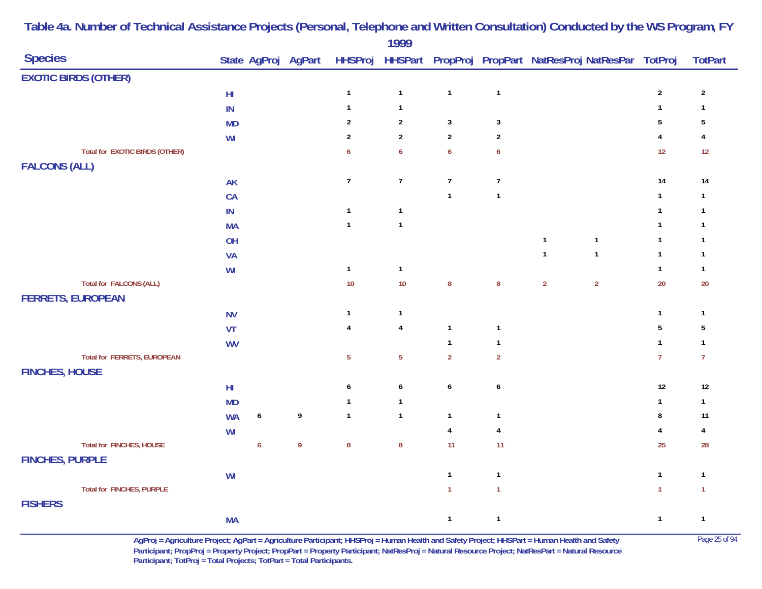| <b>Species</b>                        |            |                  |                |                  | $\frac{1}{2}$    |                  |                         |                | State AgProj AgPart HHSProj HHSPart PropProj PropPart NatResProj NatResPar TotProj |                         | <b>TotPart</b> |
|---------------------------------------|------------|------------------|----------------|------------------|------------------|------------------|-------------------------|----------------|------------------------------------------------------------------------------------|-------------------------|----------------|
|                                       |            |                  |                |                  |                  |                  |                         |                |                                                                                    |                         |                |
| <b>EXOTIC BIRDS (OTHER)</b>           |            |                  |                |                  |                  |                  |                         |                |                                                                                    |                         |                |
|                                       | ${\sf HI}$ |                  |                | $\mathbf{1}$     | $\mathbf{1}$     | $\overline{1}$   | $\mathbf{1}$            |                |                                                                                    | $\boldsymbol{2}$        | $\sqrt{2}$     |
|                                       | IN         |                  |                | $\mathbf{1}$     | $\mathbf{1}$     |                  |                         |                |                                                                                    | $\mathbf{1}$            | $\mathbf{1}$   |
|                                       | <b>MD</b>  |                  |                | $\overline{2}$   | $\overline{2}$   | $\mathbf{3}$     | $\sqrt{3}$              |                |                                                                                    | $\overline{5}$          | $\sqrt{5}$     |
|                                       | WI         |                  |                | $\overline{2}$   | $\boldsymbol{2}$ | $\overline{2}$   | $\sqrt{2}$              |                |                                                                                    | 4                       | 4              |
| <b>Total for EXOTIC BIRDS (OTHER)</b> |            |                  |                | $\boldsymbol{6}$ | $\boldsymbol{6}$ | $\boldsymbol{6}$ | $\boldsymbol{6}$        |                |                                                                                    | 12                      | 12             |
| <b>FALCONS (ALL)</b>                  |            |                  |                |                  |                  |                  |                         |                |                                                                                    |                         |                |
|                                       | AK         |                  |                | $\overline{7}$   | $\overline{7}$   | $\overline{7}$   | $\overline{7}$          |                |                                                                                    | 14                      | 14             |
|                                       | CA         |                  |                |                  |                  | $\overline{1}$   | $\mathbf{1}$            |                |                                                                                    | $\mathbf{1}$            | $\mathbf{1}$   |
|                                       | $\sf IN$   |                  |                | $\mathbf{1}$     | $\mathbf{1}$     |                  |                         |                |                                                                                    | $\mathbf{1}$            | $\mathbf{1}$   |
|                                       | <b>MA</b>  |                  |                | $\mathbf{1}$     | $\mathbf{1}$     |                  |                         |                |                                                                                    | $\mathbf{1}$            | $\mathbf{1}$   |
|                                       | OH         |                  |                |                  |                  |                  |                         | $\mathbf{1}$   | $\mathbf{1}$                                                                       | $\mathbf{1}$            | $\mathbf{1}$   |
|                                       | <b>VA</b>  |                  |                |                  |                  |                  |                         | $\mathbf{1}$   | $\mathbf{1}$                                                                       | $\mathbf{1}$            | $\mathbf{1}$   |
|                                       | WI         |                  |                | $\mathbf{1}$     | $\mathbf{1}$     |                  |                         |                |                                                                                    | $\mathbf{1}$            | $\mathbf{1}$   |
| <b>Total for FALCONS (ALL)</b>        |            |                  |                | 10               | 10               | $\bf 8$          | $\bf 8$                 | $\overline{2}$ | $\sqrt{2}$                                                                         | 20                      | $20\,$         |
| <b>FERRETS, EUROPEAN</b>              |            |                  |                |                  |                  |                  |                         |                |                                                                                    |                         |                |
|                                       | <b>NV</b>  |                  |                | $\mathbf{1}$     | $\mathbf{1}$     |                  |                         |                |                                                                                    | $\mathbf{1}$            | $\mathbf{1}$   |
|                                       | VT         |                  |                | $\overline{4}$   | 4                | $\mathbf{1}$     | $\mathbf{1}$            |                |                                                                                    | $\overline{5}$          | $\sqrt{5}$     |
|                                       | <b>WV</b>  |                  |                |                  |                  | $\mathbf{1}$     | $\mathbf{1}$            |                |                                                                                    | $\mathbf{1}$            | $\mathbf{1}$   |
| <b>Total for FERRETS, EUROPEAN</b>    |            |                  |                | $\sqrt{5}$       | $\overline{5}$   | $\overline{2}$   | $\mathbf 2$             |                |                                                                                    | $\overline{7}$          | $\overline{7}$ |
| <b>FINCHES, HOUSE</b>                 |            |                  |                |                  |                  |                  |                         |                |                                                                                    |                         |                |
|                                       |            |                  |                |                  |                  | $\boldsymbol{6}$ |                         |                |                                                                                    | $12\,$                  | $12\,$         |
|                                       | ${\sf HI}$ |                  |                | $\pmb{6}$        | $\pmb{6}$        |                  | $\boldsymbol{6}$        |                |                                                                                    |                         |                |
|                                       | <b>MD</b>  |                  |                | $\mathbf{1}$     | $\mathbf{1}$     |                  |                         |                |                                                                                    | $\mathbf{1}$            | $\mathbf{1}$   |
|                                       | <b>WA</b>  | $\boldsymbol{6}$ | 9              | $\mathbf{1}$     | $\mathbf{1}$     | $\mathbf{1}$     | $\mathbf{1}$            |                |                                                                                    | 8                       | 11             |
|                                       | WI         |                  |                |                  |                  | $\overline{4}$   | $\overline{\mathbf{4}}$ |                |                                                                                    | $\overline{\mathbf{4}}$ | 4              |
| Total for FINCHES, HOUSE              |            | $\boldsymbol{6}$ | $\overline{9}$ | $\pmb{8}$        | ${\bf 8}$        | 11               | 11                      |                |                                                                                    | 25                      | 28             |
| <b>FINCHES, PURPLE</b>                |            |                  |                |                  |                  |                  |                         |                |                                                                                    |                         |                |
|                                       | WI         |                  |                |                  |                  | $\mathbf{1}$     | $\mathbf{1}$            |                |                                                                                    | $\mathbf{1}$            | $\mathbf{1}$   |
| <b>Total for FINCHES, PURPLE</b>      |            |                  |                |                  |                  | $\mathbf{1}$     | $\mathbf{1}$            |                |                                                                                    | $\mathbf{1}$            | $\mathbf{1}$   |
| <b>FISHERS</b>                        |            |                  |                |                  |                  |                  |                         |                |                                                                                    |                         |                |
|                                       | <b>MA</b>  |                  |                |                  |                  | $\mathbf{1}$     | $\mathbf{1}$            |                |                                                                                    | $\mathbf{1}$            | $\mathbf{1}$   |

> **AgProj = Agriculture Project; AgPart = Agriculture Participant; HHSProj = Human Health and Safety Project; HHSPart = Human Health and Safety** Page 25 of 94 **Participant; PropProj = Property Project; PropPart = Property Participant; NatResProj = Natural Resource Project; NatResPart = Natural Resource**  Participant; TotProj = Total Projects; TotPart = Total Participants.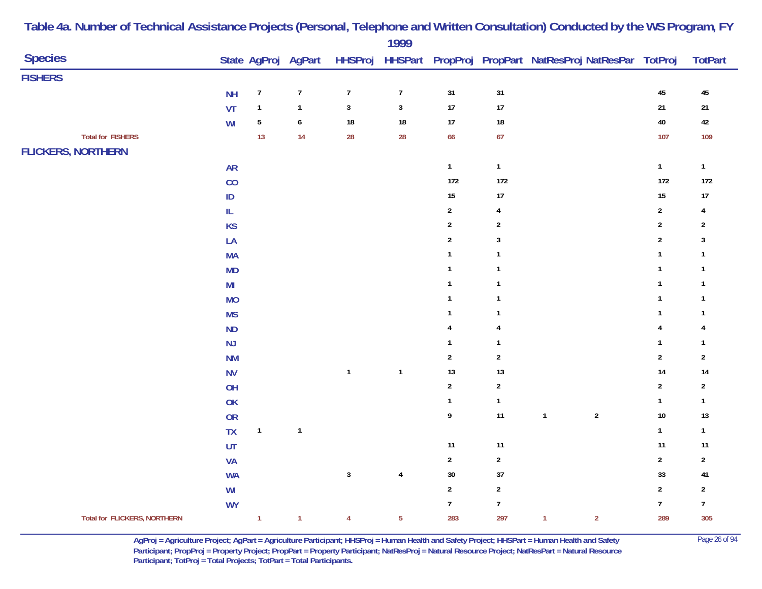|                                     |                                   |                  |                     |                  | 1777           |                  |                  |                                                                |                  |                         |
|-------------------------------------|-----------------------------------|------------------|---------------------|------------------|----------------|------------------|------------------|----------------------------------------------------------------|------------------|-------------------------|
| <b>Species</b>                      |                                   |                  | State AgProj AgPart |                  |                |                  |                  | HHSProj HHSPart PropProj PropPart NatResProj NatResPar TotProj |                  | <b>TotPart</b>          |
| <b>FISHERS</b>                      |                                   |                  |                     |                  |                |                  |                  |                                                                |                  |                         |
|                                     | <b>NH</b>                         | $\boldsymbol{7}$ | $\boldsymbol{7}$    | $\boldsymbol{7}$ | $\overline{7}$ | 31               | 31               |                                                                | 45               | 45                      |
|                                     | VT                                | $\mathbf{1}$     | $\mathbf{1}$        | $\mathbf{3}$     | $\mathbf{3}$   | $17\,$           | 17               |                                                                | $21$             | $21$                    |
|                                     | WI                                | ${\bf 5}$        | $\boldsymbol{6}$    | 18               | $18\,$         | $17\,$           | $18\,$           |                                                                | $40\,$           | $42\,$                  |
| <b>Total for FISHERS</b>            |                                   | 13               | 14                  | 28               | 28             | 66               | 67               |                                                                | 107              | 109                     |
| <b>FLICKERS, NORTHERN</b>           |                                   |                  |                     |                  |                |                  |                  |                                                                |                  |                         |
|                                     | <b>AR</b>                         |                  |                     |                  |                | $\mathbf{1}$     | $\mathbf 1$      |                                                                | $\mathbf{1}$     | $\mathbf{1}$            |
|                                     | CO                                |                  |                     |                  |                | 172              | $172$            |                                                                | 172              | 172                     |
|                                     | $\sf ID$                          |                  |                     |                  |                | $15\,$           | 17               |                                                                | $15\,$           | $17$                    |
|                                     | $\ensuremath{\mathsf{IL}}\xspace$ |                  |                     |                  |                | $\overline{2}$   | 4                |                                                                | $\sqrt{2}$       | 4                       |
|                                     | <b>KS</b>                         |                  |                     |                  |                | $\mathbf 2$      | $\boldsymbol{2}$ |                                                                | $\overline{2}$   | $\sqrt{2}$              |
|                                     | LA                                |                  |                     |                  |                | $\mathbf 2$      | $\mathbf{3}$     |                                                                | $\overline{2}$   | $\mathbf{3}$            |
|                                     | <b>MA</b>                         |                  |                     |                  |                | $\mathbf{1}$     | $\mathbf{1}$     |                                                                | $\mathbf{1}$     | $\overline{1}$          |
|                                     | <b>MD</b>                         |                  |                     |                  |                | $\mathbf{1}$     | $\mathbf{1}$     |                                                                | $\mathbf{1}$     | $\mathbf{1}$            |
|                                     | M <sub>l</sub>                    |                  |                     |                  |                | $\mathbf{1}$     | $\mathbf{1}$     |                                                                | $\mathbf{1}$     | $\overline{\mathbf{1}}$ |
|                                     | <b>MO</b>                         |                  |                     |                  |                | $\mathbf{1}$     | $\overline{1}$   |                                                                | $\mathbf{1}$     | $\overline{1}$          |
|                                     | <b>MS</b>                         |                  |                     |                  |                | $\mathbf{1}$     | $\mathbf{1}$     |                                                                | $\mathbf{1}$     | $\overline{\mathbf{1}}$ |
|                                     | ND                                |                  |                     |                  |                | 4                | $\overline{4}$   |                                                                | $\overline{4}$   | $\overline{4}$          |
|                                     | NJ                                |                  |                     |                  |                | $\mathbf{1}$     | $\mathbf{1}$     |                                                                | $\mathbf{1}$     | $\overline{1}$          |
|                                     | <b>NM</b>                         |                  |                     |                  |                | $\overline{2}$   | $\boldsymbol{2}$ |                                                                | $\overline{2}$   | $\sqrt{2}$              |
|                                     | ${\sf N}{\sf V}$                  |                  |                     | $\mathbf{1}$     | $\mathbf{1}$   | 13               | 13               |                                                                | $14$             | 14                      |
|                                     | OH                                |                  |                     |                  |                | $\overline{2}$   | $\boldsymbol{2}$ |                                                                | $\overline{2}$   | $\sqrt{2}$              |
|                                     | OK                                |                  |                     |                  |                | $\mathbf{1}$     | $\mathbf{1}$     |                                                                | $\mathbf{1}$     | $\mathbf{1}$            |
|                                     | <b>OR</b>                         |                  |                     |                  |                | $\boldsymbol{9}$ | 11               | $\sqrt{2}$<br>$\mathbf{1}$                                     | $10\,$           | 13                      |
|                                     | TX                                | $\mathbf{1}$     | $\mathbf{1}$        |                  |                |                  |                  |                                                                | $\mathbf{1}$     | $\mathbf{1}$            |
|                                     | UT                                |                  |                     |                  |                | $11$             | 11               |                                                                | 11               | 11                      |
|                                     | VA                                |                  |                     |                  |                | $\boldsymbol{2}$ | $\mathbf 2$      |                                                                | $\sqrt{2}$       | $\sqrt{2}$              |
|                                     | <b>WA</b>                         |                  |                     | $\mathbf{3}$     | $\pmb{4}$      | $30\,$           | $37$             |                                                                | 33               | 41                      |
|                                     | W <sub>l</sub>                    |                  |                     |                  |                | $\overline{2}$   | $\mathbf 2$      |                                                                | $\overline{2}$   | $\sqrt{2}$              |
|                                     | <b>WY</b>                         |                  |                     |                  |                | $\overline{7}$   | $\boldsymbol{7}$ |                                                                | $\boldsymbol{7}$ | $\overline{7}$          |
| <b>Total for FLICKERS, NORTHERN</b> |                                   | $\mathbf{1}$     | $\mathbf{1}$        | $\overline{4}$   | $5\phantom{a}$ | 283              | 297              | $\overline{2}$<br>$\mathbf{1}$                                 | 289              | 305                     |

> **AgProj = Agriculture Project; AgPart = Agriculture Participant; HHSProj = Human Health and Safety Project; HHSPart = Human Health and Safety** Page 26 of 94 **Participant; PropProj = Property Project; PropPart = Property Participant; NatResProj = Natural Resource Project; NatResPart = Natural Resource**  Participant; TotProj = Total Projects; TotPart = Total Participants.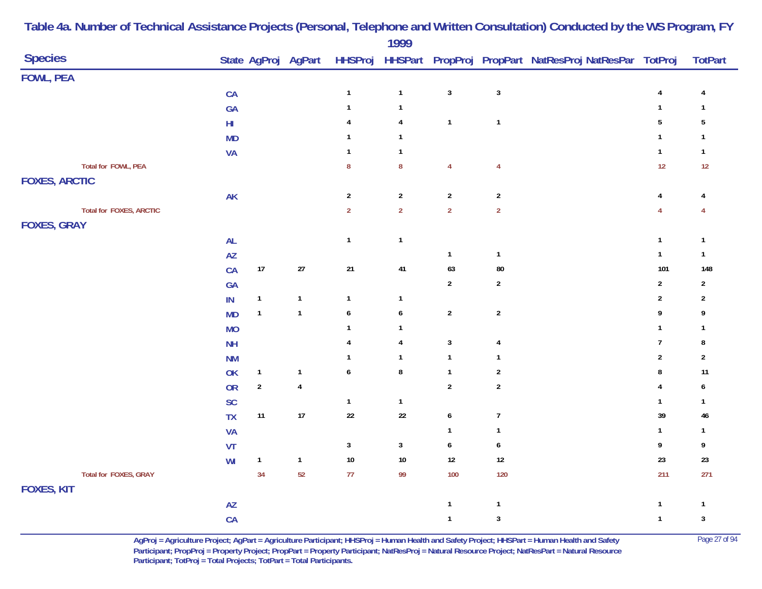| <b>Species</b>                 |                        |              | State AgProj AgPart |                  | .                       |                  |                         | HHSProj HHSPart PropProj PropPart NatResProj NatResPar TotProj |                         | <b>TotPart</b>            |
|--------------------------------|------------------------|--------------|---------------------|------------------|-------------------------|------------------|-------------------------|----------------------------------------------------------------|-------------------------|---------------------------|
| <b>FOWL, PEA</b>               |                        |              |                     |                  |                         |                  |                         |                                                                |                         |                           |
|                                | CA                     |              |                     | $\mathbf{1}$     | $\mathbf{1}$            | $\mathbf 3$      | $\mathbf{3}$            |                                                                | $\overline{\mathbf{r}}$ | 4                         |
|                                | GA                     |              |                     | $\mathbf{1}$     | $\mathbf{1}$            |                  |                         |                                                                | $\mathbf{1}$            | $\mathbf{1}$              |
|                                | $\mathsf{HI}$          |              |                     | 4                | $\overline{\mathbf{4}}$ | $\mathbf{1}$     | $\mathbf{1}$            |                                                                | $5\,$                   | $\sqrt{5}$                |
|                                | <b>MD</b>              |              |                     |                  | $\mathbf{1}$            |                  |                         |                                                                | $\mathbf{1}$            | $\mathbf{1}$              |
|                                | <b>VA</b>              |              |                     | $\mathbf{1}$     | $\mathbf{1}$            |                  |                         |                                                                | $\mathbf{1}$            | $\mathbf{1}$              |
| Total for FOWL, PEA            |                        |              |                     | ${\bf 8}$        | ${\bf 8}$               | $\overline{4}$   | $\overline{4}$          |                                                                | 12                      | 12                        |
| <b>FOXES, ARCTIC</b>           |                        |              |                     |                  |                         |                  |                         |                                                                |                         |                           |
|                                | $\mathsf{AK}$          |              |                     | $\sqrt{2}$       | $\sqrt{2}$              | $\overline{2}$   | $\overline{2}$          |                                                                | $\overline{\mathbf{r}}$ | 4                         |
| <b>Total for FOXES, ARCTIC</b> |                        |              |                     | $\overline{2}$   | $\overline{2}$          | $\overline{2}$   | $\overline{2}$          |                                                                | $\overline{4}$          | 4                         |
| <b>FOXES, GRAY</b>             |                        |              |                     |                  |                         |                  |                         |                                                                |                         |                           |
|                                | <b>AL</b>              |              |                     | $\mathbf{1}$     | $\mathbf{1}$            |                  |                         |                                                                | $\mathbf{1}$            | $\mathbf{1}$              |
|                                | $\mathsf{A}\mathsf{Z}$ |              |                     |                  |                         | $\mathbf{1}$     | $\mathbf{1}$            |                                                                | $\mathbf{1}$            | $\mathbf{1}$              |
|                                | CA                     | $17$         | $27\,$              | $21$             | 41                      | 63               | 80                      |                                                                | 101                     | 148                       |
|                                | GA                     |              |                     |                  |                         | $\overline{2}$   | $\boldsymbol{2}$        |                                                                | $\overline{2}$          | $\overline{2}$            |
|                                | IN                     | $\mathbf{1}$ | $\mathbf{1}$        | $\mathbf{1}$     | $\mathbf{1}$            |                  |                         |                                                                | $\overline{\mathbf{c}}$ | $\overline{c}$            |
|                                | <b>MD</b>              | $\mathbf{1}$ | $\mathbf{1}$        | $\boldsymbol{6}$ | 6                       | $\boldsymbol{2}$ | $\mathbf 2$             |                                                                | 9                       | 9                         |
|                                | <b>MO</b>              |              |                     | $\mathbf{1}$     | $\mathbf{1}$            |                  |                         |                                                                | $\mathbf{1}$            | 1                         |
|                                | NH                     |              |                     | 4                | $\overline{\mathbf{4}}$ | $\sqrt{3}$       | $\overline{\mathbf{r}}$ |                                                                | $\boldsymbol{7}$        | 8                         |
|                                | <b>NM</b>              |              |                     | 1                | $\mathbf{1}$            | $\mathbf{1}$     | $\mathbf{1}$            |                                                                | $\boldsymbol{2}$        | $\overline{2}$            |
|                                | OK                     | $\mathbf{1}$ | $\mathbf{1}$        | $\boldsymbol{6}$ | $\bf 8$                 | $\mathbf{1}$     | $\mathbf 2$             |                                                                | 8                       | 11                        |
|                                | <b>OR</b>              | $\mathbf 2$  | $\pmb{4}$           |                  |                         | $\sqrt{2}$       | $\boldsymbol{2}$        |                                                                | $\overline{4}$          | 6                         |
|                                | SC                     |              |                     | $\mathbf{1}$     | $\mathbf{1}$            |                  |                         |                                                                | $\mathbf{1}$            | $\mathbf{1}$              |
|                                | <b>TX</b>              | $11$         | 17                  | $22\,$           | $22\,$                  | $\boldsymbol{6}$ | $\overline{7}$          |                                                                | 39                      | 46                        |
|                                | VA                     |              |                     |                  |                         | $\mathbf{1}$     | $\mathbf{1}$            |                                                                | $\mathbf 1$             | $\mathbf{1}$              |
|                                | VT                     |              |                     | $\mathbf{3}$     | $\mathbf{3}$            | $\boldsymbol{6}$ | $\boldsymbol{6}$        |                                                                | 9                       | 9                         |
|                                | WI                     | $\mathbf{1}$ | $\mathbf{1}$        | $10\,$           | $10\,$                  | 12               | $12\,$                  |                                                                | 23                      | $23\,$                    |
| Total for FOXES, GRAY          |                        | 34           | 52                  | $77$             | 99                      | 100              | 120                     |                                                                | 211                     | 271                       |
| <b>FOXES, KIT</b>              |                        |              |                     |                  |                         |                  |                         |                                                                |                         |                           |
|                                | AZ                     |              |                     |                  |                         | $\mathbf{1}$     | $\mathbf{1}$            |                                                                | $\mathbf{1}$            | $\mathbf{1}$              |
|                                | CA                     |              |                     |                  |                         | $\mathbf{1}$     | $\sqrt{3}$              |                                                                | $\mathbf{1}$            | $\ensuremath{\mathsf{3}}$ |

> **AgProj = Agriculture Project; AgPart = Agriculture Participant; HHSProj = Human Health and Safety Project; HHSPart = Human Health and Safety** Page 27 of 94 **Participant; PropProj = Property Project; PropPart = Property Participant; NatResProj = Natural Resource Project; NatResPart = Natural Resource**  Participant; TotProj = Total Projects; TotPart = Total Participants.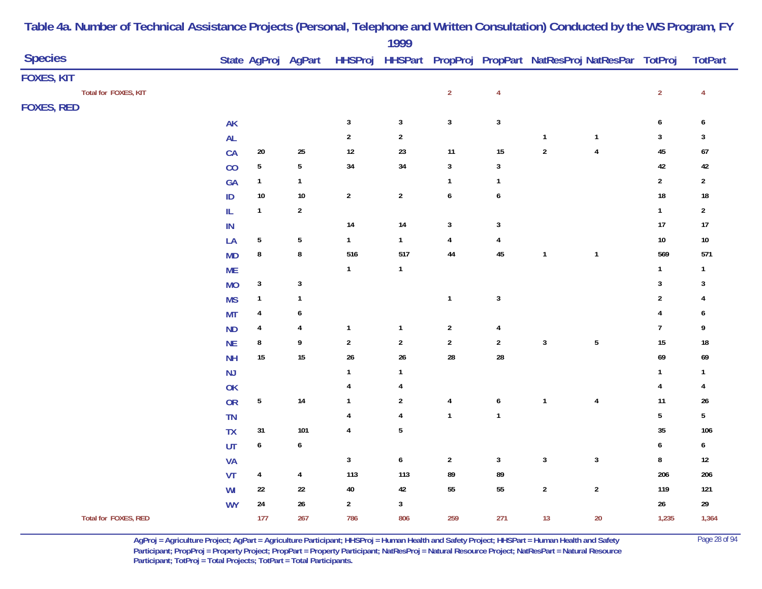|                      |               |                  |                         |                | $\frac{1}{2}$    |                         |                         |              |                                                                |                  |                |
|----------------------|---------------|------------------|-------------------------|----------------|------------------|-------------------------|-------------------------|--------------|----------------------------------------------------------------|------------------|----------------|
| <b>Species</b>       |               |                  | State AgProj AgPart     |                |                  |                         |                         |              | HHSProj HHSPart PropProj PropPart NatResProj NatResPar TotProj |                  | <b>TotPart</b> |
| FOXES, KIT           |               |                  |                         |                |                  |                         |                         |              |                                                                |                  |                |
| Total for FOXES, KIT |               |                  |                         |                |                  | $\overline{2}$          | $\overline{\mathbf{4}}$ |              |                                                                | $\overline{2}$   | $\overline{4}$ |
| <b>FOXES, RED</b>    |               |                  |                         |                |                  |                         |                         |              |                                                                |                  |                |
|                      | AK            |                  |                         | $\mathbf{3}$   | $\mathbf{3}$     | $\mathbf{3}$            | $\sqrt{3}$              |              |                                                                | $\boldsymbol{6}$ | 6              |
|                      | AL            |                  |                         | $\mathbf{2}$   | $\sqrt{2}$       |                         |                         | $\mathbf{1}$ | $\mathbf{1}$                                                   | $\mathbf{3}$     | 3              |
|                      | CA            | $20\,$           | $25\,$                  | $12\,$         | 23               | 11                      | $15\,$                  | $\mathbf 2$  | $\pmb{4}$                                                      | $45\,$           | $\bf 67$       |
|                      | CO            | $\sqrt{5}$       | $\sqrt{5}$              | $34\,$         | 34               | $\mathbf{3}$            | $\mathbf{3}$            |              |                                                                | $42\,$           | 42             |
|                      | GA            | $\mathbf{1}$     | $\mathbf{1}$            |                |                  | $\mathbf{1}$            | $\mathbf{1}$            |              |                                                                | $\overline{2}$   | $\mathbf{2}$   |
|                      | $\mathsf{ID}$ | $10\,$           | $10\,$                  | $\overline{2}$ | $\overline{2}$   | $\pmb{6}$               | 6                       |              |                                                                | $18\,$           | $18\,$         |
|                      | IL            | $\mathbf{1}$     | $\overline{2}$          |                |                  |                         |                         |              |                                                                | $\mathbf{1}$     | $\mathbf{2}$   |
|                      | ${\sf IN}$    |                  |                         | 14             | 14               | $\mathbf{3}$            | 3                       |              |                                                                | 17               | 17             |
|                      | LA            | $\sqrt{5}$       | $\sqrt{5}$              | $\mathbf{1}$   | $\mathbf{1}$     | $\overline{\mathbf{4}}$ | $\overline{\mathbf{4}}$ |              |                                                                | $10\,$           | $10\,$         |
|                      | <b>MD</b>     | 8                | $\bf 8$                 | 516            | 517              | $\bf 44$                | 45                      | $\mathbf{1}$ | $\mathbf{1}$                                                   | 569              | 571            |
|                      | <b>ME</b>     |                  |                         | $\mathbf{1}$   | $\mathbf{1}$     |                         |                         |              |                                                                | $\mathbf{1}$     | $\mathbf{1}$   |
|                      | <b>MO</b>     | $\mathbf{3}$     | $\sqrt{3}$              |                |                  |                         |                         |              |                                                                | $\sqrt{3}$       | 3              |
|                      | <b>MS</b>     | $\mathbf{1}$     | $\mathbf{1}$            |                |                  | $\mathbf{1}$            | $\sqrt{3}$              |              |                                                                | $\sqrt{2}$       |                |
|                      | <b>MT</b>     | 4                | 6                       |                |                  |                         |                         |              |                                                                | $\overline{4}$   | 6              |
|                      | <b>ND</b>     | 4                | $\overline{\mathbf{r}}$ | $\mathbf{1}$   | $\mathbf{1}$     | $\sqrt{2}$              | $\overline{\mathbf{r}}$ |              |                                                                | $\overline{7}$   | 9              |
|                      | <b>NE</b>     | 8                | 9                       | $\sqrt{2}$     | $\sqrt{2}$       | $\overline{2}$          | $\overline{2}$          | $\mathbf{3}$ | $\sqrt{5}$                                                     | $15\,$           | $18\,$         |
|                      | <b>NH</b>     | $15\,$           | $15\,$                  | 26             | $26\,$           | ${\bf 28}$              | ${\bf 28}$              |              |                                                                | $69\,$           | 69             |
|                      | NJ            |                  |                         | $\mathbf{1}$   | $\mathbf{1}$     |                         |                         |              |                                                                | $\mathbf{1}$     | $\mathbf{1}$   |
|                      | <b>OK</b>     |                  |                         | 4              | 4                |                         |                         |              |                                                                | $\pmb{4}$        | $\overline{4}$ |
|                      | <b>OR</b>     | $5\phantom{.0}$  | $14\,$                  | $\mathbf{1}$   | $\sqrt{2}$       | $\pmb{4}$               | $\boldsymbol{6}$        | $\mathbf{1}$ | $\pmb{4}$                                                      | 11               | $26\,$         |
|                      | <b>TN</b>     |                  |                         | 4              | 4                | $\mathbf{1}$            | $\mathbf{1}$            |              |                                                                | $\sqrt{5}$       | 5              |
|                      | <b>TX</b>     | 31               | 101                     | $\overline{4}$ | $5\,$            |                         |                         |              |                                                                | $35\,$           | 106            |
|                      | UT            | $\boldsymbol{6}$ | $\boldsymbol{6}$        |                |                  |                         |                         |              |                                                                | $\boldsymbol{6}$ | 6              |
|                      | <b>VA</b>     |                  |                         | $\mathbf 3$    | $\boldsymbol{6}$ | $\sqrt{2}$              | $\mathbf{3}$            | $\mathbf{3}$ | $\mathbf{3}$                                                   | $\bf 8$          | $12\,$         |
|                      | VT            | 4                | $\overline{4}$          | 113            | 113              | 89                      | 89                      |              |                                                                | 206              | ${\bf 206}$    |
|                      | WI            | 22               | $22\,$                  | $40\,$         | $42\,$           | 55                      | $55\,$                  | $\mathbf 2$  | $\sqrt{2}$                                                     | 119              | 121            |
|                      | <b>WY</b>     | ${\bf 24}$       | $26\,$                  | $\mathbf{2}$   | $\mathbf{3}$     |                         |                         |              |                                                                | $26\,$           | $29\,$         |
| Total for FOXES, RED |               | 177              | 267                     | 786            | 806              | 259                     | 271                     | 13           | $20\,$                                                         | 1,235            | 1,364          |
|                      |               |                  |                         |                |                  |                         |                         |              |                                                                |                  |                |

> **AgProj = Agriculture Project; AgPart = Agriculture Participant; HHSProj = Human Health and Safety Project; HHSPart = Human Health and Safety** Page 28 of 94 **Participant; PropProj = Property Project; PropPart = Property Participant; NatResProj = Natural Resource Project; NatResPart = Natural Resource**  Participant; TotProj = Total Projects; TotPart = Total Participants.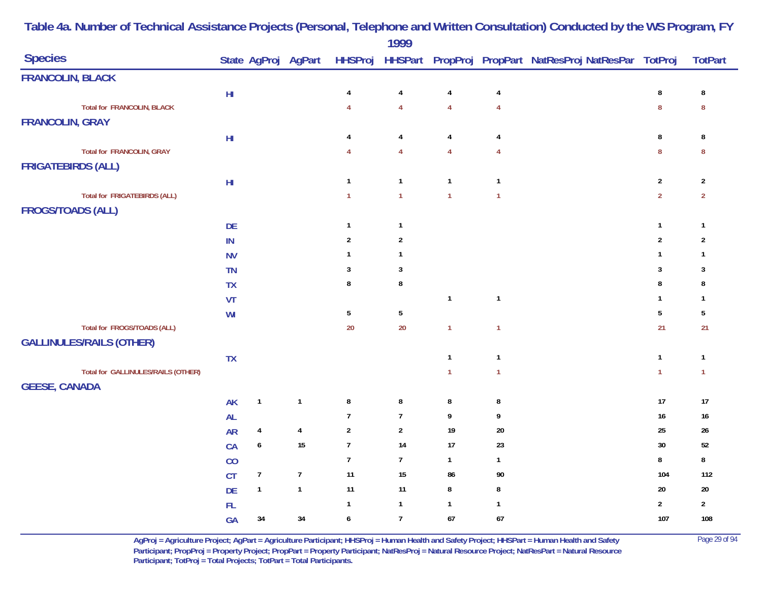|                                     |                        |                         |                     |                  | 1777                    |                |                |                                                                |                |                  |
|-------------------------------------|------------------------|-------------------------|---------------------|------------------|-------------------------|----------------|----------------|----------------------------------------------------------------|----------------|------------------|
| <b>Species</b>                      |                        |                         | State AgProj AgPart |                  |                         |                |                | HHSProj HHSPart PropProj PropPart NatResProj NatResPar TotProj |                | <b>TotPart</b>   |
| <b>FRANCOLIN, BLACK</b>             |                        |                         |                     |                  |                         |                |                |                                                                |                |                  |
|                                     | $\mathsf{H}\mathsf{I}$ |                         |                     | 4                | $\pmb{4}$               | 4              | 4              |                                                                | $\bf 8$        | $\bf 8$          |
| <b>Total for FRANCOLIN, BLACK</b>   |                        |                         |                     | $\overline{4}$   | $\overline{\mathbf{4}}$ | $\overline{4}$ | $\overline{4}$ |                                                                | $\bf 8$        | $\boldsymbol{8}$ |
| <b>FRANCOLIN, GRAY</b>              |                        |                         |                     |                  |                         |                |                |                                                                |                |                  |
|                                     | H <sub>II</sub>        |                         |                     | 4                | $\overline{4}$          | $\overline{4}$ | $\overline{4}$ |                                                                | 8              | 8                |
| <b>Total for FRANCOLIN, GRAY</b>    |                        |                         |                     | 4                | $\overline{4}$          | $\overline{4}$ | $\overline{4}$ |                                                                | 8              | 8                |
| <b>FRIGATEBIRDS (ALL)</b>           |                        |                         |                     |                  |                         |                |                |                                                                |                |                  |
|                                     | $\mathsf{H}\mathsf{I}$ |                         |                     | $\mathbf{1}$     | $\mathbf{1}$            | $\mathbf{1}$   | $\overline{1}$ |                                                                | $\sqrt{2}$     | $\overline{2}$   |
| <b>Total for FRIGATEBIRDS (ALL)</b> |                        |                         |                     | $\mathbf{1}$     | $\overline{1}$          | $\overline{1}$ | $\overline{1}$ |                                                                | $\overline{2}$ | $\overline{2}$   |
| <b>FROGS/TOADS (ALL)</b>            |                        |                         |                     |                  |                         |                |                |                                                                |                |                  |
|                                     | DE                     |                         |                     | $\overline{1}$   | $\mathbf{1}$            |                |                |                                                                | $\mathbf{1}$   | $\mathbf{1}$     |
|                                     | ${\sf IN}$             |                         |                     | $\overline{2}$   | $\sqrt{2}$              |                |                |                                                                | $\overline{2}$ | $\overline{2}$   |
|                                     | <b>NV</b>              |                         |                     | $\mathbf{1}$     | $\mathbf{1}$            |                |                |                                                                | $\mathbf{1}$   | $\mathbf{1}$     |
|                                     | TN                     |                         |                     | 3                | $\mathbf{3}$            |                |                |                                                                | 3              | 3                |
|                                     | <b>TX</b>              |                         |                     | 8                | 8                       |                |                |                                                                | 8              | 8                |
|                                     | VT                     |                         |                     |                  |                         | $\overline{1}$ | $\mathbf{1}$   |                                                                | -1             | -1               |
|                                     | WI                     |                         |                     | $5\phantom{.0}$  | $\overline{5}$          |                |                |                                                                | 5              | 5                |
| Total for FROGS/TOADS (ALL)         |                        |                         |                     | 20               | $20\,$                  | $\mathbf{1}$   | $\mathbf{1}$   |                                                                | 21             | 21               |
| <b>GALLINULES/RAILS (OTHER)</b>     |                        |                         |                     |                  |                         |                |                |                                                                |                |                  |
|                                     | <b>TX</b>              |                         |                     |                  |                         | $\overline{1}$ | $\mathbf{1}$   |                                                                | $\mathbf{1}$   | $\mathbf{1}$     |
| Total for GALLINULES/RAILS (OTHER)  |                        |                         |                     |                  |                         | $\overline{1}$ | $\overline{1}$ |                                                                | $\mathbf{1}$   | $\mathbf{1}$     |
| <b>GEESE, CANADA</b>                |                        |                         |                     |                  |                         |                |                |                                                                |                |                  |
|                                     | <b>AK</b>              | $\mathbf{1}$            | $\mathbf{1}$        | ${\bf 8}$        | $\bf 8$                 | 8              | 8              |                                                                | 17             | $17$             |
|                                     | <b>AL</b>              |                         |                     | $\overline{7}$   | $\overline{7}$          | 9              | 9              |                                                                | $16\,$         | $16\,$           |
|                                     | <b>AR</b>              | $\overline{\mathbf{4}}$ | $\pmb{4}$           | $\overline{2}$   | $\overline{2}$          | 19             | $20\,$         |                                                                | 25             | 26               |
|                                     | CA                     | $\pmb{6}$               | $15\,$              | $\boldsymbol{7}$ | 14                      | 17             | 23             |                                                                | 30             | $52\,$           |
|                                     | CO                     |                         |                     | $\overline{7}$   | $\overline{1}$          | $\overline{1}$ | $\mathbf{1}$   |                                                                | 8              | $\bf 8$          |
|                                     | <b>CT</b>              | $\overline{7}$          | $\overline{7}$      | 11               | $15\,$                  | 86             | 90             |                                                                | 104            | 112              |
|                                     | DE                     | $\mathbf{1}$            | $\mathbf{1}$        | 11               | 11                      | $\bf 8$        | $\bf 8$        |                                                                | $20\,$         | $20\,$           |
|                                     | ${\sf FL}$             |                         |                     | $\mathbf{1}$     | $\mathbf{1}$            | $\overline{1}$ | $\mathbf{1}$   |                                                                | $\overline{2}$ | $\overline{2}$   |
|                                     | GA                     | $34\,$                  | 34                  | 6                | $\overline{7}$          | 67             | 67             |                                                                | 107            | 108              |
|                                     |                        |                         |                     |                  |                         |                |                |                                                                |                |                  |

> **AgProj = Agriculture Project; AgPart = Agriculture Participant; HHSProj = Human Health and Safety Project; HHSPart = Human Health and Safety** Page 29 of 94 **Participant; PropProj = Property Project; PropPart = Property Participant; NatResProj = Natural Resource Project; NatResPart = Natural Resource**  Participant; TotProj = Total Projects; TotPart = Total Participants.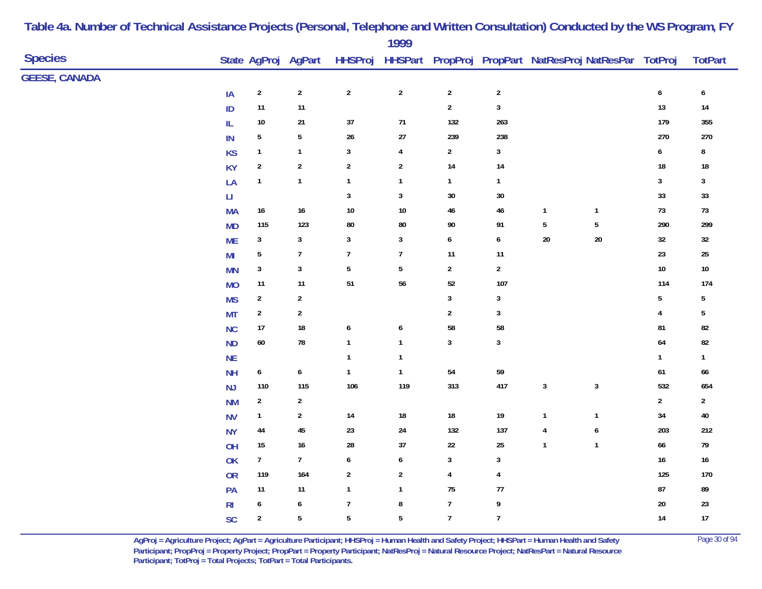|                      |                        |                  |                     |                         | 1777             |                         |                  |                                                                |                  |                  |                  |  |
|----------------------|------------------------|------------------|---------------------|-------------------------|------------------|-------------------------|------------------|----------------------------------------------------------------|------------------|------------------|------------------|--|
| <b>Species</b>       |                        |                  | State AgProj AgPart |                         |                  |                         |                  | HHSProj HHSPart PropProj PropPart NatResProj NatResPar TotProj |                  |                  | <b>TotPart</b>   |  |
| <b>GEESE, CANADA</b> |                        |                  |                     |                         |                  |                         |                  |                                                                |                  |                  |                  |  |
|                      | IA                     | $\sqrt{2}$       | $\overline{2}$      | $\overline{c}$          | $\sqrt{2}$       | $\sqrt{2}$              | $\sqrt{2}$       |                                                                |                  | $\boldsymbol{6}$ | $\boldsymbol{6}$ |  |
|                      | ID                     | $11$             | $11$                |                         |                  | $\mathbf 2$             | $\overline{3}$   |                                                                |                  | $13\,$           | $14\,$           |  |
|                      | IL                     | $10\,$           | $21\,$              | $37\,$                  | $71$             | 132                     | 263              |                                                                |                  | 179              | 355              |  |
|                      | IN                     | $\sqrt{5}$       | 5                   | 26                      | $27\,$           | 239                     | 238              |                                                                |                  | 270              | $270\,$          |  |
|                      | <b>KS</b>              | $\mathbf{1}$     | $\mathbf{1}$        | $\mathbf{3}$            | 4                | $\overline{\mathbf{c}}$ | $\mathbf{3}$     |                                                                |                  | 6                | ${\bf 8}$        |  |
|                      | <b>KY</b>              | $\sqrt{2}$       | $\boldsymbol{2}$    | $\overline{\mathbf{c}}$ | $\sqrt{2}$       | 14                      | $14$             |                                                                |                  | 18               | 18               |  |
|                      | LA                     | $\mathbf{1}$     | $\mathbf{1}$        | $\mathbf{1}$            | $\mathbf{1}$     | $\mathbf{1}$            | $\mathbf{1}$     |                                                                |                  | $\mathbf{3}$     | 3                |  |
|                      | $\mathsf{L}\mathsf{I}$ |                  |                     | $\mathbf{3}$            | $\sqrt{3}$       | 30                      | $30\,$           |                                                                |                  | 33               | $33\,$           |  |
|                      | <b>MA</b>              | $16\,$           | $16\,$              | $10\,$                  | $10\,$           | 46                      | $46\,$           | $\mathbf{1}$                                                   | $\mathbf{1}$     | 73               | 73               |  |
|                      | <b>MD</b>              | 115              | 123                 | 80                      | ${\bf 80}$       | 90                      | 91               | $\overline{5}$                                                 | $\sqrt{5}$       | 290              | 299              |  |
|                      | <b>ME</b>              | $\mathbf{3}$     | 3                   | 3                       | $\mathbf{3}$     | 6                       | $\boldsymbol{6}$ | $20\,$                                                         | $20\,$           | 32               | 32               |  |
|                      | M <sub>l</sub>         | 5                | $\boldsymbol{7}$    | $\overline{7}$          | $\overline{7}$   | 11                      | $11$             |                                                                |                  | 23               | $25\,$           |  |
|                      | <b>MN</b>              | $\sqrt{3}$       | $\mathbf{3}$        | $5\phantom{.0}$         | $\sqrt{5}$       | $\boldsymbol{2}$        | $\sqrt{2}$       |                                                                |                  | $10\,$           | $10\,$           |  |
|                      | <b>MO</b>              | $11$             | 11                  | $51\,$                  | 56               | 52                      | 107              |                                                                |                  | 114              | 174              |  |
|                      | <b>MS</b>              | $\overline{2}$   | $\sqrt{2}$          |                         |                  | $\mathbf{3}$            | $\mathbf{3}$     |                                                                |                  | 5                | 5                |  |
|                      | <b>MT</b>              | $\sqrt{2}$       | $\mathbf{2}$        |                         |                  | $\overline{2}$          | $\mathbf{3}$     |                                                                |                  | 4                | $\sqrt{5}$       |  |
|                      | <b>NC</b>              | $17$             | $18\,$              | 6                       | $\pmb{6}$        | 58                      | 58               |                                                                |                  | 81               | 82               |  |
|                      | <b>ND</b>              | $60\,$           | ${\bf 78}$          | $\mathbf{1}$            | $\mathbf{1}$     | $\mathbf{3}$            | $\mathbf{3}$     |                                                                |                  | 64               | ${\bf 82}$       |  |
|                      | $\sf NE$               |                  |                     | $\mathbf{1}$            | $\mathbf{1}$     |                         |                  |                                                                |                  | $\mathbf{1}$     | $\mathbf{1}$     |  |
|                      | <b>NH</b>              | $\boldsymbol{6}$ | $\pmb{6}$           | $\mathbf{1}$            | $\mathbf{1}$     | 54                      | $59\,$           |                                                                |                  | 61               | 66               |  |
|                      | NJ                     | 110              | 115                 | 106                     | 119              | 313                     | 417              | $\sqrt{3}$                                                     | $\mathbf{3}$     | 532              | 654              |  |
|                      | <b>NM</b>              | $\sqrt{2}$       | $\boldsymbol{2}$    |                         |                  |                         |                  |                                                                |                  | $\boldsymbol{2}$ | $\overline{2}$   |  |
|                      | <b>NV</b>              | $\mathbf{1}$     | $\overline{2}$      | 14                      | $18\,$           | $18\,$                  | $19\,$           | $\mathbf{1}$                                                   | $\mathbf{1}$     | 34               | $40\,$           |  |
|                      | <b>NY</b>              | $\bf 44$         | $45\,$              | 23                      | 24               | 132                     | 137              | $\pmb{4}$                                                      | $\boldsymbol{6}$ | 203              | $212\,$          |  |
|                      | OH                     | 15               | $16\,$              | 28                      | 37               | 22                      | 25               | $\mathbf{1}$                                                   | $\mathbf{1}$     | 66               | 79               |  |
|                      | <b>OK</b>              | $\overline{7}$   | $7\overline{ }$     | 6                       | $\boldsymbol{6}$ | 3                       | $\mathbf{3}$     |                                                                |                  | $16\,$           | $16\,$           |  |
|                      | <b>OR</b>              | 119              | 164                 | $\overline{\mathbf{c}}$ | $\sqrt{2}$       | $\overline{4}$          | 4                |                                                                |                  | 125              | 170              |  |
|                      | PA                     | 11               | $11$                | $\mathbf{1}$            | $\mathbf{1}$     | 75                      | $77\,$           |                                                                |                  | 87               | 89               |  |
|                      | R <sub>l</sub>         | 6                | $\boldsymbol{6}$    | $\overline{7}$          | $\bf 8$          | $\overline{7}$          | 9                |                                                                |                  | 20               | 23               |  |
|                      | SC                     | $\sqrt{2}$       | $\sqrt{5}$          | $\overline{5}$          | $\overline{5}$   | $\overline{7}$          | $\overline{7}$   |                                                                |                  | $14$             | $17\,$           |  |
|                      |                        |                  |                     |                         |                  |                         |                  |                                                                |                  |                  |                  |  |

> **AgProj = Agriculture Project; AgPart = Agriculture Participant; HHSProj = Human Health and Safety Project; HHSPart = Human Health and Safety** Page 30 of 94 **Participant; PropProj = Property Project; PropPart = Property Participant; NatResProj = Natural Resource Project; NatResPart = Natural Resource**  Participant; TotProj = Total Projects; TotPart = Total Participants.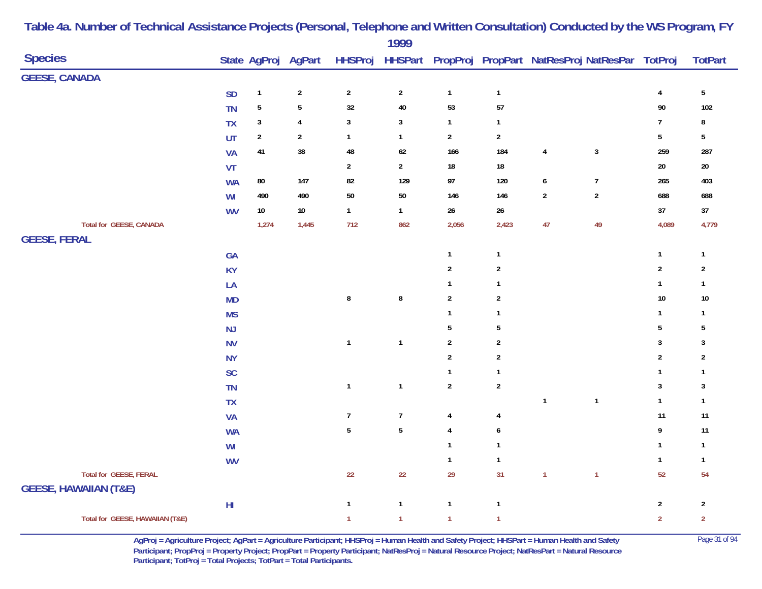|                                  |                        |                |                     |                 | 1777           |                         |                  |                         |                                                        |                 |                         |
|----------------------------------|------------------------|----------------|---------------------|-----------------|----------------|-------------------------|------------------|-------------------------|--------------------------------------------------------|-----------------|-------------------------|
| <b>Species</b>                   |                        |                | State AgProj AgPart | <b>HHSProj</b>  |                |                         |                  |                         | HHSPart PropProj PropPart NatResProj NatResPar TotProj |                 | <b>TotPart</b>          |
| <b>GEESE, CANADA</b>             |                        |                |                     |                 |                |                         |                  |                         |                                                        |                 |                         |
|                                  | <b>SD</b>              | $\mathbf{1}$   | $\boldsymbol{2}$    | $\sqrt{2}$      | $\sqrt{2}$     | $\mathbf{1}$            | $\mathbf{1}$     |                         |                                                        | $\pmb{4}$       | $5\phantom{.0}$         |
|                                  | <b>TN</b>              | $\sqrt{5}$     | $\sqrt{5}$          | $32\,$          | ${\bf 40}$     | 53                      | ${\bf 57}$       |                         |                                                        | $90\,$          | 102                     |
|                                  | TX                     | $\mathbf{3}$   | $\overline{4}$      | $\mathbf{3}$    | $\mathbf{3}$   | $\mathbf{1}$            | $\mathbf{1}$     |                         |                                                        | $\overline{7}$  | 8                       |
|                                  | UT                     | $\overline{2}$ | $\overline{2}$      | $\mathbf{1}$    | $\mathbf{1}$   | $\overline{2}$          | $\overline{2}$   |                         |                                                        | $5\phantom{.0}$ | $5\phantom{.0}$         |
|                                  | <b>VA</b>              | 41             | 38                  | 48              | $62\,$         | 166                     | 184              | $\overline{\mathbf{4}}$ | $\mathbf{3}$                                           | 259             | 287                     |
|                                  | VT                     |                |                     | $\overline{a}$  | $\overline{2}$ | $18\,$                  | $18\,$           |                         |                                                        | $20\,$          | $20\,$                  |
|                                  | <b>WA</b>              | ${\bf 80}$     | $147$               | 82              | 129            | $97\,$                  | 120              | 6                       | $\overline{1}$                                         | 265             | 403                     |
|                                  | WI                     | 490            | 490                 | $50\,$          | $50\,$         | 146                     | 146              | $\sqrt{2}$              | $\sqrt{2}$                                             | 688             | 688                     |
|                                  | <b>WV</b>              | $10\,$         | $10\,$              | $\mathbf{1}$    | $\mathbf{1}$   | $26\phantom{.0}$        | $26\,$           |                         |                                                        | 37              | $37\,$                  |
| Total for GEESE, CANADA          |                        | 1,274          | 1,445               | 712             | 862            | 2,056                   | 2,423            | 47                      | 49                                                     | 4,089           | 4,779                   |
| <b>GEESE, FERAL</b>              |                        |                |                     |                 |                |                         |                  |                         |                                                        |                 |                         |
|                                  | GA                     |                |                     |                 |                | $\mathbf{1}$            | $\mathbf{1}$     |                         |                                                        | $\mathbf{1}$    | $\overline{\mathbf{1}}$ |
|                                  | <b>KY</b>              |                |                     |                 |                | $\sqrt{2}$              | $\overline{2}$   |                         |                                                        | $\sqrt{2}$      | $\overline{2}$          |
|                                  | LA                     |                |                     |                 |                | $\mathbf{1}$            | $\mathbf{1}$     |                         |                                                        | $\mathbf{1}$    | $\mathbf{1}$            |
|                                  | <b>MD</b>              |                |                     | 8               | $\bf 8$        | $\sqrt{2}$              | $\sqrt{2}$       |                         |                                                        | $10\,$          | $10\,$                  |
|                                  | <b>MS</b>              |                |                     |                 |                | $\mathbf{1}$            | $\mathbf{1}$     |                         |                                                        | $\mathbf{1}$    | $\overline{1}$          |
|                                  | NJ                     |                |                     |                 |                | $5\,$                   | $\overline{5}$   |                         |                                                        | $\sqrt{5}$      | $\overline{5}$          |
|                                  | <b>NV</b>              |                |                     | $\mathbf{1}$    | $\mathbf{1}$   | $\sqrt{2}$              | $\boldsymbol{2}$ |                         |                                                        | $\sqrt{3}$      | $\mathbf{3}$            |
|                                  | <b>NY</b>              |                |                     |                 |                | $\mathbf 2$             | $\overline{2}$   |                         |                                                        | $\overline{2}$  | $\overline{2}$          |
|                                  | SC                     |                |                     |                 |                | $\mathbf{1}$            | $\mathbf{1}$     |                         |                                                        | $\mathbf{1}$    | $\overline{1}$          |
|                                  | <b>TN</b>              |                |                     | $\mathbf{1}$    | $\mathbf{1}$   | $\boldsymbol{2}$        | $\sqrt{2}$       |                         |                                                        | $\sqrt{3}$      | $\mathbf{3}$            |
|                                  | <b>TX</b>              |                |                     |                 |                |                         |                  | $\mathbf{1}$            | $\mathbf{1}$                                           | $\mathbf{1}$    | $\mathbf{1}$            |
|                                  | <b>VA</b>              |                |                     | $\overline{7}$  | $\overline{7}$ | $\overline{4}$          | $\overline{4}$   |                         |                                                        | 11              | 11                      |
|                                  | <b>WA</b>              |                |                     | $5\phantom{.0}$ | $\sqrt{5}$     | $\overline{\mathbf{4}}$ | 6                |                         |                                                        | 9               | 11                      |
|                                  | WI                     |                |                     |                 |                | $\mathbf{1}$            | $\mathbf{1}$     |                         |                                                        | $\mathbf{1}$    | $\mathbf{1}$            |
|                                  | <b>WV</b>              |                |                     |                 |                | $\mathbf{1}$            | $\mathbf{1}$     |                         |                                                        | $\mathbf{1}$    | $\mathbf{1}$            |
| <b>Total for GEESE, FERAL</b>    |                        |                |                     | 22              | 22             | 29                      | 31               | $\mathbf{1}$            | $\overline{1}$                                         | 52              | 54                      |
| <b>GEESE, HAWAIIAN (T&amp;E)</b> |                        |                |                     |                 |                |                         |                  |                         |                                                        |                 |                         |
|                                  | $\mathsf{H}\mathsf{I}$ |                |                     | $\mathbf{1}$    | $\mathbf{1}$   | $\mathbf{1}$            | $\mathbf{1}$     |                         |                                                        | $\sqrt{2}$      | $\sqrt{2}$              |
| Total for GEESE, HAWAIIAN (T&E)  |                        |                |                     | $\mathbf{1}$    | $\mathbf{1}$   | $\mathbf{1}$            | $\mathbf{1}$     |                         |                                                        | $\overline{2}$  | $\overline{2}$          |

> **AgProj = Agriculture Project; AgPart = Agriculture Participant; HHSProj = Human Health and Safety Project; HHSPart = Human Health and Safety** Page 31 of 94 **Participant; PropProj = Property Project; PropPart = Property Participant; NatResProj = Natural Resource Project; NatResPart = Natural Resource**  Participant; TotProj = Total Projects; TotPart = Total Participants.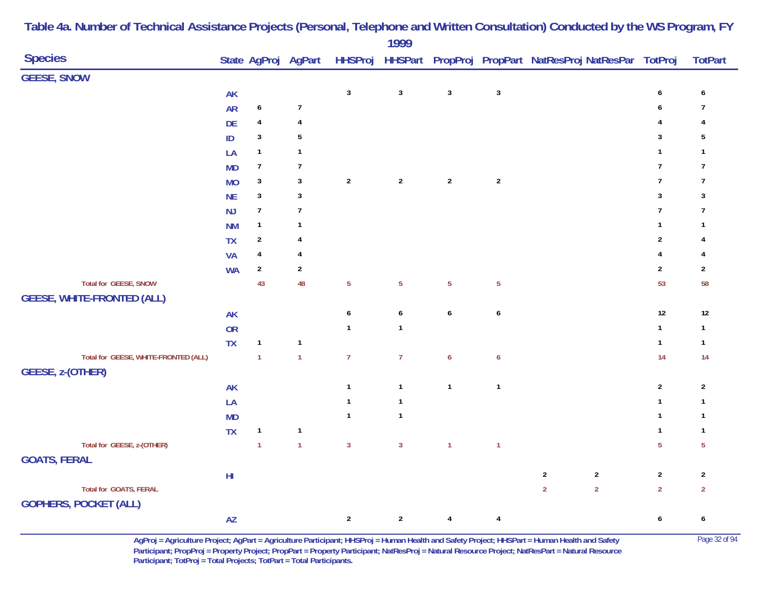| <b>Species</b>                                                |            |                  | State AgProj AgPart |                |                  |                  |                  | HHSProj HHSPart PropProj PropPart NatResProj NatResPar TotProj |                  | <b>TotPart</b> |
|---------------------------------------------------------------|------------|------------------|---------------------|----------------|------------------|------------------|------------------|----------------------------------------------------------------|------------------|----------------|
| <b>GEESE, SNOW</b>                                            |            |                  |                     |                |                  |                  |                  |                                                                |                  |                |
|                                                               | AK         |                  |                     | $\mathsf 3$    | $\mathbf 3$      | $\mathbf{3}$     | $\mathbf{3}$     |                                                                | $\pmb{6}$        | 6              |
|                                                               | <b>AR</b>  | $\boldsymbol{6}$ | $\boldsymbol{7}$    |                |                  |                  |                  |                                                                | 6                | 7              |
|                                                               | DE         | $\overline{4}$   | $\overline{4}$      |                |                  |                  |                  |                                                                | 4                | 4              |
|                                                               | $\sf ID$   | $\mathbf{3}$     | $\sqrt{5}$          |                |                  |                  |                  |                                                                | 3                | 5              |
|                                                               | LA         | $\mathbf{1}$     | $\mathbf{1}$        |                |                  |                  |                  |                                                                | $\mathbf{1}$     | 1              |
|                                                               | <b>MD</b>  | $\boldsymbol{7}$ | $\overline{7}$      |                |                  |                  |                  |                                                                | $\overline{1}$   | $\overline{7}$ |
|                                                               | <b>MO</b>  | $\mathbf{3}$     | $\mathbf{3}$        | $\sqrt{2}$     | $\sqrt{2}$       | $\sqrt{2}$       | $\sqrt{2}$       |                                                                | $\boldsymbol{7}$ | $\overline{1}$ |
|                                                               | <b>NE</b>  | $\mathbf{3}$     | $\mathbf{3}$        |                |                  |                  |                  |                                                                | $\sqrt{3}$       | $\mathbf{3}$   |
|                                                               | NJ         | $\overline{7}$   | $\overline{7}$      |                |                  |                  |                  |                                                                | $\overline{7}$   | $\overline{7}$ |
|                                                               | <b>NM</b>  | $\mathbf{1}$     | $\mathbf{1}$        |                |                  |                  |                  |                                                                | $\mathbf{1}$     | $\mathbf{1}$   |
|                                                               | <b>TX</b>  | $\sqrt{2}$       | $\overline{4}$      |                |                  |                  |                  |                                                                | $\mathbf 2$      | 4              |
|                                                               | <b>VA</b>  | $\overline{4}$   | 4                   |                |                  |                  |                  |                                                                | $\pmb{4}$        | 4              |
|                                                               | <b>WA</b>  | $\sqrt{2}$       | $\boldsymbol{2}$    |                |                  |                  |                  |                                                                | $\overline{2}$   | $\overline{2}$ |
| Total for GEESE, SNOW                                         |            | 43               | 48                  | $\sqrt{5}$     | $\overline{5}$   | $\overline{5}$   | $\sqrt{5}$       |                                                                | 53               | 58             |
| <b>GEESE, WHITE-FRONTED (ALL)</b>                             |            |                  |                     |                |                  |                  |                  |                                                                |                  |                |
|                                                               | <b>AK</b>  |                  |                     | 6              | $\boldsymbol{6}$ | $\boldsymbol{6}$ | $\pmb{6}$        |                                                                | $12\,$           | $12\,$         |
|                                                               | <b>OR</b>  |                  |                     | $\mathbf{1}$   | $\mathbf{1}$     |                  |                  |                                                                | $\mathbf{1}$     | $\mathbf{1}$   |
|                                                               | <b>TX</b>  | $\mathbf{1}$     | $\mathbf{1}$        |                |                  |                  |                  |                                                                | $\mathbf{1}$     | $\mathbf{1}$   |
| Total for GEESE, WHITE-FRONTED (ALL)                          |            | $\overline{1}$   | $\overline{1}$      | $\overline{7}$ | $\overline{7}$   | $\boldsymbol{6}$ | $\boldsymbol{6}$ |                                                                | 14               | 14             |
| GEESE, z-(OTHER)                                              |            |                  |                     |                |                  |                  |                  |                                                                |                  |                |
|                                                               | AK         |                  |                     | $\mathbf{1}$   | $\mathbf{1}$     | $\mathbf{1}$     | $\mathbf{1}$     |                                                                | $\overline{2}$   | $\overline{2}$ |
|                                                               | LA         |                  |                     | $\mathbf{1}$   | $\mathbf{1}$     |                  |                  |                                                                | $\mathbf{1}$     | $\mathbf{1}$   |
|                                                               | <b>MD</b>  |                  |                     | $\mathbf{1}$   | $\mathbf{1}$     |                  |                  |                                                                | $\mathbf{1}$     | $\mathbf{1}$   |
|                                                               | <b>TX</b>  | $\mathbf{1}$     | $\mathbf{1}$        |                |                  |                  |                  |                                                                | $\mathbf{1}$     | $\mathbf{1}$   |
| Total for GEESE, z-(OTHER)                                    |            | $\overline{1}$   | $\overline{1}$      | $\overline{3}$ | $\overline{3}$   | $\mathbf{1}$     | $\mathbf{1}$     |                                                                | $\overline{5}$   | $\overline{5}$ |
| <b>GOATS, FERAL</b>                                           |            |                  |                     |                |                  |                  |                  |                                                                |                  |                |
|                                                               | ${\sf HI}$ |                  |                     |                |                  |                  |                  | $\boldsymbol{2}$<br>$\overline{2}$                             | $\sqrt{2}$       | $\sqrt{2}$     |
| <b>Total for GOATS, FERAL</b><br><b>GOPHERS, POCKET (ALL)</b> |            |                  |                     |                |                  |                  |                  | $\overline{2}$<br>$\overline{2}$                               | $\overline{2}$   | $\overline{2}$ |
|                                                               | AZ         |                  |                     | $\sqrt{2}$     | $\boldsymbol{2}$ | $\overline{4}$   | $\overline{4}$   |                                                                | $\pmb{6}$        | 6              |

> **AgProj = Agriculture Project; AgPart = Agriculture Participant; HHSProj = Human Health and Safety Project; HHSPart = Human Health and Safety** Page 32 of 94 **Participant; PropProj = Property Project; PropPart = Property Participant; NatResProj = Natural Resource Project; NatResPart = Natural Resource**  Participant; TotProj = Total Projects; TotPart = Total Participants.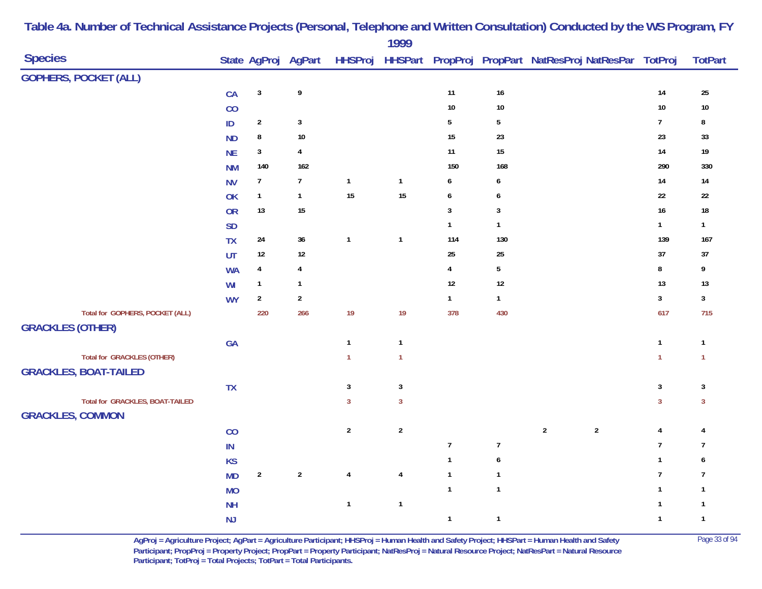| <b>GOPHERS, POCKET (ALL)</b><br>$\mathbf{3}$<br>$\pmb{9}$<br>11<br>$16\,$<br>$14\,$<br>CA<br>25<br>$10\,$<br>10<br>$10\,$<br>CO<br>$10\,$<br>$5\phantom{.0}$<br>$\overline{7}$<br>$\overline{2}$<br>$\mathbf{3}$<br>$\mathbf 5$<br>$\sf ID$<br>8<br>$\bf 8$<br>$10\,$<br>15<br>23<br>23<br>33<br><b>ND</b><br>$\mathbf{3}$<br>11<br>$14$<br>$\overline{\mathbf{4}}$<br>15<br>$19$<br><b>NE</b><br>140<br>162<br>150<br>168<br>290<br>330<br><b>NM</b><br>$\overline{7}$<br>$\mathbf{1}$<br>$\mathbf{1}$<br>$14$<br>$7\overline{ }$<br>6<br>14<br><b>NV</b><br>6<br>15<br>15<br>22<br>$\mathbf{1}$<br>$\mathbf{1}$<br>$\boldsymbol{6}$<br>$22\,$<br>OK<br>6<br>$13$<br>15<br>$\mathbf{3}$<br>$\mathbf{3}$<br>16<br>$18\,$<br><b>OR</b><br>$\mathbf{1}$<br>$\mathbf{1}$<br>$\mathbf{1}$<br><b>SD</b><br>$\mathbf{1}$<br>139<br>$24\,$<br>36<br>$\mathbf{1}$<br>$\mathbf{1}$<br>114<br>130<br>167<br><b>TX</b><br>$37\,$<br>$12\,$<br>$12\,$<br>25<br>$25\,$<br>UT<br>37<br>$\bf 8$<br>$\overline{4}$<br>$\overline{4}$<br>$\sqrt{5}$<br><b>WA</b><br>4<br>9<br>13<br>12<br>$12\,$<br>$\mathbf{1}$<br>$\mathbf{1}$<br>13<br>WI<br>$\overline{2}$<br>$\overline{2}$<br>$\mathbf{3}$<br>$\mathbf{1}$<br><b>WY</b><br>$\mathbf{1}$<br>$\mathbf{3}$<br>Total for GOPHERS, POCKET (ALL)<br>19<br>617<br>220<br>266<br>19<br>378<br>430<br>715<br><b>GRACKLES (OTHER)</b><br>$\mathbf{1}$<br>$\mathbf{1}$<br>$\mathbf{1}$<br>GA<br>$\mathbf{1}$<br><b>Total for GRACKLES (OTHER)</b><br>$\mathbf{1}$<br>$\mathbf{1}$<br>$\mathbf{1}$<br>$\mathbf{1}$<br><b>GRACKLES, BOAT-TAILED</b><br>$\mathbf{3}$<br>$\ensuremath{\mathsf{3}}$<br>$\mathbf{3}$<br>$\sqrt{3}$<br>TX<br>Total for GRACKLES, BOAT-TAILED<br>$\overline{3}$<br>$\overline{3}$<br>$\mathbf{3}$<br>$\mathbf{3}$<br><b>GRACKLES, COMMON</b><br>$\overline{2}$<br>$\overline{2}$<br>$\boldsymbol{2}$<br>$\sqrt{2}$<br>CO<br>$\pmb{4}$<br>4<br>$\overline{7}$<br>$\boldsymbol{7}$<br>$\boldsymbol{7}$<br>$\overline{7}$<br>$\mathsf{IN}$<br>$\mathbf{1}$<br>$\mathbf{1}$<br><b>KS</b><br>6<br>6<br>$\sqrt{2}$<br>$\sqrt{2}$<br>$\overline{7}$<br>$\overline{\mathbf{4}}$<br>$\mathbf{1}$<br><b>MD</b><br>4<br>$\mathbf{1}$<br>$\overline{7}$ | <b>Species</b> |           | State AgProj AgPart | <b>HHSProj</b> | 1777 |              |              | HHSPart PropProj PropPart NatResProj NatResPar TotProj |              | <b>TotPart</b> |
|-----------------------------------------------------------------------------------------------------------------------------------------------------------------------------------------------------------------------------------------------------------------------------------------------------------------------------------------------------------------------------------------------------------------------------------------------------------------------------------------------------------------------------------------------------------------------------------------------------------------------------------------------------------------------------------------------------------------------------------------------------------------------------------------------------------------------------------------------------------------------------------------------------------------------------------------------------------------------------------------------------------------------------------------------------------------------------------------------------------------------------------------------------------------------------------------------------------------------------------------------------------------------------------------------------------------------------------------------------------------------------------------------------------------------------------------------------------------------------------------------------------------------------------------------------------------------------------------------------------------------------------------------------------------------------------------------------------------------------------------------------------------------------------------------------------------------------------------------------------------------------------------------------------------------------------------------------------------------------------------------------------------------------------------------------------------------------------------------------------------------------------------------------------------------------------------------|----------------|-----------|---------------------|----------------|------|--------------|--------------|--------------------------------------------------------|--------------|----------------|
|                                                                                                                                                                                                                                                                                                                                                                                                                                                                                                                                                                                                                                                                                                                                                                                                                                                                                                                                                                                                                                                                                                                                                                                                                                                                                                                                                                                                                                                                                                                                                                                                                                                                                                                                                                                                                                                                                                                                                                                                                                                                                                                                                                                               |                |           |                     |                |      |              |              |                                                        |              |                |
|                                                                                                                                                                                                                                                                                                                                                                                                                                                                                                                                                                                                                                                                                                                                                                                                                                                                                                                                                                                                                                                                                                                                                                                                                                                                                                                                                                                                                                                                                                                                                                                                                                                                                                                                                                                                                                                                                                                                                                                                                                                                                                                                                                                               |                |           |                     |                |      |              |              |                                                        |              |                |
|                                                                                                                                                                                                                                                                                                                                                                                                                                                                                                                                                                                                                                                                                                                                                                                                                                                                                                                                                                                                                                                                                                                                                                                                                                                                                                                                                                                                                                                                                                                                                                                                                                                                                                                                                                                                                                                                                                                                                                                                                                                                                                                                                                                               |                |           |                     |                |      |              |              |                                                        |              |                |
|                                                                                                                                                                                                                                                                                                                                                                                                                                                                                                                                                                                                                                                                                                                                                                                                                                                                                                                                                                                                                                                                                                                                                                                                                                                                                                                                                                                                                                                                                                                                                                                                                                                                                                                                                                                                                                                                                                                                                                                                                                                                                                                                                                                               |                |           |                     |                |      |              |              |                                                        |              |                |
|                                                                                                                                                                                                                                                                                                                                                                                                                                                                                                                                                                                                                                                                                                                                                                                                                                                                                                                                                                                                                                                                                                                                                                                                                                                                                                                                                                                                                                                                                                                                                                                                                                                                                                                                                                                                                                                                                                                                                                                                                                                                                                                                                                                               |                |           |                     |                |      |              |              |                                                        |              |                |
|                                                                                                                                                                                                                                                                                                                                                                                                                                                                                                                                                                                                                                                                                                                                                                                                                                                                                                                                                                                                                                                                                                                                                                                                                                                                                                                                                                                                                                                                                                                                                                                                                                                                                                                                                                                                                                                                                                                                                                                                                                                                                                                                                                                               |                |           |                     |                |      |              |              |                                                        |              |                |
|                                                                                                                                                                                                                                                                                                                                                                                                                                                                                                                                                                                                                                                                                                                                                                                                                                                                                                                                                                                                                                                                                                                                                                                                                                                                                                                                                                                                                                                                                                                                                                                                                                                                                                                                                                                                                                                                                                                                                                                                                                                                                                                                                                                               |                |           |                     |                |      |              |              |                                                        |              |                |
|                                                                                                                                                                                                                                                                                                                                                                                                                                                                                                                                                                                                                                                                                                                                                                                                                                                                                                                                                                                                                                                                                                                                                                                                                                                                                                                                                                                                                                                                                                                                                                                                                                                                                                                                                                                                                                                                                                                                                                                                                                                                                                                                                                                               |                |           |                     |                |      |              |              |                                                        |              |                |
|                                                                                                                                                                                                                                                                                                                                                                                                                                                                                                                                                                                                                                                                                                                                                                                                                                                                                                                                                                                                                                                                                                                                                                                                                                                                                                                                                                                                                                                                                                                                                                                                                                                                                                                                                                                                                                                                                                                                                                                                                                                                                                                                                                                               |                |           |                     |                |      |              |              |                                                        |              |                |
|                                                                                                                                                                                                                                                                                                                                                                                                                                                                                                                                                                                                                                                                                                                                                                                                                                                                                                                                                                                                                                                                                                                                                                                                                                                                                                                                                                                                                                                                                                                                                                                                                                                                                                                                                                                                                                                                                                                                                                                                                                                                                                                                                                                               |                |           |                     |                |      |              |              |                                                        |              |                |
|                                                                                                                                                                                                                                                                                                                                                                                                                                                                                                                                                                                                                                                                                                                                                                                                                                                                                                                                                                                                                                                                                                                                                                                                                                                                                                                                                                                                                                                                                                                                                                                                                                                                                                                                                                                                                                                                                                                                                                                                                                                                                                                                                                                               |                |           |                     |                |      |              |              |                                                        |              |                |
|                                                                                                                                                                                                                                                                                                                                                                                                                                                                                                                                                                                                                                                                                                                                                                                                                                                                                                                                                                                                                                                                                                                                                                                                                                                                                                                                                                                                                                                                                                                                                                                                                                                                                                                                                                                                                                                                                                                                                                                                                                                                                                                                                                                               |                |           |                     |                |      |              |              |                                                        |              |                |
|                                                                                                                                                                                                                                                                                                                                                                                                                                                                                                                                                                                                                                                                                                                                                                                                                                                                                                                                                                                                                                                                                                                                                                                                                                                                                                                                                                                                                                                                                                                                                                                                                                                                                                                                                                                                                                                                                                                                                                                                                                                                                                                                                                                               |                |           |                     |                |      |              |              |                                                        |              |                |
|                                                                                                                                                                                                                                                                                                                                                                                                                                                                                                                                                                                                                                                                                                                                                                                                                                                                                                                                                                                                                                                                                                                                                                                                                                                                                                                                                                                                                                                                                                                                                                                                                                                                                                                                                                                                                                                                                                                                                                                                                                                                                                                                                                                               |                |           |                     |                |      |              |              |                                                        |              |                |
|                                                                                                                                                                                                                                                                                                                                                                                                                                                                                                                                                                                                                                                                                                                                                                                                                                                                                                                                                                                                                                                                                                                                                                                                                                                                                                                                                                                                                                                                                                                                                                                                                                                                                                                                                                                                                                                                                                                                                                                                                                                                                                                                                                                               |                |           |                     |                |      |              |              |                                                        |              |                |
|                                                                                                                                                                                                                                                                                                                                                                                                                                                                                                                                                                                                                                                                                                                                                                                                                                                                                                                                                                                                                                                                                                                                                                                                                                                                                                                                                                                                                                                                                                                                                                                                                                                                                                                                                                                                                                                                                                                                                                                                                                                                                                                                                                                               |                |           |                     |                |      |              |              |                                                        |              |                |
|                                                                                                                                                                                                                                                                                                                                                                                                                                                                                                                                                                                                                                                                                                                                                                                                                                                                                                                                                                                                                                                                                                                                                                                                                                                                                                                                                                                                                                                                                                                                                                                                                                                                                                                                                                                                                                                                                                                                                                                                                                                                                                                                                                                               |                |           |                     |                |      |              |              |                                                        |              |                |
|                                                                                                                                                                                                                                                                                                                                                                                                                                                                                                                                                                                                                                                                                                                                                                                                                                                                                                                                                                                                                                                                                                                                                                                                                                                                                                                                                                                                                                                                                                                                                                                                                                                                                                                                                                                                                                                                                                                                                                                                                                                                                                                                                                                               |                |           |                     |                |      |              |              |                                                        |              |                |
|                                                                                                                                                                                                                                                                                                                                                                                                                                                                                                                                                                                                                                                                                                                                                                                                                                                                                                                                                                                                                                                                                                                                                                                                                                                                                                                                                                                                                                                                                                                                                                                                                                                                                                                                                                                                                                                                                                                                                                                                                                                                                                                                                                                               |                |           |                     |                |      |              |              |                                                        |              |                |
|                                                                                                                                                                                                                                                                                                                                                                                                                                                                                                                                                                                                                                                                                                                                                                                                                                                                                                                                                                                                                                                                                                                                                                                                                                                                                                                                                                                                                                                                                                                                                                                                                                                                                                                                                                                                                                                                                                                                                                                                                                                                                                                                                                                               |                |           |                     |                |      |              |              |                                                        |              |                |
|                                                                                                                                                                                                                                                                                                                                                                                                                                                                                                                                                                                                                                                                                                                                                                                                                                                                                                                                                                                                                                                                                                                                                                                                                                                                                                                                                                                                                                                                                                                                                                                                                                                                                                                                                                                                                                                                                                                                                                                                                                                                                                                                                                                               |                |           |                     |                |      |              |              |                                                        |              |                |
|                                                                                                                                                                                                                                                                                                                                                                                                                                                                                                                                                                                                                                                                                                                                                                                                                                                                                                                                                                                                                                                                                                                                                                                                                                                                                                                                                                                                                                                                                                                                                                                                                                                                                                                                                                                                                                                                                                                                                                                                                                                                                                                                                                                               |                |           |                     |                |      |              |              |                                                        |              |                |
|                                                                                                                                                                                                                                                                                                                                                                                                                                                                                                                                                                                                                                                                                                                                                                                                                                                                                                                                                                                                                                                                                                                                                                                                                                                                                                                                                                                                                                                                                                                                                                                                                                                                                                                                                                                                                                                                                                                                                                                                                                                                                                                                                                                               |                |           |                     |                |      |              |              |                                                        |              |                |
|                                                                                                                                                                                                                                                                                                                                                                                                                                                                                                                                                                                                                                                                                                                                                                                                                                                                                                                                                                                                                                                                                                                                                                                                                                                                                                                                                                                                                                                                                                                                                                                                                                                                                                                                                                                                                                                                                                                                                                                                                                                                                                                                                                                               |                |           |                     |                |      |              |              |                                                        |              |                |
|                                                                                                                                                                                                                                                                                                                                                                                                                                                                                                                                                                                                                                                                                                                                                                                                                                                                                                                                                                                                                                                                                                                                                                                                                                                                                                                                                                                                                                                                                                                                                                                                                                                                                                                                                                                                                                                                                                                                                                                                                                                                                                                                                                                               |                |           |                     |                |      |              |              |                                                        |              |                |
|                                                                                                                                                                                                                                                                                                                                                                                                                                                                                                                                                                                                                                                                                                                                                                                                                                                                                                                                                                                                                                                                                                                                                                                                                                                                                                                                                                                                                                                                                                                                                                                                                                                                                                                                                                                                                                                                                                                                                                                                                                                                                                                                                                                               |                |           |                     |                |      |              |              |                                                        |              |                |
|                                                                                                                                                                                                                                                                                                                                                                                                                                                                                                                                                                                                                                                                                                                                                                                                                                                                                                                                                                                                                                                                                                                                                                                                                                                                                                                                                                                                                                                                                                                                                                                                                                                                                                                                                                                                                                                                                                                                                                                                                                                                                                                                                                                               |                |           |                     |                |      |              |              |                                                        |              |                |
|                                                                                                                                                                                                                                                                                                                                                                                                                                                                                                                                                                                                                                                                                                                                                                                                                                                                                                                                                                                                                                                                                                                                                                                                                                                                                                                                                                                                                                                                                                                                                                                                                                                                                                                                                                                                                                                                                                                                                                                                                                                                                                                                                                                               |                | <b>MO</b> |                     |                |      | $\mathbf{1}$ | $\mathbf{1}$ |                                                        | $\mathbf{1}$ | $\mathbf{1}$   |
| $\mathbf{1}$<br>$\mathbf{1}$<br>$\mathbf{1}$<br><b>NH</b><br>$\mathbf{1}$                                                                                                                                                                                                                                                                                                                                                                                                                                                                                                                                                                                                                                                                                                                                                                                                                                                                                                                                                                                                                                                                                                                                                                                                                                                                                                                                                                                                                                                                                                                                                                                                                                                                                                                                                                                                                                                                                                                                                                                                                                                                                                                     |                |           |                     |                |      |              |              |                                                        |              |                |
| $\mathbf{1}$<br>$\mathbf{1}$<br>$\mathbf{1}$<br>$\mathbf{1}$<br>NJ                                                                                                                                                                                                                                                                                                                                                                                                                                                                                                                                                                                                                                                                                                                                                                                                                                                                                                                                                                                                                                                                                                                                                                                                                                                                                                                                                                                                                                                                                                                                                                                                                                                                                                                                                                                                                                                                                                                                                                                                                                                                                                                            |                |           |                     |                |      |              |              |                                                        |              |                |

> **AgProj = Agriculture Project; AgPart = Agriculture Participant; HHSProj = Human Health and Safety Project; HHSPart = Human Health and Safety** Page 33 of 94 **Participant; PropProj = Property Project; PropPart = Property Participant; NatResProj = Natural Resource Project; NatResPart = Natural Resource**  Participant; TotProj = Total Projects; TotPart = Total Participants.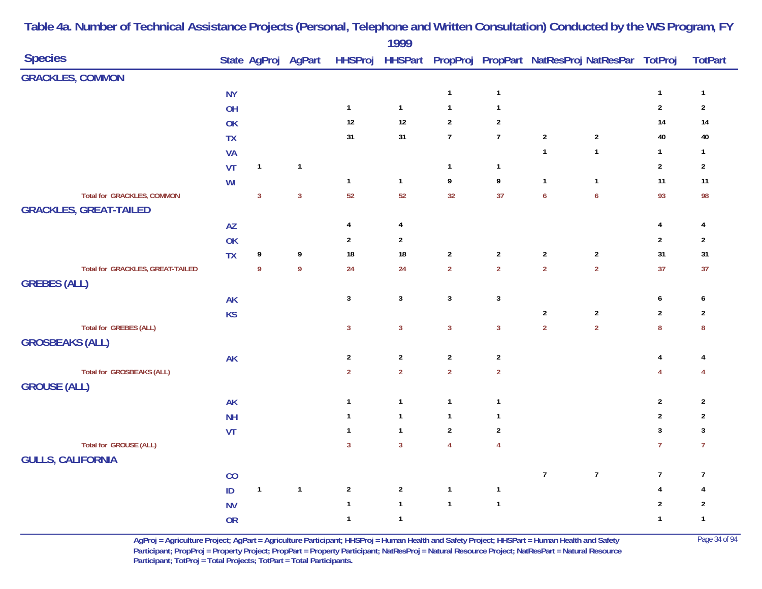| <b>Species</b>                                          |           |                |                |                  | . <i>.</i>     |                 |                  |                  | State AgProj AgPart HHSProj HHSPart PropProj PropPart NatResProj NatResPar TotProj |                  | <b>TotPart</b>          |
|---------------------------------------------------------|-----------|----------------|----------------|------------------|----------------|-----------------|------------------|------------------|------------------------------------------------------------------------------------|------------------|-------------------------|
| <b>GRACKLES, COMMON</b>                                 |           |                |                |                  |                |                 |                  |                  |                                                                                    |                  |                         |
|                                                         | <b>NY</b> |                |                |                  |                | $\mathbf{1}$    | $\mathbf{1}$     |                  |                                                                                    | $\mathbf{1}$     | $\mathbf{1}$            |
|                                                         | OH        |                |                | $\mathbf{1}$     | $\mathbf{1}$   | $\mathbf{1}$    | $\mathbf{1}$     |                  |                                                                                    | $\overline{2}$   | $\overline{2}$          |
|                                                         | OK        |                |                | $12\,$           | $12$           | $\overline{2}$  | $\boldsymbol{2}$ |                  |                                                                                    | 14               | 14                      |
|                                                         | TX        |                |                | 31               | 31             | $\overline{7}$  | $\overline{7}$   | $\overline{2}$   | $\sqrt{2}$                                                                         | $40\,$           | 40                      |
|                                                         | <b>VA</b> |                |                |                  |                |                 |                  | $\mathbf{1}$     | $\mathbf{1}$                                                                       | $\mathbf{1}$     | $\overline{1}$          |
|                                                         | <b>VT</b> | $\mathbf{1}$   | $\mathbf{1}$   |                  |                | $\mathbf{1}$    | $\mathbf{1}$     |                  |                                                                                    | $\overline{2}$   | $\overline{2}$          |
|                                                         | WI        |                |                | $\mathbf{1}$     | $\mathbf{1}$   | $9\phantom{.0}$ | 9                | $\mathbf{1}$     | $\mathbf{1}$                                                                       | 11               | 11                      |
| <b>Total for GRACKLES, COMMON</b>                       |           | $\overline{3}$ | $\overline{3}$ | 52               | 52             | 32              | 37               | $\boldsymbol{6}$ | $\boldsymbol{6}$                                                                   | 93               | 98                      |
| <b>GRACKLES, GREAT-TAILED</b>                           |           |                |                |                  |                |                 |                  |                  |                                                                                    |                  |                         |
|                                                         | AZ        |                |                | 4                | 4              |                 |                  |                  |                                                                                    | 4                | 4                       |
|                                                         | OK        |                |                | $\boldsymbol{2}$ | $\overline{2}$ |                 |                  |                  |                                                                                    | $\sqrt{2}$       | $\overline{2}$          |
|                                                         | <b>TX</b> | 9              | 9              | $18\,$           | ${\bf 18}$     | $\overline{2}$  | $\sqrt{2}$       | $\overline{2}$   | $\sqrt{2}$                                                                         | 31               | 31                      |
| Total for GRACKLES, GREAT-TAILED<br><b>GREBES (ALL)</b> |           | $\overline{9}$ | $\mathbf{9}$   | 24               | 24             | $\overline{2}$  | $\overline{2}$   | $\overline{2}$   | $\overline{2}$                                                                     | 37               | 37                      |
|                                                         | <b>AK</b> |                |                | $\mathbf{3}$     | $\mathbf{3}$   | $\mathbf{3}$    | $\mathbf{3}$     |                  |                                                                                    | 6                | 6                       |
|                                                         | <b>KS</b> |                |                |                  |                |                 |                  | $\sqrt{2}$       | $\sqrt{2}$                                                                         | $\overline{2}$   | $\overline{2}$          |
| Total for GREBES (ALL)<br><b>GROSBEAKS (ALL)</b>        |           |                |                | $\mathbf{3}$     | $\mathbf{3}$   | $\mathbf{3}$    | $\mathbf{3}$     | $\overline{2}$   | $\overline{2}$                                                                     | $\pmb{8}$        | $\boldsymbol{8}$        |
|                                                         |           |                |                | $\overline{2}$   | $\mathbf{2}$   | $\overline{2}$  | $\sqrt{2}$       |                  |                                                                                    | $\overline{4}$   | 4                       |
| <b>Total for GROSBEAKS (ALL)</b>                        | AK        |                |                | $\overline{2}$   | $\overline{2}$ | $\overline{2}$  | $\overline{2}$   |                  |                                                                                    | $\overline{4}$   | 4                       |
| <b>GROUSE (ALL)</b>                                     |           |                |                |                  |                |                 |                  |                  |                                                                                    |                  |                         |
|                                                         | <b>AK</b> |                |                | $\mathbf{1}$     | $\mathbf{1}$   | $\mathbf{1}$    | $\mathbf{1}$     |                  |                                                                                    | $\overline{2}$   | $\overline{2}$          |
|                                                         | <b>NH</b> |                |                | $\mathbf{1}$     | $\mathbf{1}$   | $\mathbf{1}$    | $\mathbf{1}$     |                  |                                                                                    | $\overline{2}$   | $\overline{2}$          |
|                                                         | VT        |                |                | $\mathbf{1}$     | $\mathbf{1}$   | $\overline{2}$  | $\sqrt{2}$       |                  |                                                                                    | $\mathbf{3}$     | $\mathbf{3}$            |
| <b>Total for GROUSE (ALL)</b>                           |           |                |                | $\overline{3}$   | $\overline{3}$ | $\overline{4}$  | $\overline{4}$   |                  |                                                                                    | $\overline{7}$   | $\overline{7}$          |
| <b>GULLS, CALIFORNIA</b>                                |           |                |                |                  |                |                 |                  |                  |                                                                                    |                  |                         |
|                                                         | CO        |                |                |                  |                |                 |                  | $\overline{7}$   | $\boldsymbol{7}$                                                                   | $\boldsymbol{7}$ | $\overline{7}$          |
|                                                         | $\sf ID$  | $\mathbf{1}$   | $\mathbf{1}$   | $\sqrt{2}$       | $\mathbf{2}$   | $\mathbf{1}$    | $\mathbf{1}$     |                  |                                                                                    | $\overline{4}$   | 4                       |
|                                                         | <b>NV</b> |                |                | $\mathbf{1}$     | $\mathbf{1}$   | $\mathbf{1}$    | $\mathbf{1}$     |                  |                                                                                    | $\overline{2}$   | $\overline{2}$          |
|                                                         | <b>OR</b> |                |                | $\mathbf{1}$     | $\mathbf{1}$   |                 |                  |                  |                                                                                    | $\mathbf{1}$     | $\overline{\mathbf{1}}$ |

> **AgProj = Agriculture Project; AgPart = Agriculture Participant; HHSProj = Human Health and Safety Project; HHSPart = Human Health and Safety** Page 34 of 94 **Participant; PropProj = Property Project; PropPart = Property Participant; NatResProj = Natural Resource Project; NatResPart = Natural Resource**  Participant; TotProj = Total Projects; TotPart = Total Participants.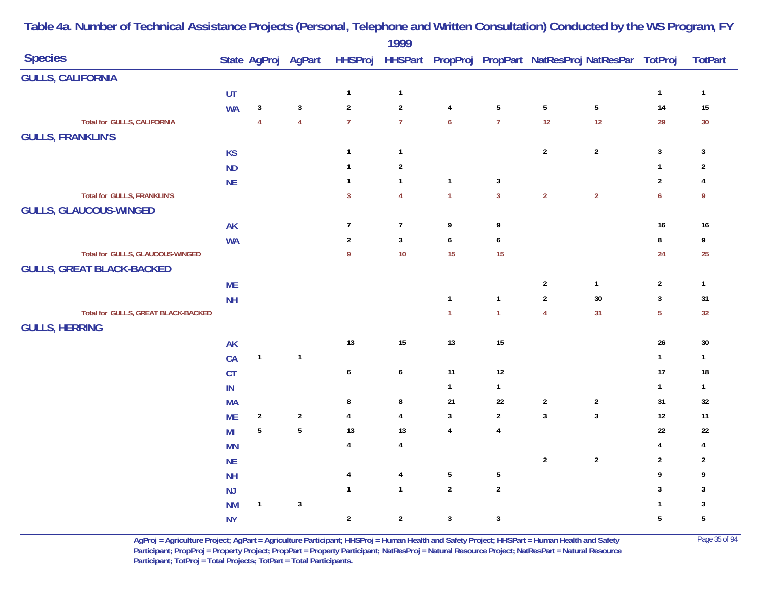|                                     |                |                     |                         |                         | 1777                    |                  |                  |                |                                                        |                  |                         |
|-------------------------------------|----------------|---------------------|-------------------------|-------------------------|-------------------------|------------------|------------------|----------------|--------------------------------------------------------|------------------|-------------------------|
| <b>Species</b>                      |                | State AgProj AgPart |                         | <b>HHSProj</b>          |                         |                  |                  |                | HHSPart PropProj PropPart NatResProj NatResPar TotProj |                  | <b>TotPart</b>          |
| <b>GULLS, CALIFORNIA</b>            |                |                     |                         |                         |                         |                  |                  |                |                                                        |                  |                         |
|                                     | UT             |                     |                         | $\mathbf{1}$            | $\mathbf{1}$            |                  |                  |                |                                                        | $\mathbf{1}$     | $\mathbf{1}$            |
|                                     | <b>WA</b>      | $\mathbf{3}$        | $\sqrt{3}$              | $\boldsymbol{2}$        | $\sqrt{2}$              | $\overline{4}$   | $\overline{5}$   | $\sqrt{5}$     | $5\phantom{.0}$                                        | 14               | 15                      |
| <b>Total for GULLS, CALIFORNIA</b>  |                | $\overline{4}$      | $\overline{4}$          | $\overline{7}$          | $\overline{7}$          | $\boldsymbol{6}$ | $\overline{7}$   | 12             | 12                                                     | 29               | 30                      |
| <b>GULLS, FRANKLIN'S</b>            |                |                     |                         |                         |                         |                  |                  |                |                                                        |                  |                         |
|                                     | KS             |                     |                         | $\mathbf{1}$            | $\mathbf{1}$            |                  |                  | $\sqrt{2}$     | $\mathbf{2}$                                           | $\mathbf{3}$     | 3                       |
|                                     | ND             |                     |                         | $\mathbf{1}$            | $\overline{\mathbf{2}}$ |                  |                  |                |                                                        | $\mathbf{1}$     | $\sqrt{2}$              |
|                                     | <b>NE</b>      |                     |                         | $\mathbf{1}$            | $\mathbf{1}$            | $\mathbf{1}$     | 3                |                |                                                        | $\overline{2}$   | 4                       |
| Total for GULLS, FRANKLIN'S         |                |                     |                         | $\mathbf{3}$            | $\overline{4}$          | $\overline{1}$   | $\overline{3}$   | $\overline{2}$ | $\overline{2}$                                         | $\boldsymbol{6}$ | 9                       |
| <b>GULLS, GLAUCOUS-WINGED</b>       |                |                     |                         |                         |                         |                  |                  |                |                                                        |                  |                         |
|                                     | <b>AK</b>      |                     |                         | $\overline{7}$          | $\overline{7}$          | 9                | 9                |                |                                                        | $16\,$           | $16\,$                  |
|                                     | <b>WA</b>      |                     |                         | $\sqrt{2}$              | $\overline{3}$          | $\boldsymbol{6}$ | $\boldsymbol{6}$ |                |                                                        | $\bf 8$          | 9                       |
| Total for GULLS, GLAUCOUS-WINGED    |                |                     |                         | 9                       | $10$                    | 15               | 15               |                |                                                        | 24               | 25                      |
| <b>GULLS, GREAT BLACK-BACKED</b>    |                |                     |                         |                         |                         |                  |                  |                |                                                        |                  |                         |
|                                     | <b>ME</b>      |                     |                         |                         |                         |                  |                  | $\sqrt{2}$     | $\mathbf{1}$                                           | $\sqrt{2}$       | $\mathbf{1}$            |
|                                     | <b>NH</b>      |                     |                         |                         |                         | $\overline{1}$   | $\mathbf{1}$     | $\overline{2}$ | $30\,$                                                 | $\mathbf{3}$     | 31                      |
| Total for GULLS, GREAT BLACK-BACKED |                |                     |                         |                         |                         | $\overline{1}$   | $\mathbf{1}$     | $\overline{4}$ | 31                                                     | $\overline{5}$   | 32                      |
| <b>GULLS, HERRING</b>               |                |                     |                         |                         |                         |                  |                  |                |                                                        |                  |                         |
|                                     | AK             |                     |                         | 13                      | $15\,$                  | 13               | $15\,$           |                |                                                        | $26\,$           | $30\,$                  |
|                                     | CA             | $\overline{1}$      | $\overline{\mathbf{1}}$ |                         |                         |                  |                  |                |                                                        | $\mathbf{1}$     | $\mathbf{1}$            |
|                                     | CT             |                     |                         | $\boldsymbol{6}$        | $\boldsymbol{6}$        | 11               | $12\,$           |                |                                                        | 17               | 18                      |
|                                     | IN             |                     |                         |                         |                         | $\mathbf{1}$     | $\mathbf{1}$     |                |                                                        | $\mathbf{1}$     | $\mathbf{1}$            |
|                                     | <b>MA</b>      |                     |                         | 8                       | $\bf 8$                 | 21               | $22\,$           | $\sqrt{2}$     | $\overline{\mathbf{c}}$                                | 31               | $32\,$                  |
|                                     | <b>ME</b>      | $\mathbf{2}$        | $\sqrt{2}$              | $\overline{4}$          | $\overline{4}$          | $\mathbf{3}$     | $\overline{2}$   | $\overline{3}$ | $\mathbf{3}$                                           | $12\,$           | 11                      |
|                                     | M <sub>l</sub> | $5\phantom{a}$      | $\overline{5}$          | 13                      | 13                      | $\overline{4}$   | $\overline{4}$   |                |                                                        | 22               | $22\,$                  |
|                                     | <b>MN</b>      |                     |                         | $\pmb{4}$               | $\overline{4}$          |                  |                  |                |                                                        | 4                | $\overline{\mathbf{4}}$ |
|                                     | <b>NE</b>      |                     |                         |                         |                         |                  |                  | $\sqrt{2}$     | $\sqrt{2}$                                             | $\overline{2}$   | $\overline{\mathbf{c}}$ |
|                                     | <b>NH</b>      |                     |                         | $\overline{\mathbf{4}}$ | $\overline{4}$          | $\overline{5}$   | $\sqrt{5}$       |                |                                                        | 9                | 9                       |
|                                     | $\mathsf{NJ}$  |                     |                         | $\mathbf{1}$            | $\mathbf{1}$            | $\overline{2}$   | $\overline{2}$   |                |                                                        | 3                | 3                       |
|                                     | <b>NM</b>      | $\overline{1}$      | $\overline{3}$          |                         |                         |                  |                  |                |                                                        | $\mathbf{1}$     | 3                       |
|                                     | <b>NY</b>      |                     |                         | $\sqrt{2}$              | $\sqrt{2}$              | $\mathbf{3}$     | $\sqrt{3}$       |                |                                                        | $5\,$            | $\sqrt{5}$              |

> **AgProj = Agriculture Project; AgPart = Agriculture Participant; HHSProj = Human Health and Safety Project; HHSPart = Human Health and Safety** Page 35 of 94 **Participant; PropProj = Property Project; PropPart = Property Participant; NatResProj = Natural Resource Project; NatResPart = Natural Resource**  Participant; TotProj = Total Projects; TotPart = Total Participants.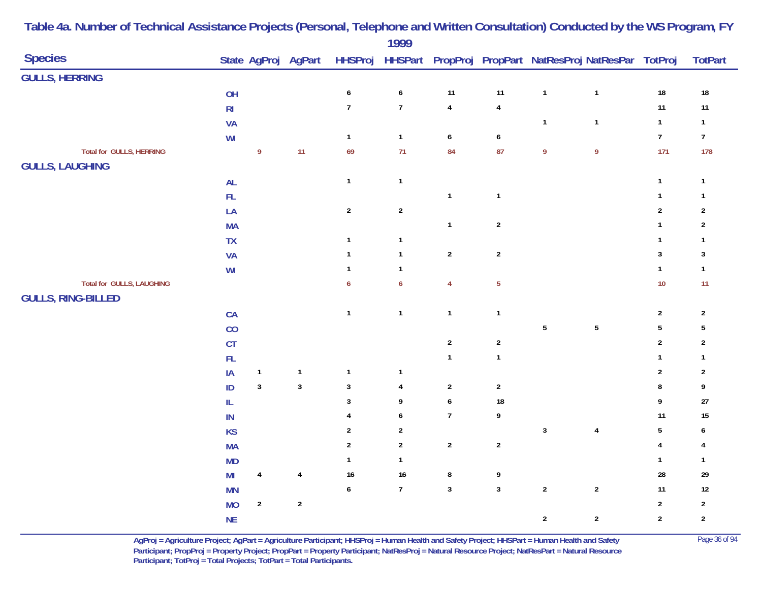|                                  |                                                         |                  |                         |                  | $\frac{1}{2}$    |                         |                         |              |                                                                |                  |                 |
|----------------------------------|---------------------------------------------------------|------------------|-------------------------|------------------|------------------|-------------------------|-------------------------|--------------|----------------------------------------------------------------|------------------|-----------------|
| <b>Species</b>                   |                                                         |                  | State AgProj AgPart     |                  |                  |                         |                         |              | HHSProj HHSPart PropProj PropPart NatResProj NatResPar TotProj |                  | <b>TotPart</b>  |
| <b>GULLS, HERRING</b>            |                                                         |                  |                         |                  |                  |                         |                         |              |                                                                |                  |                 |
|                                  | OH                                                      |                  |                         | $\pmb{6}$        | $\pmb{6}$        | 11                      | 11                      | $\mathbf 1$  | $\mathbf{1}$                                                   | $18\,$           | ${\bf 18}$      |
|                                  | $\mathsf{RI}$                                           |                  |                         | $\boldsymbol{7}$ | $\boldsymbol{7}$ | $\overline{\mathbf{4}}$ | $\pmb{4}$               |              |                                                                | 11               | $11$            |
|                                  | VA                                                      |                  |                         |                  |                  |                         |                         | $\mathbf{1}$ | $\mathbf{1}$                                                   | $\mathbf{1}$     | $\mathbf{1}$    |
|                                  | WI                                                      |                  |                         | $\mathbf{1}$     | $\mathbf{1}$     | $\pmb{6}$               | $\boldsymbol{6}$        |              |                                                                | $\boldsymbol{7}$ | $7\overline{ }$ |
| Total for GULLS, HERRING         |                                                         | 9                | 11                      | 69               | 71               | 84                      | 87                      | 9            | $\overline{9}$                                                 | 171              | 178             |
| <b>GULLS, LAUGHING</b>           |                                                         |                  |                         |                  |                  |                         |                         |              |                                                                |                  |                 |
|                                  | AL                                                      |                  |                         | $\mathbf 1$      | $\mathbf{1}$     |                         |                         |              |                                                                | $\mathbf{1}$     | $\mathbf{1}$    |
|                                  | $\mathsf{FL}$                                           |                  |                         |                  |                  | $\mathbf{1}$            | $\overline{\mathbf{1}}$ |              |                                                                | $\mathbf{1}$     | $\mathbf{1}$    |
|                                  | LA                                                      |                  |                         | $\sqrt{2}$       | $\sqrt{2}$       |                         |                         |              |                                                                | $\overline{2}$   | $\sqrt{2}$      |
|                                  | <b>MA</b>                                               |                  |                         |                  |                  | $\mathbf{1}$            | $\sqrt{2}$              |              |                                                                | $\mathbf{1}$     | $\sqrt{2}$      |
|                                  | <b>TX</b>                                               |                  |                         | $\mathbf 1$      | $\mathbf{1}$     |                         |                         |              |                                                                | $\mathbf{1}$     | $\mathbf{1}$    |
|                                  | VA                                                      |                  |                         | $\mathbf{1}$     | $\mathbf{1}$     | $\sqrt{2}$              | $\sqrt{2}$              |              |                                                                | $\sqrt{3}$       | $\mathbf{3}$    |
|                                  | $\ensuremath{\mathsf{W}}\xspace\ensuremath{\mathsf{I}}$ |                  |                         | $\mathbf{1}$     | $\mathbf{1}$     |                         |                         |              |                                                                | $\mathbf{1}$     | $\mathbf{1}$    |
| <b>Total for GULLS, LAUGHING</b> |                                                         |                  |                         | $\boldsymbol{6}$ | $\boldsymbol{6}$ | $\overline{4}$          | $\overline{5}$          |              |                                                                | 10               | 11              |
| <b>GULLS, RING-BILLED</b>        |                                                         |                  |                         |                  |                  |                         |                         |              |                                                                |                  |                 |
|                                  | CA                                                      |                  |                         | $\mathbf 1$      | $\mathbf{1}$     | $\mathbf{1}$            | $\overline{1}$          |              |                                                                | $\sqrt{2}$       | $\sqrt{2}$      |
|                                  | CO                                                      |                  |                         |                  |                  |                         |                         | ${\bf 5}$    | $\sqrt{5}$                                                     | $\sqrt{5}$       | $\sqrt{5}$      |
|                                  | CT                                                      |                  |                         |                  |                  | $\sqrt{2}$              | $\sqrt{2}$              |              |                                                                | $\sqrt{2}$       | $\sqrt{2}$      |
|                                  | ${\sf FL}$                                              |                  |                         |                  |                  | $\mathbf{1}$            | $\overline{\mathbf{1}}$ |              |                                                                | $\mathbf{1}$     | $\mathbf{1}$    |
|                                  | $\sf IA$                                                | $\mathbf{1}$     | $\mathbf{1}$            | $\mathbf{1}$     | $\mathbf{1}$     |                         |                         |              |                                                                | $\overline{2}$   | $\sqrt{2}$      |
|                                  | ID                                                      | $\mathbf{3}$     | $\mathbf{3}$            | $\sqrt{3}$       | 4                | $\sqrt{2}$              | $\sqrt{2}$              |              |                                                                | 8                | 9               |
|                                  | IL                                                      |                  |                         | $\sqrt{3}$       | 9                | $\boldsymbol{6}$        | 18                      |              |                                                                | 9                | $27\,$          |
|                                  | ${\sf IN}$                                              |                  |                         | $\overline{4}$   | $\pmb{6}$        | $\overline{7}$          | 9                       |              |                                                                | 11               | 15              |
|                                  | KS                                                      |                  |                         | $\overline{2}$   | $\boldsymbol{2}$ |                         |                         | $\sqrt{3}$   | 4                                                              | $\sqrt{5}$       | 6               |
|                                  | <b>MA</b>                                               |                  |                         | $\sqrt{2}$       | $\overline{2}$   | $\sqrt{2}$              | $\sqrt{2}$              |              |                                                                | $\overline{4}$   | 4               |
|                                  | <b>MD</b>                                               |                  |                         | $\mathbf{1}$     | $\mathbf{1}$     |                         |                         |              |                                                                | $\mathbf{1}$     | $\mathbf{1}$    |
|                                  | M <sub>l</sub>                                          | 4                | $\overline{\mathbf{4}}$ | $16\,$           | 16               | $\bf 8$                 | 9                       |              |                                                                | 28               | 29              |
|                                  | <b>MN</b>                                               |                  |                         | $\pmb{6}$        | $\boldsymbol{7}$ | $\overline{\mathbf{3}}$ | $\mathbf{3}$            | $\sqrt{2}$   | $\sqrt{2}$                                                     | 11               | $12\,$          |
|                                  | <b>MO</b>                                               | $\boldsymbol{2}$ | $\sqrt{2}$              |                  |                  |                         |                         |              |                                                                | $\sqrt{2}$       | $\sqrt{2}$      |
|                                  | $\sf NE$                                                |                  |                         |                  |                  |                         |                         | $\sqrt{2}$   | $\overline{2}$                                                 | $\sqrt{2}$       | $\sqrt{2}$      |

> **AgProj = Agriculture Project; AgPart = Agriculture Participant; HHSProj = Human Health and Safety Project; HHSPart = Human Health and Safety** Page 36 of 94 **Participant; PropProj = Property Project; PropPart = Property Participant; NatResProj = Natural Resource Project; NatResPart = Natural Resource**  Participant; TotProj = Total Projects; TotPart = Total Participants.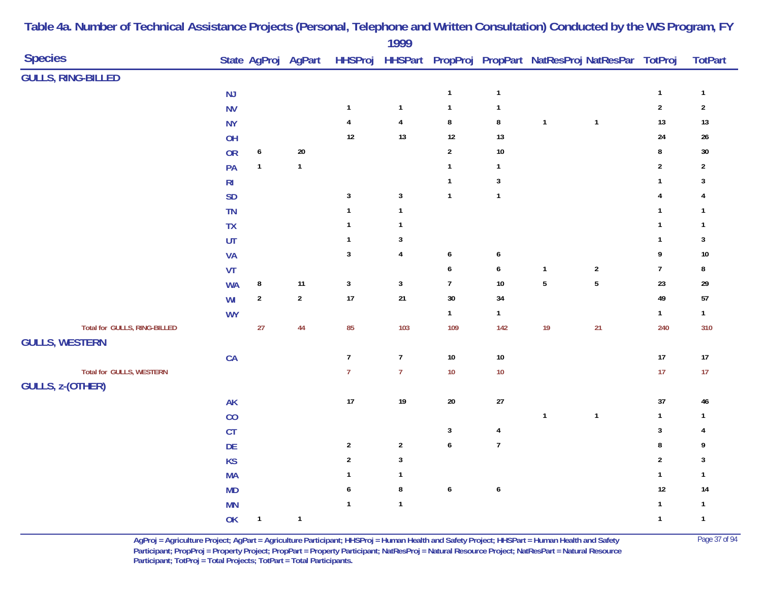|                                                            |                |                  |                     |                         | 1777                    |                  |                         |                                                        |              |                  |                  |
|------------------------------------------------------------|----------------|------------------|---------------------|-------------------------|-------------------------|------------------|-------------------------|--------------------------------------------------------|--------------|------------------|------------------|
| <b>Species</b>                                             |                |                  | State AgProj AgPart | <b>HHSProj</b>          |                         |                  |                         | HHSPart PropProj PropPart NatResProj NatResPar TotProj |              |                  | <b>TotPart</b>   |
| <b>GULLS, RING-BILLED</b>                                  |                |                  |                     |                         |                         |                  |                         |                                                        |              |                  |                  |
|                                                            | $\mathsf{NJ}$  |                  |                     |                         |                         | $\mathbf{1}$     | $\mathbf{1}$            |                                                        |              | $\mathbf{1}$     | $\mathbf{1}$     |
|                                                            | <b>NV</b>      |                  |                     | $\mathbf{1}$            | $\mathbf{1}$            | $\mathbf{1}$     | $\mathbf{1}$            |                                                        |              | $\sqrt{2}$       | $\boldsymbol{2}$ |
|                                                            | <b>NY</b>      |                  |                     | $\overline{\mathbf{4}}$ | $\overline{\mathbf{4}}$ | $\bf 8$          | $\bf 8$                 | $\mathbf{1}$                                           | $\mathbf{1}$ | $13$             | $13$             |
|                                                            | OH             |                  |                     | 12                      | 13                      | $12\,$           | $13$                    |                                                        |              | 24               | $26\,$           |
|                                                            | <b>OR</b>      | $\boldsymbol{6}$ | $20\,$              |                         |                         | $\sqrt{2}$       | 10                      |                                                        |              | $\bf 8$          | $30\,$           |
|                                                            | PA             | $\mathbf{1}$     | $\mathbf{1}$        |                         |                         | $\mathbf{1}$     | $\mathbf{1}$            |                                                        |              | $\mathbf 2$      | $\boldsymbol{2}$ |
|                                                            | R <sub>l</sub> |                  |                     |                         |                         | $\mathbf{1}$     | $\mathbf{3}$            |                                                        |              | $\mathbf{1}$     | 3                |
|                                                            | SD             |                  |                     | $\mathbf 3$             | $\mathbf 3$             | $\mathbf{1}$     | $\mathbf{1}$            |                                                        |              | 4                | 4                |
|                                                            | <b>TN</b>      |                  |                     | $\mathbf{1}$            | $\mathbf{1}$            |                  |                         |                                                        |              | $\mathbf{1}$     | $\mathbf{1}$     |
|                                                            | TX             |                  |                     | $\overline{1}$          | $\mathbf{1}$            |                  |                         |                                                        |              | $\mathbf{1}$     | $\mathbf{1}$     |
|                                                            | UT             |                  |                     | $\overline{1}$          | $\sqrt{3}$              |                  |                         |                                                        |              | $\mathbf{1}$     | 3                |
|                                                            | <b>VA</b>      |                  |                     | $\mathbf{3}$            | 4                       | $\pmb{6}$        | 6                       |                                                        |              | 9                | $10\,$           |
|                                                            | VT             |                  |                     |                         |                         | $\pmb{6}$        | 6                       | $\mathbf{1}$                                           | $\sqrt{2}$   | $\boldsymbol{7}$ | 8                |
|                                                            | <b>WA</b>      | $\bf 8$          | 11                  | $\mathbf{3}$            | $\mathbf{3}$            | $\overline{7}$   | 10                      | $\overline{5}$                                         | $\sqrt{5}$   | 23               | 29               |
|                                                            | WI             | $\boldsymbol{2}$ | $\sqrt{2}$          | 17                      | $21\,$                  | $30\,$           | 34                      |                                                        |              | 49               | ${\bf 57}$       |
|                                                            | <b>WY</b>      |                  |                     |                         |                         | $\mathbf{1}$     | $\mathbf{1}$            |                                                        |              | $\mathbf{1}$     | $\mathbf{1}$     |
| Total for GULLS, RING-BILLED                               |                | 27               | 44                  | 85                      | 103                     | 109              | 142                     | 19                                                     | 21           | 240              | 310              |
| <b>GULLS, WESTERN</b>                                      |                |                  |                     |                         |                         |                  |                         |                                                        |              |                  |                  |
|                                                            | CA             |                  |                     | $\boldsymbol{7}$        | $\boldsymbol{7}$        | $10\,$           | $10\,$                  |                                                        |              | 17               | $17\,$           |
| <b>Total for GULLS, WESTERN</b><br><b>GULLS, z-(OTHER)</b> |                |                  |                     | $\overline{7}$          | $\overline{7}$          | $10$             | $10$                    |                                                        |              | 17               | $17$             |
|                                                            | AK             |                  |                     | 17                      | 19                      | $20\,$           | 27                      |                                                        |              | 37               | 46               |
|                                                            | CO             |                  |                     |                         |                         |                  |                         | $\mathbf{1}$                                           | $\mathbf{1}$ | $\mathbf{1}$     | $\mathbf{1}$     |
|                                                            | CT             |                  |                     |                         |                         | $\sqrt{3}$       | $\overline{\mathbf{4}}$ |                                                        |              | $\mathbf{3}$     | 4                |
|                                                            | DE             |                  |                     | $\sqrt{2}$              | $\sqrt{2}$              | $\pmb{6}$        | $\boldsymbol{7}$        |                                                        |              | $\bf 8$          | 9                |
|                                                            | KS             |                  |                     | $\overline{2}$          | $\mathbf{3}$            |                  |                         |                                                        |              | $\sqrt{2}$       | $\mathbf{3}$     |
|                                                            | <b>MA</b>      |                  |                     | $\overline{1}$          | $\mathbf{1}$            |                  |                         |                                                        |              | $\mathbf{1}$     | $\mathbf{1}$     |
|                                                            | <b>MD</b>      |                  |                     | 6                       | $\bf 8$                 | $\boldsymbol{6}$ | $\boldsymbol{6}$        |                                                        |              | $12\,$           | 14               |
|                                                            | <b>MN</b>      |                  |                     | $\overline{1}$          | $\mathbf{1}$            |                  |                         |                                                        |              | $\mathbf{1}$     | $\mathbf{1}$     |
|                                                            | OK             | $\mathbf{1}$     | $\mathbf{1}$        |                         |                         |                  |                         |                                                        |              | $\mathbf{1}$     | $\mathbf{1}$     |

> **AgProj = Agriculture Project; AgPart = Agriculture Participant; HHSProj = Human Health and Safety Project; HHSPart = Human Health and Safety** Page 37 of 94 **Participant; PropProj = Property Project; PropPart = Property Participant; NatResProj = Natural Resource Project; NatResPart = Natural Resource**  Participant; TotProj = Total Projects; TotPart = Total Participants.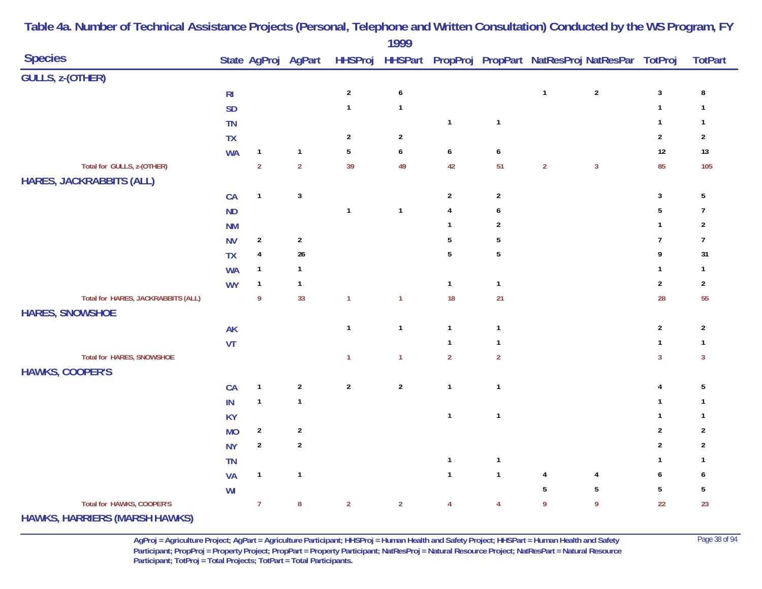|                                      |                |                         |                     |                | 1777           |                  |                 |                |                                                                |                  |                         |
|--------------------------------------|----------------|-------------------------|---------------------|----------------|----------------|------------------|-----------------|----------------|----------------------------------------------------------------|------------------|-------------------------|
| <b>Species</b>                       |                |                         | State AgProj AgPart |                |                |                  |                 |                | HHSProj HHSPart PropProj PropPart NatResProj NatResPar TotProj |                  | <b>TotPart</b>          |
| <b>GULLS, z-(OTHER)</b>              |                |                         |                     |                |                |                  |                 |                |                                                                |                  |                         |
|                                      | R <sub>l</sub> |                         |                     | $\sqrt{2}$     | $\pmb{6}$      |                  |                 | $\mathbf{1}$   | $\sqrt{2}$                                                     | $\sqrt{3}$       | 8                       |
|                                      | <b>SD</b>      |                         |                     | $\mathbf{1}$   | $\mathbf{1}$   |                  |                 |                |                                                                | $\mathbf{1}$     | $\mathbf{1}$            |
|                                      | <b>TN</b>      |                         |                     |                |                | $\mathbf{1}$     | $\mathbf{1}$    |                |                                                                | $\mathbf{1}$     | $\overline{1}$          |
|                                      | <b>TX</b>      |                         |                     | $\overline{2}$ | $\sqrt{2}$     |                  |                 |                |                                                                | $\overline{2}$   | $\overline{\mathbf{c}}$ |
|                                      | <b>WA</b>      | $\mathbf{1}$            | $\mathbf{1}$        | $\overline{5}$ | 6              | $\boldsymbol{6}$ | 6               |                |                                                                | 12               | $13$                    |
| Total for GULLS, z-(OTHER)           |                | $\overline{2}$          | $\overline{2}$      | 39             | 49             | 42               | 51              | $\overline{2}$ | $\mathbf{3}$                                                   | 85               | 105                     |
| <b>HARES, JACKRABBITS (ALL)</b>      |                |                         |                     |                |                |                  |                 |                |                                                                |                  |                         |
|                                      | CA             | $\mathbf{1}$            | $\sqrt{3}$          |                |                | $\overline{2}$   | $\overline{2}$  |                |                                                                | $\mathbf{3}$     | $5\phantom{.0}$         |
|                                      | <b>ND</b>      |                         |                     | $\mathbf{1}$   | $\mathbf{1}$   | $\pmb{4}$        | 6               |                |                                                                | $\overline{5}$   | $\overline{1}$          |
|                                      | <b>NM</b>      |                         |                     |                |                | $\mathbf{1}$     | $\overline{2}$  |                |                                                                | $\mathbf{1}$     | $\overline{2}$          |
|                                      | <b>NV</b>      | $\overline{2}$          | $\overline{a}$      |                |                | 5                | 5               |                |                                                                | $\overline{7}$   | $\overline{7}$          |
|                                      | <b>TX</b>      | $\overline{\mathbf{r}}$ | $26\,$              |                |                | $\sqrt{5}$       | $5\phantom{.0}$ |                |                                                                | 9                | 31                      |
|                                      | <b>WA</b>      | $\mathbf{1}$            | $\mathbf{1}$        |                |                |                  |                 |                |                                                                | $\mathbf{1}$     | $\mathbf{1}$            |
|                                      | <b>WY</b>      | $\mathbf{1}$            | $\mathbf{1}$        |                |                | $\mathbf{1}$     | $\mathbf{1}$    |                |                                                                | $\sqrt{2}$       | $\boldsymbol{2}$        |
| Total for HARES, JACKRABBITS (ALL)   |                | $\boldsymbol{9}$        | 33                  | $\mathbf{1}$   | $\mathbf{1}$   | 18               | 21              |                |                                                                | 28               | 55                      |
| <b>HARES, SNOWSHOE</b>               |                |                         |                     |                |                |                  |                 |                |                                                                |                  |                         |
|                                      | <b>AK</b>      |                         |                     | $\mathbf{1}$   | $\mathbf{1}$   | $\mathbf{1}$     | $\mathbf{1}$    |                |                                                                | $\sqrt{2}$       | $\overline{2}$          |
|                                      | VT             |                         |                     |                |                | $\mathbf{1}$     | $\mathbf{1}$    |                |                                                                | $\mathbf{1}$     | $\overline{1}$          |
| <b>Total for HARES, SNOWSHOE</b>     |                |                         |                     | $\mathbf{1}$   | $\mathbf{1}$   | $\overline{2}$   | $\overline{2}$  |                |                                                                | $\overline{3}$   | $\mathbf{3}$            |
| <b>HAWKS, COOPER'S</b>               |                |                         |                     |                |                |                  |                 |                |                                                                |                  |                         |
|                                      | CA             | $\mathbf{1}$            | $\boldsymbol{2}$    | $\sqrt{2}$     | $\sqrt{2}$     | $\mathbf{1}$     | $\mathbf{1}$    |                |                                                                | $\overline{4}$   | $5\,$                   |
|                                      | IN             | $\mathbf{1}$            | $\mathbf{1}$        |                |                |                  |                 |                |                                                                | $\mathbf{1}$     | $\mathbf{1}$            |
|                                      | <b>KY</b>      |                         |                     |                |                | $\mathbf{1}$     | $\mathbf{1}$    |                |                                                                | $\mathbf{1}$     | -1                      |
|                                      | <b>MO</b>      | $\boldsymbol{2}$        | $\boldsymbol{2}$    |                |                |                  |                 |                |                                                                | $\boldsymbol{2}$ | $\overline{2}$          |
|                                      | <b>NY</b>      | $\overline{a}$          | $\boldsymbol{2}$    |                |                |                  |                 |                |                                                                | $\boldsymbol{2}$ | $\overline{2}$          |
|                                      | TN             |                         |                     |                |                | $\mathbf{1}$     | $\mathbf{1}$    |                |                                                                | $\mathbf{1}$     | -1                      |
|                                      | <b>VA</b>      | $\mathbf{1}$            | $\mathbf{1}$        |                |                | $\mathbf{1}$     | $\mathbf{1}$    | 4              | 4                                                              | 6                | 6                       |
|                                      | WI             |                         |                     |                |                |                  |                 | 5              | 5                                                              | $\sqrt{5}$       | 5                       |
| Total for HAWKS, COOPER'S            |                | $\overline{7}$          | ${\bf 8}$           | $\sqrt{2}$     | $\overline{2}$ | $\overline{4}$   | $\overline{4}$  | 9              | $\boldsymbol{9}$                                               | 22               | 23                      |
| <b>HAWKS, HARRIERS (MARSH HAWKS)</b> |                |                         |                     |                |                |                  |                 |                |                                                                |                  |                         |

> **AgProj = Agriculture Project; AgPart = Agriculture Participant; HHSProj = Human Health and Safety Project; HHSPart = Human Health and Safety** Page 38 of 94 **Participant; PropProj = Property Project; PropPart = Property Participant; NatResProj = Natural Resource Project; NatResPart = Natural Resource**  Participant; TotProj = Total Projects; TotPart = Total Participants.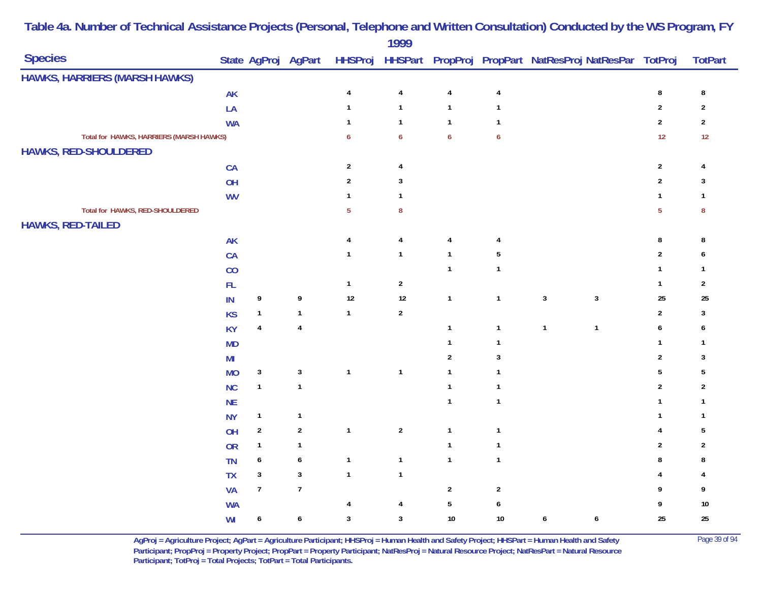|                                         |               |                  |                     |                | 1999             |                  |                          |                                                                |                  |                  |
|-----------------------------------------|---------------|------------------|---------------------|----------------|------------------|------------------|--------------------------|----------------------------------------------------------------|------------------|------------------|
| <b>Species</b>                          |               |                  | State AgProj AgPart |                |                  |                  |                          | HHSProj HHSPart PropProj PropPart NatResProj NatResPar TotProj |                  | <b>TotPart</b>   |
| HAWKS, HARRIERS (MARSH HAWKS)           |               |                  |                     |                |                  |                  |                          |                                                                |                  |                  |
|                                         | <b>AK</b>     |                  |                     | $\overline{4}$ | $\pmb{4}$        | $\overline{4}$   | 4                        |                                                                | 8                | $\bf 8$          |
|                                         | LA            |                  |                     | $\mathbf{1}$   | $\mathbf{1}$     | $\mathbf{1}$     | $\mathbf{1}$             |                                                                | $\boldsymbol{2}$ | $\boldsymbol{2}$ |
|                                         | <b>WA</b>     |                  |                     | $\mathbf{1}$   | $\mathbf{1}$     | $\mathbf{1}$     | $\overline{1}$           |                                                                | $\overline{2}$   | $\sqrt{2}$       |
| Total for HAWKS, HARRIERS (MARSH HAWKS) |               |                  |                     | 6              | $\boldsymbol{6}$ | $\boldsymbol{6}$ | $\boldsymbol{6}$         |                                                                | 12               | 12               |
| HAWKS, RED-SHOULDERED                   |               |                  |                     |                |                  |                  |                          |                                                                |                  |                  |
|                                         | CA            |                  |                     | $\mathbf{2}$   | $\overline{4}$   |                  |                          |                                                                | $\sqrt{2}$       | 4                |
|                                         | OH            |                  |                     | $\overline{2}$ | $\sqrt{3}$       |                  |                          |                                                                | $\overline{2}$   | 3                |
|                                         | <b>WV</b>     |                  |                     | $\mathbf{1}$   | $\mathbf{1}$     |                  |                          |                                                                | $\mathbf{1}$     | $\mathbf{1}$     |
| Total for HAWKS, RED-SHOULDERED         |               |                  |                     | 5 <sub>5</sub> | $\bf 8$          |                  |                          |                                                                | $\overline{5}$   | ${\bf 8}$        |
| <b>HAWKS, RED-TAILED</b>                |               |                  |                     |                |                  |                  |                          |                                                                |                  |                  |
|                                         | <b>AK</b>     |                  |                     | $\overline{4}$ | $\overline{4}$   | 4                | 4                        |                                                                | 8                | 8                |
|                                         | ${\sf CA}$    |                  |                     | $\mathbf{1}$   | $\mathbf{1}$     | $\mathbf{1}$     | $\sqrt{5}$               |                                                                | $\overline{2}$   | 6                |
|                                         | CO            |                  |                     |                |                  | $\mathbf{1}$     | $\mathbf{1}$             |                                                                | 1                | 1                |
|                                         | $\mathsf{FL}$ |                  |                     | $\mathbf{1}$   | $\sqrt{2}$       |                  |                          |                                                                | $\mathbf{1}$     | $\sqrt{2}$       |
|                                         | $\mathsf{IN}$ | 9                | $\boldsymbol{9}$    | $12$           | $12\,$           | $\mathbf{1}$     | $\mathbf{1}$             | $\mathbf{3}$<br>$\sqrt{3}$                                     | 25               | $25\,$           |
|                                         | <b>KS</b>     | $\mathbf{1}$     | $\mathbf{1}$        | $\mathbf{1}$   | $\boldsymbol{2}$ |                  |                          |                                                                | $\sqrt{2}$       | $\sqrt{3}$       |
|                                         | <b>KY</b>     | 4                | $\pmb{4}$           |                |                  | $\mathbf{1}$     | $\overline{1}$           | $\mathbf{1}$<br>$\mathbf{1}$                                   | 6                | 6                |
|                                         | <b>MD</b>     |                  |                     |                |                  | $\mathbf{1}$     | $\overline{1}$           |                                                                | $\mathbf{1}$     | $\mathbf{1}$     |
|                                         | MI            |                  |                     |                |                  | $\overline{2}$   | 3                        |                                                                | $\overline{2}$   | 3                |
|                                         | <b>MO</b>     | $\mathbf{3}$     | $\sqrt{3}$          | $\mathbf{1}$   | $\mathbf{1}$     | $\mathbf{1}$     | $\overline{\phantom{a}}$ |                                                                | 5                | 5                |
|                                         | NC            | $\mathbf{1}$     | $\mathbf{1}$        |                |                  | $\overline{1}$   | $\overline{1}$           |                                                                | $\overline{2}$   | $\overline{2}$   |
|                                         | <b>NE</b>     |                  |                     |                |                  | $\mathbf{1}$     | $\overline{1}$           |                                                                | $\mathbf{1}$     | $\mathbf{1}$     |
|                                         | <b>NY</b>     | $\mathbf{1}$     | $\mathbf{1}$        |                |                  |                  |                          |                                                                | 1                | $\mathbf{1}$     |
|                                         | OH            | $\sqrt{2}$       | $\sqrt{2}$          | $\mathbf{1}$   | $\sqrt{2}$       | $\mathbf{1}$     | $\overline{1}$           |                                                                | 4                | 5                |
|                                         | OR            | $\mathbf{1}$     | $\mathbf{1}$        |                |                  | $\mathbf{1}$     | $\overline{1}$           |                                                                | 2                | $\overline{2}$   |
|                                         | <b>TN</b>     | $\boldsymbol{6}$ | $\boldsymbol{6}$    | $\mathbf{1}$   | $\mathbf{1}$     | $\mathbf{1}$     | $\mathbf{1}$             |                                                                | 8                | 8                |
|                                         | <b>TX</b>     | $\sqrt{3}$       | $\sqrt{3}$          | $\mathbf{1}$   | $\mathbf{1}$     |                  |                          |                                                                |                  | 4                |
|                                         | <b>VA</b>     | $\overline{7}$   | $\boldsymbol{7}$    |                |                  | $\overline{2}$   | $\sqrt{2}$               |                                                                | 9                | 9                |
|                                         | <b>WA</b>     |                  |                     | $\overline{4}$ | $\overline{4}$   | $5\,$            | 6                        |                                                                | 9                | $10\,$           |
|                                         | WI            | $\boldsymbol{6}$ | $\boldsymbol{6}$    | $\sqrt{3}$     | $\sqrt{3}$       | $10$             | $10\,$                   | $\boldsymbol{6}$<br>$\boldsymbol{6}$                           | 25               | 25               |

> **AgProj = Agriculture Project; AgPart = Agriculture Participant; HHSProj = Human Health and Safety Project; HHSPart = Human Health and Safety** Page 39 of 94 **Participant; PropProj = Property Project; PropPart = Property Participant; NatResProj = Natural Resource Project; NatResPart = Natural Resource**  Participant; TotProj = Total Projects; TotPart = Total Participants.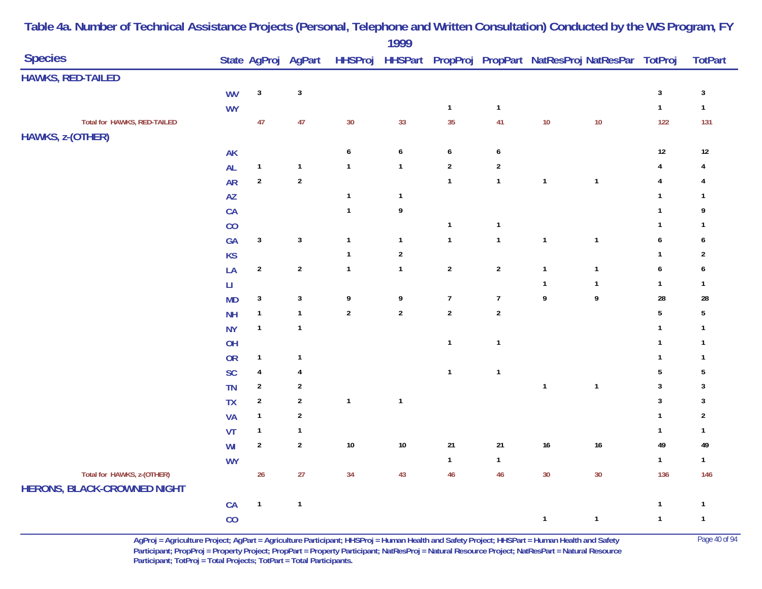|                                                                  |                        |                         |                     |                  | 1999             |                  |                  |                  |                                                        |                         |                         |
|------------------------------------------------------------------|------------------------|-------------------------|---------------------|------------------|------------------|------------------|------------------|------------------|--------------------------------------------------------|-------------------------|-------------------------|
| <b>Species</b>                                                   |                        |                         | State AgProj AgPart | <b>HHSProj</b>   |                  |                  |                  |                  | HHSPart PropProj PropPart NatResProj NatResPar TotProj |                         | <b>TotPart</b>          |
| <b>HAWKS, RED-TAILED</b>                                         |                        |                         |                     |                  |                  |                  |                  |                  |                                                        |                         |                         |
|                                                                  | <b>WV</b>              | $\sqrt{3}$              | $\sqrt{3}$          |                  |                  |                  |                  |                  |                                                        | $\mathbf 3$             | $\sqrt{3}$              |
|                                                                  | <b>WY</b>              |                         |                     |                  |                  | $\mathbf{1}$     | $\mathbf{1}$     |                  |                                                        | $\mathbf{1}$            | $\mathbf{1}$            |
| Total for HAWKS, RED-TAILED                                      |                        | 47                      | 47                  | 30               | 33               | 35               | 41               | 10               | 10                                                     | 122                     | 131                     |
| HAWKS, z-(OTHER)                                                 |                        |                         |                     |                  |                  |                  |                  |                  |                                                        |                         |                         |
|                                                                  | AK                     |                         |                     | $\boldsymbol{6}$ | $\boldsymbol{6}$ | $\boldsymbol{6}$ | $\boldsymbol{6}$ |                  |                                                        | $12\,$                  | $12\,$                  |
|                                                                  | <b>AL</b>              | $\mathbf{1}$            | $\mathbf{1}$        | $\mathbf{1}$     | $\mathbf{1}$     | $\sqrt{2}$       | $\overline{2}$   |                  |                                                        | 4                       | 4                       |
|                                                                  | ${\sf AR}$             | $\sqrt{2}$              | $\mathbf 2$         |                  |                  | $\mathbf{1}$     | $\mathbf{1}$     | $\mathbf{1}$     | $\mathbf{1}$                                           | $\overline{\mathbf{4}}$ | 4                       |
|                                                                  | AZ                     |                         |                     | $\mathbf{1}$     | $\mathbf{1}$     |                  |                  |                  |                                                        | $\mathbf{1}$            | $\mathbf{1}$            |
|                                                                  | CA                     |                         |                     | $\mathbf{1}$     | 9                |                  |                  |                  |                                                        | $\mathbf{1}$            | 9                       |
|                                                                  | CO                     |                         |                     |                  |                  | $\mathbf{1}$     | $\mathbf{1}$     |                  |                                                        | $\mathbf{1}$            | $\mathbf{1}$            |
|                                                                  | GA                     | $\sqrt{3}$              | $\sqrt{3}$          | $\mathbf{1}$     | $\mathbf{1}$     | $\mathbf{1}$     | $\mathbf{1}$     | $\mathbf{1}$     | $\mathbf{1}$                                           | $\pmb{6}$               | 6                       |
|                                                                  | <b>KS</b>              |                         |                     | $\mathbf{1}$     | $\sqrt{2}$       |                  |                  |                  |                                                        | $\mathbf 1$             | $\overline{\mathbf{c}}$ |
|                                                                  | LA                     | $\overline{2}$          | $\sqrt{2}$          | $\mathbf{1}$     | $\mathbf{1}$     | $\sqrt{2}$       | $\overline{2}$   | $\mathbf{1}$     | $\mathbf{1}$                                           | $\pmb{6}$               | 6                       |
|                                                                  | $\mathsf{L}\mathsf{I}$ |                         |                     |                  |                  |                  |                  | $\mathbf{1}$     | $\mathbf{1}$                                           | $\mathbf{1}$            | $\mathbf{1}$            |
|                                                                  | <b>MD</b>              | $\sqrt{3}$              | $\sqrt{3}$          | 9                | 9                | $\overline{7}$   | $\overline{7}$   | $\boldsymbol{9}$ | $\boldsymbol{9}$                                       | 28                      | 28                      |
|                                                                  | <b>NH</b>              | $\mathbf{1}$            | $\mathbf{1}$        | $\sqrt{2}$       | $\mathbf 2$      | $\sqrt{2}$       | $\mathbf 2$      |                  |                                                        | $\sqrt{5}$              | $\sqrt{5}$              |
|                                                                  | <b>NY</b>              | $\mathbf{1}$            | $\mathbf{1}$        |                  |                  |                  |                  |                  |                                                        | $\mathbf{1}$            | $\mathbf{1}$            |
|                                                                  | OH                     |                         |                     |                  |                  | $\mathbf{1}$     | $\mathbf{1}$     |                  |                                                        | $\mathbf{1}$            | 1                       |
|                                                                  | OR                     | $\mathbf{1}$            | $\mathbf{1}$        |                  |                  |                  |                  |                  |                                                        | $\mathbf{1}$            | 1                       |
|                                                                  | SC                     | $\overline{\mathbf{4}}$ | $\overline{4}$      |                  |                  | $\mathbf{1}$     | $\mathbf{1}$     |                  |                                                        | $\sqrt{5}$              | $\sqrt{5}$              |
|                                                                  | <b>TN</b>              | $\boldsymbol{2}$        | $\boldsymbol{2}$    |                  |                  |                  |                  | $\mathbf{1}$     | $\mathbf{1}$                                           | 3                       | 3                       |
|                                                                  | <b>TX</b>              | $\overline{2}$          | $\boldsymbol{2}$    | $\mathbf{1}$     | $\mathbf{1}$     |                  |                  |                  |                                                        | $\mathbf{3}$            | $\mathbf{3}$            |
|                                                                  | <b>VA</b>              | $\mathbf{1}$            | $\sqrt{2}$          |                  |                  |                  |                  |                  |                                                        | $\mathbf{1}$            | $\overline{2}$          |
|                                                                  | VT                     | $\mathbf{1}$            | $\mathbf{1}$        |                  |                  |                  |                  |                  |                                                        | $\mathbf{1}$            | $\mathbf{1}$            |
|                                                                  | WI                     | $\boldsymbol{2}$        | $\boldsymbol{2}$    | $10\,$           | $10\,$           | 21               | $21$             | $16$             | $16\,$                                                 | 49                      | 49                      |
|                                                                  | <b>WY</b>              |                         |                     |                  |                  | $\mathbf{1}$     | $\mathbf{1}$     |                  |                                                        | $\mathbf{1}$            | $\mathbf{1}$            |
| Total for HAWKS, z-(OTHER)<br><b>HERONS, BLACK-CROWNED NIGHT</b> |                        | 26                      | 27                  | 34               | 43               | 46               | 46               | 30               | 30                                                     | 136                     | 146                     |
|                                                                  | CA                     | $\overline{1}$          | $\mathbf{1}$        |                  |                  |                  |                  |                  |                                                        | $\mathbf{1}$            | $\mathbf{1}$            |
|                                                                  | CO                     |                         |                     |                  |                  |                  |                  | $\mathbf{1}$     | $\mathbf{1}$                                           | $\mathbf{1}$            | $\mathbf{1}$            |

> **AgProj = Agriculture Project; AgPart = Agriculture Participant; HHSProj = Human Health and Safety Project; HHSPart = Human Health and Safety** Page 40 of 94 **Participant; PropProj = Property Project; PropPart = Property Participant; NatResProj = Natural Resource Project; NatResPart = Natural Resource**  Participant; TotProj = Total Projects; TotPart = Total Participants.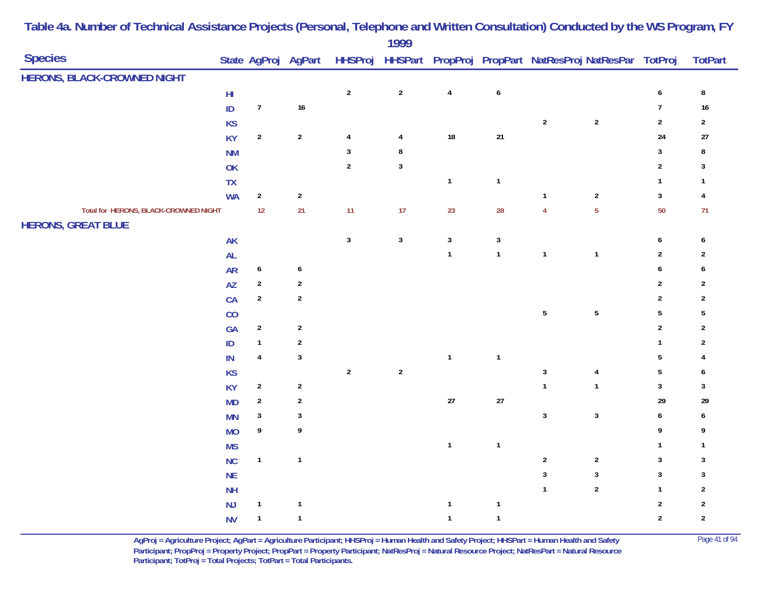| <b>Species</b>                        |                         |                  | State AgProj AgPart |                | 1777         |              |                         |                  | HHSProj HHSPart PropProj PropPart NatResProj NatResPar TotProj |                         | <b>TotPart</b>          |
|---------------------------------------|-------------------------|------------------|---------------------|----------------|--------------|--------------|-------------------------|------------------|----------------------------------------------------------------|-------------------------|-------------------------|
| <b>HERONS, BLACK-CROWNED NIGHT</b>    |                         |                  |                     |                |              |              |                         |                  |                                                                |                         |                         |
|                                       | $\mathsf{H} \mathsf{I}$ |                  |                     | $\sqrt{2}$     | $\sqrt{2}$   | $\pmb{4}$    | $\boldsymbol{6}$        |                  |                                                                | $\boldsymbol{6}$        | ${\bf 8}$               |
|                                       | $\sf ID$                | $\boldsymbol{7}$ | $16\,$              |                |              |              |                         |                  |                                                                | $\boldsymbol{7}$        | 16                      |
|                                       | <b>KS</b>               |                  |                     |                |              |              |                         | $\boldsymbol{2}$ | $\sqrt{2}$                                                     | $\overline{2}$          | $\sqrt{2}$              |
|                                       | <b>KY</b>               | $\sqrt{2}$       | $\sqrt{2}$          | $\overline{4}$ | 4            | $18\,$       | $21\,$                  |                  |                                                                | $24$                    | $27$                    |
|                                       | <b>NM</b>               |                  |                     | $\mathbf{3}$   | 8            |              |                         |                  |                                                                | $\mathbf{3}$            | 8                       |
|                                       | OK                      |                  |                     | $\sqrt{2}$     | $\mathbf{3}$ |              |                         |                  |                                                                | $\overline{2}$          | 3                       |
|                                       | TX                      |                  |                     |                |              | $\mathbf{1}$ | $\overline{1}$          |                  |                                                                | $\mathbf{1}$            | $\mathbf{1}$            |
|                                       | <b>WA</b>               | $\overline{2}$   | $\sqrt{2}$          |                |              |              |                         | $\mathbf{1}$     | $\sqrt{2}$                                                     | $\mathbf{3}$            | $\overline{\mathbf{4}}$ |
| Total for HERONS, BLACK-CROWNED NIGHT |                         | 12               | 21                  | 11             | 17           | 23           | 28                      | $\overline{4}$   | $\overline{5}$                                                 | 50                      | 71                      |
| <b>HERONS, GREAT BLUE</b>             |                         |                  |                     |                |              |              |                         |                  |                                                                |                         |                         |
|                                       | AK                      |                  |                     | $\mathbf 3$    | $\mathbf{3}$ | $\mathbf{3}$ | $\mathbf{3}$            |                  |                                                                | $\boldsymbol{6}$        | 6                       |
|                                       | AL                      |                  |                     |                |              | $\mathbf{1}$ | $\mathbf{1}$            | $\mathbf{1}$     | $\mathbf{1}$                                                   | $\overline{2}$          | $\overline{2}$          |
|                                       | <b>AR</b>               | $\boldsymbol{6}$ | $\pmb{6}$           |                |              |              |                         |                  |                                                                | $\boldsymbol{6}$        | 6                       |
|                                       | AZ                      | $\boldsymbol{2}$ | $\overline{2}$      |                |              |              |                         |                  |                                                                | $\sqrt{2}$              | $\overline{2}$          |
|                                       | CA                      | $\sqrt{2}$       | $\boldsymbol{2}$    |                |              |              |                         |                  |                                                                | $\overline{2}$          | $\overline{\mathbf{c}}$ |
|                                       | CO                      |                  |                     |                |              |              |                         | $\sqrt{5}$       | $\sqrt{5}$                                                     | $\sqrt{5}$              | $\sqrt{5}$              |
|                                       | GA                      | $\overline{2}$   | $\overline{2}$      |                |              |              |                         |                  |                                                                | $\overline{2}$          | $\overline{\mathbf{c}}$ |
|                                       | $\sf ID$                | $\mathbf{1}$     | $\overline{2}$      |                |              |              |                         |                  |                                                                | $\mathbf{1}$            | $\overline{c}$          |
|                                       | $\sf IN$                | $\overline{4}$   | $\sqrt{3}$          |                |              | $\mathbf{1}$ | $\overline{\mathbf{1}}$ |                  |                                                                | $\sqrt{5}$              | 4                       |
|                                       | <b>KS</b>               |                  |                     | $\sqrt{2}$     | $\sqrt{2}$   |              |                         | $\sqrt{3}$       | $\overline{\mathbf{4}}$                                        | $\sqrt{5}$              | 6                       |
|                                       | <b>KY</b>               | $\overline{2}$   | $\overline{2}$      |                |              |              |                         | $\mathbf{1}$     | $\mathbf{1}$                                                   | $\sqrt{3}$              | 3                       |
|                                       | MD                      | $\sqrt{2}$       | $\sqrt{2}$          |                |              | $27\,$       | $27\,$                  |                  |                                                                | 29                      | 29                      |
|                                       | <b>MN</b>               | $\sqrt{3}$       | $\sqrt{3}$          |                |              |              |                         | $\mathbf 3$      | $\mathbf 3$                                                    | $\boldsymbol{6}$        | 6                       |
|                                       | <b>MO</b>               | 9                | 9                   |                |              |              |                         |                  |                                                                | 9                       | 9                       |
|                                       | <b>MS</b>               |                  |                     |                |              | $\mathbf{1}$ | $\overline{1}$          |                  |                                                                | $\mathbf{1}$            | $\overline{1}$          |
|                                       | <b>NC</b>               | $\mathbf{1}$     | $\mathbf{1}$        |                |              |              |                         | $\sqrt{2}$       | $\sqrt{2}$                                                     | $\overline{\mathbf{3}}$ | 3                       |
|                                       | <b>NE</b>               |                  |                     |                |              |              |                         | $\sqrt{3}$       | $\mathbf{3}$                                                   | $\overline{3}$          | 3                       |
|                                       | <b>NH</b>               |                  |                     |                |              |              |                         | $\mathbf{1}$     | $\sqrt{2}$                                                     | $\mathbf{1}$            | $\overline{2}$          |
|                                       | NJ                      | $\mathbf{1}$     | $\mathbf{1}$        |                |              | $\mathbf{1}$ | $\mathbf{1}$            |                  |                                                                | $\overline{2}$          | $\sqrt{2}$              |
|                                       | <b>NV</b>               | $\mathbf{1}$     | $\mathbf{1}$        |                |              | $\mathbf{1}$ | $\mathbf{1}$            |                  |                                                                | $\overline{2}$          | $\sqrt{2}$              |

> **AgProj = Agriculture Project; AgPart = Agriculture Participant; HHSProj = Human Health and Safety Project; HHSPart = Human Health and Safety** Page 41 of 94 **Participant; PropProj = Property Project; PropPart = Property Participant; NatResProj = Natural Resource Project; NatResPart = Natural Resource**  Participant; TotProj = Total Projects; TotPart = Total Participants.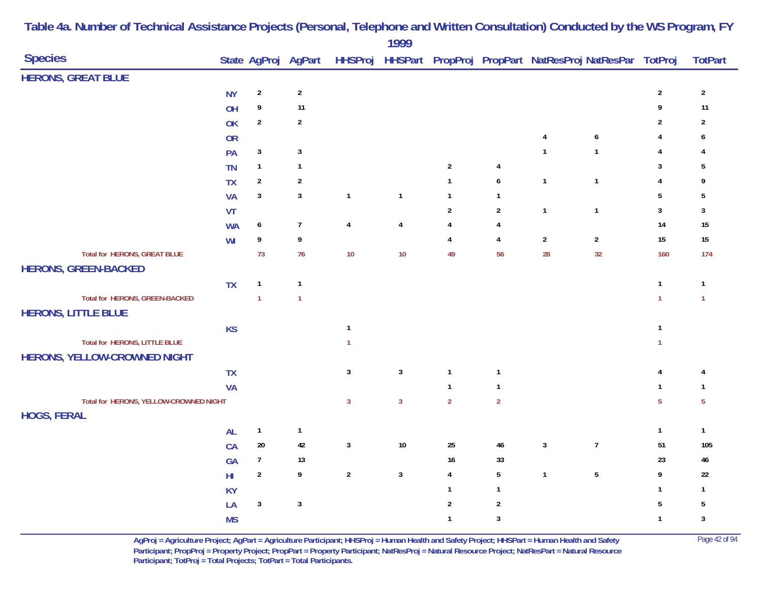| <b>Species</b>                         |               |                  | State AgProj AgPart |                | ,,,,           |                         |                         |                | HHSProj HHSPart PropProj PropPart NatResProj NatResPar TotProj |                         | <b>TotPart</b> |
|----------------------------------------|---------------|------------------|---------------------|----------------|----------------|-------------------------|-------------------------|----------------|----------------------------------------------------------------|-------------------------|----------------|
| <b>HERONS, GREAT BLUE</b>              |               |                  |                     |                |                |                         |                         |                |                                                                |                         |                |
|                                        | <b>NY</b>     | $\sqrt{2}$       | $\sqrt{2}$          |                |                |                         |                         |                |                                                                | $\overline{2}$          | $\overline{2}$ |
|                                        | OH            | 9                | 11                  |                |                |                         |                         |                |                                                                | 9                       | 11             |
|                                        | OK            | $\sqrt{2}$       | $\sqrt{2}$          |                |                |                         |                         |                |                                                                | $\boldsymbol{2}$        | $\sqrt{2}$     |
|                                        | <b>OR</b>     |                  |                     |                |                |                         |                         | 4              | 6                                                              | 4                       | 6              |
|                                        | PA            | $\mathbf{3}$     | $\mathbf{3}$        |                |                |                         |                         | $\mathbf{1}$   | $\mathbf{1}$                                                   | 4                       | 4              |
|                                        | <b>TN</b>     | $\mathbf{1}$     | $\mathbf{1}$        |                |                | $\boldsymbol{2}$        | 4                       |                |                                                                | $\mathbf{3}$            | 5              |
|                                        | <b>TX</b>     | $\sqrt{2}$       | $\sqrt{2}$          |                |                | $\mathbf{1}$            | $\boldsymbol{6}$        | $\mathbf{1}$   | $\mathbf{1}$                                                   | $\overline{4}$          | 9              |
|                                        | <b>VA</b>     | $\mathbf{3}$     | $\mathbf{3}$        | $\mathbf{1}$   | $\mathbf{1}$   | $\mathbf{1}$            | $\mathbf{1}$            |                |                                                                | $5\phantom{.0}$         | $\sqrt{5}$     |
|                                        | <b>VT</b>     |                  |                     |                |                | $\sqrt{2}$              | $\overline{2}$          | $\mathbf{1}$   | $\mathbf{1}$                                                   | $\mathbf{3}$            | $\mathbf{3}$   |
|                                        | <b>WA</b>     | $\boldsymbol{6}$ | $\overline{7}$      | $\pmb{4}$      | $\pmb{4}$      | $\pmb{4}$               | 4                       |                |                                                                | 14                      | $15\,$         |
|                                        | WI            | 9                | 9                   |                |                | $\overline{\mathbf{4}}$ | $\overline{\mathbf{4}}$ | $\overline{2}$ | $\overline{2}$                                                 | 15                      | $15\,$         |
| <b>Total for HERONS, GREAT BLUE</b>    |               | 73               | 76                  | 10             | $10$           | 49                      | 56                      | 28             | 32                                                             | 160                     | 174            |
| <b>HERONS, GREEN-BACKED</b>            |               |                  |                     |                |                |                         |                         |                |                                                                |                         |                |
|                                        | <b>TX</b>     | $\mathbf{1}$     | $\mathbf{1}$        |                |                |                         |                         |                |                                                                | $\overline{1}$          | $\mathbf{1}$   |
| <b>Total for HERONS, GREEN-BACKED</b>  |               | $\mathbf{1}$     | $\overline{1}$      |                |                |                         |                         |                |                                                                | $\mathbf{1}$            | $\mathbf{1}$   |
| <b>HERONS, LITTLE BLUE</b>             |               |                  |                     |                |                |                         |                         |                |                                                                |                         |                |
|                                        | <b>KS</b>     |                  |                     | $\overline{1}$ |                |                         |                         |                |                                                                | $\mathbf{1}$            |                |
| Total for HERONS, LITTLE BLUE          |               |                  |                     | $\overline{1}$ |                |                         |                         |                |                                                                | $\mathbf{1}$            |                |
| HERONS, YELLOW-CROWNED NIGHT           |               |                  |                     |                |                |                         |                         |                |                                                                |                         |                |
|                                        | TX            |                  |                     | $\mathbf{3}$   | $\mathbf{3}$   | $\mathbf{1}$            | $\mathbf{1}$            |                |                                                                | $\pmb{4}$               | 4              |
|                                        | <b>VA</b>     |                  |                     |                |                | $\mathbf{1}$            | $\mathbf{1}$            |                |                                                                | $\mathbf{1}$            | $\mathbf{1}$   |
| Total for HERONS, YELLOW-CROWNED NIGHT |               |                  |                     | $\overline{3}$ | $\overline{3}$ | $\overline{2}$          | $\overline{2}$          |                |                                                                | $\overline{5}$          | $\overline{5}$ |
| <b>HOGS, FERAL</b>                     |               |                  |                     |                |                |                         |                         |                |                                                                |                         |                |
|                                        | <b>AL</b>     | $\mathbf{1}$     | $\mathbf{1}$        |                |                |                         |                         |                |                                                                | $\overline{\mathbf{1}}$ | $\mathbf{1}$   |
|                                        | CA            | 20               | 42                  | $\mathbf{3}$   | $10\,$         | $25\,$                  | $\bf 46$                | $\sqrt{3}$     | $\boldsymbol{7}$                                               | 51                      | 105            |
|                                        | GA            | $\overline{7}$   | 13                  |                |                | 16                      | 33                      |                |                                                                | 23                      | $46\,$         |
|                                        | $\mathsf{HI}$ | $\sqrt{2}$       | 9                   | $\overline{2}$ | $\overline{3}$ | $\overline{4}$          | $5\phantom{.0}$         | $\mathbf{1}$   | $\overline{5}$                                                 | 9                       | $22\,$         |
|                                        | <b>KY</b>     |                  |                     |                |                | $\mathbf{1}$            | $\mathbf{1}$            |                |                                                                | $\mathbf{1}$            | $\mathbf{1}$   |
|                                        | LA            | $\mathbf{3}$     | $\mathbf{3}$        |                |                | $\sqrt{2}$              | $\overline{2}$          |                |                                                                | $\sqrt{5}$              | $\sqrt{5}$     |
|                                        | <b>MS</b>     |                  |                     |                |                | $\mathbf{1}$            | $\mathbf{3}$            |                |                                                                | $\mathbf{1}$            | $\sqrt{3}$     |

**AgProj = Agriculture Project; AgPart = Agriculture Participant; HHSProj = Human Health and Safety Project; HHSPart = Human Health and Safety** Page 42 of 94 **Participant; PropProj = Property Project; PropPart = Property Participant; NatResProj = Natural Resource Project; NatResPart = Natural Resource**  Participant; TotProj = Total Projects; TotPart = Total Participants.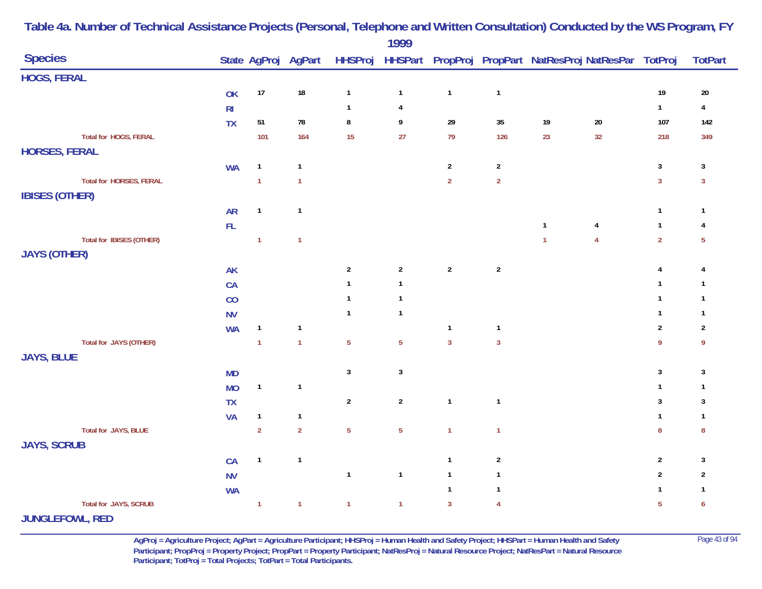|                                 |                |                |              |                | 1777                      |                |                |                |                                                                                    |                  |                  |
|---------------------------------|----------------|----------------|--------------|----------------|---------------------------|----------------|----------------|----------------|------------------------------------------------------------------------------------|------------------|------------------|
| <b>Species</b>                  |                |                |              |                |                           |                |                |                | State AgProj AgPart HHSProj HHSPart PropProj PropPart NatResProj NatResPar TotProj |                  | <b>TotPart</b>   |
| <b>HOGS, FERAL</b>              |                |                |              |                |                           |                |                |                |                                                                                    |                  |                  |
|                                 | OK             | 17             | $18\,$       | $\mathbf{1}$   | $\mathbf{1}$              | $\mathbf{1}$   | $\mathbf{1}$   |                |                                                                                    | $19$             | $20\,$           |
|                                 | R <sub>l</sub> |                |              | $\mathbf{1}$   | 4                         |                |                |                |                                                                                    | $\mathbf{1}$     | $\overline{4}$   |
|                                 | <b>TX</b>      | 51             | 78           | $\bf 8$        | 9                         | 29             | $35\,$         | 19             | $20\,$                                                                             | 107              | 142              |
| Total for HOGS, FERAL           |                | 101            | 164          | 15             | 27                        | 79             | 126            | 23             | 32                                                                                 | 218              | 349              |
| <b>HORSES, FERAL</b>            |                |                |              |                |                           |                |                |                |                                                                                    |                  |                  |
|                                 | <b>WA</b>      | $\mathbf{1}$   | $\mathbf{1}$ |                |                           | $\overline{2}$ | $\overline{2}$ |                |                                                                                    | $\mathbf{3}$     | $\mathbf{3}$     |
| Total for HORSES, FERAL         |                | $\overline{1}$ | $\mathbf{1}$ |                |                           | $\overline{2}$ | $\overline{2}$ |                |                                                                                    | $\overline{3}$   | $\mathbf{3}$     |
| <b>IBISES (OTHER)</b>           |                |                |              |                |                           |                |                |                |                                                                                    |                  |                  |
|                                 | <b>AR</b>      | $\mathbf{1}$   | $\mathbf{1}$ |                |                           |                |                |                |                                                                                    | $\mathbf{1}$     | $\mathbf{1}$     |
|                                 | $\mathsf{FL}$  |                |              |                |                           |                |                | $\mathbf{1}$   | $\overline{4}$                                                                     | $\mathbf{1}$     | 4                |
| <b>Total for IBISES (OTHER)</b> |                | $\overline{1}$ | $\mathbf{1}$ |                |                           |                |                | $\overline{1}$ | $\overline{4}$                                                                     | $\overline{2}$   | $\overline{5}$   |
| <b>JAYS (OTHER)</b>             |                |                |              |                |                           |                |                |                |                                                                                    |                  |                  |
|                                 | <b>AK</b>      |                |              | $\sqrt{2}$     | $\boldsymbol{2}$          | $\overline{2}$ | $\sqrt{2}$     |                |                                                                                    | $\pmb{4}$        | 4                |
|                                 | CA             |                |              | 1              | $\mathbf{1}$              |                |                |                |                                                                                    | $\mathbf{1}$     | $\mathbf{1}$     |
|                                 | CO             |                |              | $\mathbf{1}$   | $\mathbf{1}$              |                |                |                |                                                                                    | $\mathbf{1}$     | $\mathbf{1}$     |
|                                 | <b>NV</b>      |                |              | $\mathbf{1}$   | $\mathbf{1}$              |                |                |                |                                                                                    | $\mathbf{1}$     | $\mathbf{1}$     |
|                                 | <b>WA</b>      | $\mathbf{1}$   | $\mathbf{1}$ |                |                           | $\mathbf{1}$   | $\mathbf{1}$   |                |                                                                                    | $\boldsymbol{2}$ | $\overline{2}$   |
| Total for JAYS (OTHER)          |                | $\mathbf{1}$   | $\mathbf{1}$ | $\overline{5}$ | $\overline{5}$            | $\overline{3}$ | $\mathbf{3}$   |                |                                                                                    | 9                | 9                |
| <b>JAYS, BLUE</b>               |                |                |              |                |                           |                |                |                |                                                                                    |                  |                  |
|                                 | <b>MD</b>      |                |              | $\sqrt{3}$     | $\ensuremath{\mathsf{3}}$ |                |                |                |                                                                                    | $\mathbf{3}$     | $\mathbf{3}$     |
|                                 | <b>MO</b>      | $\mathbf{1}$   | $\mathbf{1}$ |                |                           |                |                |                |                                                                                    | $\mathbf{1}$     | $\mathbf{1}$     |
|                                 | <b>TX</b>      |                |              | $\sqrt{2}$     | $\overline{2}$            | $\mathbf{1}$   | $\mathbf{1}$   |                |                                                                                    | $\sqrt{3}$       | 3                |
|                                 | <b>VA</b>      | $\mathbf{1}$   | $\mathbf{1}$ |                |                           |                |                |                |                                                                                    | $\mathbf{1}$     | $\mathbf{1}$     |
| Total for JAYS, BLUE            |                | $\overline{2}$ | $\mathbf 2$  | $\overline{5}$ | 5                         | $\mathbf{1}$   | $\mathbf{1}$   |                |                                                                                    | ${\bf 8}$        | $\boldsymbol{8}$ |
| <b>JAYS, SCRUB</b>              |                |                |              |                |                           |                |                |                |                                                                                    |                  |                  |
|                                 | CA             | $\mathbf{1}$   | $\mathbf{1}$ |                |                           | $\mathbf{1}$   | $\sqrt{2}$     |                |                                                                                    | $\sqrt{2}$       | $\mathbf{3}$     |
|                                 | <b>NV</b>      |                |              | $\mathbf{1}$   | $\mathbf{1}$              | $\mathbf{1}$   | $\mathbf{1}$   |                |                                                                                    | $\sqrt{2}$       | $\overline{c}$   |
|                                 | <b>WA</b>      |                |              |                |                           | $\mathbf{1}$   | $\mathbf{1}$   |                |                                                                                    | $\mathbf{1}$     | $\mathbf{1}$     |
| Total for JAYS, SCRUB           |                | $\overline{1}$ | $\mathbf{1}$ | $\mathbf{1}$   | $\mathbf{1}$              | $\overline{3}$ | $\overline{4}$ |                |                                                                                    | $\overline{5}$   | 6                |
| <b>URLAINED MAIN BER</b>        |                |                |              |                |                           |                |                |                |                                                                                    |                  |                  |

**JUNGLEFOWL, RED**

**AgProj = Agriculture Project; AgPart = Agriculture Participant; HHSProj = Human Health and Safety Project; HHSPart = Human Health and Safety** Page 43 of 94 **Participant; PropProj = Property Project; PropPart = Property Participant; NatResProj = Natural Resource Project; NatResPart = Natural Resource**  Participant; TotProj = Total Projects; TotPart = Total Participants.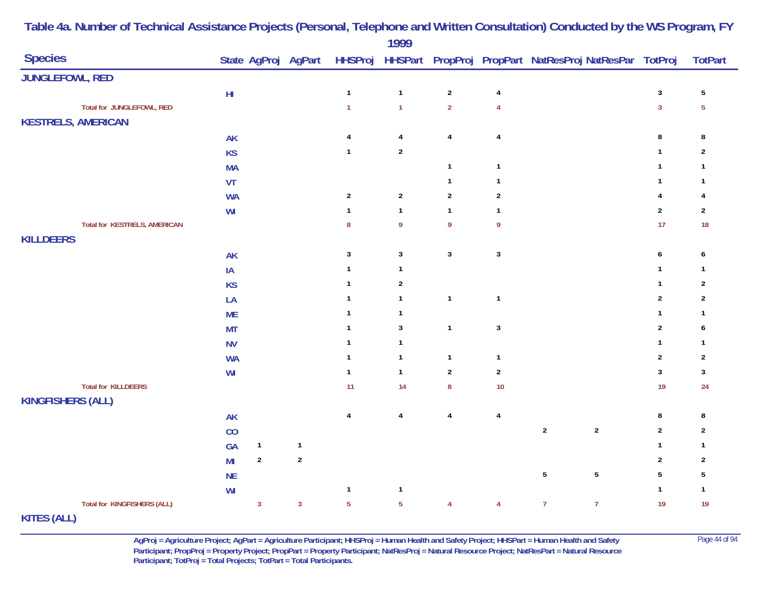|                                    |               |                |                     |                | $\frac{1}{2}$    |                  |                         |                                                                |                |                         |
|------------------------------------|---------------|----------------|---------------------|----------------|------------------|------------------|-------------------------|----------------------------------------------------------------|----------------|-------------------------|
| <b>Species</b>                     |               |                | State AgProj AgPart |                |                  |                  |                         | HHSProj HHSPart PropProj PropPart NatResProj NatResPar TotProj |                | <b>TotPart</b>          |
| <b>JUNGLEFOWL, RED</b>             |               |                |                     |                |                  |                  |                         |                                                                |                |                         |
|                                    | $\mathsf{HI}$ |                |                     | $\mathbf{1}$   | $\mathbf{1}$     | $\sqrt{2}$       | $\pmb{4}$               |                                                                | $\mathsf 3$    | $\sqrt{5}$              |
| Total for JUNGLEFOWL, RED          |               |                |                     | $\mathbf{1}$   | $\mathbf{1}$     | $\overline{2}$   | $\overline{4}$          |                                                                | $\overline{3}$ | $\overline{5}$          |
| <b>KESTRELS, AMERICAN</b>          |               |                |                     |                |                  |                  |                         |                                                                |                |                         |
|                                    | <b>AK</b>     |                |                     | $\overline{4}$ | $\overline{4}$   | $\pmb{4}$        | $\overline{\mathbf{4}}$ |                                                                | $\bf 8$        | 8                       |
|                                    | <b>KS</b>     |                |                     | $\mathbf{1}$   | $\sqrt{2}$       |                  |                         |                                                                | $\mathbf{1}$   | $\overline{2}$          |
|                                    | <b>MA</b>     |                |                     |                |                  | $\mathbf{1}$     | $\mathbf{1}$            |                                                                | $\mathbf{1}$   | $\mathbf{1}$            |
|                                    | VT            |                |                     |                |                  | $\mathbf{1}$     | $\mathbf{1}$            |                                                                | $\mathbf{1}$   | $\mathbf{1}$            |
|                                    | <b>WA</b>     |                |                     | $\sqrt{2}$     | $\boldsymbol{2}$ | $\sqrt{2}$       | $\sqrt{2}$              |                                                                | $\overline{4}$ | 4                       |
|                                    | WI            |                |                     | $\mathbf{1}$   | $\mathbf{1}$     | $\mathbf{1}$     | $\mathbf{1}$            |                                                                | $\overline{2}$ | $\overline{2}$          |
| Total for KESTRELS, AMERICAN       |               |                |                     | 8              | 9                | $\boldsymbol{9}$ | $\boldsymbol{9}$        |                                                                | 17             | 18                      |
| <b>KILLDEERS</b>                   |               |                |                     |                |                  |                  |                         |                                                                |                |                         |
|                                    | <b>AK</b>     |                |                     | 3              | $\mathbf{3}$     | $\mathbf{3}$     | $\sqrt{3}$              |                                                                | 6              | 6                       |
|                                    | IA            |                |                     |                | $\mathbf{1}$     |                  |                         |                                                                | $\mathbf{1}$   | $\mathbf{1}$            |
|                                    | <b>KS</b>     |                |                     |                | $\overline{c}$   |                  |                         |                                                                | $\mathbf{1}$   | $\overline{\mathbf{c}}$ |
|                                    | LA            |                |                     | $\mathbf{1}$   | $\mathbf{1}$     | $\mathbf{1}$     | $\mathbf{1}$            |                                                                | $\sqrt{2}$     | $\overline{2}$          |
|                                    | <b>ME</b>     |                |                     |                | $\mathbf{1}$     |                  |                         |                                                                | $\mathbf{1}$   | $\mathbf{1}$            |
|                                    | <b>MT</b>     |                |                     | -1             | $\mathbf{3}$     | $\mathbf{1}$     | $\mathbf 3$             |                                                                | $\sqrt{2}$     | 6                       |
|                                    | <b>NV</b>     |                |                     | -1             | $\mathbf{1}$     |                  |                         |                                                                | $\mathbf{1}$   | $\mathbf{1}$            |
|                                    | <b>WA</b>     |                |                     | -1             | $\mathbf{1}$     | $\mathbf{1}$     | $\mathbf{1}$            |                                                                | $\overline{2}$ | $\sqrt{2}$              |
|                                    | WI            |                |                     | $\mathbf{1}$   | $\mathbf{1}$     | $\overline{2}$   | $\overline{2}$          |                                                                | $\mathbf{3}$   | $\mathbf{3}$            |
| <b>Total for KILLDEERS</b>         |               |                |                     | 11             | 14               | $\bf 8$          | $10$                    |                                                                | 19             | 24                      |
| <b>KINGFISHERS (ALL)</b>           |               |                |                     |                |                  |                  |                         |                                                                |                |                         |
|                                    | <b>AK</b>     |                |                     | $\overline{4}$ | $\overline{4}$   | $\pmb{4}$        | $\overline{4}$          |                                                                | $\bf 8$        | 8                       |
|                                    | CO            |                |                     |                |                  |                  |                         | $\sqrt{2}$<br>$\sqrt{2}$                                       | $\overline{2}$ | $\sqrt{2}$              |
|                                    | GA            | $\mathbf{1}$   | $\mathbf{1}$        |                |                  |                  |                         |                                                                | $\mathbf{1}$   | $\mathbf{1}$            |
|                                    | MI            | $\sqrt{2}$     | $\sqrt{2}$          |                |                  |                  |                         |                                                                | $\sqrt{2}$     | $\overline{\mathbf{c}}$ |
|                                    | NE            |                |                     |                |                  |                  |                         | $\overline{5}$<br>$\sqrt{5}$                                   | $\overline{5}$ | $\sqrt{5}$              |
|                                    | WI            |                |                     | $\mathbf{1}$   | $\mathbf{1}$     |                  |                         |                                                                | $\mathbf{1}$   | $\mathbf{1}$            |
| <b>Total for KINGFISHERS (ALL)</b> |               | $\overline{3}$ | $\overline{3}$      | $\overline{5}$ | $\overline{5}$   | $\overline{4}$   | $\overline{4}$          | $\overline{7}$<br>$\overline{7}$                               | 19             | 19                      |
|                                    |               |                |                     |                |                  |                  |                         |                                                                |                |                         |

**KITES (ALL)**

**AgProj = Agriculture Project; AgPart = Agriculture Participant; HHSProj = Human Health and Safety Project; HHSPart = Human Health and Safety** Page 44 of 94 **Participant; PropProj = Property Project; PropPart = Property Participant; NatResProj = Natural Resource Project; NatResPart = Natural Resource**  Participant; TotProj = Total Projects; TotPart = Total Participants.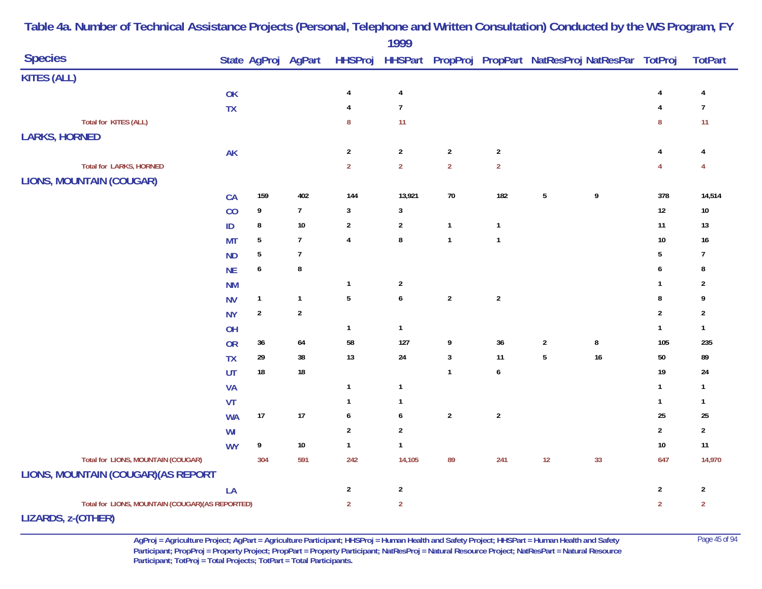|                                                  |           |                  |                     |                         | 1777                    |                         |                         |                |                                                        |                  |                         |
|--------------------------------------------------|-----------|------------------|---------------------|-------------------------|-------------------------|-------------------------|-------------------------|----------------|--------------------------------------------------------|------------------|-------------------------|
| <b>Species</b>                                   |           |                  | State AgProj AgPart | <b>HHSProj</b>          |                         |                         |                         |                | HHSPart PropProj PropPart NatResProj NatResPar TotProj |                  | <b>TotPart</b>          |
| <b>KITES (ALL)</b>                               |           |                  |                     |                         |                         |                         |                         |                |                                                        |                  |                         |
|                                                  | OK        |                  |                     | 4                       | $\overline{\mathbf{4}}$ |                         |                         |                |                                                        | $\overline{4}$   | 4                       |
|                                                  | <b>TX</b> |                  |                     | 4                       | $\overline{7}$          |                         |                         |                |                                                        | $\overline{4}$   | $\overline{7}$          |
| Total for KITES (ALL)                            |           |                  |                     | 8                       | 11                      |                         |                         |                |                                                        | $\bf 8$          | 11                      |
| <b>LARKS, HORNED</b>                             |           |                  |                     |                         |                         |                         |                         |                |                                                        |                  |                         |
|                                                  | AK        |                  |                     | $\sqrt{2}$              | $\boldsymbol{2}$        | $\sqrt{2}$              | $\overline{2}$          |                |                                                        | 4                | 4                       |
| <b>Total for LARKS, HORNED</b>                   |           |                  |                     | $\overline{2}$          | $\overline{2}$          | $\overline{2}$          | $\overline{2}$          |                |                                                        | $\overline{4}$   | $\overline{4}$          |
| <b>LIONS, MOUNTAIN (COUGAR)</b>                  |           |                  |                     |                         |                         |                         |                         |                |                                                        |                  |                         |
|                                                  | CA        | 159              | 402                 | 144                     | 13,921                  | $70$                    | 182                     | $\sqrt{5}$     | 9                                                      | 378              | 14,514                  |
|                                                  | CO        | 9                | $\boldsymbol{7}$    | 3                       | $\mathbf{3}$            |                         |                         |                |                                                        | $12\,$           | $10\,$                  |
|                                                  | $\sf ID$  | $\bf 8$          | $10\,$              | $\overline{2}$          | $\overline{2}$          | $\mathbf{1}$            | $\mathbf{1}$            |                |                                                        | 11               | $13$                    |
|                                                  | <b>MT</b> | $\overline{5}$   | $\overline{7}$      | $\pmb{4}$               | $\bf 8$                 | $\mathbf{1}$            | $\mathbf{1}$            |                |                                                        | $10\,$           | $16\,$                  |
|                                                  | <b>ND</b> | $\overline{5}$   | $\overline{7}$      |                         |                         |                         |                         |                |                                                        | $5\,$            | $\overline{7}$          |
|                                                  | <b>NE</b> | $\boldsymbol{6}$ | 8                   |                         |                         |                         |                         |                |                                                        | 6                | 8                       |
|                                                  | <b>NM</b> |                  |                     | $\mathbf{1}$            | $\boldsymbol{2}$        |                         |                         |                |                                                        | $\mathbf{1}$     | $\overline{2}$          |
|                                                  | <b>NV</b> | $\mathbf{1}$     | $\mathbf{1}$        | $\sqrt{5}$              | $\boldsymbol{6}$        | $\overline{\mathbf{c}}$ | $\sqrt{2}$              |                |                                                        | 8                | 9                       |
|                                                  | <b>NY</b> | $\sqrt{2}$       | $\sqrt{2}$          |                         |                         |                         |                         |                |                                                        | $\boldsymbol{2}$ | $\overline{2}$          |
|                                                  | OH        |                  |                     | $\mathbf{1}$            | $\mathbf{1}$            |                         |                         |                |                                                        | $\mathbf{1}$     | $\mathbf{1}$            |
|                                                  | <b>OR</b> | 36               | 64                  | 58                      | 127                     | 9                       | $36\,$                  | $\overline{2}$ | $\bf 8$                                                | 105              | 235                     |
|                                                  | <b>TX</b> | 29               | $38\,$              | 13                      | 24                      | $\sqrt{3}$              | 11                      | $\overline{5}$ | $16\,$                                                 | 50               | 89                      |
|                                                  | UT        | $18\,$           | $18\,$              |                         |                         | $\mathbf{1}$            | $\boldsymbol{6}$        |                |                                                        | 19               | 24                      |
|                                                  | <b>VA</b> |                  |                     | $\mathbf{1}$            | $\mathbf{1}$            |                         |                         |                |                                                        | $\mathbf{1}$     | $\mathbf{1}$            |
|                                                  | VT        |                  |                     | 1                       | $\mathbf{1}$            |                         |                         |                |                                                        | $\mathbf{1}$     | $\mathbf{1}$            |
|                                                  | <b>WA</b> | 17               | $17$                | 6                       | 6                       | $\sqrt{2}$              | $\overline{\mathbf{c}}$ |                |                                                        | 25               | 25                      |
|                                                  | WI        |                  |                     | $\overline{\mathbf{c}}$ | $\sqrt{2}$              |                         |                         |                |                                                        | $\sqrt{2}$       | $\overline{\mathbf{c}}$ |
|                                                  | <b>WY</b> | 9                | $10\,$              | $\mathbf{1}$            | $\mathbf{1}$            |                         |                         |                |                                                        | $10\,$           | $11$                    |
| <b>Total for LIONS, MOUNTAIN (COUGAR)</b>        |           | 304              | 591                 | 242                     | 14,105                  | 89                      | 241                     | 12             | 33                                                     | 647              | 14,970                  |
| LIONS, MOUNTAIN (COUGAR) (AS REPORT              |           |                  |                     |                         |                         |                         |                         |                |                                                        |                  |                         |
|                                                  | LA        |                  |                     | $\overline{2}$          | $\overline{2}$          |                         |                         |                |                                                        | $\mathbf{2}$     | $\overline{2}$          |
| Total for LIONS, MOUNTAIN (COUGAR) (AS REPORTED) |           |                  |                     | $\overline{2}$          | $\overline{2}$          |                         |                         |                |                                                        | $\overline{2}$   | $\overline{2}$          |
| $\lambda = -1$                                   |           |                  |                     |                         |                         |                         |                         |                |                                                        |                  |                         |

**LIZARDS, z-(OTHER)**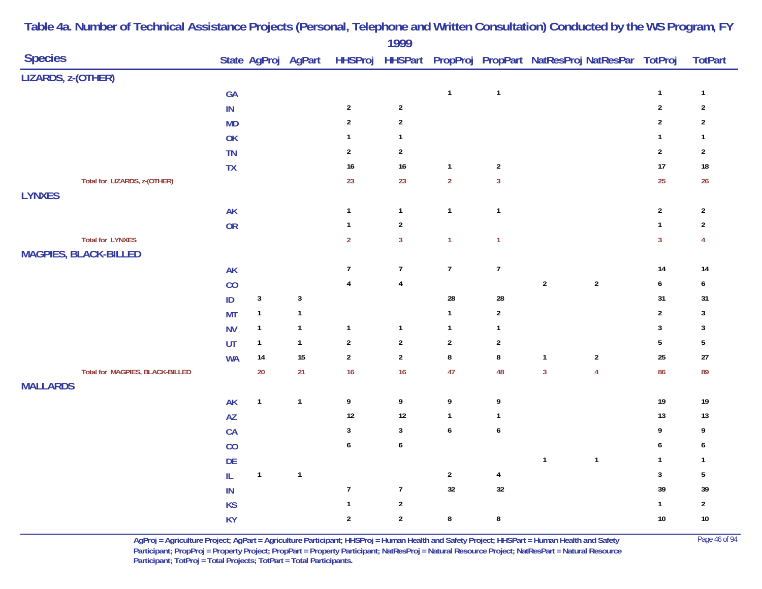| <b>Species</b>                         |                        |              | State AgProj AgPart |                  |                         |                  |                         | HHSProj HHSPart PropProj PropPart NatResProj NatResPar TotProj |                 | <b>TotPart</b>   |
|----------------------------------------|------------------------|--------------|---------------------|------------------|-------------------------|------------------|-------------------------|----------------------------------------------------------------|-----------------|------------------|
| LIZARDS, z-(OTHER)                     |                        |              |                     |                  |                         |                  |                         |                                                                |                 |                  |
|                                        | GA                     |              |                     |                  |                         | $\mathbf{1}$     | $\mathbf{1}$            |                                                                | $\mathbf{1}$    | $\mathbf{1}$     |
|                                        | $\sf IN$               |              |                     | $\sqrt{2}$       | $\mathbf 2$             |                  |                         |                                                                | $\overline{2}$  | $\boldsymbol{2}$ |
|                                        | <b>MD</b>              |              |                     | $\sqrt{2}$       | $\mathbf{2}$            |                  |                         |                                                                | $\sqrt{2}$      | $\boldsymbol{2}$ |
|                                        | OK                     |              |                     | $\mathbf{1}$     | $\mathbf{1}$            |                  |                         |                                                                | $\mathbf{1}$    | $\mathbf{1}$     |
|                                        | TN                     |              |                     | $\sqrt{2}$       | $\overline{c}$          |                  |                         |                                                                | $\overline{2}$  | $\overline{c}$   |
|                                        | ${\sf TX}$             |              |                     | 16               | 16                      | $\mathbf{1}$     | $\boldsymbol{2}$        |                                                                | 17              | $18\,$           |
| Total for LIZARDS, z-(OTHER)           |                        |              |                     | 23               | 23                      | $\overline{2}$   | $\overline{3}$          |                                                                | 25              | 26               |
| <b>LYNXES</b>                          |                        |              |                     |                  |                         |                  |                         |                                                                |                 |                  |
|                                        | <b>AK</b>              |              |                     | $\mathbf{1}$     | $\mathbf{1}$            | $\mathbf{1}$     | $\mathbf{1}$            |                                                                | $\sqrt{2}$      | $\sqrt{2}$       |
|                                        | <b>OR</b>              |              |                     | $\mathbf{1}$     | $\overline{2}$          |                  |                         |                                                                | $\mathbf{1}$    | $\overline{2}$   |
| <b>Total for LYNXES</b>                |                        |              |                     | $\mathbf 2$      | $\overline{3}$          | $\mathbf{1}$     | $\mathbf{1}$            |                                                                | $\overline{3}$  | $\overline{4}$   |
| <b>MAGPIES, BLACK-BILLED</b>           |                        |              |                     |                  |                         |                  |                         |                                                                |                 |                  |
|                                        | <b>AK</b>              |              |                     | $\overline{7}$   | $\overline{7}$          | $\overline{7}$   | $\overline{7}$          |                                                                | 14              | 14               |
|                                        | CO                     |              |                     | $\pmb{4}$        | $\overline{\mathbf{4}}$ |                  |                         | $\sqrt{2}$<br>$\sqrt{2}$                                       | $\pmb{6}$       | 6                |
|                                        | $\sf ID$               | $\sqrt{3}$   | $\mathbf{3}$        |                  |                         | ${\bf 28}$       | 28                      |                                                                | 31              | 31               |
|                                        | <b>MT</b>              | $\mathbf{1}$ | $\mathbf{1}$        |                  |                         | $\mathbf{1}$     | $\mathbf{2}$            |                                                                | $\mathbf{2}$    | $\mathbf{3}$     |
|                                        | <b>NV</b>              | $\mathbf{1}$ | $\mathbf{1}$        | $\mathbf{1}$     | $\mathbf{1}$            | $\mathbf{1}$     | $\mathbf{1}$            |                                                                | $\mathbf{3}$    | $\sqrt{3}$       |
|                                        | UT                     | $\mathbf{1}$ | $\mathbf{1}$        | $\sqrt{2}$       | $\boldsymbol{2}$        | $\sqrt{2}$       | $\sqrt{2}$              |                                                                | $5\phantom{.0}$ | $\sqrt{5}$       |
|                                        | <b>WA</b>              | $14$         | $15\,$              | $\sqrt{2}$       | $\overline{c}$          | $\bf 8$          | ${\bf 8}$               | $\sqrt{2}$<br>$\mathbf{1}$                                     | 25              | 27               |
| <b>Total for MAGPIES, BLACK-BILLED</b> |                        | $20\,$       | 21                  | 16               | 16                      | 47               | 48                      | $\overline{3}$<br>$\overline{4}$                               | 86              | 89               |
| <b>MALLARDS</b>                        |                        |              |                     |                  |                         |                  |                         |                                                                |                 |                  |
|                                        | AK                     | $\mathbf 1$  | $\mathbf{1}$        | $\boldsymbol{9}$ | 9                       | $\boldsymbol{9}$ | 9                       |                                                                | 19              | $19\,$           |
|                                        | $\mathsf{A}\mathsf{Z}$ |              |                     | 12               | 12                      | $\mathbf{1}$     | $\mathbf{1}$            |                                                                | 13              | 13               |
|                                        | CA                     |              |                     | 3                | $\mathbf{3}$            | $\boldsymbol{6}$ | $\boldsymbol{6}$        |                                                                | 9               | 9                |
|                                        | CO                     |              |                     | 6                | $\boldsymbol{6}$        |                  |                         |                                                                | 6               | 6                |
|                                        | DE                     |              |                     |                  |                         |                  |                         | $\mathbf{1}$<br>$\mathbf{1}$                                   | $\mathbf{1}$    | $\mathbf{1}$     |
|                                        | $\mathsf{IL}$          | $\mathbf{1}$ | $\mathbf{1}$        |                  |                         | $\overline{2}$   | $\overline{\mathbf{r}}$ |                                                                | $\mathbf{3}$    | $\sqrt{5}$       |
|                                        | $\sf IN$               |              |                     | $\overline{7}$   | $\boldsymbol{7}$        | 32               | 32                      |                                                                | 39              | 39               |
|                                        | KS                     |              |                     | $\mathbf{1}$     | $\sqrt{2}$              |                  |                         |                                                                | $\mathbf{1}$    | $\mathbf{2}$     |
|                                        | KY                     |              |                     | $\sqrt{2}$       | $\mathbf{2}$            | $\bf 8$          | $\bf 8$                 |                                                                | 10              | $10\,$           |

> **AgProj = Agriculture Project; AgPart = Agriculture Participant; HHSProj = Human Health and Safety Project; HHSPart = Human Health and Safety** Page 46 of 94 **Participant; PropProj = Property Project; PropPart = Property Participant; NatResProj = Natural Resource Project; NatResPart = Natural Resource**  Participant; TotProj = Total Projects; TotPart = Total Participants.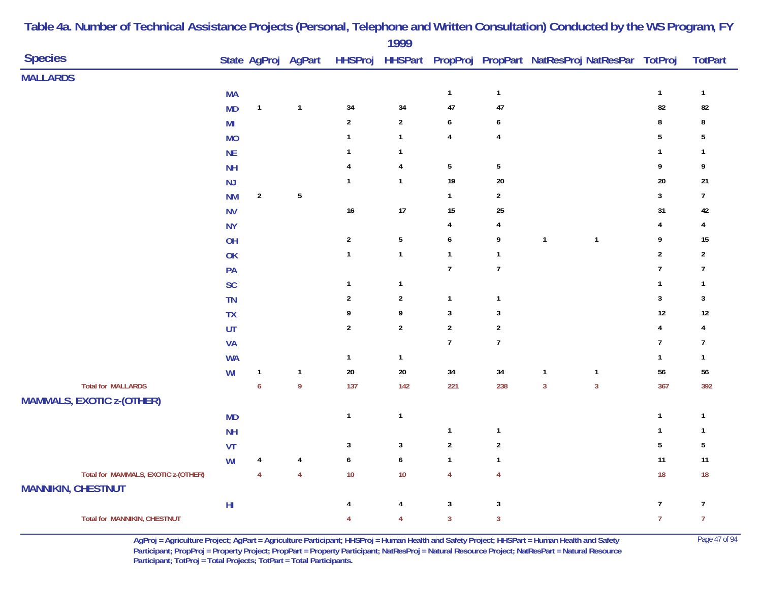|                                                                  |                         |                  |                     |                           | 1777           |                  |                  |                                                |                |                         |                |
|------------------------------------------------------------------|-------------------------|------------------|---------------------|---------------------------|----------------|------------------|------------------|------------------------------------------------|----------------|-------------------------|----------------|
| <b>Species</b>                                                   |                         |                  | State AgProj AgPart | <b>HHSProj</b>            | <b>HHSPart</b> |                  |                  | PropProj PropPart NatResProj NatResPar TotProj |                |                         | <b>TotPart</b> |
| <b>MALLARDS</b>                                                  |                         |                  |                     |                           |                |                  |                  |                                                |                |                         |                |
|                                                                  | <b>MA</b>               |                  |                     |                           |                | $\mathbf{1}$     | $\mathbf{1}$     |                                                |                | $\mathbf{1}$            | $\mathbf{1}$   |
|                                                                  | <b>MD</b>               | $\mathbf{1}$     | $\mathbf{1}$        | 34                        | 34             | 47               | 47               |                                                |                | 82                      | 82             |
|                                                                  | MI                      |                  |                     | $\boldsymbol{2}$          | $\mathbf{2}$   | $\boldsymbol{6}$ | 6                |                                                |                | 8                       | 8              |
|                                                                  | <b>MO</b>               |                  |                     | $\mathbf{1}$              | $\mathbf{1}$   | $\overline{4}$   | $\overline{4}$   |                                                |                | $5\phantom{.0}$         | 5              |
|                                                                  | <b>NE</b>               |                  |                     | 1                         | 1              |                  |                  |                                                |                | $\mathbf{1}$            | 1              |
|                                                                  | <b>NH</b>               |                  |                     | 4                         | 4              | $\sqrt{5}$       | $\sqrt{5}$       |                                                |                | 9                       | 9              |
|                                                                  | NJ                      |                  |                     | $\mathbf{1}$              | $\mathbf{1}$   | 19               | $20\,$           |                                                |                | 20                      | $21\,$         |
|                                                                  | <b>NM</b>               | $\boldsymbol{2}$ | $\sqrt{5}$          |                           |                | $\mathbf{1}$     | $\overline{2}$   |                                                |                | $\mathbf{3}$            | $\overline{7}$ |
|                                                                  | <b>NV</b>               |                  |                     | $16\,$                    | 17             | $15\,$           | 25               |                                                |                | 31                      | 42             |
|                                                                  | <b>NY</b>               |                  |                     |                           |                | $\overline{4}$   | 4                |                                                |                | 4                       | $\overline{4}$ |
|                                                                  | OH                      |                  |                     | $\boldsymbol{2}$          | $\overline{5}$ | $\boldsymbol{6}$ | 9                | $\overline{1}$                                 | $\mathbf{1}$   | 9                       | $15\,$         |
|                                                                  | OK                      |                  |                     | $\mathbf{1}$              | $\mathbf{1}$   | $\mathbf{1}$     | $\mathbf{1}$     |                                                |                | $\boldsymbol{2}$        | $\overline{2}$ |
|                                                                  | PA                      |                  |                     |                           |                | $\overline{7}$   | $\boldsymbol{7}$ |                                                |                | $\overline{7}$          | $\overline{7}$ |
|                                                                  | SC                      |                  |                     | 1                         | $\mathbf{1}$   |                  |                  |                                                |                | $\mathbf{1}$            | $\mathbf{1}$   |
|                                                                  | TN                      |                  |                     | $\overline{2}$            | $\mathbf{2}$   | $\mathbf{1}$     | $\mathbf{1}$     |                                                |                | $\mathbf{3}$            | 3              |
|                                                                  | TX                      |                  |                     | 9                         | 9              | $\sqrt{3}$       | $\sqrt{3}$       |                                                |                | 12                      | $12$           |
|                                                                  | UT                      |                  |                     | $\boldsymbol{2}$          | $\mathbf{2}$   | $\sqrt{2}$       | $\sqrt{2}$       |                                                |                | $\overline{\mathbf{4}}$ | 4              |
|                                                                  | <b>VA</b>               |                  |                     |                           |                | $\overline{1}$   | $\boldsymbol{7}$ |                                                |                | $\boldsymbol{7}$        | $\overline{7}$ |
|                                                                  | <b>WA</b>               |                  |                     | $\mathbf{1}$              | $\mathbf{1}$   |                  |                  |                                                |                | $\mathbf{1}$            | $\mathbf{1}$   |
|                                                                  | WI                      | $\mathbf{1}$     | $\mathbf{1}$        | $20\,$                    | $20\,$         | 34               | 34               | $\overline{1}$                                 | $\mathbf{1}$   | 56                      | $56\,$         |
| <b>Total for MALLARDS</b>                                        |                         | $\boldsymbol{6}$ | $\boldsymbol{9}$    | 137                       | 142            | 221              | 238              | $\mathbf{3}$                                   | $\overline{3}$ | 367                     | 392            |
| <b>MAMMALS, EXOTIC z-(OTHER)</b>                                 |                         |                  |                     |                           |                |                  |                  |                                                |                |                         |                |
|                                                                  | <b>MD</b>               |                  |                     | $\mathbf{1}$              | $\mathbf{1}$   |                  |                  |                                                |                | $\mathbf{1}$            | $\mathbf{1}$   |
|                                                                  | <b>NH</b>               |                  |                     |                           |                | $\mathbf{1}$     | $\mathbf{1}$     |                                                |                | $\mathbf{1}$            | $\mathbf{1}$   |
|                                                                  | VT                      |                  |                     | $\ensuremath{\mathsf{3}}$ | $\mathbf{3}$   | $\sqrt{2}$       | $\boldsymbol{2}$ |                                                |                | $5\phantom{.0}$         | $5\,$          |
|                                                                  | WI                      | 4                | 4                   | 6                         | 6              | $\mathbf{1}$     | $\mathbf{1}$     |                                                |                | 11                      | 11             |
| Total for MAMMALS, EXOTIC z-(OTHER)<br><b>MANNIKIN, CHESTNUT</b> |                         | $\overline{4}$   | $\overline{4}$      | $10$                      | $10$           | $\overline{4}$   | $\overline{4}$   |                                                |                | 18                      | $18$           |
|                                                                  | $\mathsf{H} \mathsf{I}$ |                  |                     | 4                         | 4              | $\mathbf{3}$     | $\mathbf{3}$     |                                                |                | $\overline{7}$          | $\overline{7}$ |
| <b>Total for MANNIKIN, CHESTNUT</b>                              |                         |                  |                     | 4                         | 4              | $\mathbf{3}$     | $\mathbf{3}$     |                                                |                | $\overline{7}$          | $\overline{7}$ |

> **AgProj = Agriculture Project; AgPart = Agriculture Participant; HHSProj = Human Health and Safety Project; HHSPart = Human Health and Safety** Page 47 of 94 **Participant; PropProj = Property Project; PropPart = Property Participant; NatResProj = Natural Resource Project; NatResPart = Natural Resource**  Participant; TotProj = Total Projects; TotPart = Total Participants.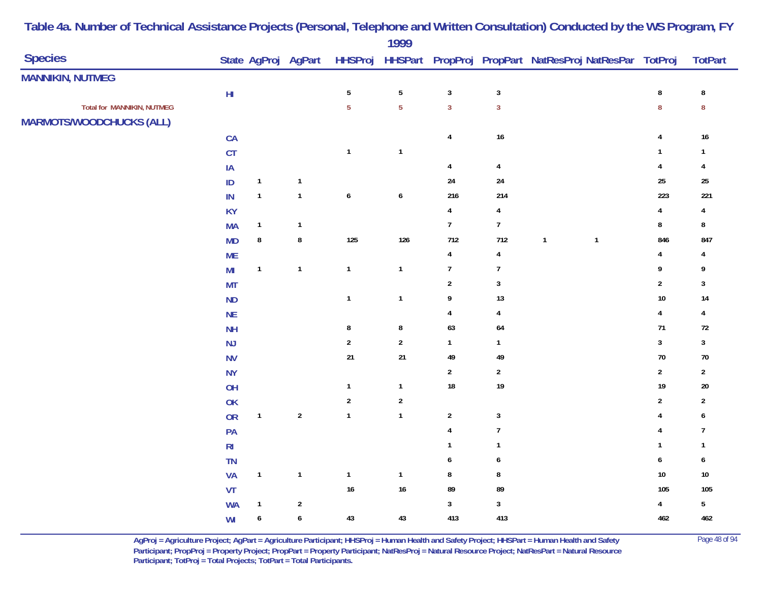|                                   |                |                  |              |                | 1999             |                         |                         |                                                                                    |              |                |                         |
|-----------------------------------|----------------|------------------|--------------|----------------|------------------|-------------------------|-------------------------|------------------------------------------------------------------------------------|--------------|----------------|-------------------------|
| <b>Species</b>                    |                |                  |              |                |                  |                         |                         | State AgProj AgPart HHSProj HHSPart PropProj PropPart NatResProj NatResPar TotProj |              |                | <b>TotPart</b>          |
| <b>MANNIKIN, NUTMEG</b>           |                |                  |              |                |                  |                         |                         |                                                                                    |              |                |                         |
|                                   | ${\sf HI}$     |                  |              | $\sqrt{5}$     | $\sqrt{5}$       | $\sqrt{3}$              | $\sqrt{3}$              |                                                                                    |              | ${\bf 8}$      | $\bf 8$                 |
| <b>Total for MANNIKIN, NUTMEG</b> |                |                  |              | $\overline{5}$ | $\overline{5}$   | $\overline{3}$          | $\overline{3}$          |                                                                                    |              | $\bf 8$        | ${\bf 8}$               |
| <b>MARMOTS/WOODCHUCKS (ALL)</b>   |                |                  |              |                |                  |                         |                         |                                                                                    |              |                |                         |
|                                   | CA             |                  |              |                |                  | $\overline{\mathbf{4}}$ | 16                      |                                                                                    |              | 4              | $16\,$                  |
|                                   | CT             |                  |              | $\mathbf{1}$   | $\mathbf{1}$     |                         |                         |                                                                                    |              | $\mathbf{1}$   | 1                       |
|                                   | $\sf IA$       |                  |              |                |                  | $\overline{\mathbf{4}}$ | $\overline{4}$          |                                                                                    |              | 4              | 4                       |
|                                   | $\mathsf{ID}$  | $\mathbf{1}$     | $\mathbf{1}$ |                |                  | $24\,$                  | $24\,$                  |                                                                                    |              | 25             | $25\,$                  |
|                                   | IN             | $\mathbf{1}$     | $\mathbf{1}$ | $\pmb{6}$      | $\boldsymbol{6}$ | 216                     | 214                     |                                                                                    |              | 223            | 221                     |
|                                   | <b>KY</b>      |                  |              |                |                  | $\overline{\mathbf{4}}$ | $\overline{\mathbf{r}}$ |                                                                                    |              | 4              | $\overline{\mathbf{4}}$ |
|                                   | <b>MA</b>      | $\mathbf{1}$     | $\mathbf{1}$ |                |                  | $\boldsymbol{7}$        | $\overline{7}$          |                                                                                    |              | 8              | 8                       |
|                                   | MD             | $\bf 8$          | ${\bf 8}$    | 125            | 126              | 712                     | 712                     | $\mathbf{1}$                                                                       | $\mathbf{1}$ | 846            | 847                     |
|                                   | <b>ME</b>      |                  |              |                |                  | $\pmb{4}$               | $\overline{4}$          |                                                                                    |              | 4              | 4                       |
|                                   | M <sub>l</sub> | $\mathbf{1}$     | $\mathbf{1}$ | $\mathbf{1}$   | $\mathbf{1}$     | $\boldsymbol{7}$        | $\overline{1}$          |                                                                                    |              | 9              | 9                       |
|                                   | <b>MT</b>      |                  |              |                |                  | $\sqrt{2}$              | $\overline{\mathbf{3}}$ |                                                                                    |              | $\mathbf{2}$   | $\mathbf{3}$            |
|                                   | ND             |                  |              | $\mathbf{1}$   | $\mathbf{1}$     | 9                       | 13                      |                                                                                    |              | $10\,$         | $14$                    |
|                                   | NE             |                  |              |                |                  | $\overline{4}$          | $\overline{4}$          |                                                                                    |              | 4              | $\overline{4}$          |
|                                   | <b>NH</b>      |                  |              | 8              | $\bf 8$          | 63                      | 64                      |                                                                                    |              | 71             | $72\,$                  |
|                                   | NJ             |                  |              | $\sqrt{2}$     | $\boldsymbol{2}$ | $\mathbf 1$             | $\mathbf{1}$            |                                                                                    |              | $\mathbf{3}$   | $\mathbf{3}$            |
|                                   | <b>NV</b>      |                  |              | $21$           | 21               | 49                      | 49                      |                                                                                    |              | 70             | $70\,$                  |
|                                   | <b>NY</b>      |                  |              |                |                  | $\sqrt{2}$              | $\sqrt{2}$              |                                                                                    |              | $\sqrt{2}$     | $\mathbf{2}$            |
|                                   | OH             |                  |              | $\mathbf{1}$   | $\mathbf{1}$     | $18\,$                  | 19                      |                                                                                    |              | 19             | $20\,$                  |
|                                   | OK             |                  |              | $\sqrt{2}$     | $\boldsymbol{2}$ |                         |                         |                                                                                    |              | 2              | $\mathbf{2}$            |
|                                   | <b>OR</b>      | $\mathbf{1}$     | $\sqrt{2}$   | $\mathbf{1}$   | $\mathbf{1}$     | $\sqrt{2}$              | $\sqrt{3}$              |                                                                                    |              | 4              | 6                       |
|                                   | PA             |                  |              |                |                  | $\overline{\mathbf{4}}$ | $\boldsymbol{7}$        |                                                                                    |              | 4              | 7                       |
|                                   | $\mathsf{RI}$  |                  |              |                |                  | $\mathbf{1}$            | $\mathbf{1}$            |                                                                                    |              | $\overline{1}$ | $\mathbf{1}$            |
|                                   | TN             |                  |              |                |                  | 6                       | $\pmb{6}$               |                                                                                    |              | 6              | 6                       |
|                                   | VA             | $\mathbf{1}$     | $\mathbf{1}$ | $\mathbf{1}$   | $\mathbf{1}$     | $\bf 8$                 | $\bf 8$                 |                                                                                    |              | $10$           | $10\,$                  |
|                                   | VT             |                  |              | $16\,$         | 16               | 89                      | 89                      |                                                                                    |              | 105            | 105                     |
|                                   | <b>WA</b>      | $\overline{1}$   | $\sqrt{2}$   |                |                  | $\sqrt{3}$              | $\sqrt{3}$              |                                                                                    |              | $\overline{4}$ | $\overline{5}$          |
|                                   | WI             | $\boldsymbol{6}$ | $\pmb{6}$    | $43\,$         | 43               | 413                     | 413                     |                                                                                    |              | 462            | 462                     |
|                                   |                |                  |              |                |                  |                         |                         |                                                                                    |              |                |                         |

> **AgProj = Agriculture Project; AgPart = Agriculture Participant; HHSProj = Human Health and Safety Project; HHSPart = Human Health and Safety** Page 48 of 94 **Participant; PropProj = Property Project; PropPart = Property Participant; NatResProj = Natural Resource Project; NatResPart = Natural Resource**  Participant; TotProj = Total Projects; TotPart = Total Participants.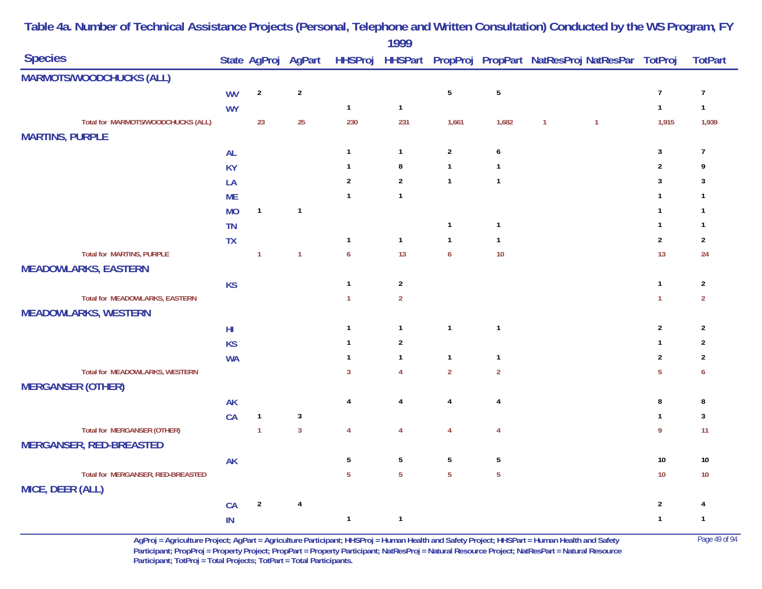|                                       |           |                |                         |                  | 1777           |                  |                 |              |                                                        |                |                |
|---------------------------------------|-----------|----------------|-------------------------|------------------|----------------|------------------|-----------------|--------------|--------------------------------------------------------|----------------|----------------|
| <b>Species</b>                        |           |                | State AgProj AgPart     | <b>HHSProj</b>   |                |                  |                 |              | HHSPart PropProj PropPart NatResProj NatResPar TotProj |                | <b>TotPart</b> |
| <b>MARMOTS/WOODCHUCKS (ALL)</b>       |           |                |                         |                  |                |                  |                 |              |                                                        |                |                |
|                                       | <b>WV</b> | $\overline{2}$ | $\sqrt{2}$              |                  |                | $\sqrt{5}$       | $5\phantom{.0}$ |              |                                                        | $\overline{7}$ | $\overline{7}$ |
|                                       | <b>WY</b> |                |                         | $\mathbf{1}$     | $\mathbf{1}$   |                  |                 |              |                                                        | $\mathbf{1}$   | $\mathbf{1}$   |
| Total for MARMOTS/WOODCHUCKS (ALL)    |           | 23             | 25                      | 230              | 231            | 1,661            | 1,682           | $\mathbf{1}$ | $\overline{1}$                                         | 1,915          | 1,939          |
| <b>MARTINS, PURPLE</b>                |           |                |                         |                  |                |                  |                 |              |                                                        |                |                |
|                                       | AL        |                |                         | $\overline{1}$   | $\mathbf{1}$   | $\mathbf{2}$     | 6               |              |                                                        | $\mathbf{3}$   | $\overline{7}$ |
|                                       | <b>KY</b> |                |                         | $\mathbf{1}$     | 8              | $\mathbf{1}$     | $\mathbf{1}$    |              |                                                        | $\sqrt{2}$     | 9              |
|                                       | LA        |                |                         | $\overline{2}$   | $\overline{2}$ | $\mathbf{1}$     | $\mathbf{1}$    |              |                                                        | $\mathbf{3}$   | 3              |
|                                       | <b>ME</b> |                |                         | $\mathbf{1}$     | $\mathbf{1}$   |                  |                 |              |                                                        | $\mathbf{1}$   | $\mathbf{1}$   |
|                                       | <b>MO</b> | $\mathbf{1}$   | $\mathbf{1}$            |                  |                |                  |                 |              |                                                        | $\mathbf{1}$   | $\mathbf{1}$   |
|                                       | <b>TN</b> |                |                         |                  |                | $\mathbf{1}$     | $\mathbf{1}$    |              |                                                        | $\mathbf{1}$   | $\mathbf{1}$   |
|                                       | <b>TX</b> |                |                         | $\mathbf{1}$     | $\mathbf{1}$   | $\mathbf{1}$     | $\mathbf{1}$    |              |                                                        | $\sqrt{2}$     | $\overline{2}$ |
| <b>Total for MARTINS, PURPLE</b>      |           | $\mathbf{1}$   | $\mathbf{1}$            | $\boldsymbol{6}$ | 13             | $\boldsymbol{6}$ | 10              |              |                                                        | 13             | 24             |
| <b>MEADOWLARKS, EASTERN</b>           |           |                |                         |                  |                |                  |                 |              |                                                        |                |                |
|                                       | <b>KS</b> |                |                         | $\mathbf{1}$     | $\overline{2}$ |                  |                 |              |                                                        | $\mathbf{1}$   | $\overline{2}$ |
| Total for MEADOWLARKS, EASTERN        |           |                |                         | $\mathbf{1}$     | $\overline{2}$ |                  |                 |              |                                                        | $\overline{1}$ | $\overline{2}$ |
| <b>MEADOWLARKS, WESTERN</b>           |           |                |                         |                  |                |                  |                 |              |                                                        |                |                |
|                                       | $H\!I$    |                |                         | $\overline{1}$   | $\mathbf{1}$   | $\mathbf{1}$     | $\mathbf{1}$    |              |                                                        | $\overline{2}$ | $\overline{2}$ |
|                                       | <b>KS</b> |                |                         | $\mathbf{1}$     | $\overline{2}$ |                  |                 |              |                                                        | $\mathbf{1}$   | $\overline{2}$ |
|                                       | <b>WA</b> |                |                         | $\overline{1}$   | $\mathbf{1}$   | $\mathbf{1}$     | $\mathbf{1}$    |              |                                                        | $\overline{2}$ | $\overline{2}$ |
| <b>Total for MEADOWLARKS, WESTERN</b> |           |                |                         | $\mathbf{3}$     | $\overline{4}$ | $\overline{2}$   | $\overline{2}$  |              |                                                        | $\overline{5}$ | 6              |
| <b>MERGANSER (OTHER)</b>              |           |                |                         |                  |                |                  |                 |              |                                                        |                |                |
|                                       | <b>AK</b> |                |                         | $\overline{4}$   | $\overline{4}$ | $\overline{4}$   | $\overline{4}$  |              |                                                        | $\bf 8$        | 8              |
|                                       | CA        | $\mathbf{1}$   | $\sqrt{3}$              |                  |                |                  |                 |              |                                                        | $\mathbf{1}$   | $\mathbf{3}$   |
| <b>Total for MERGANSER (OTHER)</b>    |           | $\mathbf{1}$   | $\overline{3}$          | $\overline{4}$   | $\overline{4}$ | $\overline{4}$   | $\overline{4}$  |              |                                                        | $\overline{9}$ | 11             |
| <b>MERGANSER, RED-BREASTED</b>        |           |                |                         |                  |                |                  |                 |              |                                                        |                |                |
|                                       | <b>AK</b> |                |                         | 5                | $\overline{5}$ | $5\phantom{.0}$  | $5\phantom{.0}$ |              |                                                        | $10\,$         | $10\,$         |
| Total for MERGANSER, RED-BREASTED     |           |                |                         | $5^{\circ}$      | $\overline{5}$ | $\overline{5}$   | $5\phantom{a}$  |              |                                                        | 10             | $10$           |
| MICE, DEER (ALL)                      |           |                |                         |                  |                |                  |                 |              |                                                        |                |                |
|                                       | CA        | $\sqrt{2}$     | $\overline{\mathbf{4}}$ |                  |                |                  |                 |              |                                                        | $\overline{2}$ | 4              |
|                                       | IN        |                |                         | $\mathbf{1}$     | $\mathbf{1}$   |                  |                 |              |                                                        | $\mathbf{1}$   | $\mathbf{1}$   |
|                                       |           |                |                         |                  |                |                  |                 |              |                                                        |                |                |

> **AgProj = Agriculture Project; AgPart = Agriculture Participant; HHSProj = Human Health and Safety Project; HHSPart = Human Health and Safety** Page 49 of 94 **Participant; PropProj = Property Project; PropPart = Property Participant; NatResProj = Natural Resource Project; NatResPart = Natural Resource**  Participant; TotProj = Total Projects; TotPart = Total Participants.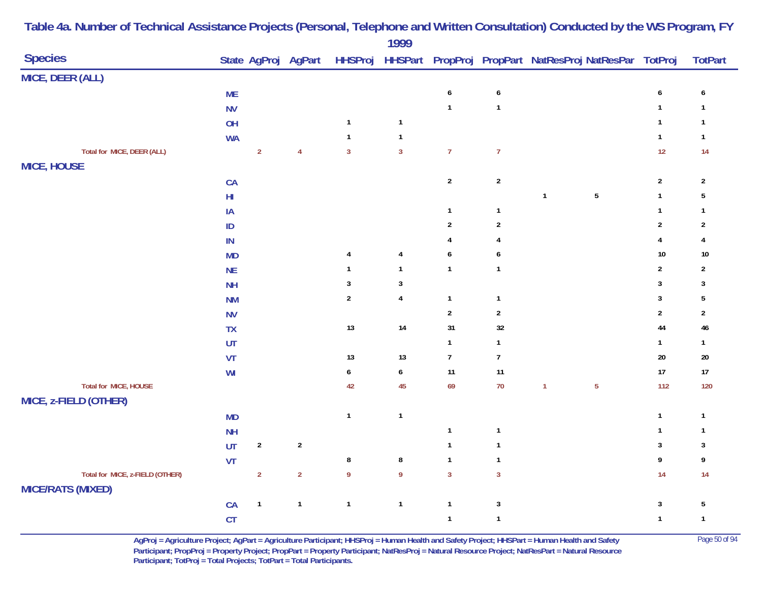| <b>Species</b>                                              |            |                |                |                  | .                       |                  |                  | State AgProj AgPart HHSProj HHSPart PropProj PropPart NatResProj NatResPar TotProj |                  | <b>TotPart</b>   |
|-------------------------------------------------------------|------------|----------------|----------------|------------------|-------------------------|------------------|------------------|------------------------------------------------------------------------------------|------------------|------------------|
| MICE, DEER (ALL)                                            |            |                |                |                  |                         |                  |                  |                                                                                    |                  |                  |
|                                                             | <b>ME</b>  |                |                |                  |                         | $\pmb{6}$        | $\boldsymbol{6}$ |                                                                                    | $\boldsymbol{6}$ | 6                |
|                                                             | <b>NV</b>  |                |                |                  |                         | $\mathbf{1}$     | $\mathbf{1}$     |                                                                                    | $\mathbf{1}$     | $\mathbf{1}$     |
|                                                             | OH         |                |                | $\mathbf{1}$     | $\mathbf{1}$            |                  |                  |                                                                                    | $\mathbf{1}$     | $\mathbf{1}$     |
|                                                             | <b>WA</b>  |                |                | $\mathbf{1}$     | $\mathbf{1}$            |                  |                  |                                                                                    | $\mathbf{1}$     | $\mathbf{1}$     |
| Total for MICE, DEER (ALL)                                  |            | $\overline{2}$ | $\overline{4}$ | $\overline{3}$   | $\overline{3}$          | $\overline{7}$   | $\overline{7}$   |                                                                                    | 12               | 14               |
| <b>MICE, HOUSE</b>                                          |            |                |                |                  |                         |                  |                  |                                                                                    |                  |                  |
|                                                             | ${\sf CA}$ |                |                |                  |                         | $\sqrt{2}$       | $\sqrt{2}$       |                                                                                    | $\boldsymbol{2}$ | $\overline{2}$   |
|                                                             | ${\sf HI}$ |                |                |                  |                         |                  |                  | $\sqrt{5}$<br>$\mathbf{1}$                                                         | $\mathbf{1}$     | $\sqrt{5}$       |
|                                                             | IA         |                |                |                  |                         | $\mathbf{1}$     | $\mathbf{1}$     |                                                                                    | $\mathbf{1}$     | $\mathbf{1}$     |
|                                                             | $\sf ID$   |                |                |                  |                         | $\mathbf{2}$     | $\sqrt{2}$       |                                                                                    | $\overline{2}$   | $\boldsymbol{2}$ |
|                                                             | IN         |                |                |                  |                         | 4                | $\overline{4}$   |                                                                                    | $\pmb{4}$        | $\overline{4}$   |
|                                                             | <b>MD</b>  |                |                | $\overline{4}$   | $\overline{\mathbf{4}}$ | $\boldsymbol{6}$ | $\boldsymbol{6}$ |                                                                                    | $10\,$           | $10\,$           |
|                                                             | <b>NE</b>  |                |                | $\mathbf{1}$     | $\mathbf{1}$            | $\mathbf{1}$     | $\mathbf{1}$     |                                                                                    | $\sqrt{2}$       | $\overline{2}$   |
|                                                             | <b>NH</b>  |                |                | $\mathbf{3}$     | $\sqrt{3}$              |                  |                  |                                                                                    | $\mathbf 3$      | $\mathbf{3}$     |
|                                                             | <b>NM</b>  |                |                | $\overline{2}$   | $\pmb{4}$               | $\mathbf{1}$     | $\mathbf{1}$     |                                                                                    | $\mathbf 3$      | $\sqrt{5}$       |
|                                                             | <b>NV</b>  |                |                |                  |                         | $\sqrt{2}$       | $\overline{c}$   |                                                                                    | $\sqrt{2}$       | $\overline{2}$   |
|                                                             | <b>TX</b>  |                |                | $13$             | 14                      | 31               | 32               |                                                                                    | 44               | $46\,$           |
|                                                             | UT         |                |                |                  |                         | $\mathbf{1}$     | $\mathbf{1}$     |                                                                                    | $\mathbf{1}$     | $\mathbf{1}$     |
|                                                             | VT         |                |                | 13               | $13$                    | $\overline{7}$   | $\boldsymbol{7}$ |                                                                                    | $20\,$           | $20\,$           |
|                                                             | WI         |                |                | 6                | $\boldsymbol{6}$        | 11               | 11               |                                                                                    | $17\,$           | $17$             |
| Total for MICE, HOUSE                                       |            |                |                | 42               | 45                      | 69               | $70$             | $\overline{5}$<br>$\mathbf{1}$                                                     | 112              | 120              |
| MICE, z-FIELD (OTHER)                                       |            |                |                |                  |                         |                  |                  |                                                                                    |                  |                  |
|                                                             | <b>MD</b>  |                |                | $\mathbf{1}$     | $\mathbf{1}$            |                  |                  |                                                                                    | $\mathbf{1}$     | $\mathbf{1}$     |
|                                                             | NH         |                |                |                  |                         | $\mathbf{1}$     | $\mathbf{1}$     |                                                                                    | $\mathbf{1}$     | $\mathbf{1}$     |
|                                                             | UT         | $\sqrt{2}$     | $\sqrt{2}$     |                  |                         | $\mathbf{1}$     | $\mathbf{1}$     |                                                                                    | $\sqrt{3}$       | $\mathbf{3}$     |
|                                                             | VT         |                |                | $\bf 8$          | $\bf 8$                 | $\mathbf{1}$     | $\mathbf{1}$     |                                                                                    | $\boldsymbol{9}$ | 9                |
| Total for MICE, z-FIELD (OTHER)<br><b>MICE/RATS (MIXED)</b> |            | $\overline{2}$ | $\mathbf 2$    | $\boldsymbol{9}$ | $\boldsymbol{9}$        | $\overline{3}$   | $\overline{3}$   |                                                                                    | 14               | 14               |
|                                                             | CA         | $\mathbf{1}$   | $\mathbf{1}$   | $\mathbf{1}$     | $\mathbf{1}$            | $\mathbf{1}$     | $\mathbf{3}$     |                                                                                    | $\sqrt{3}$       | $5\,$            |
|                                                             | CT         |                |                |                  |                         | $\mathbf{1}$     | $\mathbf{1}$     |                                                                                    | $\mathbf{1}$     | $\mathbf{1}$     |

> **AgProj = Agriculture Project; AgPart = Agriculture Participant; HHSProj = Human Health and Safety Project; HHSPart = Human Health and Safety** Page 50 of 94 **Participant; PropProj = Property Project; PropPart = Property Participant; NatResProj = Natural Resource Project; NatResPart = Natural Resource**  Participant; TotProj = Total Projects; TotPart = Total Participants.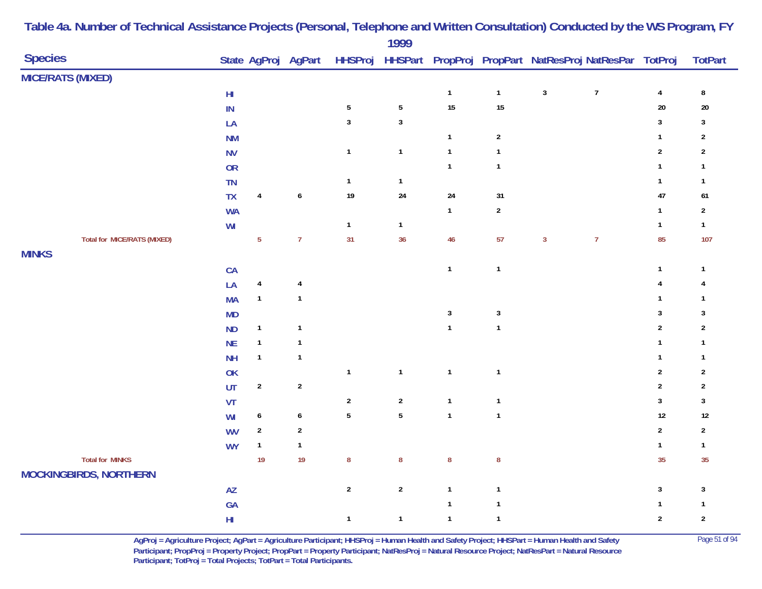| <b>Species</b>                     |                         |                         | State AgProj AgPart     |                  | ,,,,             |              |                |              | HHSProj HHSPart PropProj PropPart NatResProj NatResPar TotProj |                         | <b>TotPart</b>          |
|------------------------------------|-------------------------|-------------------------|-------------------------|------------------|------------------|--------------|----------------|--------------|----------------------------------------------------------------|-------------------------|-------------------------|
| <b>MICE/RATS (MIXED)</b>           |                         |                         |                         |                  |                  |              |                |              |                                                                |                         |                         |
|                                    | $\mathsf{H} \mathsf{I}$ |                         |                         |                  |                  | $\mathbf{1}$ | $\mathbf{1}$   | $\mathbf{3}$ | $\overline{7}$                                                 | $\overline{\mathbf{4}}$ | $\bf 8$                 |
|                                    | $\mathsf{IN}$           |                         |                         | $\sqrt{5}$       | $\sqrt{5}$       | 15           | 15             |              |                                                                | $20\,$                  | $20\,$                  |
|                                    | LA                      |                         |                         | $\sqrt{3}$       | $\mathbf 3$      |              |                |              |                                                                | $\sqrt{3}$              | $\mathbf{3}$            |
|                                    | <b>NM</b>               |                         |                         |                  |                  | $\mathbf{1}$ | $\overline{2}$ |              |                                                                | $\mathbf{1}$            | $\overline{2}$          |
|                                    | <b>NV</b>               |                         |                         | $\mathbf{1}$     | $\mathbf{1}$     | $\mathbf{1}$ | $\mathbf{1}$   |              |                                                                | $\sqrt{2}$              | $\mathbf{2}$            |
|                                    | OR                      |                         |                         |                  |                  | $\mathbf{1}$ | $\mathbf{1}$   |              |                                                                | $\mathbf{1}$            | $\mathbf{1}$            |
|                                    | TN                      |                         |                         | $\mathbf{1}$     | $\mathbf{1}$     |              |                |              |                                                                | $\mathbf{1}$            | $\mathbf{1}$            |
|                                    | <b>TX</b>               | $\pmb{4}$               | $\pmb{6}$               | 19               | 24               | 24           | 31             |              |                                                                | 47                      | 61                      |
|                                    | <b>WA</b>               |                         |                         |                  |                  | $\mathbf{1}$ | $\sqrt{2}$     |              |                                                                | $\mathbf{1}$            | $\boldsymbol{2}$        |
|                                    | WI                      |                         |                         | $\mathbf{1}$     | $\mathbf{1}$     |              |                |              |                                                                | $\mathbf{1}$            | $\mathbf{1}$            |
| <b>Total for MICE/RATS (MIXED)</b> |                         | $5\phantom{a}$          | $\overline{7}$          | 31               | 36               | $46\,$       | 57             | $\mathbf{3}$ | $\overline{7}$                                                 | 85                      | 107                     |
| <b>MINKS</b>                       |                         |                         |                         |                  |                  |              |                |              |                                                                |                         |                         |
|                                    | CA                      |                         |                         |                  |                  | $\mathbf{1}$ | $\mathbf{1}$   |              |                                                                | $\mathbf{1}$            | $\mathbf{1}$            |
|                                    | LA                      | $\overline{\mathbf{4}}$ | $\overline{\mathbf{r}}$ |                  |                  |              |                |              |                                                                | $\overline{4}$          | 4                       |
|                                    | <b>MA</b>               | $\mathbf{1}$            | $\mathbf{1}$            |                  |                  |              |                |              |                                                                | $\mathbf{1}$            | $\mathbf{1}$            |
|                                    | MD                      |                         |                         |                  |                  | $\mathbf{3}$ | $\mathbf{3}$   |              |                                                                | $\sqrt{3}$              | $\sqrt{3}$              |
|                                    | ND                      | $\mathbf{1}$            | $\mathbf{1}$            |                  |                  | $\mathbf{1}$ | $\mathbf{1}$   |              |                                                                | $\sqrt{2}$              | $\sqrt{2}$              |
|                                    | NE                      | $\mathbf{1}$            | $\mathbf{1}$            |                  |                  |              |                |              |                                                                | $\mathbf{1}$            | $\mathbf{1}$            |
|                                    | NH                      | $\mathbf{1}$            | $\mathbf{1}$            |                  |                  |              |                |              |                                                                | $\mathbf{1}$            | $\mathbf{1}$            |
|                                    | OK                      |                         |                         | $\mathbf{1}$     | $\mathbf{1}$     | $\mathbf{1}$ | $\mathbf{1}$   |              |                                                                | $\boldsymbol{2}$        | $\overline{\mathbf{c}}$ |
|                                    | UT                      | $\sqrt{2}$              | $\sqrt{2}$              |                  |                  |              |                |              |                                                                | $\sqrt{2}$              | $\overline{2}$          |
|                                    | VT                      |                         |                         | $\sqrt{2}$       | $\boldsymbol{2}$ | $\mathbf{1}$ | $\mathbf{1}$   |              |                                                                | $\sqrt{3}$              | $\mathbf{3}$            |
|                                    | WI                      | $\boldsymbol{6}$        | $\pmb{6}$               | $\sqrt{5}$       | ${\bf 5}$        | $\mathbf{1}$ | $\mathbf{1}$   |              |                                                                | $12\,$                  | $12\,$                  |
|                                    | <b>WV</b>               | $\overline{2}$          | $\overline{2}$          |                  |                  |              |                |              |                                                                | $\overline{2}$          | $\overline{2}$          |
|                                    | <b>WY</b>               | $\mathbf{1}$            | $\mathbf{1}$            |                  |                  |              |                |              |                                                                | $\mathbf{1}$            | $\mathbf{1}$            |
| <b>Total for MINKS</b>             |                         | 19                      | 19                      | $\boldsymbol{8}$ | ${\bf 8}$        | ${\bf 8}$    | $\bf 8$        |              |                                                                | 35                      | 35                      |
| <b>MOCKINGBIRDS, NORTHERN</b>      |                         |                         |                         |                  |                  |              |                |              |                                                                |                         |                         |
|                                    | AZ                      |                         |                         | $\sqrt{2}$       | $\mathbf 2$      | $\mathbf{1}$ | $\mathbf{1}$   |              |                                                                | $\sqrt{3}$              | $\mathbf{3}$            |
|                                    | GA                      |                         |                         |                  |                  | $\mathbf{1}$ | $\mathbf{1}$   |              |                                                                | $\mathbf{1}$            | $\mathbf{1}$            |
|                                    | $\mathsf{HI}$           |                         |                         | $\mathbf{1}$     | $\mathbf{1}$     | $\mathbf{1}$ | $\mathbf{1}$   |              |                                                                | $\overline{2}$          | $\boldsymbol{2}$        |

**AgProj = Agriculture Project; AgPart = Agriculture Participant; HHSProj = Human Health and Safety Project; HHSPart = Human Health and Safety** Page 51 of 94 **Participant; PropProj = Property Project; PropPart = Property Participant; NatResProj = Natural Resource Project; NatResPart = Natural Resource**  Participant; TotProj = Total Projects; TotPart = Total Participants.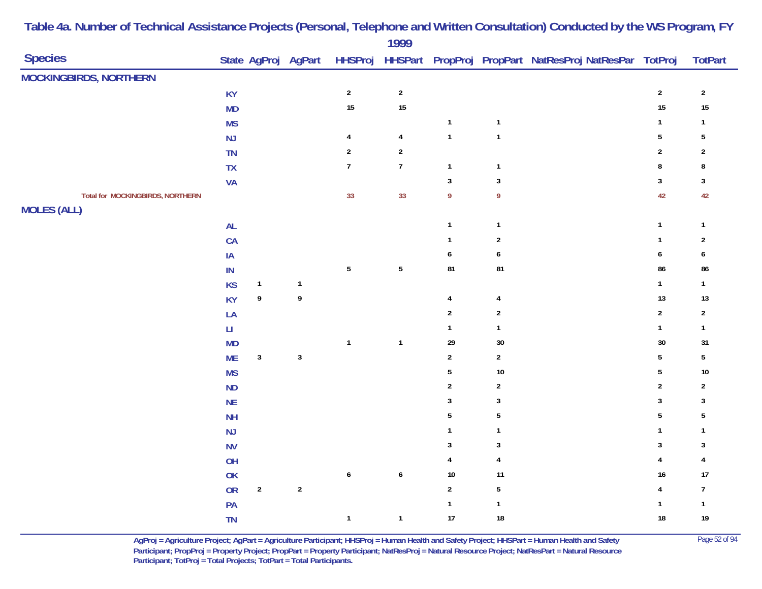|                                         |                        |                  |                     |                  | .                |                  |                  |                                                                |                |                  |
|-----------------------------------------|------------------------|------------------|---------------------|------------------|------------------|------------------|------------------|----------------------------------------------------------------|----------------|------------------|
| <b>Species</b>                          |                        |                  | State AgProj AgPart |                  |                  |                  |                  | HHSProj HHSPart PropProj PropPart NatResProj NatResPar TotProj |                | <b>TotPart</b>   |
| <b>MOCKINGBIRDS, NORTHERN</b>           |                        |                  |                     |                  |                  |                  |                  |                                                                |                |                  |
|                                         | <b>KY</b>              |                  |                     | $\sqrt{2}$       | $\sqrt{2}$       |                  |                  |                                                                | $\sqrt{2}$     | $\sqrt{2}$       |
|                                         | <b>MD</b>              |                  |                     | 15               | 15               |                  |                  |                                                                | 15             | 15               |
|                                         | <b>MS</b>              |                  |                     |                  |                  | $\mathbf{1}$     | $\mathbf{1}$     |                                                                | $\mathbf{1}$   | $\mathbf{1}$     |
|                                         | NJ                     |                  |                     | $\overline{4}$   | $\overline{4}$   | $\mathbf{1}$     | $\mathbf{1}$     |                                                                | $\sqrt{5}$     | 5                |
|                                         | TN                     |                  |                     | $\sqrt{2}$       | $\sqrt{2}$       |                  |                  |                                                                | $\overline{2}$ | $\overline{2}$   |
|                                         | $TX$                   |                  |                     | $\overline{7}$   | $\boldsymbol{7}$ | $\overline{1}$   | $\mathbf{1}$     |                                                                | 8              | 8                |
|                                         | <b>VA</b>              |                  |                     |                  |                  | $\sqrt{3}$       | $\sqrt{3}$       |                                                                | 3              | $\mathbf{3}$     |
| <b>Total for MOCKINGBIRDS, NORTHERN</b> |                        |                  |                     | 33               | 33               | $\boldsymbol{9}$ | 9                |                                                                | 42             | 42               |
| <b>MOLES (ALL)</b>                      |                        |                  |                     |                  |                  |                  |                  |                                                                |                |                  |
|                                         | <b>AL</b>              |                  |                     |                  |                  | $\overline{1}$   | $\mathbf{1}$     |                                                                | $\mathbf{1}$   | $\mathbf{1}$     |
|                                         | CA                     |                  |                     |                  |                  | $\overline{1}$   | $\boldsymbol{2}$ |                                                                | $\mathbf{1}$   | $\sqrt{2}$       |
|                                         | $\sf IA$               |                  |                     |                  |                  | $\boldsymbol{6}$ | $\boldsymbol{6}$ |                                                                | 6              | $\boldsymbol{6}$ |
|                                         | $\mathsf{IN}$          |                  |                     | $5\phantom{a}$   | $\sqrt{5}$       | 81               | 81               |                                                                | 86             | 86               |
|                                         | <b>KS</b>              | $\mathbf{1}$     | $\mathbf{1}$        |                  |                  |                  |                  |                                                                | $\mathbf{1}$   | $\mathbf{1}$     |
|                                         | <b>KY</b>              | 9                | $\boldsymbol{9}$    |                  |                  | $\overline{4}$   | $\overline{4}$   |                                                                | 13             | $13$             |
|                                         | LA                     |                  |                     |                  |                  | $\overline{2}$   | $\sqrt{2}$       |                                                                | $\sqrt{2}$     | $\sqrt{2}$       |
|                                         | $\mathsf{L}\mathsf{I}$ |                  |                     |                  |                  | $\mathbf{1}$     | $\mathbf{1}$     |                                                                | $\mathbf{1}$   | $\mathbf{1}$     |
|                                         | <b>MD</b>              |                  |                     | $\overline{1}$   | $\mathbf{1}$     | 29               | $30\,$           |                                                                | 30             | 31               |
|                                         | <b>ME</b>              | $\mathbf{3}$     | $\mathbf{3}$        |                  |                  | $\overline{2}$   | $\overline{2}$   |                                                                | $\sqrt{5}$     | $5\,$            |
|                                         | <b>MS</b>              |                  |                     |                  |                  | 5                | $10\,$           |                                                                | 5              | $10\,$           |
|                                         | ND                     |                  |                     |                  |                  | $\overline{2}$   | $\boldsymbol{2}$ |                                                                | $\overline{2}$ | $\boldsymbol{2}$ |
|                                         | <b>NE</b>              |                  |                     |                  |                  | 3                | $\mathbf{3}$     |                                                                | 3              | 3                |
|                                         | NH                     |                  |                     |                  |                  | $5\,$            | $5\,$            |                                                                | $5\,$          | $5\,$            |
|                                         | NJ                     |                  |                     |                  |                  | $\mathbf{1}$     | $\mathbf{1}$     |                                                                | 1              | 1                |
|                                         | <b>NV</b>              |                  |                     |                  |                  | $\mathbf{3}$     | $\mathbf{3}$     |                                                                | 3              | 3                |
|                                         | OH                     |                  |                     |                  |                  | 4                | $\overline{4}$   |                                                                | $\overline{4}$ | $\overline{4}$   |
|                                         | $\mathsf{OK}$          |                  |                     | $\boldsymbol{6}$ | $\pmb{6}$        | $10$             | 11               |                                                                | 16             | 17               |
|                                         | ${\sf OR}$             | $\boldsymbol{2}$ | $\sqrt{2}$          |                  |                  | $\overline{2}$   | $\sqrt{5}$       |                                                                | 4              | $\overline{7}$   |
|                                         | PA                     |                  |                     |                  |                  | $\mathbf{1}$     | $\mathbf{1}$     |                                                                | 1              | $\mathbf{1}$     |
|                                         | <b>TN</b>              |                  |                     | $\mathbf{1}$     | $\mathbf{1}$     | 17               | $18\,$           |                                                                | $18\,$         | 19               |

> **AgProj = Agriculture Project; AgPart = Agriculture Participant; HHSProj = Human Health and Safety Project; HHSPart = Human Health and Safety** Page 52 of 94 **Participant; PropProj = Property Project; PropPart = Property Participant; NatResProj = Natural Resource Project; NatResPart = Natural Resource**  Participant; TotProj = Total Projects; TotPart = Total Participants.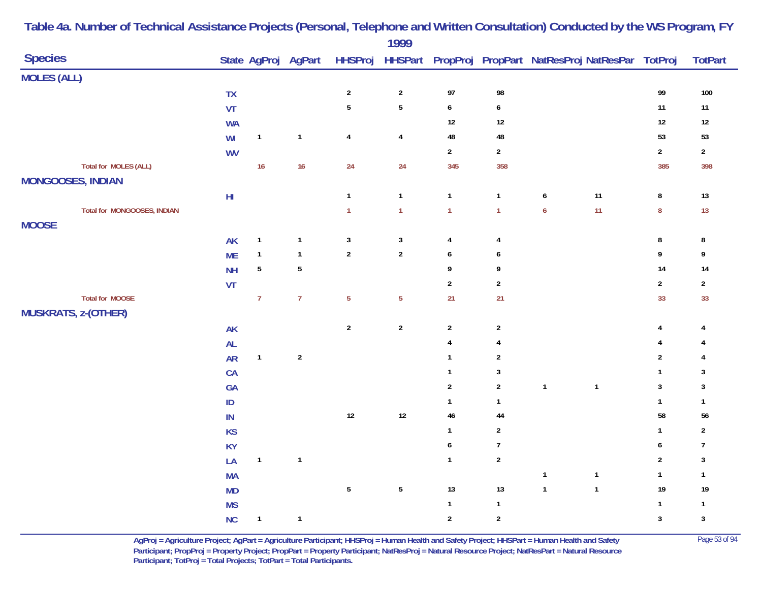| <b>Species</b><br>State AgProj AgPart<br>HHSProj HHSPart PropProj PropPart NatResProj NatResPar TotProj<br><b>MOLES (ALL)</b><br>98<br>99<br>$\overline{2}$<br>$\sqrt{2}$<br>97<br>${\sf TX}$<br>$\overline{5}$<br>$\sqrt{5}$<br>$11$<br>VT<br>$\boldsymbol{6}$<br>$\boldsymbol{6}$<br>$12$<br>$12\,$<br>12<br><b>WA</b><br>48<br>53<br>$\mathbf{1}$<br>$\overline{4}$<br>48<br>WI<br>$\mathbf{1}$<br>$\overline{4}$<br>$\overline{2}$<br>$\overline{2}$<br>$\boldsymbol{2}$<br><b>WV</b><br><b>Total for MOLES (ALL)</b><br>16<br>16<br>24<br>24<br>345<br>358<br>385<br><b>MONGOOSES, INDIAN</b><br>11<br>$\mathbf{1}$<br>$\mathbf{1}$<br>$\bf 8$<br>$\mathsf{H} \mathsf{I}$<br>$\mathbf{1}$<br>$\mathbf{1}$<br>6<br>11<br>$\pmb{8}$<br>$\mathbf{1}$<br>$\mathbf{1}$<br>$\boldsymbol{6}$<br>Total for MONGOOSES, INDIAN<br>$\mathbf{1}$<br>$\mathbf{1}$<br><b>MOOSE</b><br>$\mathbf{1}$<br>$\mathbf{3}$<br>$\mathbf{3}$<br>$\bf 8$<br>AK<br>$\mathbf{1}$<br>4<br>4<br>$\mathbf{1}$<br>$\sqrt{2}$<br>$\overline{2}$<br>$\boldsymbol{9}$<br><b>ME</b><br>$\mathbf{1}$<br>6<br>6<br>$\sqrt{5}$<br>$\sqrt{5}$<br>14<br>9<br>9<br><b>NH</b><br>$\overline{2}$<br>VT<br>$\overline{2}$<br>$\boldsymbol{2}$<br><b>Total for MOOSE</b><br>$\overline{7}$<br>$\overline{7}$<br>$\overline{5}$<br>$\overline{5}$<br>21<br>33<br>21<br><b>MUSKRATS, z-(OTHER)</b><br>$\sqrt{2}$<br>$\sqrt{2}$<br>$\sqrt{2}$<br>$\sqrt{2}$<br>AK<br>4<br>AL<br>$\overline{4}$<br>$\overline{4}$<br>4<br>$\sqrt{2}$<br>$\sqrt{2}$<br><b>AR</b><br>$\mathbf{1}$<br>$\mathbf{1}$<br>$\sqrt{2}$<br>$\mathbf{3}$<br>$\mathbf{1}$<br>CA<br>$\mathbf{1}$<br>$\sqrt{2}$<br>$\mathbf{2}$<br>$\mathbf{1}$<br>$\mathbf{1}$<br>$\mathbf{3}$<br>GA<br>$\mathbf{1}$<br>$\sf ID$<br>$\mathbf{1}$<br>$\mathbf{1}$<br>$12$<br>$12\,$<br>$46\,$<br>58<br>$\sf IN$<br>44<br>$\overline{2}$<br>$\mathbf{1}$<br>$\mathsf{KS}% _{\mathsf{K}}^{\mathsf{K}}\left( \mathsf{K}\right)$<br>$\mathbf{1}$<br>$\boldsymbol{6}$<br>$\overline{7}$<br>$\pmb{6}$<br><b>KY</b><br>$\sqrt{2}$<br>$\overline{2}$<br>LA<br>$\mathbf{1}$<br>$\mathbf{1}$<br>$\mathbf{1}$<br>$\mathbf{1}$<br>$\mathbf{1}$<br>$\overline{\mathbf{1}}$<br><b>MA</b><br>$5\phantom{.0}$<br>$\sqrt{5}$<br>13<br>13<br>$\mathbf{1}$<br>$19$<br>$\mathbf{1}$<br><b>MD</b><br>$\mathbf{1}$<br><b>MS</b><br>$\mathbf{1}$<br>$\mathbf{1}$ |  |           |              |              | 1777 |            |            |  |            |                         |
|-------------------------------------------------------------------------------------------------------------------------------------------------------------------------------------------------------------------------------------------------------------------------------------------------------------------------------------------------------------------------------------------------------------------------------------------------------------------------------------------------------------------------------------------------------------------------------------------------------------------------------------------------------------------------------------------------------------------------------------------------------------------------------------------------------------------------------------------------------------------------------------------------------------------------------------------------------------------------------------------------------------------------------------------------------------------------------------------------------------------------------------------------------------------------------------------------------------------------------------------------------------------------------------------------------------------------------------------------------------------------------------------------------------------------------------------------------------------------------------------------------------------------------------------------------------------------------------------------------------------------------------------------------------------------------------------------------------------------------------------------------------------------------------------------------------------------------------------------------------------------------------------------------------------------------------------------------------------------------------------------------------------------------------------------------------------------------------------------------------------------------------------------------------------------------------------------------------------------------------------------------------------------------------------------------------------------------------------------|--|-----------|--------------|--------------|------|------------|------------|--|------------|-------------------------|
|                                                                                                                                                                                                                                                                                                                                                                                                                                                                                                                                                                                                                                                                                                                                                                                                                                                                                                                                                                                                                                                                                                                                                                                                                                                                                                                                                                                                                                                                                                                                                                                                                                                                                                                                                                                                                                                                                                                                                                                                                                                                                                                                                                                                                                                                                                                                                 |  |           |              |              |      |            |            |  |            | <b>TotPart</b>          |
|                                                                                                                                                                                                                                                                                                                                                                                                                                                                                                                                                                                                                                                                                                                                                                                                                                                                                                                                                                                                                                                                                                                                                                                                                                                                                                                                                                                                                                                                                                                                                                                                                                                                                                                                                                                                                                                                                                                                                                                                                                                                                                                                                                                                                                                                                                                                                 |  |           |              |              |      |            |            |  |            |                         |
|                                                                                                                                                                                                                                                                                                                                                                                                                                                                                                                                                                                                                                                                                                                                                                                                                                                                                                                                                                                                                                                                                                                                                                                                                                                                                                                                                                                                                                                                                                                                                                                                                                                                                                                                                                                                                                                                                                                                                                                                                                                                                                                                                                                                                                                                                                                                                 |  |           |              |              |      |            |            |  |            | 100                     |
|                                                                                                                                                                                                                                                                                                                                                                                                                                                                                                                                                                                                                                                                                                                                                                                                                                                                                                                                                                                                                                                                                                                                                                                                                                                                                                                                                                                                                                                                                                                                                                                                                                                                                                                                                                                                                                                                                                                                                                                                                                                                                                                                                                                                                                                                                                                                                 |  |           |              |              |      |            |            |  |            | $11$                    |
|                                                                                                                                                                                                                                                                                                                                                                                                                                                                                                                                                                                                                                                                                                                                                                                                                                                                                                                                                                                                                                                                                                                                                                                                                                                                                                                                                                                                                                                                                                                                                                                                                                                                                                                                                                                                                                                                                                                                                                                                                                                                                                                                                                                                                                                                                                                                                 |  |           |              |              |      |            |            |  |            | $12\,$                  |
|                                                                                                                                                                                                                                                                                                                                                                                                                                                                                                                                                                                                                                                                                                                                                                                                                                                                                                                                                                                                                                                                                                                                                                                                                                                                                                                                                                                                                                                                                                                                                                                                                                                                                                                                                                                                                                                                                                                                                                                                                                                                                                                                                                                                                                                                                                                                                 |  |           |              |              |      |            |            |  |            | 53                      |
|                                                                                                                                                                                                                                                                                                                                                                                                                                                                                                                                                                                                                                                                                                                                                                                                                                                                                                                                                                                                                                                                                                                                                                                                                                                                                                                                                                                                                                                                                                                                                                                                                                                                                                                                                                                                                                                                                                                                                                                                                                                                                                                                                                                                                                                                                                                                                 |  |           |              |              |      |            |            |  |            | $\mathbf{2}$            |
|                                                                                                                                                                                                                                                                                                                                                                                                                                                                                                                                                                                                                                                                                                                                                                                                                                                                                                                                                                                                                                                                                                                                                                                                                                                                                                                                                                                                                                                                                                                                                                                                                                                                                                                                                                                                                                                                                                                                                                                                                                                                                                                                                                                                                                                                                                                                                 |  |           |              |              |      |            |            |  |            | 398                     |
|                                                                                                                                                                                                                                                                                                                                                                                                                                                                                                                                                                                                                                                                                                                                                                                                                                                                                                                                                                                                                                                                                                                                                                                                                                                                                                                                                                                                                                                                                                                                                                                                                                                                                                                                                                                                                                                                                                                                                                                                                                                                                                                                                                                                                                                                                                                                                 |  |           |              |              |      |            |            |  |            |                         |
|                                                                                                                                                                                                                                                                                                                                                                                                                                                                                                                                                                                                                                                                                                                                                                                                                                                                                                                                                                                                                                                                                                                                                                                                                                                                                                                                                                                                                                                                                                                                                                                                                                                                                                                                                                                                                                                                                                                                                                                                                                                                                                                                                                                                                                                                                                                                                 |  |           |              |              |      |            |            |  |            | 13                      |
|                                                                                                                                                                                                                                                                                                                                                                                                                                                                                                                                                                                                                                                                                                                                                                                                                                                                                                                                                                                                                                                                                                                                                                                                                                                                                                                                                                                                                                                                                                                                                                                                                                                                                                                                                                                                                                                                                                                                                                                                                                                                                                                                                                                                                                                                                                                                                 |  |           |              |              |      |            |            |  |            | 13                      |
|                                                                                                                                                                                                                                                                                                                                                                                                                                                                                                                                                                                                                                                                                                                                                                                                                                                                                                                                                                                                                                                                                                                                                                                                                                                                                                                                                                                                                                                                                                                                                                                                                                                                                                                                                                                                                                                                                                                                                                                                                                                                                                                                                                                                                                                                                                                                                 |  |           |              |              |      |            |            |  |            |                         |
|                                                                                                                                                                                                                                                                                                                                                                                                                                                                                                                                                                                                                                                                                                                                                                                                                                                                                                                                                                                                                                                                                                                                                                                                                                                                                                                                                                                                                                                                                                                                                                                                                                                                                                                                                                                                                                                                                                                                                                                                                                                                                                                                                                                                                                                                                                                                                 |  |           |              |              |      |            |            |  |            | 8                       |
|                                                                                                                                                                                                                                                                                                                                                                                                                                                                                                                                                                                                                                                                                                                                                                                                                                                                                                                                                                                                                                                                                                                                                                                                                                                                                                                                                                                                                                                                                                                                                                                                                                                                                                                                                                                                                                                                                                                                                                                                                                                                                                                                                                                                                                                                                                                                                 |  |           |              |              |      |            |            |  |            | 9                       |
|                                                                                                                                                                                                                                                                                                                                                                                                                                                                                                                                                                                                                                                                                                                                                                                                                                                                                                                                                                                                                                                                                                                                                                                                                                                                                                                                                                                                                                                                                                                                                                                                                                                                                                                                                                                                                                                                                                                                                                                                                                                                                                                                                                                                                                                                                                                                                 |  |           |              |              |      |            |            |  |            | 14                      |
|                                                                                                                                                                                                                                                                                                                                                                                                                                                                                                                                                                                                                                                                                                                                                                                                                                                                                                                                                                                                                                                                                                                                                                                                                                                                                                                                                                                                                                                                                                                                                                                                                                                                                                                                                                                                                                                                                                                                                                                                                                                                                                                                                                                                                                                                                                                                                 |  |           |              |              |      |            |            |  |            | $\overline{\mathbf{c}}$ |
|                                                                                                                                                                                                                                                                                                                                                                                                                                                                                                                                                                                                                                                                                                                                                                                                                                                                                                                                                                                                                                                                                                                                                                                                                                                                                                                                                                                                                                                                                                                                                                                                                                                                                                                                                                                                                                                                                                                                                                                                                                                                                                                                                                                                                                                                                                                                                 |  |           |              |              |      |            |            |  |            | 33                      |
|                                                                                                                                                                                                                                                                                                                                                                                                                                                                                                                                                                                                                                                                                                                                                                                                                                                                                                                                                                                                                                                                                                                                                                                                                                                                                                                                                                                                                                                                                                                                                                                                                                                                                                                                                                                                                                                                                                                                                                                                                                                                                                                                                                                                                                                                                                                                                 |  |           |              |              |      |            |            |  |            |                         |
|                                                                                                                                                                                                                                                                                                                                                                                                                                                                                                                                                                                                                                                                                                                                                                                                                                                                                                                                                                                                                                                                                                                                                                                                                                                                                                                                                                                                                                                                                                                                                                                                                                                                                                                                                                                                                                                                                                                                                                                                                                                                                                                                                                                                                                                                                                                                                 |  |           |              |              |      |            |            |  |            | 4                       |
|                                                                                                                                                                                                                                                                                                                                                                                                                                                                                                                                                                                                                                                                                                                                                                                                                                                                                                                                                                                                                                                                                                                                                                                                                                                                                                                                                                                                                                                                                                                                                                                                                                                                                                                                                                                                                                                                                                                                                                                                                                                                                                                                                                                                                                                                                                                                                 |  |           |              |              |      |            |            |  |            |                         |
|                                                                                                                                                                                                                                                                                                                                                                                                                                                                                                                                                                                                                                                                                                                                                                                                                                                                                                                                                                                                                                                                                                                                                                                                                                                                                                                                                                                                                                                                                                                                                                                                                                                                                                                                                                                                                                                                                                                                                                                                                                                                                                                                                                                                                                                                                                                                                 |  |           |              |              |      |            |            |  |            |                         |
|                                                                                                                                                                                                                                                                                                                                                                                                                                                                                                                                                                                                                                                                                                                                                                                                                                                                                                                                                                                                                                                                                                                                                                                                                                                                                                                                                                                                                                                                                                                                                                                                                                                                                                                                                                                                                                                                                                                                                                                                                                                                                                                                                                                                                                                                                                                                                 |  |           |              |              |      |            |            |  |            | 3                       |
|                                                                                                                                                                                                                                                                                                                                                                                                                                                                                                                                                                                                                                                                                                                                                                                                                                                                                                                                                                                                                                                                                                                                                                                                                                                                                                                                                                                                                                                                                                                                                                                                                                                                                                                                                                                                                                                                                                                                                                                                                                                                                                                                                                                                                                                                                                                                                 |  |           |              |              |      |            |            |  |            | 3                       |
|                                                                                                                                                                                                                                                                                                                                                                                                                                                                                                                                                                                                                                                                                                                                                                                                                                                                                                                                                                                                                                                                                                                                                                                                                                                                                                                                                                                                                                                                                                                                                                                                                                                                                                                                                                                                                                                                                                                                                                                                                                                                                                                                                                                                                                                                                                                                                 |  |           |              |              |      |            |            |  |            | $\mathbf{1}$            |
|                                                                                                                                                                                                                                                                                                                                                                                                                                                                                                                                                                                                                                                                                                                                                                                                                                                                                                                                                                                                                                                                                                                                                                                                                                                                                                                                                                                                                                                                                                                                                                                                                                                                                                                                                                                                                                                                                                                                                                                                                                                                                                                                                                                                                                                                                                                                                 |  |           |              |              |      |            |            |  |            | ${\bf 56}$              |
|                                                                                                                                                                                                                                                                                                                                                                                                                                                                                                                                                                                                                                                                                                                                                                                                                                                                                                                                                                                                                                                                                                                                                                                                                                                                                                                                                                                                                                                                                                                                                                                                                                                                                                                                                                                                                                                                                                                                                                                                                                                                                                                                                                                                                                                                                                                                                 |  |           |              |              |      |            |            |  |            | $\overline{\mathbf{c}}$ |
|                                                                                                                                                                                                                                                                                                                                                                                                                                                                                                                                                                                                                                                                                                                                                                                                                                                                                                                                                                                                                                                                                                                                                                                                                                                                                                                                                                                                                                                                                                                                                                                                                                                                                                                                                                                                                                                                                                                                                                                                                                                                                                                                                                                                                                                                                                                                                 |  |           |              |              |      |            |            |  |            | $\overline{7}$          |
|                                                                                                                                                                                                                                                                                                                                                                                                                                                                                                                                                                                                                                                                                                                                                                                                                                                                                                                                                                                                                                                                                                                                                                                                                                                                                                                                                                                                                                                                                                                                                                                                                                                                                                                                                                                                                                                                                                                                                                                                                                                                                                                                                                                                                                                                                                                                                 |  |           |              |              |      |            |            |  |            | $\mathbf{3}$            |
|                                                                                                                                                                                                                                                                                                                                                                                                                                                                                                                                                                                                                                                                                                                                                                                                                                                                                                                                                                                                                                                                                                                                                                                                                                                                                                                                                                                                                                                                                                                                                                                                                                                                                                                                                                                                                                                                                                                                                                                                                                                                                                                                                                                                                                                                                                                                                 |  |           |              |              |      |            |            |  |            | $\mathbf{1}$            |
|                                                                                                                                                                                                                                                                                                                                                                                                                                                                                                                                                                                                                                                                                                                                                                                                                                                                                                                                                                                                                                                                                                                                                                                                                                                                                                                                                                                                                                                                                                                                                                                                                                                                                                                                                                                                                                                                                                                                                                                                                                                                                                                                                                                                                                                                                                                                                 |  |           |              |              |      |            |            |  |            | 19                      |
|                                                                                                                                                                                                                                                                                                                                                                                                                                                                                                                                                                                                                                                                                                                                                                                                                                                                                                                                                                                                                                                                                                                                                                                                                                                                                                                                                                                                                                                                                                                                                                                                                                                                                                                                                                                                                                                                                                                                                                                                                                                                                                                                                                                                                                                                                                                                                 |  |           |              |              |      |            |            |  |            | $\mathbf{1}$            |
|                                                                                                                                                                                                                                                                                                                                                                                                                                                                                                                                                                                                                                                                                                                                                                                                                                                                                                                                                                                                                                                                                                                                                                                                                                                                                                                                                                                                                                                                                                                                                                                                                                                                                                                                                                                                                                                                                                                                                                                                                                                                                                                                                                                                                                                                                                                                                 |  | <b>NC</b> | $\mathbf{1}$ | $\mathbf{1}$ |      | $\sqrt{2}$ | $\sqrt{2}$ |  | $\sqrt{3}$ | $\mathbf{3}$            |

> **AgProj = Agriculture Project; AgPart = Agriculture Participant; HHSProj = Human Health and Safety Project; HHSPart = Human Health and Safety** Page 53 of 94 **Participant; PropProj = Property Project; PropPart = Property Participant; NatResProj = Natural Resource Project; NatResPart = Natural Resource**  Participant; TotProj = Total Projects; TotPart = Total Participants.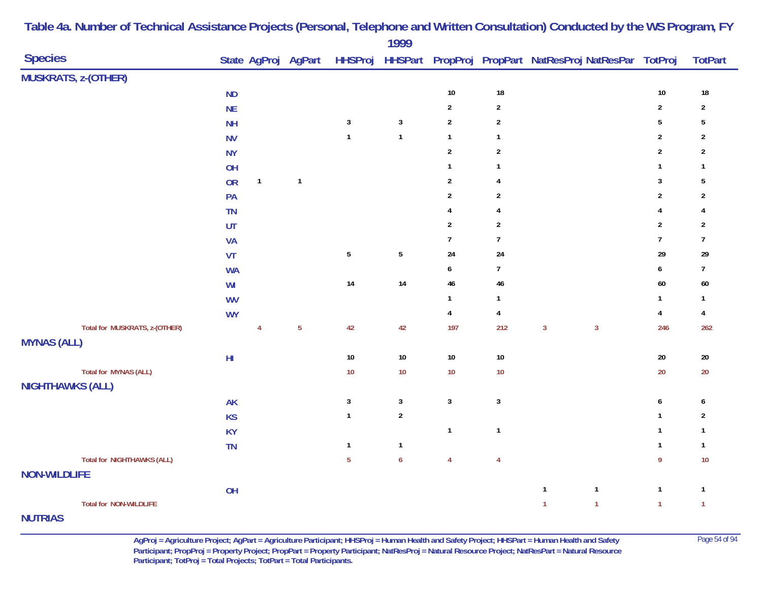|                                   |            |                |                         |                | 1777             |                  |                  |                                                                                    |                  |                         |
|-----------------------------------|------------|----------------|-------------------------|----------------|------------------|------------------|------------------|------------------------------------------------------------------------------------|------------------|-------------------------|
| <b>Species</b>                    |            |                |                         |                |                  |                  |                  | State AgProj AgPart HHSProj HHSPart PropProj PropPart NatResProj NatResPar TotProj |                  | <b>TotPart</b>          |
| <b>MUSKRATS, z-(OTHER)</b>        |            |                |                         |                |                  |                  |                  |                                                                                    |                  |                         |
|                                   | <b>ND</b>  |                |                         |                |                  | $10\,$           | $18\,$           |                                                                                    | $10\,$           | $18\,$                  |
|                                   | NE         |                |                         |                |                  | $\boldsymbol{2}$ | $\boldsymbol{2}$ |                                                                                    | $\mathbf 2$      | $\overline{c}$          |
|                                   | <b>NH</b>  |                |                         | $\mathbf{3}$   | $\sqrt{3}$       | $\sqrt{2}$       | $\overline{2}$   |                                                                                    | $\sqrt{5}$       | 5                       |
|                                   | <b>NV</b>  |                |                         | $\mathbf{1}$   | $\mathbf{1}$     | $\mathbf{1}$     | $\mathbf{1}$     |                                                                                    | $\sqrt{2}$       | $\overline{2}$          |
|                                   | <b>NY</b>  |                |                         |                |                  | $\overline{2}$   | $\overline{2}$   |                                                                                    | $\overline{2}$   | $\overline{2}$          |
|                                   | OH         |                |                         |                |                  | $\mathbf{1}$     | $\mathbf{1}$     |                                                                                    | $\mathbf{1}$     | $\mathbf{1}$            |
|                                   | <b>OR</b>  | $\mathbf{1}$   | $\overline{\mathbf{1}}$ |                |                  | $\mathbf 2$      | $\overline{4}$   |                                                                                    | $\mathbf{3}$     | $\sqrt{5}$              |
|                                   | PA         |                |                         |                |                  | $\overline{2}$   | $\overline{2}$   |                                                                                    | $\overline{2}$   | $\overline{2}$          |
|                                   | <b>TN</b>  |                |                         |                |                  | 4                | $\overline{4}$   |                                                                                    | $\overline{4}$   | 4                       |
|                                   | UT         |                |                         |                |                  | $\boldsymbol{2}$ | $\boldsymbol{2}$ |                                                                                    | $\overline{2}$   | $\overline{2}$          |
|                                   | <b>VA</b>  |                |                         |                |                  | $\overline{7}$   | $\overline{7}$   |                                                                                    | $\overline{7}$   | $\overline{7}$          |
|                                   | VT         |                |                         | $\sqrt{5}$     | $\sqrt{5}$       | 24               | 24               |                                                                                    | 29               | 29                      |
|                                   | <b>WA</b>  |                |                         |                |                  | 6                | $\overline{7}$   |                                                                                    | $\boldsymbol{6}$ | $\overline{7}$          |
|                                   | WI         |                |                         | $14\,$         | 14               | 46               | 46               |                                                                                    | 60               | $60\,$                  |
|                                   | <b>WV</b>  |                |                         |                |                  | $\mathbf{1}$     | $\mathbf{1}$     |                                                                                    | $\mathbf{1}$     | $\mathbf{1}$            |
|                                   | <b>WY</b>  |                |                         |                |                  | $\overline{4}$   | $\overline{4}$   |                                                                                    | $\overline{4}$   | 4                       |
| Total for MUSKRATS, z-(OTHER)     |            | $\overline{4}$ | $\overline{5}$          | $42\,$         | 42               | 197              | 212              | $\mathbf{3}$<br>$\mathbf{3}$                                                       | 246              | 262                     |
| <b>MYNAS (ALL)</b>                |            |                |                         |                |                  |                  |                  |                                                                                    |                  |                         |
|                                   | ${\sf HI}$ |                |                         | $10\,$         | $10\,$           | $10\,$           | $10\,$           |                                                                                    | $20\,$           | $20\,$                  |
| <b>Total for MYNAS (ALL)</b>      |            |                |                         | $10$           | $10$             | 10               | $10$             |                                                                                    | $20\,$           | $20\,$                  |
| <b>NIGHTHAWKS (ALL)</b>           |            |                |                         |                |                  |                  |                  |                                                                                    |                  |                         |
|                                   | <b>AK</b>  |                |                         | $\mathbf{3}$   | $\mathbf{3}$     | $\mathbf{3}$     | $\mathbf{3}$     |                                                                                    | $\boldsymbol{6}$ | 6                       |
|                                   | <b>KS</b>  |                |                         | $\mathbf{1}$   | $\sqrt{2}$       |                  |                  |                                                                                    | $\mathbf{1}$     | $\overline{\mathbf{c}}$ |
|                                   | <b>KY</b>  |                |                         |                |                  | $\overline{1}$   | $\mathbf{1}$     |                                                                                    | $\mathbf{1}$     | $\mathbf{1}$            |
|                                   | TN         |                |                         | $\mathbf{1}$   | $\mathbf 1$      |                  |                  |                                                                                    | $\mathbf{1}$     | $\mathbf{1}$            |
| <b>Total for NIGHTHAWKS (ALL)</b> |            |                |                         | $\overline{5}$ | $\boldsymbol{6}$ | $\overline{4}$   | $\overline{4}$   |                                                                                    | $\boldsymbol{9}$ | $10$                    |
| <b>NON-WILDLIFE</b>               |            |                |                         |                |                  |                  |                  |                                                                                    |                  |                         |
|                                   | OH         |                |                         |                |                  |                  |                  | $\mathbf{1}$<br>$\overline{\mathbf{1}}$                                            | $\mathbf{1}$     | $\mathbf{1}$            |
| <b>Total for NON-WILDLIFE</b>     |            |                |                         |                |                  |                  |                  | $\mathbf{1}$<br>$\overline{1}$                                                     | $\overline{1}$   | $\mathbf{1}$            |
|                                   |            |                |                         |                |                  |                  |                  |                                                                                    |                  |                         |

# **NUTRIAS**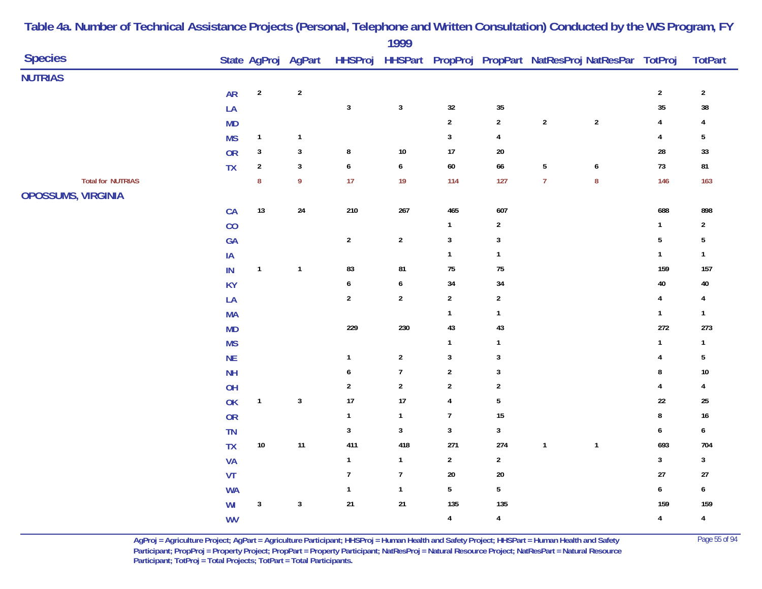|                          |            |                  |                     |                | 1777           |                           |                         |                |                                                                |                         |                |
|--------------------------|------------|------------------|---------------------|----------------|----------------|---------------------------|-------------------------|----------------|----------------------------------------------------------------|-------------------------|----------------|
| <b>Species</b>           |            |                  | State AgProj AgPart |                |                |                           |                         |                | HHSProj HHSPart PropProj PropPart NatResProj NatResPar TotProj |                         | <b>TotPart</b> |
| <b>NUTRIAS</b>           |            |                  |                     |                |                |                           |                         |                |                                                                |                         |                |
|                          | ${\sf AR}$ | $\boldsymbol{2}$ | $\sqrt{2}$          |                |                |                           |                         |                |                                                                | $\sqrt{2}$              | $\overline{2}$ |
|                          | LA         |                  |                     | $\mathbf{3}$   | $\mathbf{3}$   | 32                        | $35\,$                  |                |                                                                | 35                      | 38             |
|                          | <b>MD</b>  |                  |                     |                |                | $\boldsymbol{2}$          | $\mathbf 2$             | $\sqrt{2}$     | $\sqrt{2}$                                                     | $\overline{\mathbf{r}}$ | 4              |
|                          | <b>MS</b>  | $\mathbf{1}$     | $\mathbf{1}$        |                |                | $\mathbf{3}$              | $\overline{4}$          |                |                                                                | $\overline{\mathbf{4}}$ | $\sqrt{5}$     |
|                          | <b>OR</b>  | $\mathbf{3}$     | $\sqrt{3}$          | ${\bf 8}$      | $10\,$         | $17\,$                    | $20\,$                  |                |                                                                | ${\bf 28}$              | $33\,$         |
|                          | ${\sf TX}$ | $\boldsymbol{2}$ | $\mathbf 3$         | $\pmb{6}$      | $\pmb{6}$      | $60\,$                    | 66                      | $\sqrt{5}$     | $\pmb{6}$                                                      | 73                      | ${\bf 81}$     |
| <b>Total for NUTRIAS</b> |            | $\bf 8$          | 9                   | 17             | 19             | 114                       | 127                     | $\overline{7}$ | $\bf 8$                                                        | 146                     | 163            |
| OPOSSUMS, VIRGINIA       |            |                  |                     |                |                |                           |                         |                |                                                                |                         |                |
|                          | ${\sf CA}$ | $13$             | ${\bf 24}$          | $210\,$        | 267            | 465                       | 607                     |                |                                                                | 688                     | 898            |
|                          | CO         |                  |                     |                |                | $\mathbf{1}$              | $\mathbf{2}$            |                |                                                                | $\mathbf{1}$            | $\mathbf{2}$   |
|                          | GA         |                  |                     | $\overline{2}$ | $\overline{2}$ | $\sqrt{3}$                | $\mathbf{3}$            |                |                                                                | $5\phantom{.0}$         | $\sqrt{5}$     |
|                          | IA         |                  |                     |                |                | $\mathbf{1}$              | $\mathbf{1}$            |                |                                                                | $\mathbf{1}$            | $\mathbf{1}$   |
|                          | IN         | $\mathbf{1}$     | $\mathbf{1}$        | 83             | 81             | $75\,$                    | 75                      |                |                                                                | 159                     | $157\,$        |
|                          | <b>KY</b>  |                  |                     | 6              | 6              | 34                        | 34                      |                |                                                                | $40\,$                  | 40             |
|                          | LA         |                  |                     | $\overline{2}$ | $\overline{2}$ | $\overline{2}$            | $\overline{2}$          |                |                                                                | $\overline{\mathbf{4}}$ | 4              |
|                          | <b>MA</b>  |                  |                     |                |                | $\mathbf{1}$              | $\mathbf{1}$            |                |                                                                | $\mathbf{1}$            | $\mathbf{1}$   |
|                          | <b>MD</b>  |                  |                     | 229            | 230            | 43                        | 43                      |                |                                                                | 272                     | 273            |
|                          | <b>MS</b>  |                  |                     |                |                | $\mathbf{1}$              | $\mathbf{1}$            |                |                                                                | $\mathbf{1}$            | $\mathbf{1}$   |
|                          | <b>NE</b>  |                  |                     | $\mathbf{1}$   | $\overline{2}$ | $\ensuremath{\mathsf{3}}$ | $\mathbf{3}$            |                |                                                                | 4                       | 5              |
|                          | <b>NH</b>  |                  |                     | 6              | $\overline{7}$ | $\boldsymbol{2}$          | $\mathbf{3}$            |                |                                                                | 8                       | $10$           |
|                          | OH         |                  |                     | $\sqrt{2}$     | $\overline{c}$ | $\sqrt{2}$                | $\overline{\mathbf{c}}$ |                |                                                                | 4                       | 4              |
|                          | OK         | $\mathbf{1}$     | $\mathbf 3$         | $17$           | 17             | 4                         | $\overline{5}$          |                |                                                                | 22                      | 25             |
|                          | <b>OR</b>  |                  |                     | $\mathbf{1}$   | $\mathbf{1}$   | $\boldsymbol{7}$          | 15                      |                |                                                                | $\bf 8$                 | $16\,$         |
|                          | TN         |                  |                     | $\sqrt{3}$     | $\mathbf{3}$   | $\mathbf{3}$              | $\mathbf{3}$            |                |                                                                | $\boldsymbol{6}$        | 6              |
|                          | TX         | $10\,$           | 11                  | 411            | 418            | 271                       | $274\,$                 | $\mathbf{1}$   | $\mathbf{1}$                                                   | 693                     | 704            |
|                          | VA         |                  |                     | $\mathbf{1}$   | $\mathbf{1}$   | $\mathbf{2}$              | $\mathbf{2}$            |                |                                                                | $\mathbf{3}$            | $\mathbf{3}$   |
|                          | VT         |                  |                     | $\overline{7}$ | $\overline{7}$ | $20\,$                    | $20\,$                  |                |                                                                | $27\,$                  | 27             |
|                          | <b>WA</b>  |                  |                     | $\mathbf{1}$   | $\mathbf{1}$   | $\overline{5}$            | $\overline{5}$          |                |                                                                | $\boldsymbol{6}$        | 6              |
|                          | WI         | $\sqrt{3}$       | $\sqrt{3}$          | $21\,$         | $21\,$         | 135                       | 135                     |                |                                                                | 159                     | 159            |
|                          | <b>WV</b>  |                  |                     |                |                | $\overline{\mathbf{4}}$   | $\overline{4}$          |                |                                                                | $\overline{\mathbf{4}}$ | 4              |

> **AgProj = Agriculture Project; AgPart = Agriculture Participant; HHSProj = Human Health and Safety Project; HHSPart = Human Health and Safety** Page 55 of 94 **Participant; PropProj = Property Project; PropPart = Property Participant; NatResProj = Natural Resource Project; NatResPart = Natural Resource**  Participant; TotProj = Total Projects; TotPart = Total Participants.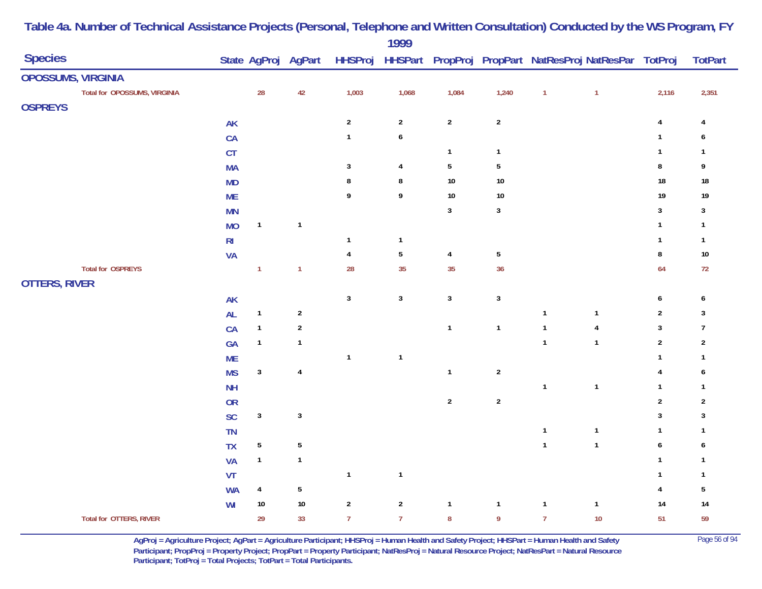|                                |                |                |                     |                         | 1777           |                |                  |                |                                                                |                  |                  |
|--------------------------------|----------------|----------------|---------------------|-------------------------|----------------|----------------|------------------|----------------|----------------------------------------------------------------|------------------|------------------|
| <b>Species</b>                 |                |                | State AgProj AgPart |                         |                |                |                  |                | HHSProj HHSPart PropProj PropPart NatResProj NatResPar TotProj |                  | <b>TotPart</b>   |
| OPOSSUMS, VIRGINIA             |                |                |                     |                         |                |                |                  |                |                                                                |                  |                  |
| Total for OPOSSUMS, VIRGINIA   |                | 28             | 42                  | 1,003                   | 1,068          | 1,084          | 1,240            | $\overline{1}$ | $\overline{1}$                                                 | 2,116            | 2,351            |
| <b>OSPREYS</b>                 |                |                |                     |                         |                |                |                  |                |                                                                |                  |                  |
|                                | <b>AK</b>      |                |                     | $\overline{\mathbf{c}}$ | $\overline{c}$ | $\sqrt{2}$     | $\mathbf{2}$     |                |                                                                | $\pmb{4}$        | 4                |
|                                | CA             |                |                     | $\mathbf{1}$            | 6              |                |                  |                |                                                                | $\mathbf{1}$     | 6                |
|                                | CT             |                |                     |                         |                | $\mathbf{1}$   | $\mathbf{1}$     |                |                                                                | $\mathbf{1}$     | $\mathbf{1}$     |
|                                | <b>MA</b>      |                |                     | $\mathbf{3}$            | $\overline{4}$ | $5\,$          | $\sqrt{5}$       |                |                                                                | $\bf 8$          | 9                |
|                                | <b>MD</b>      |                |                     | 8                       | 8              | $10\,$         | $10\,$           |                |                                                                | $18\,$           | $18\,$           |
|                                | <b>ME</b>      |                |                     | 9                       | 9              | $10\,$         | $10\,$           |                |                                                                | 19               | $19$             |
|                                | <b>MN</b>      |                |                     |                         |                | $\mathbf{3}$   | $\sqrt{3}$       |                |                                                                | $\mathbf{3}$     | $\mathbf{3}$     |
|                                | <b>MO</b>      | $\mathbf{1}$   | $\mathbf{1}$        |                         |                |                |                  |                |                                                                | $\mathbf{1}$     | $\mathbf{1}$     |
|                                | R <sub>l</sub> |                |                     | $\mathbf{1}$            | $\mathbf{1}$   |                |                  |                |                                                                | $\mathbf{1}$     | $\mathbf{1}$     |
|                                | <b>VA</b>      |                |                     | 4                       | 5              | $\overline{4}$ | $\sqrt{5}$       |                |                                                                | $\bf 8$          | $10\,$           |
| <b>Total for OSPREYS</b>       |                | $\mathbf{1}$   | $\mathbf{1}$        | 28                      | 35             | 35             | 36               |                |                                                                | 64               | $72\,$           |
| <b>OTTERS, RIVER</b>           |                |                |                     |                         |                |                |                  |                |                                                                |                  |                  |
|                                | <b>AK</b>      |                |                     | $\mathbf{3}$            | $\mathbf{3}$   | $\mathbf{3}$   | $\mathsf 3$      |                |                                                                | $\boldsymbol{6}$ | 6                |
|                                | AL             | $\mathbf{1}$   | $\sqrt{2}$          |                         |                |                |                  | $\mathbf{1}$   | $\mathbf{1}$                                                   | $\sqrt{2}$       | $\mathbf{3}$     |
|                                | CA             | $\mathbf{1}$   | $\boldsymbol{2}$    |                         |                | $\mathbf{1}$   | $\mathbf{1}$     | $\mathbf{1}$   | $\overline{\mathbf{4}}$                                        | $\mathbf{3}$     | $\overline{7}$   |
|                                | GA             | $\mathbf{1}$   | $\mathbf{1}$        |                         |                |                |                  | $\mathbf{1}$   | $\mathbf{1}$                                                   | $\sqrt{2}$       | $\overline{2}$   |
|                                | <b>ME</b>      |                |                     | $\mathbf{1}$            | $\mathbf{1}$   |                |                  |                |                                                                | $\mathbf{1}$     | $\mathbf{1}$     |
|                                | <b>MS</b>      | $\mathbf{3}$   | $\overline{4}$      |                         |                | $\mathbf{1}$   | $\boldsymbol{2}$ |                |                                                                | $\overline{4}$   | 6                |
|                                | <b>NH</b>      |                |                     |                         |                |                |                  | $\mathbf{1}$   | $\mathbf{1}$                                                   | $\mathbf{1}$     | $\mathbf{1}$     |
|                                | <b>OR</b>      |                |                     |                         |                | $\overline{2}$ | $\mathbf 2$      |                |                                                                | $\sqrt{2}$       | $\sqrt{2}$       |
|                                | SC             | $\mathbf{3}$   | $\sqrt{3}$          |                         |                |                |                  |                |                                                                | $\mathbf{3}$     | $\mathbf{3}$     |
|                                | TN             |                |                     |                         |                |                |                  | $\mathbf{1}$   | $\mathbf{1}$                                                   | $\mathbf{1}$     | $\mathbf{1}$     |
|                                | <b>TX</b>      | $\sqrt{5}$     | ${\bf 5}$           |                         |                |                |                  | $\mathbf{1}$   | $\mathbf{1}$                                                   | $\pmb{6}$        | $\boldsymbol{6}$ |
|                                | <b>VA</b>      | $\mathbf{1}$   | $\mathbf{1}$        |                         |                |                |                  |                |                                                                | $\mathbf{1}$     | $\mathbf{1}$     |
|                                | VT             |                |                     | $\mathbf{1}$            | $\mathbf{1}$   |                |                  |                |                                                                | $\mathbf{1}$     | $\mathbf{1}$     |
|                                | <b>WA</b>      | $\overline{4}$ | $\sqrt{5}$          |                         |                |                |                  |                |                                                                | $\overline{4}$   | 5                |
|                                | WI             | $10\,$         | $10\,$              | $\sqrt{2}$              | $\sqrt{2}$     | $\mathbf{1}$   | $\mathbf{1}$     | $\mathbf{1}$   | $\mathbf{1}$                                                   | 14               | 14               |
| <b>Total for OTTERS, RIVER</b> |                | 29             | 33                  | $\overline{7}$          | $\overline{7}$ | $\bf 8$        | $\boldsymbol{9}$ | $\overline{7}$ | $10$                                                           | 51               | 59               |

**AgProj = Agriculture Project; AgPart = Agriculture Participant; HHSProj = Human Health and Safety Project; HHSPart = Human Health and Safety** Page 56 of 94 **Participant; PropProj = Property Project; PropPart = Property Participant; NatResProj = Natural Resource Project; NatResPart = Natural Resource**  Participant; TotProj = Total Projects; TotPart = Total Participants.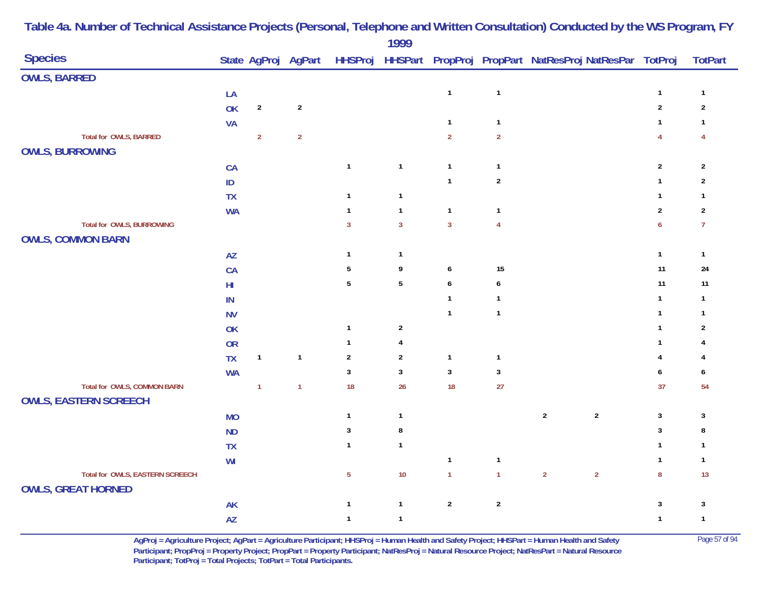| <b>Species</b>                  |               |                | State AgProj AgPart |                | .              |                  |                  | HHSProj HHSPart PropProj PropPart NatResProj NatResPar TotProj |                  | <b>TotPart</b> |
|---------------------------------|---------------|----------------|---------------------|----------------|----------------|------------------|------------------|----------------------------------------------------------------|------------------|----------------|
| <b>OWLS, BARRED</b>             |               |                |                     |                |                |                  |                  |                                                                |                  |                |
|                                 | LA            |                |                     |                |                | $\mathbf{1}$     | $\mathbf{1}$     |                                                                | $\mathbf{1}$     | $\mathbf{1}$   |
|                                 | <b>OK</b>     | $\overline{2}$ | $\sqrt{2}$          |                |                |                  |                  |                                                                | $\sqrt{2}$       | $\sqrt{2}$     |
|                                 | <b>VA</b>     |                |                     |                |                | $\mathbf{1}$     | $\mathbf{1}$     |                                                                | $\mathbf{1}$     | $\mathbf{1}$   |
| Total for OWLS, BARRED          |               | $\overline{2}$ | $\overline{2}$      |                |                | $\overline{2}$   | $\overline{2}$   |                                                                | $\overline{4}$   | 4              |
| <b>OWLS, BURROWING</b>          |               |                |                     |                |                |                  |                  |                                                                |                  |                |
|                                 | CA            |                |                     | $\mathbf{1}$   | $\mathbf{1}$   | $\mathbf{1}$     | $\mathbf{1}$     |                                                                | $\boldsymbol{2}$ | $\overline{2}$ |
|                                 | $\mathsf{ID}$ |                |                     |                |                | $\mathbf{1}$     | $\mathbf 2$      |                                                                | $\mathbf{1}$     | $\overline{2}$ |
|                                 | <b>TX</b>     |                |                     | $\mathbf{1}$   | $\mathbf{1}$   |                  |                  |                                                                | $\mathbf{1}$     | $\mathbf{1}$   |
|                                 | <b>WA</b>     |                |                     | $\mathbf{1}$   | $\mathbf{1}$   | $\mathbf{1}$     | $\mathbf{1}$     |                                                                | $\boldsymbol{2}$ | $\sqrt{2}$     |
| Total for OWLS, BURROWING       |               |                |                     | $\mathbf{3}$   | $\overline{3}$ | $\overline{3}$   | $\overline{4}$   |                                                                | $\boldsymbol{6}$ | $\overline{7}$ |
| <b>OWLS, COMMON BARN</b>        |               |                |                     |                |                |                  |                  |                                                                |                  |                |
|                                 | AZ            |                |                     | $\overline{1}$ | $\mathbf{1}$   |                  |                  |                                                                | $\mathbf{1}$     | $\mathbf{1}$   |
|                                 | CA            |                |                     | 5              | 9              | $\boldsymbol{6}$ | 15               |                                                                | 11               | 24             |
|                                 | $H\!I$        |                |                     | $5\,$          | $\sqrt{5}$     | $\boldsymbol{6}$ | $\boldsymbol{6}$ |                                                                | 11               | 11             |
|                                 | IN            |                |                     |                |                | $\mathbf{1}$     | $\mathbf{1}$     |                                                                | $\mathbf{1}$     | $\mathbf{1}$   |
|                                 | <b>NV</b>     |                |                     |                |                | $\mathbf{1}$     | $\mathbf{1}$     |                                                                | $\mathbf{1}$     | $\mathbf{1}$   |
|                                 | OK            |                |                     | $\overline{1}$ | $\sqrt{2}$     |                  |                  |                                                                | $\mathbf{1}$     | $\overline{2}$ |
|                                 | <b>OR</b>     |                |                     | $\mathbf{1}$   | $\overline{4}$ |                  |                  |                                                                | $\mathbf{1}$     | 4              |
|                                 | <b>TX</b>     | $\mathbf{1}$   | $\mathbf{1}$        | $\overline{2}$ | $\sqrt{2}$     | $\mathbf{1}$     | $\mathbf{1}$     |                                                                | 4                | 4              |
|                                 | <b>WA</b>     |                |                     | $\mathbf{3}$   | $\mathbf{3}$   | $\mathbf{3}$     | $\mathbf{3}$     |                                                                | 6                | 6              |
| Total for OWLS, COMMON BARN     |               | $\overline{1}$ | $\overline{1}$      | 18             | 26             | 18               | 27               |                                                                | 37               | 54             |
| <b>OWLS, EASTERN SCREECH</b>    |               |                |                     |                |                |                  |                  |                                                                |                  |                |
|                                 | <b>MO</b>     |                |                     | $\mathbf{1}$   | $\mathbf{1}$   |                  |                  | $\sqrt{2}$<br>$\sqrt{2}$                                       | $\mathbf{3}$     | $\mathbf{3}$   |
|                                 | ND            |                |                     | $\mathbf{3}$   | $\bf 8$        |                  |                  |                                                                | $\mathbf{3}$     | 8              |
|                                 | <b>TX</b>     |                |                     | $\mathbf{1}$   | $\mathbf{1}$   |                  |                  |                                                                | $\mathbf{1}$     | $\mathbf{1}$   |
|                                 | WI            |                |                     |                |                | $\mathbf{1}$     | $\mathbf{1}$     |                                                                | $\mathbf{1}$     | $\mathbf{1}$   |
| Total for OWLS, EASTERN SCREECH |               |                |                     | $\overline{5}$ | $10$           | $\mathbf{1}$     | $\mathbf{1}$     | $\overline{2}$<br>$\overline{2}$                               | $\bf 8$          | 13             |
| <b>OWLS, GREAT HORNED</b>       |               |                |                     |                |                |                  |                  |                                                                |                  |                |
|                                 | AK            |                |                     | $\overline{1}$ | $\mathbf{1}$   | $\overline{2}$   | $\sqrt{2}$       |                                                                | $\mathbf{3}$     | $\sqrt{3}$     |
|                                 | AZ            |                |                     | $\mathbf{1}$   | $\mathbf{1}$   |                  |                  |                                                                | $\mathbf{1}$     | $\overline{1}$ |

> **AgProj = Agriculture Project; AgPart = Agriculture Participant; HHSProj = Human Health and Safety Project; HHSPart = Human Health and Safety** Page 57 of 94 **Participant; PropProj = Property Project; PropPart = Property Participant; NatResProj = Natural Resource Project; NatResPart = Natural Resource**  Participant; TotProj = Total Projects; TotPart = Total Participants.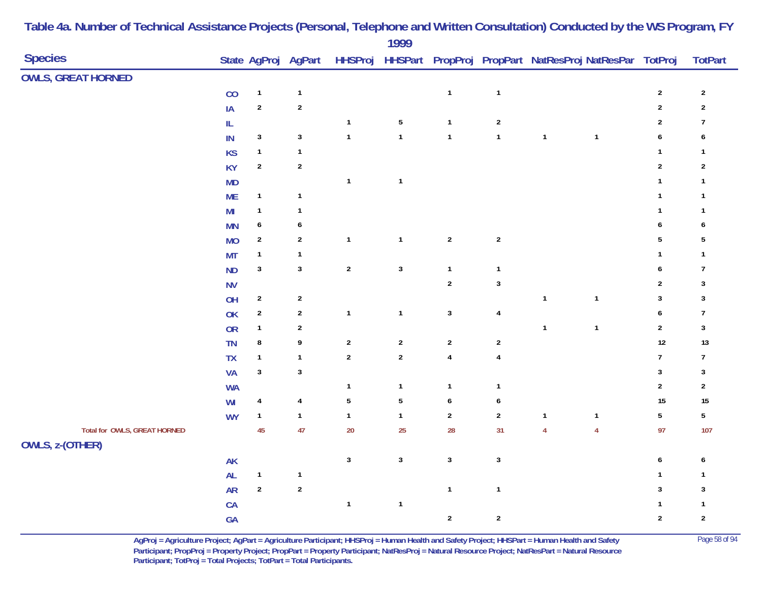| <b>Species</b>                                  | State AgProj AgPart |                  |                  | $1777$           |                  |                  |                | HHSProj HHSPart PropProj PropPart NatResProj NatResPar TotProj |                  | <b>TotPart</b> |
|-------------------------------------------------|---------------------|------------------|------------------|------------------|------------------|------------------|----------------|----------------------------------------------------------------|------------------|----------------|
| <b>OWLS, GREAT HORNED</b>                       |                     |                  |                  |                  |                  |                  |                |                                                                |                  |                |
| CO                                              | $\mathbf{1}$        | $\mathbf{1}$     |                  |                  | $\mathbf{1}$     | $\mathbf{1}$     |                |                                                                | $\boldsymbol{2}$ | $\overline{2}$ |
| IA                                              | $\overline{2}$      | $\sqrt{2}$       |                  |                  |                  |                  |                |                                                                | $\overline{2}$   | $\sqrt{2}$     |
| $\ensuremath{\mathsf{IL}}\xspace$               |                     |                  | $\mathbf{1}$     | $\sqrt{5}$       | $\mathbf{1}$     | $\overline{2}$   |                |                                                                | $\boldsymbol{2}$ | $\overline{7}$ |
| $\sf IN$                                        | $\mathbf{3}$        | $\mathbf{3}$     | $\mathbf{1}$     | $\mathbf{1}$     | $\mathbf{1}$     | $\mathbf{1}$     | $\overline{1}$ | $\mathbf{1}$                                                   | $\pmb{6}$        | 6              |
| <b>KS</b>                                       | $\mathbf{1}$        | $\mathbf{1}$     |                  |                  |                  |                  |                |                                                                | $\mathbf{1}$     | $\mathbf{1}$   |
| <b>KY</b>                                       | $\sqrt{2}$          | $\sqrt{2}$       |                  |                  |                  |                  |                |                                                                | $\sqrt{2}$       | $\sqrt{2}$     |
| <b>MD</b>                                       |                     |                  | $\mathbf{1}$     | $\mathbf{1}$     |                  |                  |                |                                                                | $\mathbf{1}$     | 1              |
| <b>ME</b>                                       | $\mathbf{1}$        | $\mathbf{1}$     |                  |                  |                  |                  |                |                                                                | $\mathbf{1}$     | $\mathbf{1}$   |
| M <sub>l</sub>                                  | $\mathbf{1}$        | $\mathbf{1}$     |                  |                  |                  |                  |                |                                                                | $\mathbf{1}$     | $\mathbf{1}$   |
| <b>MN</b>                                       | $\pmb{6}$           | $\boldsymbol{6}$ |                  |                  |                  |                  |                |                                                                | $\pmb{6}$        | 6              |
| <b>MO</b>                                       | $\sqrt{2}$          | $\sqrt{2}$       | $\mathbf{1}$     | $\mathbf{1}$     | $\sqrt{2}$       | $\mathbf 2$      |                |                                                                | 5                | 5              |
| <b>MT</b>                                       | $\mathbf{1}$        | $\mathbf{1}$     |                  |                  |                  |                  |                |                                                                | $\mathbf{1}$     | $\mathbf{1}$   |
| ND                                              | $\mathbf{3}$        | $\mathbf{3}$     | $\sqrt{2}$       | $\mathbf{3}$     | $\mathbf{1}$     | $\mathbf{1}$     |                |                                                                | 6                | $\overline{1}$ |
| <b>NV</b>                                       |                     |                  |                  |                  | $\overline{2}$   | $\mathbf{3}$     |                |                                                                | $\boldsymbol{2}$ | $\sqrt{3}$     |
| OH                                              | $\sqrt{2}$          | $\sqrt{2}$       |                  |                  |                  |                  | $\mathbf{1}$   | $\mathbf{1}$                                                   | $\sqrt{3}$       | 3              |
| OK                                              | $\sqrt{2}$          | $\sqrt{2}$       | $\mathbf{1}$     | $\mathbf{1}$     | $\mathbf{3}$     | $\pmb{4}$        |                |                                                                | $\boldsymbol{6}$ | $\overline{7}$ |
| OR                                              | $\mathbf{1}$        | $\boldsymbol{2}$ |                  |                  |                  |                  | $\overline{1}$ | $\mathbf 1$                                                    | $\sqrt{2}$       | $\mathbf{3}$   |
| <b>TN</b>                                       | 8                   | 9                | $\boldsymbol{2}$ | $\boldsymbol{2}$ | $\sqrt{2}$       | $\mathbf{2}$     |                |                                                                | $12\,$           | $13$           |
| <b>TX</b>                                       | $\mathbf{1}$        | $\mathbf{1}$     | $\boldsymbol{2}$ | $\overline{c}$   | $\overline{4}$   | $\overline{4}$   |                |                                                                | $\boldsymbol{7}$ | $\overline{7}$ |
| <b>VA</b>                                       | $\mathbf{3}$        | $\mathbf{3}$     |                  |                  |                  |                  |                |                                                                | $\mathbf 3$      | $\mathbf{3}$   |
| <b>WA</b>                                       |                     |                  | $\mathbf 1$      | $\mathbf{1}$     | $\mathbf{1}$     | $\mathbf{1}$     |                |                                                                | $\boldsymbol{2}$ | $\overline{2}$ |
| WI                                              | $\overline{4}$      | $\pmb{4}$        | $\sqrt{5}$       | $\mathbf 5$      | $\boldsymbol{6}$ | 6                |                |                                                                | 15               | $15\,$         |
| <b>WY</b>                                       | $\mathbf{1}$        | $\mathbf{1}$     | $\mathbf{1}$     | $\mathbf{1}$     | $\overline{2}$   | $\sqrt{2}$       | $\mathbf{1}$   | $\mathbf{1}$                                                   | $\sqrt{5}$       | $5\,$          |
| Total for OWLS, GREAT HORNED<br>OWLS, z-(OTHER) | 45                  | 47               | $20\,$           | 25               | 28               | 31               | $\overline{4}$ | $\overline{4}$                                                 | 97               | 107            |
| <b>AK</b>                                       |                     |                  | $\sqrt{3}$       | $\mathbf 3$      | $\mathbf{3}$     | $\sqrt{3}$       |                |                                                                | $\pmb{6}$        | 6              |
| AL                                              | $\mathbf{1}$        | $\mathbf{1}$     |                  |                  |                  |                  |                |                                                                | $\mathbf{1}$     | 1              |
| ${\sf AR}$                                      | $\sqrt{2}$          | $\sqrt{2}$       |                  |                  | $\mathbf{1}$     | $\mathbf{1}$     |                |                                                                | $\mathbf 3$      | $\sqrt{3}$     |
| CA                                              |                     |                  | $\mathbf 1$      | $\mathbf{1}$     |                  |                  |                |                                                                | $\mathbf{1}$     | $\mathbf{1}$   |
| GA                                              |                     |                  |                  |                  | $\sqrt{2}$       | $\boldsymbol{2}$ |                |                                                                | $\sqrt{2}$       | $\sqrt{2}$     |

> **AgProj = Agriculture Project; AgPart = Agriculture Participant; HHSProj = Human Health and Safety Project; HHSPart = Human Health and Safety** Page 58 of 94 **Participant; PropProj = Property Project; PropPart = Property Participant; NatResProj = Natural Resource Project; NatResPart = Natural Resource**  Participant; TotProj = Total Projects; TotPart = Total Participants.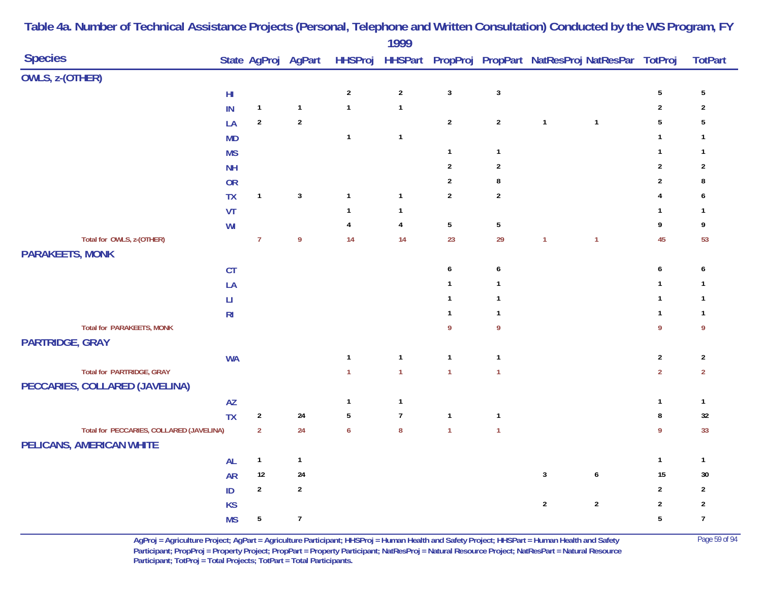| <b>Species</b>                           |                        |                |                  |                  | $\frac{1}{2}$           |                  |                 |                | State AgProj AgPart HHSProj HHSPart PropProj PropPart NatResProj NatResPar TotProj |                  | <b>TotPart</b> |
|------------------------------------------|------------------------|----------------|------------------|------------------|-------------------------|------------------|-----------------|----------------|------------------------------------------------------------------------------------|------------------|----------------|
| OWLS, z-(OTHER)                          |                        |                |                  |                  |                         |                  |                 |                |                                                                                    |                  |                |
|                                          | ${\sf HI}$             |                |                  | $\sqrt{2}$       | $\sqrt{2}$              | $\mathbf{3}$     | $\mathbf{3}$    |                |                                                                                    | $\sqrt{5}$       | $\sqrt{5}$     |
|                                          | IN                     | $\mathbf{1}$   | $\mathbf{1}$     | $\mathbf{1}$     | $\mathbf{1}$            |                  |                 |                |                                                                                    | $\overline{2}$   | $\sqrt{2}$     |
|                                          | LA                     | $\sqrt{2}$     | $\sqrt{2}$       |                  |                         | $\overline{2}$   | $\sqrt{2}$      | $\mathbf{1}$   | $\mathbf{1}$                                                                       | $\overline{5}$   | $\sqrt{5}$     |
|                                          | <b>MD</b>              |                |                  | $\mathbf{1}$     | $\mathbf{1}$            |                  |                 |                |                                                                                    | $\mathbf{1}$     | $\mathbf{1}$   |
|                                          | <b>MS</b>              |                |                  |                  |                         | $\mathbf{1}$     | $\mathbf{1}$    |                |                                                                                    | $\mathbf{1}$     | $\mathbf{1}$   |
|                                          | <b>NH</b>              |                |                  |                  |                         | $\sqrt{2}$       | $\overline{2}$  |                |                                                                                    | $\boldsymbol{2}$ | $\sqrt{2}$     |
|                                          | OR                     |                |                  |                  |                         | $\sqrt{2}$       | 8               |                |                                                                                    | $\sqrt{2}$       | 8              |
|                                          | <b>TX</b>              | $\mathbf{1}$   | $\mathbf{3}$     | $\mathbf{1}$     | $\mathbf{1}$            | $\overline{2}$   | $\overline{2}$  |                |                                                                                    | 4                | 6              |
|                                          | VT                     |                |                  | $\mathbf{1}$     | $\mathbf{1}$            |                  |                 |                |                                                                                    | $\mathbf{1}$     | $\mathbf{1}$   |
|                                          | WI                     |                |                  | $\pmb{4}$        | $\overline{\mathbf{4}}$ | $5\,$            | $5\phantom{.0}$ |                |                                                                                    | 9                | 9              |
| Total for OWLS, z-(OTHER)                |                        | $\overline{7}$ | $\overline{9}$   | 14               | 14                      | 23               | 29              | $\overline{1}$ | $\mathbf{1}$                                                                       | 45               | 53             |
| <b>PARAKEETS, MONK</b>                   |                        |                |                  |                  |                         |                  |                 |                |                                                                                    |                  |                |
|                                          | CT                     |                |                  |                  |                         | $\boldsymbol{6}$ | 6               |                |                                                                                    | $\boldsymbol{6}$ | 6              |
|                                          | LA                     |                |                  |                  |                         | $\mathbf{1}$     | $\mathbf{1}$    |                |                                                                                    | $\mathbf{1}$     | $\mathbf{1}$   |
|                                          | $\mathsf{L}\mathsf{I}$ |                |                  |                  |                         | $\mathbf{1}$     | $\mathbf{1}$    |                |                                                                                    | $\mathbf{1}$     | $\mathbf{1}$   |
|                                          | R <sub>l</sub>         |                |                  |                  |                         | $\mathbf{1}$     | $\mathbf{1}$    |                |                                                                                    | $\mathbf{1}$     | $\mathbf{1}$   |
| <b>Total for PARAKEETS, MONK</b>         |                        |                |                  |                  |                         | $\overline{9}$   | 9               |                |                                                                                    | 9                | 9              |
| <b>PARTRIDGE, GRAY</b>                   |                        |                |                  |                  |                         |                  |                 |                |                                                                                    |                  |                |
|                                          | <b>WA</b>              |                |                  | $\mathbf{1}$     | $\mathbf{1}$            | $\mathbf{1}$     | $\mathbf{1}$    |                |                                                                                    | $\boldsymbol{2}$ | $\overline{2}$ |
| <b>Total for PARTRIDGE, GRAY</b>         |                        |                |                  | $\mathbf{1}$     | $\mathbf{1}$            | $\overline{1}$   | $\mathbf{1}$    |                |                                                                                    | $\overline{2}$   | $\overline{2}$ |
| PECCARIES, COLLARED (JAVELINA)           |                        |                |                  |                  |                         |                  |                 |                |                                                                                    |                  |                |
|                                          | $\mathsf{A}\mathsf{Z}$ |                |                  | $\mathbf{1}$     | $\mathbf{1}$            |                  |                 |                |                                                                                    | $\mathbf{1}$     | $\mathbf{1}$   |
|                                          | <b>TX</b>              | $\sqrt{2}$     | $24$             | $\sqrt{5}$       | $\overline{7}$          | $\mathbf{1}$     | $\mathbf{1}$    |                |                                                                                    | $\bf 8$          | $32\,$         |
| Total for PECCARIES, COLLARED (JAVELINA) |                        | $\overline{2}$ | 24               | $\boldsymbol{6}$ | $\bf 8$                 | $\mathbf{1}$     | $\mathbf{1}$    |                |                                                                                    | 9                | 33             |
| PELICANS, AMERICAN WHITE                 |                        |                |                  |                  |                         |                  |                 |                |                                                                                    |                  |                |
|                                          | AL                     | $\mathbf{1}$   | $\mathbf{1}$     |                  |                         |                  |                 |                |                                                                                    | $\mathbf{1}$     | $\mathbf{1}$   |
|                                          | <b>AR</b>              | 12             | 24               |                  |                         |                  |                 | $\mathbf{3}$   | $\pmb{6}$                                                                          | 15               | 30             |
|                                          | ID                     | $\sqrt{2}$     | $\sqrt{2}$       |                  |                         |                  |                 |                |                                                                                    | $\overline{2}$   | $\mathbf{2}$   |
|                                          | <b>KS</b>              |                |                  |                  |                         |                  |                 | $\overline{2}$ | $\sqrt{2}$                                                                         | $\sqrt{2}$       | $\sqrt{2}$     |
|                                          | <b>MS</b>              | $\sqrt{5}$     | $\boldsymbol{7}$ |                  |                         |                  |                 |                |                                                                                    | $5\phantom{a}$   | $\overline{7}$ |

> **AgProj = Agriculture Project; AgPart = Agriculture Participant; HHSProj = Human Health and Safety Project; HHSPart = Human Health and Safety** Page 59 of 94 **Participant; PropProj = Property Project; PropPart = Property Participant; NatResProj = Natural Resource Project; NatResPart = Natural Resource**  Participant; TotProj = Total Projects; TotPart = Total Participants.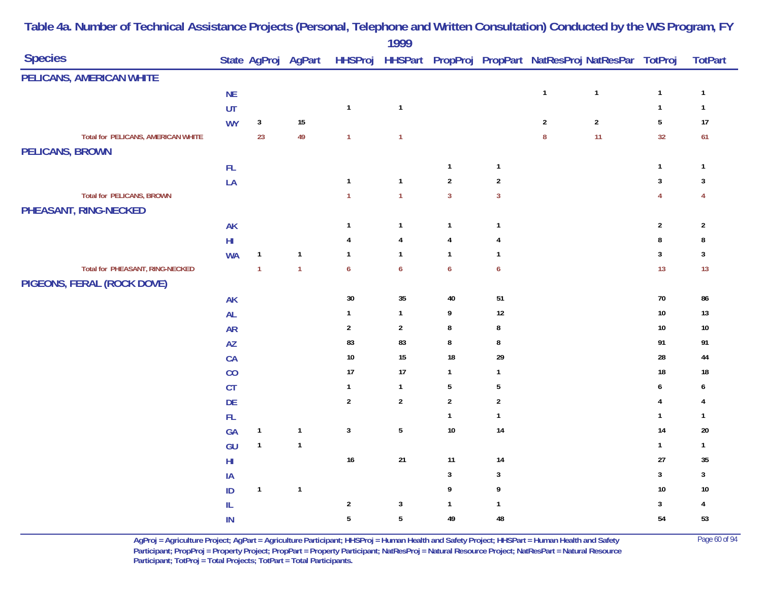|                                    |                        |                |                     |                  | $\frac{1}{2}$           |                  |                  |                  |                                                                |                |                |
|------------------------------------|------------------------|----------------|---------------------|------------------|-------------------------|------------------|------------------|------------------|----------------------------------------------------------------|----------------|----------------|
| <b>Species</b>                     |                        |                | State AgProj AgPart |                  |                         |                  |                  |                  | HHSProj HHSPart PropProj PropPart NatResProj NatResPar TotProj |                | <b>TotPart</b> |
| PELICANS, AMERICAN WHITE           |                        |                |                     |                  |                         |                  |                  |                  |                                                                |                |                |
|                                    | <b>NE</b>              |                |                     |                  |                         |                  |                  | $\mathbf{1}$     | $\mathbf{1}$                                                   | $\mathbf{1}$   | $\mathbf{1}$   |
|                                    | UT                     |                |                     | $\mathbf{1}$     | $\mathbf{1}$            |                  |                  |                  |                                                                | $\mathbf{1}$   | $\mathbf{1}$   |
|                                    | <b>WY</b>              | $\mathbf{3}$   | 15                  |                  |                         |                  |                  | $\sqrt{2}$       | $\mathbf{2}$                                                   | $\sqrt{5}$     | $17$           |
| Total for PELICANS, AMERICAN WHITE |                        | 23             | 49                  | $\mathbf{1}$     | $\mathbf{1}$            |                  |                  | $\boldsymbol{8}$ | 11                                                             | 32             | 61             |
| <b>PELICANS, BROWN</b>             |                        |                |                     |                  |                         |                  |                  |                  |                                                                |                |                |
|                                    | $\mathsf{FL}$          |                |                     |                  |                         | $\mathbf{1}$     | $\mathbf{1}$     |                  |                                                                | $\mathbf{1}$   | $\mathbf{1}$   |
|                                    | LA                     |                |                     | $\mathbf{1}$     | $\mathbf{1}$            | $\overline{2}$   | $\sqrt{2}$       |                  |                                                                | 3              | 3              |
| <b>Total for PELICANS, BROWN</b>   |                        |                |                     | $\mathbf{1}$     | $\overline{1}$          | $\overline{3}$   | $\overline{3}$   |                  |                                                                | $\overline{4}$ | $\overline{4}$ |
| PHEASANT, RING-NECKED              |                        |                |                     |                  |                         |                  |                  |                  |                                                                |                |                |
|                                    | <b>AK</b>              |                |                     | $\overline{1}$   | $\mathbf{1}$            | $\mathbf{1}$     | $\mathbf{1}$     |                  |                                                                | $\sqrt{2}$     | $\sqrt{2}$     |
|                                    | $\mathsf{H}\mathsf{I}$ |                |                     | 4                | $\overline{\mathbf{4}}$ | $\overline{4}$   | 4                |                  |                                                                | 8              | 8              |
|                                    | <b>WA</b>              | $\mathbf{1}$   | $\mathbf{1}$        | $\overline{1}$   | $\mathbf{1}$            | $\overline{1}$   | $\mathbf{1}$     |                  |                                                                | 3              | 3              |
| Total for PHEASANT, RING-NECKED    |                        | $\overline{1}$ | $\overline{1}$      | $\boldsymbol{6}$ | $\boldsymbol{6}$        | $\boldsymbol{6}$ | $\boldsymbol{6}$ |                  |                                                                | 13             | 13             |
| PIGEONS, FERAL (ROCK DOVE)         |                        |                |                     |                  |                         |                  |                  |                  |                                                                |                |                |
|                                    | <b>AK</b>              |                |                     | $30\,$           | $35\,$                  | 40               | 51               |                  |                                                                | 70             | 86             |
|                                    | AL                     |                |                     | $\mathbf{1}$     | $\mathbf{1}$            | 9                | $12\,$           |                  |                                                                | $10\,$         | $13$           |
|                                    | <b>AR</b>              |                |                     | $\overline{2}$   | $\sqrt{2}$              | $\bf 8$          | $\bf 8$          |                  |                                                                | $10\,$         | $10\,$         |
|                                    | <b>AZ</b>              |                |                     | 83               | 83                      | 8                | 8                |                  |                                                                | 91             | 91             |
|                                    | CA                     |                |                     | $10$             | 15                      | 18               | 29               |                  |                                                                | 28             | 44             |
|                                    | CO                     |                |                     | 17               | 17                      | $\mathbf{1}$     | $\mathbf{1}$     |                  |                                                                | 18             | $18\,$         |
|                                    | CT                     |                |                     | $\mathbf{1}$     | $\mathbf{1}$            | $5\,$            | 5                |                  |                                                                | 6              | 6              |
|                                    | <b>DE</b>              |                |                     | $\sqrt{2}$       | $\sqrt{2}$              | $\sqrt{2}$       | $\sqrt{2}$       |                  |                                                                | 4              | 4              |
|                                    | $\mathsf{FL}$          |                |                     |                  |                         | $\mathbf{1}$     | $\mathbf{1}$     |                  |                                                                | $\mathbf{1}$   | 1              |
|                                    | GA                     | $\mathbf{1}$   | $\mathbf{1}$        | $\mathbf{3}$     | $\sqrt{5}$              | 10               | 14               |                  |                                                                | 14             | $20\,$         |
|                                    | GU                     | $\mathbf{1}$   | $\mathbf{1}$        |                  |                         |                  |                  |                  |                                                                | $\mathbf{1}$   | $\mathbf{1}$   |
|                                    | $\mathsf{H}\mathsf{I}$ |                |                     | 16               | 21                      | 11               | 14               |                  |                                                                | 27             | 35             |
|                                    | IA                     |                |                     |                  |                         | $\mathbf{3}$     | $\mathbf{3}$     |                  |                                                                | $\mathbf{3}$   | $\mathbf{3}$   |
|                                    | ID                     | $\mathbf{1}$   | $\overline{1}$      |                  |                         | 9                | 9                |                  |                                                                | 10             | $10\,$         |
|                                    | IL                     |                |                     | $\overline{2}$   | $\mathbf{3}$            | $\mathbf{1}$     | $\mathbf{1}$     |                  |                                                                | 3              | 4              |
|                                    | IN                     |                |                     | $5\phantom{a}$   | $\overline{5}$          | 49               | 48               |                  |                                                                | 54             | 53             |

> **AgProj = Agriculture Project; AgPart = Agriculture Participant; HHSProj = Human Health and Safety Project; HHSPart = Human Health and Safety** Page 60 of 94 **Participant; PropProj = Property Project; PropPart = Property Participant; NatResProj = Natural Resource Project; NatResPart = Natural Resource**  Participant; TotProj = Total Projects; TotPart = Total Participants.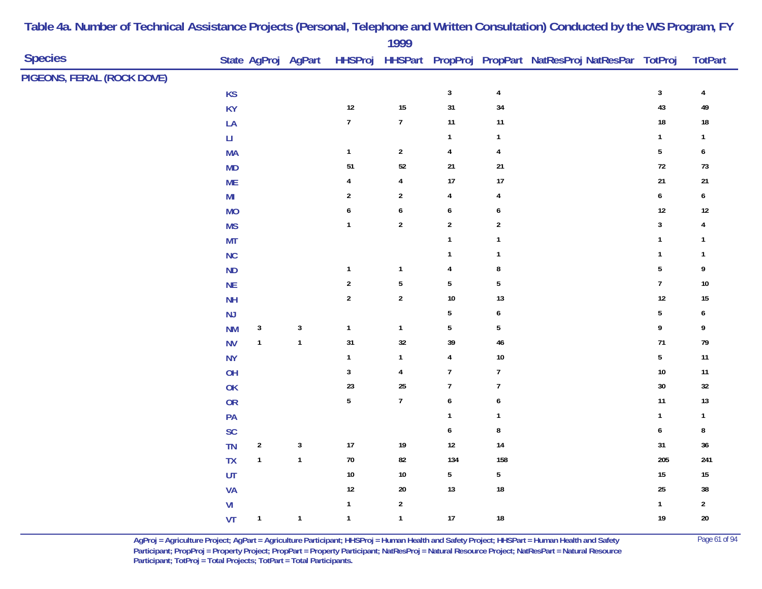|                            |                        |                           |                     |                | 1999                    |                         |                |                                                                |                  |                         |
|----------------------------|------------------------|---------------------------|---------------------|----------------|-------------------------|-------------------------|----------------|----------------------------------------------------------------|------------------|-------------------------|
| <b>Species</b>             |                        |                           | State AgProj AgPart |                |                         |                         |                | HHSProj HHSPart PropProj PropPart NatResProj NatResPar TotProj |                  | <b>TotPart</b>          |
| PIGEONS, FERAL (ROCK DOVE) |                        |                           |                     |                |                         |                         |                |                                                                |                  |                         |
|                            | KS                     |                           |                     |                |                         | $\mathbf{3}$            | $\pmb{4}$      |                                                                | $\mathbf{3}$     | $\overline{\mathbf{r}}$ |
|                            | KY                     |                           |                     | 12             | 15                      | 31                      | $34\,$         |                                                                | 43               | 49                      |
|                            | LA                     |                           |                     | $\overline{7}$ | $\overline{7}$          | $11$                    | 11             |                                                                | $18\,$           | $18\,$                  |
|                            | $\mathsf{L}\mathsf{L}$ |                           |                     |                |                         | $\mathbf{1}$            | $\mathbf{1}$   |                                                                | $\mathbf{1}$     | $\mathbf{1}$            |
|                            | <b>MA</b>              |                           |                     | $\mathbf{1}$   | $\sqrt{2}$              | $\overline{\mathbf{4}}$ | $\overline{4}$ |                                                                | $\sqrt{5}$       | $\boldsymbol{6}$        |
|                            | <b>MD</b>              |                           |                     | $51\,$         | $52\,$                  | $21$                    | $21\,$         |                                                                | $72\,$           | $73$                    |
|                            | <b>ME</b>              |                           |                     | 4              | $\overline{4}$          | 17                      | $17\,$         |                                                                | $21\,$           | 21                      |
|                            | $\mathsf{MI}$          |                           |                     | $\overline{2}$ | $\sqrt{2}$              | $\overline{4}$          | 4              |                                                                | $\boldsymbol{6}$ | $\boldsymbol{6}$        |
|                            | <b>MO</b>              |                           |                     | 6              | $\pmb{6}$               | $\boldsymbol{6}$        | 6              |                                                                | $12\,$           | $12$                    |
|                            | <b>MS</b>              |                           |                     | $\mathbf{1}$   | $\overline{2}$          | $\overline{2}$          | $\sqrt{2}$     |                                                                | $\mathbf{3}$     | 4                       |
|                            | <b>MT</b>              |                           |                     |                |                         | $\mathbf{1}$            | $\mathbf{1}$   |                                                                | $\mathbf{1}$     | $\mathbf{1}$            |
|                            | NC                     |                           |                     |                |                         | $\mathbf{1}$            | $\mathbf{1}$   |                                                                | $\mathbf{1}$     | $\mathbf{1}$            |
|                            | $\sf ND$               |                           |                     | $\mathbf{1}$   | $\overline{\mathbf{1}}$ | 4                       | 8              |                                                                | $\sqrt{5}$       | 9                       |
|                            | NE                     |                           |                     | $\overline{2}$ | $5\,$                   | $\sqrt{5}$              | $\overline{5}$ |                                                                | $\overline{7}$   | $10\,$                  |
|                            | <b>NH</b>              |                           |                     | $\sqrt{2}$     | $\sqrt{2}$              | $10\,$                  | 13             |                                                                | $12\,$           | 15                      |
|                            | NJ                     |                           |                     |                |                         | $\overline{5}$          | 6              |                                                                | ${\bf 5}$        | 6                       |
|                            | <b>NM</b>              | $\ensuremath{\mathsf{3}}$ | $\sqrt{3}$          | $\mathbf{1}$   | $\overline{1}$          | $5\phantom{.0}$         | $\sqrt{5}$     |                                                                | 9                | 9                       |
|                            | <b>NV</b>              | $\mathbf{1}$              | $\mathbf{1}$        | 31             | 32                      | 39                      | $46\,$         |                                                                | $71\,$           | 79                      |
|                            | <b>NY</b>              |                           |                     | $\overline{1}$ | $\mathbf{1}$            | $\overline{\mathbf{4}}$ | $10\,$         |                                                                | $5\phantom{.0}$  | $11$                    |
|                            | OH                     |                           |                     | 3              | $\overline{4}$          | $\overline{7}$          | $\overline{7}$ |                                                                | $10\,$           | $11$                    |
|                            | <b>OK</b>              |                           |                     | 23             | 25                      | $\overline{7}$          | $\overline{7}$ |                                                                | $30\,$           | $32\,$                  |
|                            | <b>OR</b>              |                           |                     | $\overline{5}$ | $\boldsymbol{7}$        | $\boldsymbol{6}$        | 6              |                                                                | 11               | 13                      |
|                            | PA                     |                           |                     |                |                         | $\mathbf{1}$            | $\mathbf{1}$   |                                                                | $\mathbf{1}$     | $\mathbf{1}$            |
|                            | SC                     |                           |                     |                |                         | $\boldsymbol{6}$        | $\bf 8$        |                                                                | $\boldsymbol{6}$ | 8                       |
|                            | TN                     | $\overline{2}$            | $\sqrt{3}$          | 17             | 19                      | $12\,$                  | $14\,$         |                                                                | 31               | $36\,$                  |
|                            | ${\sf TX}$             | $\mathbf{1}$              | $\mathbf{1}$        | $70\,$         | ${\bf 82}$              | 134                     | 158            |                                                                | 205              | 241                     |
|                            | UT                     |                           |                     | $10$           | $10$                    | $5\,$                   | 5              |                                                                | $15\,$           | $15\,$                  |
|                            | VA                     |                           |                     | 12             | $20\,$                  | 13                      | ${\bf 18}$     |                                                                | $25\,$           | $38\,$                  |
|                            | V <sub>l</sub>         |                           |                     | $\mathbf{1}$   | $\sqrt{2}$              |                         |                |                                                                | $\mathbf{1}$     | $\sqrt{2}$              |
|                            | VT                     | $\mathbf{1}$              | $\mathbf{1}$        | $\mathbf{1}$   | $\mathbf{1}$            | $17$                    | ${\bf 18}$     |                                                                | 19               | $20\,$                  |
|                            |                        |                           |                     |                |                         |                         |                |                                                                |                  |                         |

> **AgProj = Agriculture Project; AgPart = Agriculture Participant; HHSProj = Human Health and Safety Project; HHSPart = Human Health and Safety** Page 61 of 94 **Participant; PropProj = Property Project; PropPart = Property Participant; NatResProj = Natural Resource Project; NatResPart = Natural Resource**  Participant; TotProj = Total Projects; TotPart = Total Participants.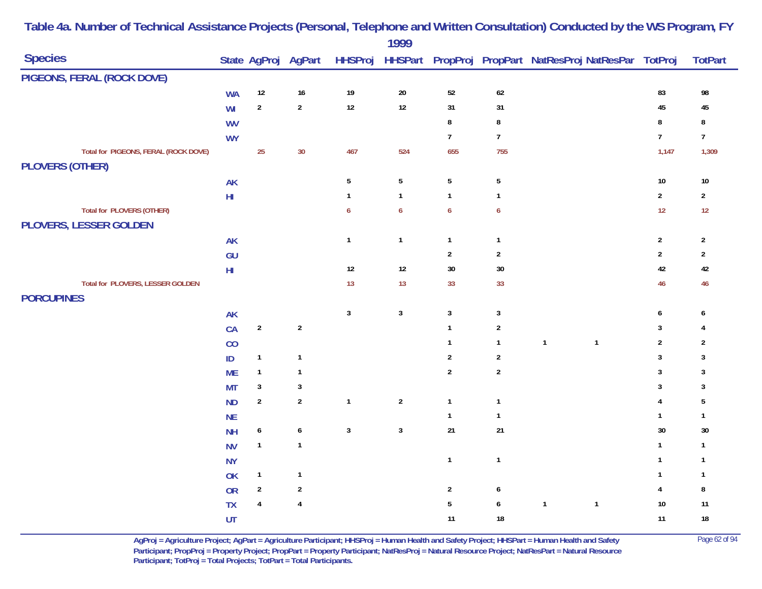|                                                                   |            |                  |                     |                 | 1777             |                           |                  |                                                        |                  |                |
|-------------------------------------------------------------------|------------|------------------|---------------------|-----------------|------------------|---------------------------|------------------|--------------------------------------------------------|------------------|----------------|
| <b>Species</b>                                                    |            |                  | State AgProj AgPart | <b>HHSProj</b>  |                  |                           |                  | HHSPart PropProj PropPart NatResProj NatResPar TotProj |                  | <b>TotPart</b> |
| PIGEONS, FERAL (ROCK DOVE)                                        |            |                  |                     |                 |                  |                           |                  |                                                        |                  |                |
|                                                                   | <b>WA</b>  | $12\,$           | $16\,$              | 19              | $20\,$           | $52\,$                    | $62\,$           |                                                        | 83               | 98             |
|                                                                   | WI         | $\overline{2}$   | $\overline{2}$      | $12$            | 12               | 31                        | 31               |                                                        | 45               | 45             |
|                                                                   | <b>WV</b>  |                  |                     |                 |                  | $\bf 8$                   | $\bf 8$          |                                                        | $\bf 8$          | 8              |
|                                                                   | <b>WY</b>  |                  |                     |                 |                  | $\overline{7}$            | $\overline{7}$   |                                                        | $\overline{7}$   | $\overline{7}$ |
| Total for PIGEONS, FERAL (ROCK DOVE)<br><b>PLOVERS (OTHER)</b>    |            | 25               | 30                  | 467             | 524              | 655                       | 755              |                                                        | 1,147            | 1,309          |
|                                                                   | AK         |                  |                     | $5\phantom{.0}$ | $5\phantom{.0}$  | $\sqrt{5}$                | $\overline{5}$   |                                                        | $10\,$           | $10\,$         |
|                                                                   | ${\sf HI}$ |                  |                     | $\mathbf{1}$    | $\mathbf{1}$     | $\mathbf{1}$              | $\mathbf{1}$     |                                                        | $\overline{2}$   | $\overline{2}$ |
| <b>Total for PLOVERS (OTHER)</b><br><b>PLOVERS, LESSER GOLDEN</b> |            |                  |                     | 6               | $\boldsymbol{6}$ | $\boldsymbol{6}$          | $\boldsymbol{6}$ |                                                        | 12               | 12             |
|                                                                   | <b>AK</b>  |                  |                     | $\mathbf{1}$    | $\mathbf{1}$     | $\mathbf{1}$              | $\mathbf{1}$     |                                                        | $\overline{2}$   | $\overline{2}$ |
|                                                                   | GU         |                  |                     |                 |                  | $\mathbf{2}$              | $\overline{2}$   |                                                        | $\overline{2}$   | $\overline{2}$ |
|                                                                   | ${\sf HI}$ |                  |                     | $12$            | 12               | $30\,$                    | $30\,$           |                                                        | 42               | 42             |
| Total for PLOVERS, LESSER GOLDEN                                  |            |                  |                     | 13              | 13               | 33                        | 33               |                                                        | 46               | 46             |
| <b>PORCUPINES</b>                                                 |            |                  |                     |                 |                  |                           |                  |                                                        |                  |                |
|                                                                   | AK         |                  |                     | $\mathbf{3}$    | $\mathbf{3}$     | $\ensuremath{\mathsf{3}}$ | $\mathbf{3}$     |                                                        | $\boldsymbol{6}$ | 6              |
|                                                                   | CA         | $\mathbf 2$      | $\mathbf 2$         |                 |                  | $\mathbf{1}$              | $\sqrt{2}$       |                                                        | $\sqrt{3}$       | 4              |
|                                                                   | CO         |                  |                     |                 |                  | $\mathbf{1}$              | $\mathbf{1}$     | $\mathbf{1}$<br>$\mathbf{1}$                           | $\overline{2}$   | $\overline{2}$ |
|                                                                   | ID         | $\mathbf{1}$     | $\mathbf{1}$        |                 |                  | $\boldsymbol{2}$          | $\overline{2}$   |                                                        | $\sqrt{3}$       | 3              |
|                                                                   | <b>ME</b>  | $\mathbf{1}$     | $\mathbf{1}$        |                 |                  | $\overline{2}$            | $\overline{2}$   |                                                        | $\sqrt{3}$       | 3              |
|                                                                   | <b>MT</b>  | $\sqrt{3}$       | $\sqrt{3}$          |                 |                  |                           |                  |                                                        | $\overline{3}$   | 3              |
|                                                                   | <b>ND</b>  | $\overline{2}$   | $\overline{2}$      | $\mathbf{1}$    | $\overline{2}$   | $\mathbf{1}$              | $\mathbf{1}$     |                                                        | $\overline{4}$   | 5              |
|                                                                   | <b>NE</b>  |                  |                     |                 |                  | $\mathbf{1}$              | $\mathbf{1}$     |                                                        | $\mathbf{1}$     | $\mathbf{1}$   |
|                                                                   | <b>NH</b>  | $\boldsymbol{6}$ | $\boldsymbol{6}$    | $\mathbf{3}$    | $\mathbf{3}$     | $21$                      | $21$             |                                                        | $30\,$           | $30\,$         |
|                                                                   | <b>NV</b>  | $\mathbf{1}$     | $\mathbf{1}$        |                 |                  |                           |                  |                                                        | $\mathbf{1}$     | $\mathbf{1}$   |
|                                                                   | <b>NY</b>  |                  |                     |                 |                  | $\mathbf{1}$              | $\mathbf{1}$     |                                                        | $\mathbf{1}$     | $\overline{1}$ |
|                                                                   | OK         | $\mathbf{1}$     | $\mathbf{1}$        |                 |                  |                           |                  |                                                        | $\mathbf{1}$     | $\mathbf{1}$   |
|                                                                   | OR         | $\sqrt{2}$       | $\sqrt{2}$          |                 |                  | $\sqrt{2}$                | 6                |                                                        | $\overline{4}$   | 8              |
|                                                                   | TX         | $\pmb{4}$        | $\overline{4}$      |                 |                  | $\sqrt{5}$                | $\boldsymbol{6}$ | $\mathbf{1}$<br>$\mathbf{1}$                           | $10\,$           | 11             |
|                                                                   | UT         |                  |                     |                 |                  | 11                        | $18\,$           |                                                        | 11               | $18\,$         |

> **AgProj = Agriculture Project; AgPart = Agriculture Participant; HHSProj = Human Health and Safety Project; HHSPart = Human Health and Safety** Page 62 of 94 **Participant; PropProj = Property Project; PropPart = Property Participant; NatResProj = Natural Resource Project; NatResPart = Natural Resource**  Participant; TotProj = Total Projects; TotPart = Total Participants.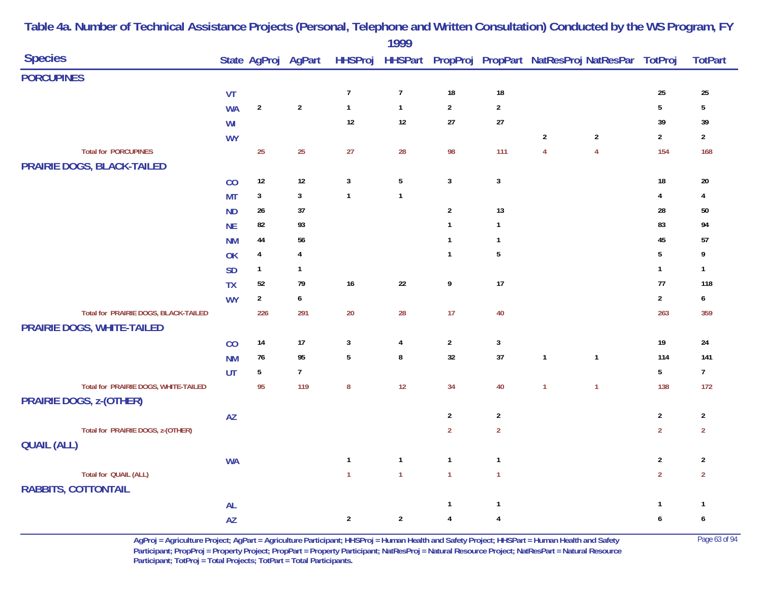|                                      |                        |                         |                     |                | 1777            |                         |                  |                |                                                                |                 |                  |
|--------------------------------------|------------------------|-------------------------|---------------------|----------------|-----------------|-------------------------|------------------|----------------|----------------------------------------------------------------|-----------------|------------------|
| <b>Species</b>                       |                        |                         | State AgProj AgPart |                |                 |                         |                  |                | HHSProj HHSPart PropProj PropPart NatResProj NatResPar TotProj |                 | <b>TotPart</b>   |
| <b>PORCUPINES</b>                    |                        |                         |                     |                |                 |                         |                  |                |                                                                |                 |                  |
|                                      | VT                     |                         |                     | $\overline{7}$ | $\overline{7}$  | $18\,$                  | $18\,$           |                |                                                                | 25              | 25               |
|                                      | <b>WA</b>              | $\overline{2}$          | $\overline{2}$      | $\mathbf{1}$   | $\mathbf{1}$    | $\overline{2}$          | $\overline{2}$   |                |                                                                | $5\phantom{a}$  | 5                |
|                                      | WI                     |                         |                     | 12             | $12$            | $27\,$                  | $27\,$           |                |                                                                | 39              | 39               |
|                                      | <b>WY</b>              |                         |                     |                |                 |                         |                  | $\sqrt{2}$     | $\overline{2}$                                                 | $\sqrt{2}$      | $\overline{2}$   |
| <b>Total for PORCUPINES</b>          |                        | 25                      | 25                  | 27             | 28              | 98                      | 111              | $\overline{4}$ | $\overline{4}$                                                 | 154             | 168              |
| PRAIRIE DOGS, BLACK-TAILED           |                        |                         |                     |                |                 |                         |                  |                |                                                                |                 |                  |
|                                      | CO                     | $12$                    | $12\,$              | $\mathbf{3}$   | $5\phantom{.0}$ | $\mathbf{3}$            | $\mathbf{3}$     |                |                                                                | $18\,$          | $20\,$           |
|                                      | <b>MT</b>              | $\sqrt{3}$              | $\mathbf{3}$        | $\mathbf{1}$   | $\mathbf{1}$    |                         |                  |                |                                                                | $\overline{4}$  | 4                |
|                                      | <b>ND</b>              | $26\,$                  | 37                  |                |                 | $\sqrt{2}$              | 13               |                |                                                                | 28              | $50\,$           |
|                                      | <b>NE</b>              | 82                      | 93                  |                |                 | $\mathbf{1}$            | $\mathbf{1}$     |                |                                                                | 83              | 94               |
|                                      | <b>NM</b>              | 44                      | 56                  |                |                 | $\mathbf{1}$            | $\mathbf{1}$     |                |                                                                | 45              | 57               |
|                                      | OK                     | $\overline{\mathbf{4}}$ | $\overline{4}$      |                |                 | $\mathbf{1}$            | $5\phantom{.0}$  |                |                                                                | $5\overline{)}$ | 9                |
|                                      | <b>SD</b>              | $\mathbf{1}$            | $\mathbf{1}$        |                |                 |                         |                  |                |                                                                | $\mathbf{1}$    | $\mathbf{1}$     |
|                                      | <b>TX</b>              | $52\,$                  | 79                  | 16             | $22\,$          | 9                       | 17               |                |                                                                | 77              | 118              |
|                                      | <b>WY</b>              | $\overline{2}$          | 6                   |                |                 |                         |                  |                |                                                                | $\overline{2}$  | 6                |
| Total for PRAIRIE DOGS, BLACK-TAILED |                        | 226                     | 291                 | 20             | 28              | 17                      | 40               |                |                                                                | 263             | 359              |
| PRAIRIE DOGS, WHITE-TAILED           |                        |                         |                     |                |                 |                         |                  |                |                                                                |                 |                  |
|                                      | CO                     | $14$                    | 17                  | $\mathbf{3}$   | $\overline{4}$  | $\overline{2}$          | $\mathbf{3}$     |                |                                                                | $19$            | 24               |
|                                      | <b>NM</b>              | $76\,$                  | 95                  | $\sqrt{5}$     | $\bf 8$         | $32\,$                  | $37\,$           | $\mathbf{1}$   | $\mathbf{1}$                                                   | 114             | 141              |
|                                      | <b>UT</b>              | $\sqrt{5}$              | $\overline{7}$      |                |                 |                         |                  |                |                                                                | $5\phantom{.0}$ | $\overline{7}$   |
| Total for PRAIRIE DOGS, WHITE-TAILED |                        | 95                      | 119                 | $\bf 8$        | 12              | 34                      | 40               | $\mathbf{1}$   | $\mathbf{1}$                                                   | 138             | 172              |
| PRAIRIE DOGS, z-(OTHER)              |                        |                         |                     |                |                 |                         |                  |                |                                                                |                 |                  |
|                                      | $\mathsf{A}\mathsf{Z}$ |                         |                     |                |                 | $\sqrt{2}$              | $\boldsymbol{2}$ |                |                                                                | $\sqrt{2}$      | $\sqrt{2}$       |
| Total for PRAIRIE DOGS, z-(OTHER)    |                        |                         |                     |                |                 | $\overline{2}$          | $\overline{2}$   |                |                                                                | $\overline{2}$  | $\overline{2}$   |
| <b>QUAIL (ALL)</b>                   |                        |                         |                     |                |                 |                         |                  |                |                                                                |                 |                  |
|                                      | <b>WA</b>              |                         |                     | $\mathbf{1}$   | $\mathbf{1}$    | $\mathbf{1}$            | $\mathbf{1}$     |                |                                                                | $\sqrt{2}$      | $\overline{2}$   |
| Total for QUAIL (ALL)                |                        |                         |                     | $\mathbf{1}$   | $\mathbf{1}$    | $\mathbf{1}$            | $\mathbf{1}$     |                |                                                                | $\overline{2}$  | $\overline{2}$   |
| <b>RABBITS, COTTONTAIL</b>           |                        |                         |                     |                |                 |                         |                  |                |                                                                |                 |                  |
|                                      | <b>AL</b>              |                         |                     |                |                 | $\mathbf{1}$            | $\mathbf{1}$     |                |                                                                | $\mathbf{1}$    | $\overline{1}$   |
|                                      | <b>AZ</b>              |                         |                     | $\sqrt{2}$     | $\sqrt{2}$      | $\overline{\mathbf{4}}$ | $\pmb{4}$        |                |                                                                | $\pmb{6}$       | $\boldsymbol{6}$ |
|                                      |                        |                         |                     |                |                 |                         |                  |                |                                                                |                 |                  |

> **AgProj = Agriculture Project; AgPart = Agriculture Participant; HHSProj = Human Health and Safety Project; HHSPart = Human Health and Safety** Page 63 of 94 **Participant; PropProj = Property Project; PropPart = Property Participant; NatResProj = Natural Resource Project; NatResPart = Natural Resource**  Participant; TotProj = Total Projects; TotPart = Total Participants.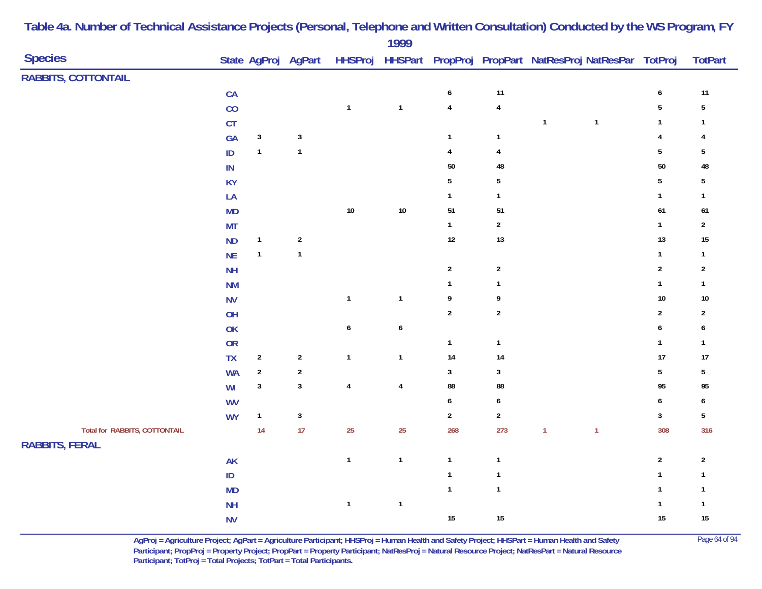|                               |               |                |                     |                  | 1777                    |                         |                         |                                                                |              |                         |                         |
|-------------------------------|---------------|----------------|---------------------|------------------|-------------------------|-------------------------|-------------------------|----------------------------------------------------------------|--------------|-------------------------|-------------------------|
| <b>Species</b>                |               |                | State AgProj AgPart |                  |                         |                         |                         | HHSProj HHSPart PropProj PropPart NatResProj NatResPar TotProj |              |                         | <b>TotPart</b>          |
| <b>RABBITS, COTTONTAIL</b>    |               |                |                     |                  |                         |                         |                         |                                                                |              |                         |                         |
|                               | CA            |                |                     |                  |                         | $\pmb{6}$               | 11                      |                                                                |              | $\boldsymbol{6}$        | $11$                    |
|                               | CO            |                |                     | $\mathbf{1}$     | $\mathbf{1}$            | $\overline{\mathbf{4}}$ | $\overline{\mathbf{4}}$ |                                                                |              | $5\phantom{a}$          | $\sqrt{5}$              |
|                               | CT            |                |                     |                  |                         |                         |                         | $\mathbf{1}$                                                   | $\mathbf 1$  | $\mathbf{1}$            | $\mathbf{1}$            |
|                               | GA            | $\mathbf{3}$   | $\mathbf{3}$        |                  |                         | $\mathbf{1}$            | $\mathbf{1}$            |                                                                |              | $\overline{\mathbf{4}}$ | 4                       |
|                               | $\mathsf{ID}$ | $\mathbf{1}$   | $\mathbf{1}$        |                  |                         | $\pmb{4}$               | $\overline{\mathbf{4}}$ |                                                                |              | $5\phantom{.0}$         | $\sqrt{5}$              |
|                               | ${\sf IN}$    |                |                     |                  |                         | $50\,$                  | 48                      |                                                                |              | 50                      | 48                      |
|                               | <b>KY</b>     |                |                     |                  |                         | $\overline{5}$          | $\overline{5}$          |                                                                |              | $5\phantom{.0}$         | 5                       |
|                               | LA            |                |                     |                  |                         | $\mathbf{1}$            | $\mathbf{1}$            |                                                                |              | $\mathbf{1}$            | $\mathbf{1}$            |
|                               | MD            |                |                     | $10\,$           | $10\,$                  | 51                      | 51                      |                                                                |              | 61                      | 61                      |
|                               | <b>MT</b>     |                |                     |                  |                         | $\mathbf{1}$            | $\mathbf 2$             |                                                                |              | $\mathbf{1}$            | $\overline{2}$          |
|                               | <b>ND</b>     | $\mathbf{1}$   | $\sqrt{2}$          |                  |                         | $12\,$                  | 13                      |                                                                |              | 13                      | $15\,$                  |
|                               | NE            | $\mathbf{1}$   | $\mathbf{1}$        |                  |                         |                         |                         |                                                                |              | $\mathbf{1}$            | $\mathbf{1}$            |
|                               | <b>NH</b>     |                |                     |                  |                         | $\sqrt{2}$              | $\sqrt{2}$              |                                                                |              | $\mathbf{2}$            | $\boldsymbol{2}$        |
|                               | <b>NM</b>     |                |                     |                  |                         | $\mathbf{1}$            | $\mathbf{1}$            |                                                                |              | $\mathbf{1}$            | $\mathbf{1}$            |
|                               | <b>NV</b>     |                |                     | $\mathbf{1}$     | $\mathbf{1}$            | $\boldsymbol{9}$        | 9                       |                                                                |              | $10\,$                  | $10\,$                  |
|                               | OH            |                |                     |                  |                         | $\sqrt{2}$              | $\boldsymbol{2}$        |                                                                |              | $\sqrt{2}$              | $\overline{\mathbf{c}}$ |
|                               | OK            |                |                     | $\boldsymbol{6}$ | $\boldsymbol{6}$        |                         |                         |                                                                |              | $\pmb{6}$               | 6                       |
|                               | <b>OR</b>     |                |                     |                  |                         | $\mathbf{1}$            | $\mathbf{1}$            |                                                                |              | $\mathbf{1}$            | $\mathbf{1}$            |
|                               | <b>TX</b>     | $\overline{2}$ | $\overline{2}$      | $\mathbf{1}$     | $\mathbf{1}$            | 14                      | 14                      |                                                                |              | 17                      | 17                      |
|                               | <b>WA</b>     | $\sqrt{2}$     | $\sqrt{2}$          |                  |                         | $\mathbf{3}$            | $\mathbf{3}$            |                                                                |              | $5\phantom{a}$          | $\sqrt{5}$              |
|                               | WI            | $\mathbf{3}$   | $\mathbf{3}$        | $\pmb{4}$        | $\overline{\mathbf{4}}$ | 88                      | 88                      |                                                                |              | 95                      | 95                      |
|                               | <b>WV</b>     |                |                     |                  |                         | $\boldsymbol{6}$        | $\pmb{6}$               |                                                                |              | $\pmb{6}$               | 6                       |
|                               | <b>WY</b>     | $\mathbf{1}$   | $\mathbf{3}$        |                  |                         | $\overline{2}$          | $\mathbf{2}$            |                                                                |              | $\mathbf{3}$            | $\sqrt{5}$              |
| Total for RABBITS, COTTONTAIL |               | 14             | 17                  | 25               | 25                      | 268                     | 273                     | $\mathbf{1}$                                                   | $\mathbf{1}$ | 308                     | 316                     |
| <b>RABBITS, FERAL</b>         |               |                |                     |                  |                         |                         |                         |                                                                |              |                         |                         |
|                               | <b>AK</b>     |                |                     | $\mathbf{1}$     | $\mathbf{1}$            | $\mathbf{1}$            | $\mathbf{1}$            |                                                                |              | $\overline{2}$          | $\overline{2}$          |
|                               | $\sf ID$      |                |                     |                  |                         | $\mathbf{1}$            | $\mathbf{1}$            |                                                                |              | $\mathbf{1}$            | $\mathbf{1}$            |
|                               | MD            |                |                     |                  |                         | $\mathbf{1}$            | $\mathbf{1}$            |                                                                |              | $\mathbf{1}$            | $\mathbf{1}$            |
|                               | <b>NH</b>     |                |                     | $\mathbf{1}$     | $\mathbf{1}$            |                         |                         |                                                                |              | $\mathbf{1}$            | $\mathbf{1}$            |
|                               | <b>NV</b>     |                |                     |                  |                         | $15\,$                  | $15\,$                  |                                                                |              | 15                      | $15\,$                  |
|                               |               |                |                     |                  |                         |                         |                         |                                                                |              |                         |                         |

> **AgProj = Agriculture Project; AgPart = Agriculture Participant; HHSProj = Human Health and Safety Project; HHSPart = Human Health and Safety** Page 64 of 94 **Participant; PropProj = Property Project; PropPart = Property Participant; NatResProj = Natural Resource Project; NatResPart = Natural Resource**  Participant; TotProj = Total Projects; TotPart = Total Participants.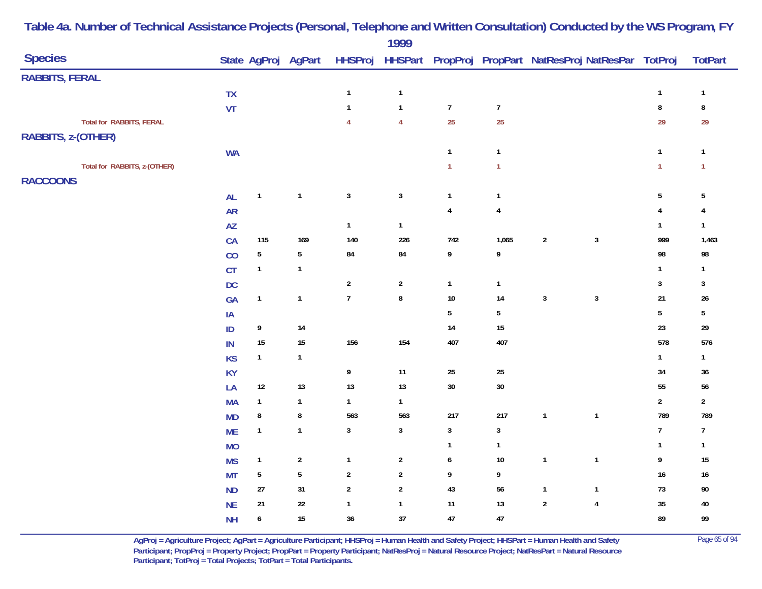|                                 |           |                 |                     |                | $1777$           |                  |                         |                                                        |                |                  |                         |
|---------------------------------|-----------|-----------------|---------------------|----------------|------------------|------------------|-------------------------|--------------------------------------------------------|----------------|------------------|-------------------------|
| <b>Species</b>                  |           |                 | State AgProj AgPart | <b>HHSProj</b> |                  |                  |                         | HHSPart PropProj PropPart NatResProj NatResPar TotProj |                |                  | <b>TotPart</b>          |
| <b>RABBITS, FERAL</b>           |           |                 |                     |                |                  |                  |                         |                                                        |                |                  |                         |
|                                 | TX        |                 |                     | $\mathbf{1}$   | $\mathbf{1}$     |                  |                         |                                                        |                | $\mathbf{1}$     | $\mathbf{1}$            |
|                                 | VT        |                 |                     | $\mathbf{1}$   | $\mathbf{1}$     | $\boldsymbol{7}$ | $\boldsymbol{7}$        |                                                        |                | $\bf 8$          | $\bf 8$                 |
| <b>Total for RABBITS, FERAL</b> |           |                 |                     | $\overline{4}$ | $\overline{4}$   | 25               | 25                      |                                                        |                | 29               | 29                      |
| RABBITS, z-(OTHER)              |           |                 |                     |                |                  |                  |                         |                                                        |                |                  |                         |
|                                 | <b>WA</b> |                 |                     |                |                  | $\overline{1}$   | $\overline{1}$          |                                                        |                | $\mathbf{1}$     | $\mathbf{1}$            |
| Total for RABBITS, z-(OTHER)    |           |                 |                     |                |                  | $\mathbf{1}$     | $\mathbf{1}$            |                                                        |                | $\mathbf{1}$     | $\mathbf{1}$            |
| <b>RACCOONS</b>                 |           |                 |                     |                |                  |                  |                         |                                                        |                |                  |                         |
|                                 | <b>AL</b> | $\mathbf{1}$    | $\mathbf{1}$        | $\mathbf{3}$   | $\sqrt{3}$       | $\mathbf{1}$     | $\overline{1}$          |                                                        |                | $\sqrt{5}$       | $\sqrt{5}$              |
|                                 | <b>AR</b> |                 |                     |                |                  | $\overline{4}$   | $\overline{\mathbf{4}}$ |                                                        |                | $\overline{4}$   | $\overline{\mathbf{4}}$ |
|                                 | <b>AZ</b> |                 |                     | $\mathbf{1}$   | $\mathbf{1}$     |                  |                         |                                                        |                | $\mathbf{1}$     | $\mathbf{1}$            |
|                                 | CA        | 115             | 169                 | 140            | 226              | 742              | 1,065                   | $\boldsymbol{2}$                                       | $\mathsf 3$    | 999              | 1,463                   |
|                                 | CO        | $5\phantom{.0}$ | $5\phantom{.0}$     | ${\bf 84}$     | 84               | 9                | 9                       |                                                        |                | 98               | 98                      |
|                                 | CT        | $\mathbf{1}$    | $\mathbf{1}$        |                |                  |                  |                         |                                                        |                | $\mathbf{1}$     | $\mathbf{1}$            |
|                                 | $DC$      |                 |                     | $\sqrt{2}$     | $\sqrt{2}$       | $\mathbf{1}$     | $\overline{1}$          |                                                        |                | 3                | 3                       |
|                                 | GA        | $\mathbf{1}$    | $\mathbf{1}$        | $\overline{7}$ | $\bf 8$          | $10\,$           | 14                      | $\sqrt{3}$                                             | $\mathbf{3}$   | 21               | $26\,$                  |
|                                 | $\sf IA$  |                 |                     |                |                  | $5\,$            | 5                       |                                                        |                | $\sqrt{5}$       | $\sqrt{5}$              |
|                                 | ID        | 9               | 14                  |                |                  | 14               | 15                      |                                                        |                | 23               | $29\,$                  |
|                                 | $\sf IN$  | $15\,$          | $15\,$              | 156            | 154              | 407              | 407                     |                                                        |                | 578              | 576                     |
|                                 | <b>KS</b> | $\mathbf{1}$    | $\mathbf{1}$        |                |                  |                  |                         |                                                        |                | $\mathbf{1}$     | $\mathbf{1}$            |
|                                 | <b>KY</b> |                 |                     | 9              | 11               | 25               | $25\,$                  |                                                        |                | 34               | 36                      |
|                                 | LA        | $12\,$          | $13$                | $13$           | 13               | $30\,$           | $30\,$                  |                                                        |                | 55               | $56\,$                  |
|                                 | <b>MA</b> | $\mathbf{1}$    | $\mathbf{1}$        | $\mathbf{1}$   | $\mathbf{1}$     |                  |                         |                                                        |                | $\sqrt{2}$       | $\boldsymbol{2}$        |
|                                 | <b>MD</b> | $\bf 8$         | $\bf 8$             | 563            | 563              | 217              | $217$                   | $\mathbf{1}$                                           | $\mathbf{1}$   | 789              | 789                     |
|                                 | <b>ME</b> | $\mathbf{1}$    | $\mathbf{1}$        | $\mathbf{3}$   | $\mathbf{3}$     | $\sqrt{3}$       | $\mathbf{3}$            |                                                        |                | $\boldsymbol{7}$ | $\overline{7}$          |
|                                 | <b>MO</b> |                 |                     |                |                  | $\mathbf{1}$     | $\mathbf{1}$            |                                                        |                | $\mathbf{1}$     | $\mathbf{1}$            |
|                                 | <b>MS</b> | $\mathbf{1}$    | $\boldsymbol{2}$    | $\mathbf{1}$   | $\boldsymbol{2}$ | 6                | 10                      | $\mathbf{1}$                                           | $\mathbf{1}$   | 9                | $15\,$                  |
|                                 | <b>MT</b> | $\sqrt{5}$      | $\sqrt{5}$          | $\sqrt{2}$     | $\sqrt{2}$       | 9                | 9                       |                                                        |                | $16\,$           | $16\,$                  |
|                                 | <b>ND</b> | $27\,$          | 31                  | $\sqrt{2}$     | $\sqrt{2}$       | $43\,$           | 56                      | $\mathbf{1}$                                           | $\mathbf{1}$   | $73\,$           | $90\,$                  |
|                                 | <b>NE</b> | 21              | $22\,$              | $\mathbf{1}$   | $\mathbf{1}$     | 11               | 13                      | $\sqrt{2}$                                             | $\overline{4}$ | 35               | 40                      |
|                                 | <b>NH</b> | 6               | $15\,$              | $36\,$         | 37               | 47               | 47                      |                                                        |                | 89               | 99                      |
|                                 |           |                 |                     |                |                  |                  |                         |                                                        |                |                  |                         |

> **AgProj = Agriculture Project; AgPart = Agriculture Participant; HHSProj = Human Health and Safety Project; HHSPart = Human Health and Safety** Page 65 of 94 **Participant; PropProj = Property Project; PropPart = Property Participant; NatResProj = Natural Resource Project; NatResPart = Natural Resource**  Participant; TotProj = Total Projects; TotPart = Total Participants.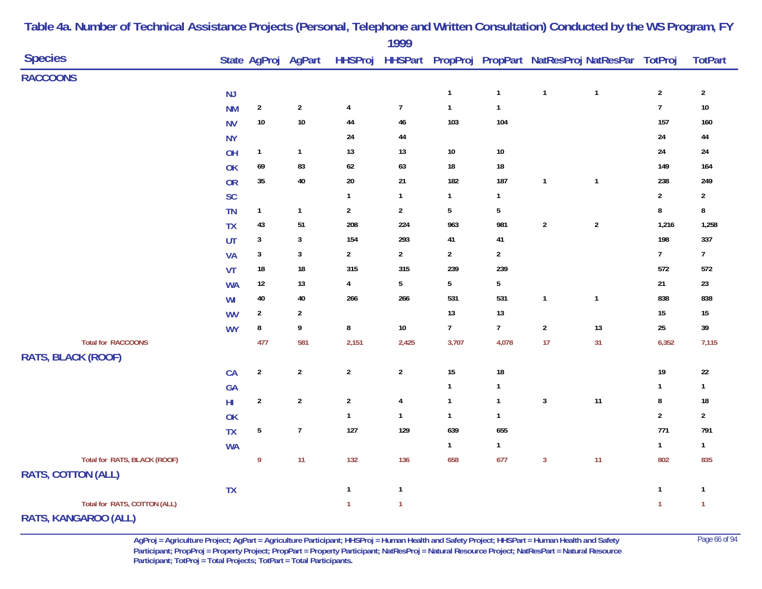|                              |                        |                |                     |                         | 1777             |                 |                |                         |                                                        |                |                |
|------------------------------|------------------------|----------------|---------------------|-------------------------|------------------|-----------------|----------------|-------------------------|--------------------------------------------------------|----------------|----------------|
| <b>Species</b>               |                        |                | State AgProj AgPart | <b>HHSProj</b>          |                  |                 |                |                         | HHSPart PropProj PropPart NatResProj NatResPar TotProj |                | <b>TotPart</b> |
| <b>RACCOONS</b>              |                        |                |                     |                         |                  |                 |                |                         |                                                        |                |                |
|                              | NJ                     |                |                     |                         |                  | $\mathbf{1}$    | $\mathbf{1}$   | $\mathbf{1}$            | $\mathbf{1}$                                           | $\overline{2}$ | $\overline{2}$ |
|                              | <b>NM</b>              | $\sqrt{2}$     | $\overline{2}$      | $\overline{\mathbf{4}}$ | $\boldsymbol{7}$ | $\mathbf{1}$    | $\mathbf{1}$   |                         |                                                        | $\overline{7}$ | $10\,$         |
|                              | <b>NV</b>              | $10\,$         | $10\,$              | 44                      | $46\,$           | 103             | 104            |                         |                                                        | 157            | 160            |
|                              | <b>NY</b>              |                |                     | $24\,$                  | 44               |                 |                |                         |                                                        | $24\,$         | 44             |
|                              | OH                     | $\mathbf{1}$   | $\mathbf{1}$        | $13$                    | 13               | $10\,$          | $10\,$         |                         |                                                        | $24\,$         | 24             |
|                              | OK                     | 69             | 83                  | $62\,$                  | 63               | 18              | $18\,$         |                         |                                                        | 149            | 164            |
|                              | OR                     | $35\,$         | $40\,$              | $20\,$                  | $21$             | 182             | 187            | $\overline{1}$          | $\overline{1}$                                         | 238            | 249            |
|                              | SC                     |                |                     | $\mathbf{1}$            | $\mathbf{1}$     | $\mathbf{1}$    | $\mathbf{1}$   |                         |                                                        | $\mathbf{2}$   | $\overline{2}$ |
|                              | <b>TN</b>              | $\mathbf{1}$   | $\mathbf{1}$        | $\sqrt{2}$              | $\overline{2}$   | $5\phantom{.0}$ | $\overline{5}$ |                         |                                                        | $\bf 8$        | $\bf 8$        |
|                              | <b>TX</b>              | 43             | 51                  | 208                     | 224              | 963             | 981            | $\overline{2}$          | $\sqrt{2}$                                             | 1,216          | 1,258          |
|                              | UT                     | $\mathbf{3}$   | $\mathbf{3}$        | 154                     | 293              | 41              | $41\,$         |                         |                                                        | 198            | 337            |
|                              | <b>VA</b>              | $\mathbf{3}$   | $\mathbf{3}$        | $\sqrt{2}$              | $\overline{2}$   | $\overline{2}$  | $\overline{2}$ |                         |                                                        | $\overline{7}$ | 7 <sup>7</sup> |
|                              | VT                     | $18\,$         | $18\,$              | 315                     | 315              | 239             | 239            |                         |                                                        | 572            | 572            |
|                              | <b>WA</b>              | 12             | $13$                | 4                       | $\overline{5}$   | 5               | 5              |                         |                                                        | 21             | $23\,$         |
|                              | WI                     | $40\,$         | $40\,$              | 266                     | 266              | 531             | 531            | $\overline{\mathbf{1}}$ | $\mathbf{1}$                                           | 838            | 838            |
|                              | <b>WV</b>              | $\overline{2}$ | $\overline{2}$      |                         |                  | 13              | 13             |                         |                                                        | $15\,$         | 15             |
|                              | <b>WY</b>              | ${\bf 8}$      | 9                   | $\bf 8$                 | $10\,$           | $\overline{7}$  | $\overline{7}$ | $\overline{2}$          | 13                                                     | $25\,$         | 39             |
| <b>Total for RACCOONS</b>    |                        | 477            | 581                 | 2,151                   | 2,425            | 3,707           | 4,078          | 17                      | 31                                                     | 6,352          | 7,115          |
| <b>RATS, BLACK (ROOF)</b>    |                        |                |                     |                         |                  |                 |                |                         |                                                        |                |                |
|                              | CA                     | $\sqrt{2}$     | $\sqrt{2}$          | $\overline{2}$          | $\overline{2}$   | 15              | $18\,$         |                         |                                                        | $19$           | $22\,$         |
|                              | GA                     |                |                     |                         |                  | $\mathbf{1}$    | 1              |                         |                                                        | $\mathbf{1}$   | $\mathbf{1}$   |
|                              | $\mathsf{H}\mathsf{I}$ | $\sqrt{2}$     | $\sqrt{2}$          | $\sqrt{2}$              | $\pmb{4}$        | $\mathbf{1}$    | $\mathbf{1}$   | $\mathbf{3}$            | 11                                                     | $\bf 8$        | $18\,$         |
|                              | OK                     |                |                     | $\mathbf{1}$            | $\mathbf{1}$     | $\mathbf{1}$    | $\mathbf{1}$   |                         |                                                        | $\overline{2}$ | $\overline{2}$ |
|                              | <b>TX</b>              | ${\bf 5}$      | $\boldsymbol{7}$    | 127                     | 129              | 639             | 655            |                         |                                                        | 771            | 791            |
|                              | <b>WA</b>              |                |                     |                         |                  | $\mathbf{1}$    | $\mathbf{1}$   |                         |                                                        | $\mathbf{1}$   | $\mathbf{1}$   |
| Total for RATS, BLACK (ROOF) |                        | 9              | 11                  | 132                     | 136              | 658             | 677            | $\mathbf{3}$            | 11                                                     | 802            | 835            |
| <b>RATS, COTTON (ALL)</b>    |                        |                |                     |                         |                  |                 |                |                         |                                                        |                |                |
|                              | <b>TX</b>              |                |                     | $\mathbf{1}$            | $\mathbf{1}$     |                 |                |                         |                                                        | $\mathbf{1}$   | $\mathbf{1}$   |
| Total for RATS, COTTON (ALL) |                        |                |                     | $\mathbf{1}$            | $\mathbf{1}$     |                 |                |                         |                                                        | $\mathbf{1}$   | $\overline{1}$ |
| RATS, KANGAROO (ALL)         |                        |                |                     |                         |                  |                 |                |                         |                                                        |                |                |

**AgProj = Agriculture Project; AgPart = Agriculture Participant; HHSProj = Human Health and Safety Project; HHSPart = Human Health and Safety** Page 66 of 94 **Participant; PropProj = Property Project; PropPart = Property Participant; NatResProj = Natural Resource Project; NatResPart = Natural Resource**  Participant; TotProj = Total Projects; TotPart = Total Participants.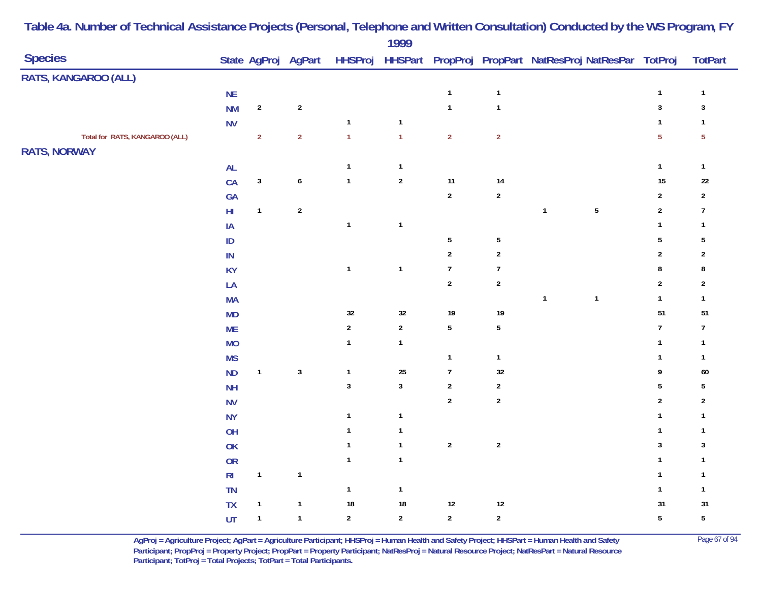|                                |                |                |                     |                | 1777         |                  |                         |              |                                                        |                  |                  |
|--------------------------------|----------------|----------------|---------------------|----------------|--------------|------------------|-------------------------|--------------|--------------------------------------------------------|------------------|------------------|
| <b>Species</b>                 |                |                | State AgProj AgPart | <b>HHSProj</b> |              |                  |                         |              | HHSPart PropProj PropPart NatResProj NatResPar TotProj |                  | <b>TotPart</b>   |
| RATS, KANGAROO (ALL)           |                |                |                     |                |              |                  |                         |              |                                                        |                  |                  |
|                                | $\sf NE$       |                |                     |                |              | $\mathbf{1}$     | $\overline{\mathbf{1}}$ |              |                                                        | $\mathbf{1}$     | $\mathbf{1}$     |
|                                | <b>NM</b>      | $\sqrt{2}$     | $\boldsymbol{2}$    |                |              | $\mathbf{1}$     | $\overline{\mathbf{1}}$ |              |                                                        | $\mathbf{3}$     | $\sqrt{3}$       |
|                                | <b>NV</b>      |                |                     | $\mathbf{1}$   | $\mathbf{1}$ |                  |                         |              |                                                        | $\mathbf{1}$     | $\mathbf{1}$     |
| Total for RATS, KANGAROO (ALL) |                | $\overline{2}$ | $\overline{2}$      | $\mathbf{1}$   | $\mathbf{1}$ | $\overline{2}$   | $\overline{2}$          |              |                                                        | $\sqrt{5}$       | $\sqrt{5}$       |
| <b>RATS, NORWAY</b>            |                |                |                     |                |              |                  |                         |              |                                                        |                  |                  |
|                                | $\mathsf{AL}$  |                |                     | $\mathbf{1}$   | $\mathbf{1}$ |                  |                         |              |                                                        | $\mathbf 1$      | $\mathbf{1}$     |
|                                | CA             | $\mathsf 3$    | $\pmb{6}$           | $\mathbf 1$    | $\sqrt{2}$   | 11               | 14                      |              |                                                        | 15               | $22\,$           |
|                                | GA             |                |                     |                |              | $\sqrt{2}$       | $\mathbf 2$             |              |                                                        | $\sqrt{2}$       | $\sqrt{2}$       |
|                                | $\mathsf{HI}$  | $\overline{1}$ | $\sqrt{2}$          |                |              |                  |                         | $\mathbf{1}$ | $5\phantom{a}$                                         | $\sqrt{2}$       | $\boldsymbol{7}$ |
|                                | $\sf IA$       |                |                     | $\mathbf{1}$   | $\mathbf{1}$ |                  |                         |              |                                                        | $\mathbf{1}$     | $\mathbf{1}$     |
|                                | $\sf ID$       |                |                     |                |              | $\sqrt{5}$       | $\sqrt{5}$              |              |                                                        | $\sqrt{5}$       | $\sqrt{5}$       |
|                                | $\sf IN$       |                |                     |                |              | $\sqrt{2}$       | $\sqrt{2}$              |              |                                                        | $\sqrt{2}$       | $\sqrt{2}$       |
|                                | <b>KY</b>      |                |                     | $\mathbf{1}$   | $\mathbf{1}$ | $\overline{7}$   | $\overline{7}$          |              |                                                        | $\bf 8$          | $\bf 8$          |
|                                | LA             |                |                     |                |              | $\sqrt{2}$       | $\sqrt{2}$              |              |                                                        | $\sqrt{2}$       | $\sqrt{2}$       |
|                                | <b>MA</b>      |                |                     |                |              |                  |                         | $\mathbf{1}$ | $\mathbf{1}$                                           | $\mathbf{1}$     | $\mathbf{1}$     |
|                                | MD             |                |                     | $32\,$         | $32\,$       | $19$             | 19                      |              |                                                        | 51               | 51               |
|                                | <b>ME</b>      |                |                     | $\sqrt{2}$     | $\sqrt{2}$   | $5\,$            | $\overline{5}$          |              |                                                        | $\boldsymbol{7}$ | $\boldsymbol{7}$ |
|                                | <b>MO</b>      |                |                     | $\mathbf{1}$   | $\mathbf{1}$ |                  |                         |              |                                                        | $\mathbf{1}$     | $\mathbf{1}$     |
|                                | <b>MS</b>      |                |                     |                |              | $\mathbf{1}$     | $\overline{\mathbf{1}}$ |              |                                                        | $\mathbf{1}$     | $\mathbf{1}$     |
|                                | ND             | $\mathbf{1}$   | $\mathbf{3}$        | $\mathbf{1}$   | 25           | $\boldsymbol{7}$ | $32\,$                  |              |                                                        | 9                | 60               |
|                                | <b>NH</b>      |                |                     | $\mathbf{3}$   | $\mathbf{3}$ | $\sqrt{2}$       | $\boldsymbol{2}$        |              |                                                        | $5\,$            | $\sqrt{5}$       |
|                                | <b>NV</b>      |                |                     |                |              | $\overline{2}$   | $\sqrt{2}$              |              |                                                        | $\sqrt{2}$       | $\sqrt{2}$       |
|                                | <b>NY</b>      |                |                     | $\mathbf{1}$   | $\mathbf{1}$ |                  |                         |              |                                                        | $\mathbf{1}$     | $\mathbf{1}$     |
|                                | OH             |                |                     | $\mathbf{1}$   | $\mathbf{1}$ |                  |                         |              |                                                        | $\mathbf{1}$     | $\mathbf{1}$     |
|                                | <b>OK</b>      |                |                     | $\mathbf{1}$   | $\mathbf{1}$ | $\sqrt{2}$       | $\sqrt{2}$              |              |                                                        | $\sqrt{3}$       | $\sqrt{3}$       |
|                                | <b>OR</b>      |                |                     | $\mathbf{1}$   | $\mathbf{1}$ |                  |                         |              |                                                        | $\mathbf{1}$     | $\mathbf{1}$     |
|                                | R <sub>l</sub> | $\mathbf{1}$   | $\mathbf{1}$        |                |              |                  |                         |              |                                                        | $\mathbf{1}$     | $\mathbf{1}$     |
|                                | <b>TN</b>      |                |                     | $\mathbf{1}$   | $\mathbf{1}$ |                  |                         |              |                                                        | $\mathbf{1}$     | $\mathbf{1}$     |
|                                | <b>TX</b>      | $\mathbf{1}$   | $\mathbf 1$         | $18\,$         | 18           | $12\,$           | $12$                    |              |                                                        | 31               | 31               |
|                                | UT             | $\overline{1}$ | $\mathbf{1}$        | $\sqrt{2}$     | $\sqrt{2}$   | $\sqrt{2}$       | $\sqrt{2}$              |              |                                                        | $\sqrt{5}$       | ${\bf 5}$        |
|                                |                |                |                     |                |              |                  |                         |              |                                                        |                  |                  |

> **AgProj = Agriculture Project; AgPart = Agriculture Participant; HHSProj = Human Health and Safety Project; HHSPart = Human Health and Safety** Page 67 of 94 **Participant; PropProj = Property Project; PropPart = Property Participant; NatResProj = Natural Resource Project; NatResPart = Natural Resource**  Participant; TotProj = Total Projects; TotPart = Total Participants.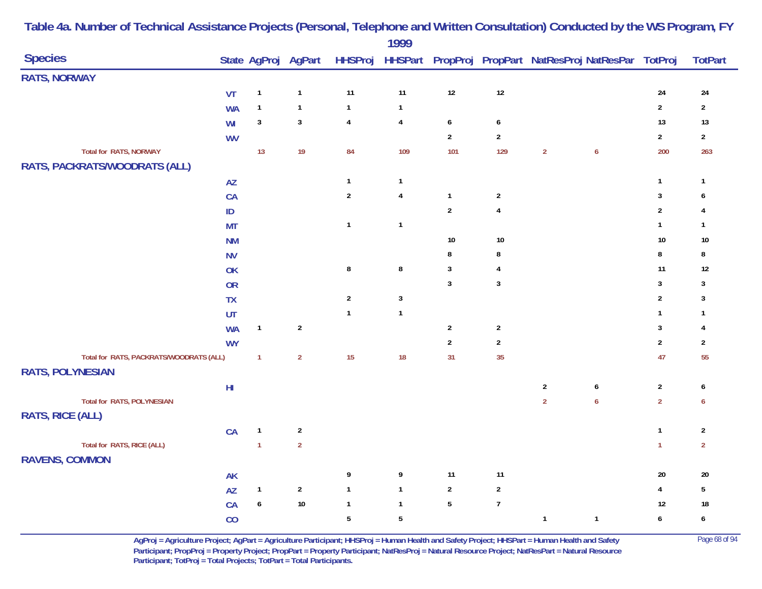|                                         |                        |                |                     |                  | 1777         |                  |                         |                |                                                        |                         |                         |
|-----------------------------------------|------------------------|----------------|---------------------|------------------|--------------|------------------|-------------------------|----------------|--------------------------------------------------------|-------------------------|-------------------------|
| <b>Species</b>                          |                        |                | State AgProj AgPart | <b>HHSProj</b>   |              |                  |                         |                | HHSPart PropProj PropPart NatResProj NatResPar TotProj |                         | <b>TotPart</b>          |
| <b>RATS, NORWAY</b>                     |                        |                |                     |                  |              |                  |                         |                |                                                        |                         |                         |
|                                         | VT                     | $\mathbf{1}$   | $\mathbf{1}$        | 11               | 11           | $12$             | $12$                    |                |                                                        | 24                      | 24                      |
|                                         | <b>WA</b>              | $\mathbf{1}$   | $\mathbf{1}$        | $\mathbf 1$      | $\mathbf{1}$ |                  |                         |                |                                                        | $\overline{2}$          | $\mathbf{2}$            |
|                                         | WI                     | $\mathbf{3}$   | $\mathbf{3}$        | $\pmb{4}$        | 4            | $\boldsymbol{6}$ | $\boldsymbol{6}$        |                |                                                        | 13                      | $13$                    |
|                                         | <b>WV</b>              |                |                     |                  |              | $\sqrt{2}$       | $\overline{2}$          |                |                                                        | $\overline{2}$          | $\mathbf{2}$            |
| <b>Total for RATS, NORWAY</b>           |                        | 13             | 19                  | 84               | 109          | 101              | 129                     | $\overline{2}$ | $\boldsymbol{6}$                                       | 200                     | 263                     |
| RATS, PACKRATS/WOODRATS (ALL)           |                        |                |                     |                  |              |                  |                         |                |                                                        |                         |                         |
|                                         | AZ                     |                |                     | $\mathbf{1}$     | $\mathbf{1}$ |                  |                         |                |                                                        | $\mathbf{1}$            | $\mathbf{1}$            |
|                                         | CA                     |                |                     | $\boldsymbol{2}$ | $\pmb{4}$    | $\mathbf{1}$     | $\boldsymbol{2}$        |                |                                                        | $\mathbf{3}$            | 6                       |
|                                         | $\sf ID$               |                |                     |                  |              | $\overline{2}$   | $\pmb{4}$               |                |                                                        | $\sqrt{2}$              | 4                       |
|                                         | <b>MT</b>              |                |                     | $\mathbf{1}$     | $\mathbf{1}$ |                  |                         |                |                                                        | $\mathbf{1}$            | $\mathbf{1}$            |
|                                         | <b>NM</b>              |                |                     |                  |              | $10\,$           | $10\,$                  |                |                                                        | 10                      | $10\,$                  |
|                                         | <b>NV</b>              |                |                     |                  |              | $\bf 8$          | 8                       |                |                                                        | $\bf 8$                 | 8                       |
|                                         | OK                     |                |                     | $\bf 8$          | $\bf 8$      | $\mathbf{3}$     | $\overline{\mathbf{4}}$ |                |                                                        | 11                      | $12$                    |
|                                         | <b>OR</b>              |                |                     |                  |              | $\sqrt{3}$       | $\mathbf{3}$            |                |                                                        | $\mathbf{3}$            | 3                       |
|                                         | <b>TX</b>              |                |                     | $\boldsymbol{2}$ | $\mathbf{3}$ |                  |                         |                |                                                        | $\mathbf 2$             | $\mathsf 3$             |
|                                         | UT                     |                |                     | $\mathbf{1}$     | $\mathbf{1}$ |                  |                         |                |                                                        | $\mathbf{1}$            | 1                       |
|                                         | <b>WA</b>              | $\mathbf{1}$   | $\sqrt{2}$          |                  |              | $\sqrt{2}$       | $\sqrt{2}$              |                |                                                        | $\mathbf{3}$            | 4                       |
|                                         | <b>WY</b>              |                |                     |                  |              | $\sqrt{2}$       | $\boldsymbol{2}$        |                |                                                        | $\boldsymbol{2}$        | $\overline{\mathbf{c}}$ |
| Total for RATS, PACKRATS/WOODRATS (ALL) |                        | $\overline{1}$ | $\overline{2}$      | 15               | 18           | 31               | 35                      |                |                                                        | 47                      | 55                      |
| <b>RATS, POLYNESIAN</b>                 |                        |                |                     |                  |              |                  |                         |                |                                                        |                         |                         |
|                                         | ${\sf HI}$             |                |                     |                  |              |                  |                         | $\sqrt{2}$     | $\pmb{6}$                                              | $\boldsymbol{2}$        | 6                       |
| <b>Total for RATS, POLYNESIAN</b>       |                        |                |                     |                  |              |                  |                         | $\overline{2}$ | $\boldsymbol{6}$                                       | $\overline{2}$          | $\boldsymbol{6}$        |
| <b>RATS, RICE (ALL)</b>                 |                        |                |                     |                  |              |                  |                         |                |                                                        |                         |                         |
|                                         | CA                     | $\mathbf{1}$   | $\sqrt{2}$          |                  |              |                  |                         |                |                                                        | $\mathbf{1}$            | $\overline{2}$          |
| Total for RATS, RICE (ALL)              |                        | $\overline{1}$ | $\overline{2}$      |                  |              |                  |                         |                |                                                        | $\mathbf{1}$            | $\overline{2}$          |
| <b>RAVENS, COMMON</b>                   |                        |                |                     |                  |              |                  |                         |                |                                                        |                         |                         |
|                                         | AK                     |                |                     | 9                | $\pmb{9}$    | $11$             | 11                      |                |                                                        | 20                      | $20\,$                  |
|                                         | $\mathsf{A}\mathsf{Z}$ | $\mathbf{1}$   | $\overline{2}$      | $\mathbf{1}$     | $\mathbf{1}$ | $\overline{2}$   | $\mathbf{2}$            |                |                                                        | $\overline{\mathbf{4}}$ | 5                       |
|                                         | CA                     | $\pmb{6}$      | $10\,$              | $\overline{1}$   | $\mathbf{1}$ | $\sqrt{5}$       | $\overline{7}$          |                |                                                        | $12\,$                  | $18\,$                  |
|                                         | CO                     |                |                     | 5                | 5            |                  |                         | $\mathbf{1}$   | $\mathbf{1}$                                           | 6                       | $\boldsymbol{6}$        |

> **AgProj = Agriculture Project; AgPart = Agriculture Participant; HHSProj = Human Health and Safety Project; HHSPart = Human Health and Safety** Page 68 of 94 **Participant; PropProj = Property Project; PropPart = Property Participant; NatResProj = Natural Resource Project; NatResPart = Natural Resource**  Participant; TotProj = Total Projects; TotPart = Total Participants.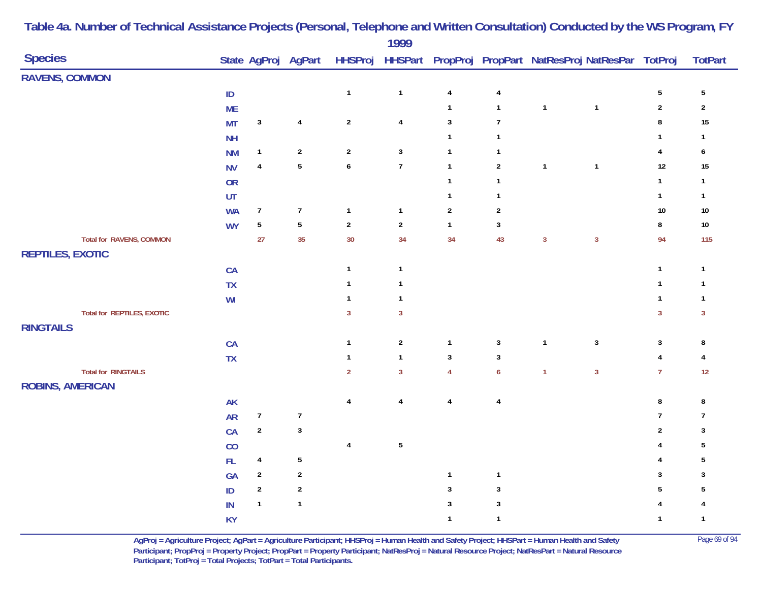| <b>Species</b>                    |                |                  | State AgProj AgPart |                  | 1777           |                         |                         |              | HHSProj HHSPart PropProj PropPart NatResProj NatResPar TotProj |                         | <b>TotPart</b>  |
|-----------------------------------|----------------|------------------|---------------------|------------------|----------------|-------------------------|-------------------------|--------------|----------------------------------------------------------------|-------------------------|-----------------|
| <b>RAVENS, COMMON</b>             |                |                  |                     |                  |                |                         |                         |              |                                                                |                         |                 |
|                                   | $\sf ID$       |                  |                     | $\mathbf{1}$     | $\mathbf{1}$   | $\overline{4}$          | $\overline{\mathbf{4}}$ |              |                                                                | $5\phantom{.0}$         | $5\phantom{.0}$ |
|                                   | <b>ME</b>      |                  |                     |                  |                | $\mathbf{1}$            | $\mathbf{1}$            | $\mathbf{1}$ | $\mathbf{1}$                                                   | $\sqrt{2}$              | $\sqrt{2}$      |
|                                   | <b>MT</b>      | $\mathbf{3}$     | $\overline{4}$      | $\sqrt{2}$       | $\overline{4}$ | $\sqrt{3}$              | $\overline{7}$          |              |                                                                | $\pmb{8}$               | 15              |
|                                   | <b>NH</b>      |                  |                     |                  |                | $\mathbf{1}$            | $\mathbf{1}$            |              |                                                                | $\mathbf{1}$            | $\mathbf{1}$    |
|                                   | <b>NM</b>      | $\mathbf{1}$     | $\sqrt{2}$          | $\sqrt{2}$       | $\mathbf{3}$   | $\mathbf{1}$            | $\mathbf{1}$            |              |                                                                | $\overline{4}$          | 6               |
|                                   | <b>NV</b>      | $\pmb{4}$        | $\overline{5}$      | $\boldsymbol{6}$ | $\overline{7}$ | $\mathbf{1}$            | $\sqrt{2}$              | $\mathbf{1}$ | $\mathbf{1}$                                                   | $12$                    | 15              |
|                                   | OR             |                  |                     |                  |                | $\mathbf{1}$            | $\mathbf{1}$            |              |                                                                | $\mathbf{1}$            | $\overline{1}$  |
|                                   | UT             |                  |                     |                  |                | $\mathbf{1}$            | $\mathbf{1}$            |              |                                                                | $\mathbf{1}$            | $\mathbf{1}$    |
|                                   | <b>WA</b>      | $\boldsymbol{7}$ | $\boldsymbol{7}$    | $\mathbf{1}$     | $\mathbf{1}$   | $\sqrt{2}$              | $\boldsymbol{2}$        |              |                                                                | $10\,$                  | $10\,$          |
|                                   | <b>WY</b>      | $\sqrt{5}$       | $\overline{5}$      | $\boldsymbol{2}$ | $\sqrt{2}$     | $\mathbf{1}$            | $\sqrt{3}$              |              |                                                                | $\bf 8$                 | $10\,$          |
| <b>Total for RAVENS, COMMON</b>   |                | 27               | 35                  | 30               | 34             | 34                      | 43                      | $\mathbf{3}$ | $\mathbf{3}$                                                   | 94                      | 115             |
| <b>REPTILES, EXOTIC</b>           |                |                  |                     |                  |                |                         |                         |              |                                                                |                         |                 |
|                                   | CA             |                  |                     | $\mathbf{1}$     | $\mathbf{1}$   |                         |                         |              |                                                                | $\mathbf{1}$            | $\overline{1}$  |
|                                   | TX             |                  |                     | $\mathbf{1}$     | $\mathbf{1}$   |                         |                         |              |                                                                | $\mathbf{1}$            | $\mathbf{1}$    |
|                                   | W <sub>l</sub> |                  |                     | $\mathbf{1}$     | $\mathbf{1}$   |                         |                         |              |                                                                | $\mathbf{1}$            | $\mathbf{1}$    |
| <b>Total for REPTILES, EXOTIC</b> |                |                  |                     | $\mathbf{3}$     | $\mathbf{3}$   |                         |                         |              |                                                                | $\overline{3}$          | $\mathbf{3}$    |
| <b>RINGTAILS</b>                  |                |                  |                     |                  |                |                         |                         |              |                                                                |                         |                 |
|                                   | CA             |                  |                     | $\mathbf{1}$     | $\sqrt{2}$     | $\mathbf{1}$            | $\mathbf{3}$            | $\mathbf{1}$ | $\mathbf{3}$                                                   | $\sqrt{3}$              | 8               |
|                                   | TX             |                  |                     | $\mathbf{1}$     | $\mathbf{1}$   | $\sqrt{3}$              | $\mathbf{3}$            |              |                                                                | $\overline{4}$          | 4               |
| <b>Total for RINGTAILS</b>        |                |                  |                     | $\overline{2}$   | $\overline{3}$ | $\overline{4}$          | $\boldsymbol{6}$        | $\mathbf{1}$ | $\overline{3}$                                                 | $\overline{7}$          | 12              |
| <b>ROBINS, AMERICAN</b>           |                |                  |                     |                  |                |                         |                         |              |                                                                |                         |                 |
|                                   | <b>AK</b>      |                  |                     | $\overline{4}$   | 4              | $\overline{\mathbf{4}}$ | $\overline{4}$          |              |                                                                | $\bf 8$                 | 8               |
|                                   | <b>AR</b>      | $\boldsymbol{7}$ | $\boldsymbol{7}$    |                  |                |                         |                         |              |                                                                | $\overline{7}$          | $\overline{7}$  |
|                                   | CA             | $\sqrt{2}$       | $\mathbf{3}$        |                  |                |                         |                         |              |                                                                | $\sqrt{2}$              | 3               |
|                                   | CO             |                  |                     | $\pmb{4}$        | $\overline{5}$ |                         |                         |              |                                                                | 4                       | $\sqrt{5}$      |
|                                   | FL             | $\pmb{4}$        | $\sqrt{5}$          |                  |                |                         |                         |              |                                                                | $\overline{4}$          | 5               |
|                                   | GA             | $\sqrt{2}$       | $\sqrt{2}$          |                  |                | $\mathbf{1}$            | $\mathbf{1}$            |              |                                                                | $\overline{\mathbf{3}}$ | 3               |
|                                   | $\sf ID$       | $\sqrt{2}$       | $\sqrt{2}$          |                  |                | $\sqrt{3}$              | $\mathbf{3}$            |              |                                                                | 5                       | 5               |
|                                   | IN             | $\mathbf{1}$     | $\mathbf{1}$        |                  |                | $\sqrt{3}$              | $\mathbf{3}$            |              |                                                                | $\overline{4}$          | 4               |
|                                   | <b>KY</b>      |                  |                     |                  |                | $\mathbf{1}$            | $\mathbf{1}$            |              |                                                                | $\mathbf{1}$            | $\overline{1}$  |

> **AgProj = Agriculture Project; AgPart = Agriculture Participant; HHSProj = Human Health and Safety Project; HHSPart = Human Health and Safety** Page 69 of 94 **Participant; PropProj = Property Project; PropPart = Property Participant; NatResProj = Natural Resource Project; NatResPart = Natural Resource**  Participant; TotProj = Total Projects; TotPart = Total Participants.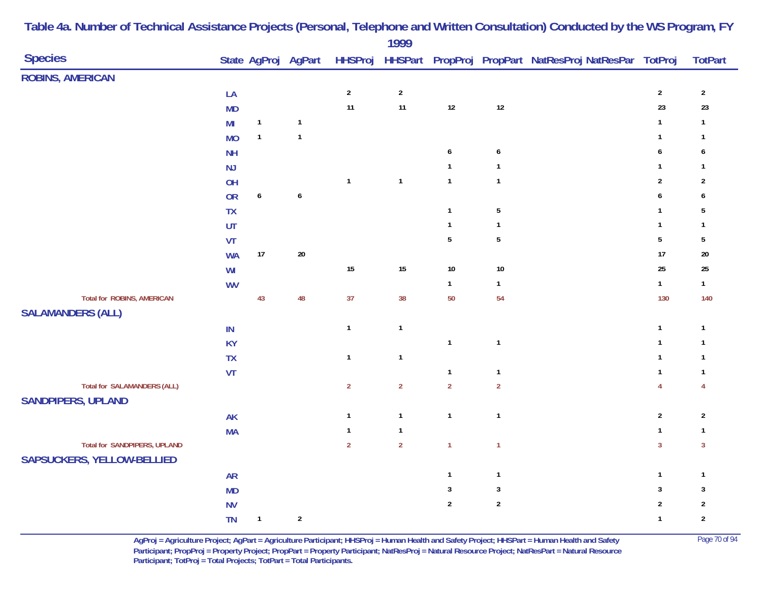|                                     |               |              |                  |                | 1777           |                  |                  |                                                                                    |                  |                |
|-------------------------------------|---------------|--------------|------------------|----------------|----------------|------------------|------------------|------------------------------------------------------------------------------------|------------------|----------------|
| <b>Species</b>                      |               |              |                  |                |                |                  |                  | State AgProj AgPart HHSProj HHSPart PropProj PropPart NatResProj NatResPar TotProj |                  | <b>TotPart</b> |
| <b>ROBINS, AMERICAN</b>             |               |              |                  |                |                |                  |                  |                                                                                    |                  |                |
|                                     | LA            |              |                  | $\overline{2}$ | $\overline{2}$ |                  |                  |                                                                                    | $\overline{2}$   | $\overline{2}$ |
|                                     | <b>MD</b>     |              |                  | $11$           | 11             | $12$             | $12\,$           |                                                                                    | 23               | 23             |
|                                     | MI            | $\mathbf{1}$ | $\mathbf{1}$     |                |                |                  |                  |                                                                                    | $\mathbf{1}$     | $\mathbf{1}$   |
|                                     | <b>MO</b>     | $\mathbf{1}$ | $\mathbf{1}$     |                |                |                  |                  |                                                                                    | $\mathbf{1}$     | $\mathbf{1}$   |
|                                     | <b>NH</b>     |              |                  |                |                | $\boldsymbol{6}$ | $\boldsymbol{6}$ |                                                                                    | 6                | 6              |
|                                     | NJ            |              |                  |                |                | $\mathbf{1}$     | $\mathbf{1}$     |                                                                                    | $\mathbf{1}$     | $\mathbf{1}$   |
|                                     | OH            |              |                  | $\mathbf{1}$   | $\mathbf{1}$   | $\mathbf{1}$     | $\mathbf{1}$     |                                                                                    | $\sqrt{2}$       | $\sqrt{2}$     |
|                                     | <b>OR</b>     | $\pmb{6}$    | $\boldsymbol{6}$ |                |                |                  |                  |                                                                                    | $\boldsymbol{6}$ | $\pmb{6}$      |
|                                     | <b>TX</b>     |              |                  |                |                | $\mathbf{1}$     | $\sqrt{5}$       |                                                                                    | $\mathbf{1}$     | $\sqrt{5}$     |
|                                     | UT            |              |                  |                |                | $\mathbf{1}$     | $\mathbf{1}$     |                                                                                    | $\mathbf{1}$     | $\mathbf{1}$   |
|                                     | VT            |              |                  |                |                | $\sqrt{5}$       | $\sqrt{5}$       |                                                                                    | $\overline{5}$   | $\sqrt{5}$     |
|                                     | <b>WA</b>     | $17$         | $20\,$           |                |                |                  |                  |                                                                                    | 17               | $20\,$         |
|                                     | WI            |              |                  | $15\,$         | 15             | $10\,$           | $10\,$           |                                                                                    | 25               | 25             |
|                                     | <b>WV</b>     |              |                  |                |                | $\mathbf{1}$     | $\mathbf{1}$     |                                                                                    | $\mathbf{1}$     | $\mathbf{1}$   |
| <b>Total for ROBINS, AMERICAN</b>   |               | 43           | 48               | 37             | 38             | 50               | 54               |                                                                                    | 130              | 140            |
| <b>SALAMANDERS (ALL)</b>            |               |              |                  |                |                |                  |                  |                                                                                    |                  |                |
|                                     | $\mathsf{IN}$ |              |                  | $\mathbf 1$    | $\mathbf{1}$   |                  |                  |                                                                                    | $\mathbf{1}$     | $\mathbf{1}$   |
|                                     | <b>KY</b>     |              |                  |                |                | $\mathbf{1}$     | $\mathbf{1}$     |                                                                                    | $\mathbf{1}$     | $\mathbf{1}$   |
|                                     | <b>TX</b>     |              |                  | $\mathbf{1}$   | $\mathbf{1}$   |                  |                  |                                                                                    | $\mathbf{1}$     | $\mathbf{1}$   |
|                                     | ${\sf VT}$    |              |                  |                |                | $\mathbf{1}$     | $\mathbf{1}$     |                                                                                    | $\mathbf{1}$     | $\mathbf{1}$   |
| <b>Total for SALAMANDERS (ALL)</b>  |               |              |                  | $\overline{2}$ | $\overline{2}$ | $\overline{2}$   | $\overline{2}$   |                                                                                    | $\overline{4}$   | $\overline{4}$ |
| <b>SANDPIPERS, UPLAND</b>           |               |              |                  |                |                |                  |                  |                                                                                    |                  |                |
|                                     | <b>AK</b>     |              |                  | $\mathbf{1}$   | $\mathbf{1}$   | $\mathbf{1}$     | $\mathbf{1}$     |                                                                                    | $\sqrt{2}$       | $\sqrt{2}$     |
|                                     | <b>MA</b>     |              |                  | $\mathbf{1}$   | $\mathbf{1}$   |                  |                  |                                                                                    | $\mathbf{1}$     | $\mathbf{1}$   |
| <b>Total for SANDPIPERS, UPLAND</b> |               |              |                  | $\overline{2}$ | $\overline{2}$ | $\mathbf{1}$     | $\mathbf{1}$     |                                                                                    | $\overline{3}$   | $\mathbf{3}$   |
| <b>SAPSUCKERS, YELLOW-BELLIED</b>   |               |              |                  |                |                |                  |                  |                                                                                    |                  |                |
|                                     | <b>AR</b>     |              |                  |                |                | $\mathbf{1}$     | $\mathbf{1}$     |                                                                                    | $\mathbf{1}$     | $\mathbf{1}$   |
|                                     | <b>MD</b>     |              |                  |                |                | $\mathbf{3}$     | $\sqrt{3}$       |                                                                                    | $\mathbf{3}$     | $\mathbf{3}$   |
|                                     | <b>NV</b>     |              |                  |                |                | $\sqrt{2}$       | $\overline{2}$   |                                                                                    | $\sqrt{2}$       | $\overline{2}$ |
|                                     | <b>TN</b>     | $\mathbf{1}$ | $\sqrt{2}$       |                |                |                  |                  |                                                                                    | $\mathbf{1}$     | $\sqrt{2}$     |

**AgProj = Agriculture Project; AgPart = Agriculture Participant; HHSProj = Human Health and Safety Project; HHSPart = Human Health and Safety** Page 70 of 94 **Participant; PropProj = Property Project; PropPart = Property Participant; NatResProj = Natural Resource Project; NatResPart = Natural Resource**  Participant; TotProj = Total Projects; TotPart = Total Participants.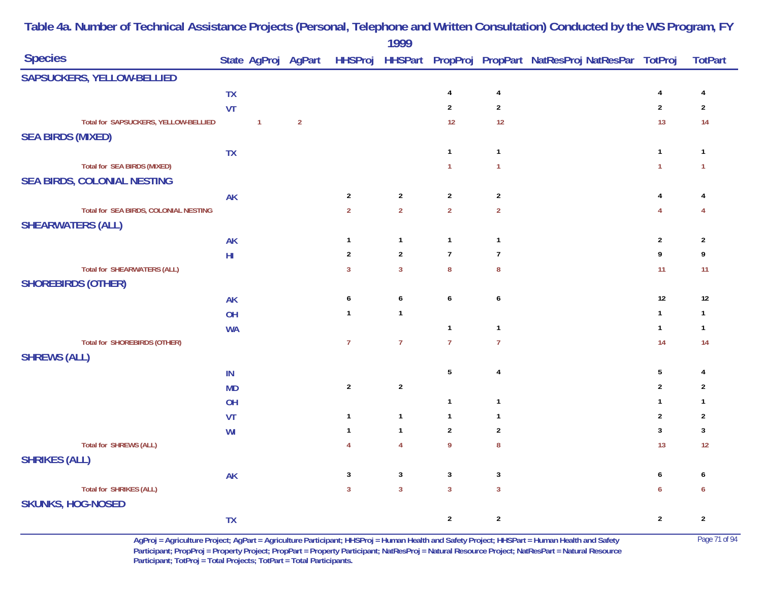|                                       |           |              |                |                | 1777           |                |                  |                                                                                    |                |                |
|---------------------------------------|-----------|--------------|----------------|----------------|----------------|----------------|------------------|------------------------------------------------------------------------------------|----------------|----------------|
| <b>Species</b>                        |           |              |                |                |                |                |                  | State AgProj AgPart HHSProj HHSPart PropProj PropPart NatResProj NatResPar TotProj |                | <b>TotPart</b> |
| SAPSUCKERS, YELLOW-BELLIED            |           |              |                |                |                |                |                  |                                                                                    |                |                |
|                                       | <b>TX</b> |              |                |                |                | 4              | $\overline{4}$   |                                                                                    | 4              | 4              |
|                                       | VT        |              |                |                |                | $\overline{2}$ | $\overline{2}$   |                                                                                    | $\overline{2}$ | $\overline{2}$ |
| Total for SAPSUCKERS, YELLOW-BELLIED  |           | $\mathbf{1}$ | $\overline{2}$ |                |                | 12             | $12$             |                                                                                    | 13             | 14             |
| <b>SEA BIRDS (MIXED)</b>              |           |              |                |                |                |                |                  |                                                                                    |                |                |
|                                       | <b>TX</b> |              |                |                |                | $\mathbf{1}$   | $\mathbf{1}$     |                                                                                    | $\mathbf{1}$   | $\overline{1}$ |
| <b>Total for SEA BIRDS (MIXED)</b>    |           |              |                |                |                | $\mathbf{1}$   | $\mathbf{1}$     |                                                                                    | $\mathbf{1}$   | $\mathbf{1}$   |
| <b>SEA BIRDS, COLONIAL NESTING</b>    |           |              |                |                |                |                |                  |                                                                                    |                |                |
|                                       | <b>AK</b> |              |                | $\overline{2}$ | $\overline{2}$ | $\overline{2}$ | $\sqrt{2}$       |                                                                                    | $\overline{4}$ | 4              |
| Total for SEA BIRDS, COLONIAL NESTING |           |              |                | $\overline{2}$ | $\overline{2}$ | $\overline{2}$ | $\overline{2}$   |                                                                                    | $\overline{4}$ | 4              |
| <b>SHEARWATERS (ALL)</b>              |           |              |                |                |                |                |                  |                                                                                    |                |                |
|                                       | <b>AK</b> |              |                | $\mathbf{1}$   | $\mathbf{1}$   | $\mathbf{1}$   | $\mathbf{1}$     |                                                                                    | $\sqrt{2}$     | $\overline{2}$ |
|                                       | $H\!I$    |              |                | $\overline{2}$ | $\mathbf 2$    | $\overline{7}$ | $\overline{7}$   |                                                                                    | 9              | 9              |
| <b>Total for SHEARWATERS (ALL)</b>    |           |              |                | $\overline{3}$ | $\mathbf{3}$   | $\bf 8$        | $\boldsymbol{8}$ |                                                                                    | 11             | 11             |
| <b>SHOREBIRDS (OTHER)</b>             |           |              |                |                |                |                |                  |                                                                                    |                |                |
|                                       | <b>AK</b> |              |                | 6              | 6              | 6              | 6                |                                                                                    | 12             | 12             |
|                                       | OH        |              |                | $\mathbf{1}$   | $\mathbf{1}$   |                |                  |                                                                                    | $\mathbf{1}$   | $\overline{1}$ |
|                                       | <b>WA</b> |              |                |                |                | $\mathbf{1}$   | $\mathbf{1}$     |                                                                                    | $\mathbf{1}$   | $\overline{1}$ |
| <b>Total for SHOREBIRDS (OTHER)</b>   |           |              |                | $\overline{7}$ | $\overline{7}$ | $\overline{7}$ | $\overline{7}$   |                                                                                    | 14             | 14             |
| <b>SHREWS (ALL)</b>                   |           |              |                |                |                |                |                  |                                                                                    |                |                |
|                                       | IN        |              |                |                |                | $5\,$          | $\overline{4}$   |                                                                                    | $\overline{5}$ | 4              |
|                                       | <b>MD</b> |              |                | $\overline{2}$ | $\sqrt{2}$     |                |                  |                                                                                    | $\overline{2}$ | $\overline{2}$ |
|                                       | OH        |              |                |                |                | $\mathbf{1}$   | $\mathbf{1}$     |                                                                                    | $\mathbf{1}$   | $\mathbf{1}$   |
|                                       | VT        |              |                | $\mathbf{1}$   | $\mathbf{1}$   | $\mathbf{1}$   | $\mathbf{1}$     |                                                                                    | $\overline{2}$ | $\overline{2}$ |
|                                       | WI        |              |                | $\mathbf{1}$   | $\mathbf{1}$   | $\overline{2}$ | $\overline{2}$   |                                                                                    | $\mathbf{3}$   | $\mathbf{3}$   |
| <b>Total for SHREWS (ALL)</b>         |           |              |                | $\overline{4}$ | $\overline{4}$ | 9              | $\bf 8$          |                                                                                    | 13             | 12             |
| <b>SHRIKES (ALL)</b>                  |           |              |                |                |                |                |                  |                                                                                    |                |                |
|                                       | <b>AK</b> |              |                | 3              | $\mathbf{3}$   | $\overline{3}$ | 3                |                                                                                    | 6              | 6              |
| <b>Total for SHRIKES (ALL)</b>        |           |              |                | $\overline{3}$ | $\overline{3}$ | $\overline{3}$ | $\mathbf{3}$     |                                                                                    | 6              | 6              |
| <b>SKUNKS, HOG-NOSED</b>              |           |              |                |                |                |                |                  |                                                                                    |                |                |
|                                       | <b>TX</b> |              |                |                |                | $\overline{2}$ | $\boldsymbol{2}$ |                                                                                    | $\overline{2}$ | $\sqrt{2}$     |

**AgProj = Agriculture Project; AgPart = Agriculture Participant; HHSProj = Human Health and Safety Project; HHSPart = Human Health and Safety** Page 71 of 94 **Participant; PropProj = Property Project; PropPart = Property Participant; NatResProj = Natural Resource Project; NatResPart = Natural Resource**  Participant; TotProj = Total Projects; TotPart = Total Participants.

### **Table 4a. Number of Technical Assistance Projects (Personal, Telephone and Written Consultation) Conducted by the WS Program, FY 1999**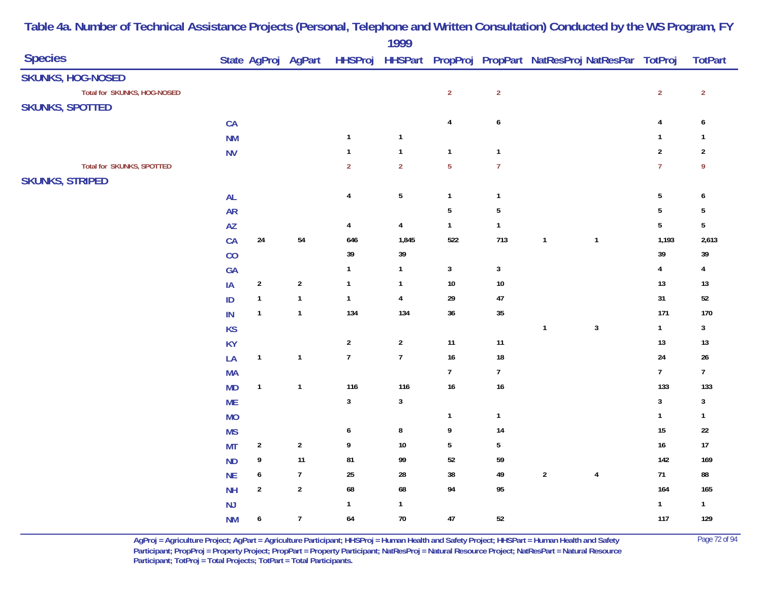|                                  |               |                  |                     |                  | 1777                      |                |                  |                                                                |                         |                  |
|----------------------------------|---------------|------------------|---------------------|------------------|---------------------------|----------------|------------------|----------------------------------------------------------------|-------------------------|------------------|
| <b>Species</b>                   |               |                  | State AgProj AgPart |                  |                           |                |                  | HHSProj HHSPart PropProj PropPart NatResProj NatResPar TotProj |                         | <b>TotPart</b>   |
| <b>SKUNKS, HOG-NOSED</b>         |               |                  |                     |                  |                           |                |                  |                                                                |                         |                  |
| Total for SKUNKS, HOG-NOSED      |               |                  |                     |                  |                           | $\overline{2}$ | $\overline{2}$   |                                                                | $\overline{2}$          | $\overline{2}$   |
| <b>SKUNKS, SPOTTED</b>           |               |                  |                     |                  |                           |                |                  |                                                                |                         |                  |
|                                  | CA            |                  |                     |                  |                           | $\overline{4}$ | $\boldsymbol{6}$ |                                                                | $\overline{\mathbf{4}}$ | 6                |
|                                  | <b>NM</b>     |                  |                     | $\mathbf{1}$     | $\mathbf{1}$              |                |                  |                                                                | $\mathbf{1}$            | $\mathbf{1}$     |
|                                  | <b>NV</b>     |                  |                     | $\mathbf{1}$     | $\mathbf{1}$              | $\mathbf{1}$   | $\mathbf{1}$     |                                                                | $\overline{2}$          | $\overline{2}$   |
| <b>Total for SKUNKS, SPOTTED</b> |               |                  |                     | $\overline{2}$   | $\overline{2}$            | $\overline{5}$ | $\overline{7}$   |                                                                | $\overline{7}$          | 9                |
| <b>SKUNKS, STRIPED</b>           |               |                  |                     |                  |                           |                |                  |                                                                |                         |                  |
|                                  | <b>AL</b>     |                  |                     | $\pmb{4}$        | $\sqrt{5}$                | $\mathbf{1}$   | $\mathbf{1}$     |                                                                | $\sqrt{5}$              | 6                |
|                                  | <b>AR</b>     |                  |                     |                  |                           | $\overline{5}$ | $\sqrt{5}$       |                                                                | $\overline{5}$          | $\sqrt{5}$       |
|                                  | AZ            |                  |                     | 4                | $\overline{4}$            | $\mathbf{1}$   | $\mathbf{1}$     |                                                                | $5\,$                   | $\overline{5}$   |
|                                  | CA            | 24               | $54\,$              | 646              | 1,845                     | 522            | 713              | $\mathbf{1}$<br>$\mathbf{1}$                                   | 1,193                   | 2,613            |
|                                  | CO            |                  |                     | $39$             | 39                        |                |                  |                                                                | 39                      | 39               |
|                                  | GA            |                  |                     | $\mathbf{1}$     | $\mathbf{1}$              | $\mathbf{3}$   | $\mathbf{3}$     |                                                                | $\overline{\mathbf{4}}$ | $\overline{4}$   |
|                                  | IA            | $\sqrt{2}$       | $\sqrt{2}$          | $\mathbf{1}$     | 1                         | $10\,$         | $10\,$           |                                                                | 13                      | $13$             |
|                                  | ID            | $\mathbf{1}$     | $\mathbf{1}$        | $\mathbf{1}$     | $\overline{4}$            | 29             | $47\,$           |                                                                | 31                      | $52\,$           |
|                                  | $\sf IN$      | $\mathbf{1}$     | $\mathbf{1}$        | 134              | 134                       | 36             | $35\,$           |                                                                | 171                     | 170              |
|                                  | <b>KS</b>     |                  |                     |                  |                           |                |                  | $\sqrt{3}$<br>$\mathbf{1}$                                     | $\mathbf{1}$            | $\mathbf{3}$     |
|                                  | <b>KY</b>     |                  |                     | $\overline{2}$   | $\overline{c}$            | $11$           | $11$             |                                                                | $13\,$                  | $13$             |
|                                  | LA            | $\mathbf{1}$     | $\mathbf{1}$        | $\boldsymbol{7}$ | $\overline{7}$            | $16\,$         | $18\,$           |                                                                | 24                      | $26\phantom{.0}$ |
|                                  | <b>MA</b>     |                  |                     |                  |                           | $\overline{7}$ | $7\phantom{.}$   |                                                                | $\overline{7}$          | $7\overline{ }$  |
|                                  | <b>MD</b>     | $\mathbf{1}$     | $\mathbf{1}$        | 116              | 116                       | 16             | $16\,$           |                                                                | 133                     | 133              |
|                                  | <b>ME</b>     |                  |                     | $\mathbf{3}$     | $\ensuremath{\mathsf{3}}$ |                |                  |                                                                | $\mathbf{3}$            | $\mathbf{3}$     |
|                                  | <b>MO</b>     |                  |                     |                  |                           | $\mathbf{1}$   | $\mathbf{1}$     |                                                                | $\mathbf{1}$            | $\mathbf{1}$     |
|                                  | <b>MS</b>     |                  |                     | 6                | 8                         | 9              | 14               |                                                                | $15\,$                  | $22\,$           |
|                                  | <b>MT</b>     | $\overline{2}$   | $\sqrt{2}$          | 9                | $10\,$                    | $5\,$          | $\sqrt{5}$       |                                                                | $16\,$                  | $17\,$           |
|                                  | <b>ND</b>     | 9                | 11                  | 81               | 99                        | 52             | 59               |                                                                | 142                     | 169              |
|                                  | <b>NE</b>     | $\boldsymbol{6}$ | $\overline{7}$      | $25\,$           | ${\bf 28}$                | $38\,$         | 49               | $\sqrt{2}$<br>$\overline{4}$                                   | $71$                    | 88               |
|                                  | <b>NH</b>     | $\sqrt{2}$       | $\sqrt{2}$          | 68               | 68                        | 94             | 95               |                                                                | 164                     | 165              |
|                                  | $\mathsf{NJ}$ |                  |                     | $\mathbf{1}$     | $\mathbf{1}$              |                |                  |                                                                | $\mathbf{1}$            | $\mathbf{1}$     |
|                                  | <b>NM</b>     | $\boldsymbol{6}$ | $\overline{7}$      | 64               | $70\,$                    | $47\,$         | $52\,$           |                                                                | 117                     | 129              |

**AgProj = Agriculture Project; AgPart = Agriculture Participant; HHSProj = Human Health and Safety Project; HHSPart = Human Health and Safety** Page 72 of 94 **Participant; PropProj = Property Project; PropPart = Property Participant; NatResProj = Natural Resource Project; NatResPart = Natural Resource**  Participant; TotProj = Total Projects; TotPart = Total Participants.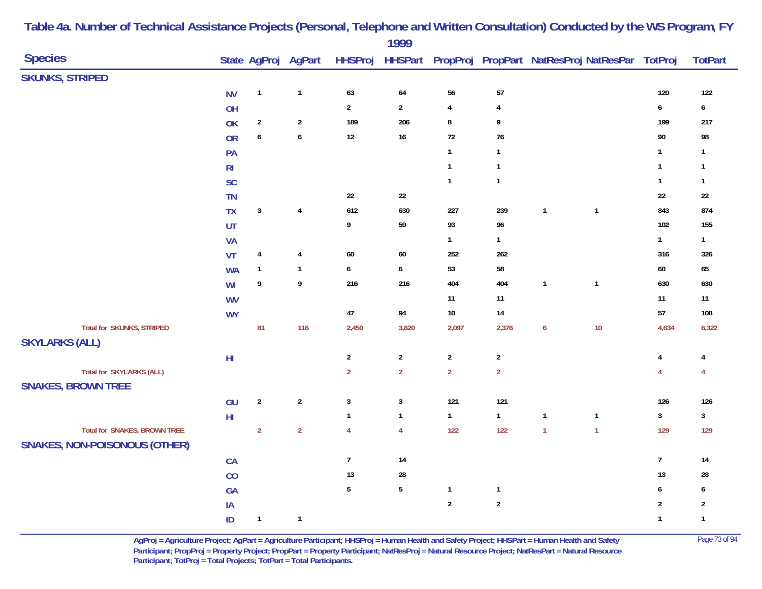|                                                       |                |                         |                     |                | 1777             |                |                |                                                        |                  |                  |
|-------------------------------------------------------|----------------|-------------------------|---------------------|----------------|------------------|----------------|----------------|--------------------------------------------------------|------------------|------------------|
| <b>Species</b>                                        |                |                         | State AgProj AgPart | <b>HHSProj</b> |                  |                |                | HHSPart PropProj PropPart NatResProj NatResPar TotProj |                  | <b>TotPart</b>   |
| <b>SKUNKS, STRIPED</b>                                |                |                         |                     |                |                  |                |                |                                                        |                  |                  |
|                                                       | <b>NV</b>      | $\mathbf{1}$            | $\mathbf{1}$        | 63             | 64               | ${\bf 56}$     | ${\bf 57}$     |                                                        | $120\,$          | 122              |
|                                                       | OH             |                         |                     | $\mathbf{2}$   | $\overline{2}$   | $\pmb{4}$      | $\overline{4}$ |                                                        | $\pmb{6}$        | $\boldsymbol{6}$ |
|                                                       | OK             | $\sqrt{2}$              | $\overline{2}$      | 189            | 206              | $\bf 8$        | 9              |                                                        | 199              | 217              |
|                                                       | OR             | $\boldsymbol{6}$        | $\boldsymbol{6}$    | $12\,$         | $16\,$           | $72\,$         | $76\,$         |                                                        | $90\,$           | 98               |
|                                                       | PA             |                         |                     |                |                  | $\mathbf{1}$   | $\mathbf{1}$   |                                                        | $\mathbf{1}$     | $\mathbf{1}$     |
|                                                       | R <sub>l</sub> |                         |                     |                |                  | $\mathbf{1}$   | $\mathbf{1}$   |                                                        | $\mathbf{1}$     | $\mathbf{1}$     |
|                                                       | <b>SC</b>      |                         |                     |                |                  | $\mathbf{1}$   | $\mathbf{1}$   |                                                        | $\mathbf{1}$     | $\mathbf{1}$     |
|                                                       | <b>TN</b>      |                         |                     | 22             | 22               |                |                |                                                        | $22\,$           | $22\,$           |
|                                                       | <b>TX</b>      | $\mathbf{3}$            | $\sqrt{4}$          | 612            | 630              | 227            | 239            | $\overline{1}$<br>$\mathbf{1}$                         | 843              | 874              |
|                                                       | UT             |                         |                     | 9              | 59               | 93             | 96             |                                                        | 102              | 155              |
|                                                       | <b>VA</b>      |                         |                     |                |                  | $\mathbf{1}$   | $\mathbf{1}$   |                                                        | $\mathbf{1}$     | $\mathbf{1}$     |
|                                                       | <b>VT</b>      | $\overline{\mathbf{4}}$ | $\sqrt{4}$          | 60             | 60               | 252            | 262            |                                                        | 316              | 326              |
|                                                       | <b>WA</b>      | $\mathbf{1}$            | $\mathbf{1}$        | 6              | 6                | 53             | 58             |                                                        | $60\,$           | 65               |
|                                                       | WI             | $\boldsymbol{9}$        | $\pmb{9}$           | 216            | 216              | 404            | 404            | $\mathbf{1}$<br>$\overline{\mathbf{1}}$                | 630              | 630              |
|                                                       | <b>WV</b>      |                         |                     |                |                  | $11$           | $11$           |                                                        | $11$             | 11               |
|                                                       | <b>WY</b>      |                         |                     | $47\,$         | 94               | $10\,$         | 14             |                                                        | 57               | 108              |
| <b>Total for SKUNKS, STRIPED</b>                      |                | 81                      | 116                 | 2,450          | 3,820            | 2,097          | 2,376          | 10<br>$\boldsymbol{6}$                                 | 4,634            | 6,322            |
| <b>SKYLARKS (ALL)</b>                                 |                |                         |                     |                |                  |                |                |                                                        |                  |                  |
|                                                       | ${\sf HI}$     |                         |                     | $\sqrt{2}$     | $\boldsymbol{2}$ | $\sqrt{2}$     | $\overline{2}$ |                                                        | 4                | 4                |
| Total for SKYLARKS (ALL)<br><b>SNAKES, BROWN TREE</b> |                |                         |                     | $\overline{2}$ | $\overline{2}$   | $\overline{2}$ | $\overline{2}$ |                                                        | $\overline{4}$   | 4                |
|                                                       | GU             | $\sqrt{2}$              | $\sqrt{2}$          | $\mathbf{3}$   | $\mathbf{3}$     | 121            | 121            |                                                        | 126              | 126              |
|                                                       | ${\sf HI}$     |                         |                     | $\mathbf{1}$   | $\mathbf{1}$     | $\mathbf{1}$   | $\mathbf{1}$   | $\overline{1}$<br>$\mathbf{1}$                         | $\mathbf{3}$     | $\mathbf{3}$     |
| <b>Total for SNAKES, BROWN TREE</b>                   |                | $\overline{2}$          | $\overline{2}$      | $\overline{4}$ | $\overline{4}$   | 122            | $122$          | $\overline{1}$<br>$\overline{1}$                       | 129              | 129              |
| <b>SNAKES, NON-POISONOUS (OTHER)</b>                  |                |                         |                     |                |                  |                |                |                                                        |                  |                  |
|                                                       | CA             |                         |                     | $\overline{7}$ | 14               |                |                |                                                        | $\overline{7}$   | 14               |
|                                                       | CO             |                         |                     | 13             | 28               |                |                |                                                        | 13               | 28               |
|                                                       | <b>GA</b>      |                         |                     | $\sqrt{5}$     | $5\phantom{.0}$  | $\mathbf{1}$   | $\mathbf{1}$   |                                                        | $\boldsymbol{6}$ | $\boldsymbol{6}$ |
|                                                       | IA             |                         |                     |                |                  | $\sqrt{2}$     | $\sqrt{2}$     |                                                        | $\sqrt{2}$       | $\overline{2}$   |
|                                                       | ID             | $\mathbf{1}$            | $\mathbf{1}$        |                |                  |                |                |                                                        | $\mathbf{1}$     | $\mathbf{1}$     |

> **AgProj = Agriculture Project; AgPart = Agriculture Participant; HHSProj = Human Health and Safety Project; HHSPart = Human Health and Safety** Page 73 of 94 **Participant; PropProj = Property Project; PropPart = Property Participant; NatResProj = Natural Resource Project; NatResPart = Natural Resource**  Participant; TotProj = Total Projects; TotPart = Total Participants.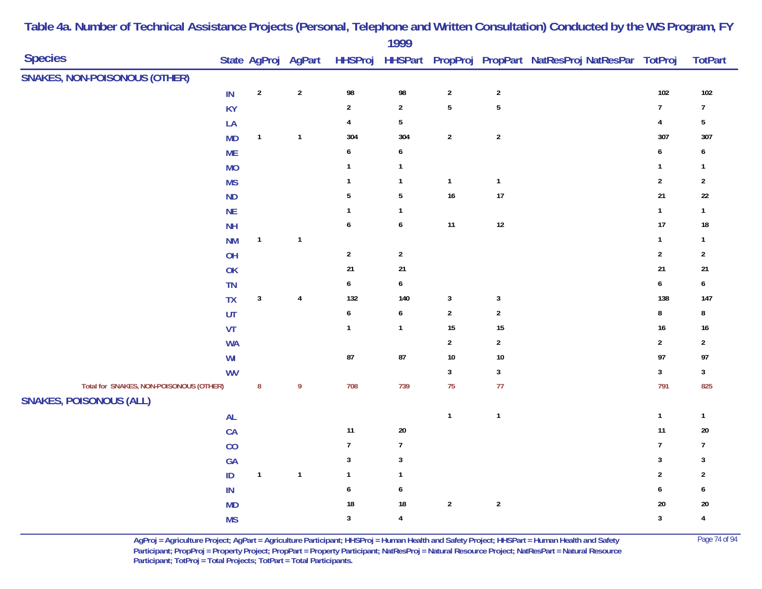|                                         |           |              |                     |                  | 1777             |                |                  |                                                        |                  |                  |
|-----------------------------------------|-----------|--------------|---------------------|------------------|------------------|----------------|------------------|--------------------------------------------------------|------------------|------------------|
| <b>Species</b>                          |           |              | State AgProj AgPart | <b>HHSProj</b>   |                  |                |                  | HHSPart PropProj PropPart NatResProj NatResPar TotProj |                  | <b>TotPart</b>   |
| <b>SNAKES, NON-POISONOUS (OTHER)</b>    |           |              |                     |                  |                  |                |                  |                                                        |                  |                  |
|                                         | IN        | $\sqrt{2}$   | $\sqrt{2}$          | 98               | 98               | $\sqrt{2}$     | $\boldsymbol{2}$ |                                                        | 102              | 102              |
|                                         | <b>KY</b> |              |                     | $\sqrt{2}$       | $\overline{2}$   | $\overline{5}$ | $\sqrt{5}$       |                                                        | $\boldsymbol{7}$ | $\overline{7}$   |
|                                         | LA        |              |                     | 4                | $\sqrt{5}$       |                |                  |                                                        | $\pmb{4}$        | $5\phantom{.0}$  |
|                                         | <b>MD</b> | $\mathbf{1}$ | $\mathbf{1}$        | 304              | 304              | $\sqrt{2}$     | $\sqrt{2}$       |                                                        | 307              | 307              |
|                                         | <b>ME</b> |              |                     | 6                | 6                |                |                  |                                                        | 6                | 6                |
|                                         | <b>MO</b> |              |                     | $\mathbf{1}$     | $\mathbf{1}$     |                |                  |                                                        | $\mathbf{1}$     | $\mathbf{1}$     |
|                                         | <b>MS</b> |              |                     | $\mathbf{1}$     | $\mathbf{1}$     | $\mathbf{1}$   | $\mathbf{1}$     |                                                        | $\sqrt{2}$       | $\overline{2}$   |
|                                         | ND        |              |                     | $5\,$            | $\sqrt{5}$       | 16             | $17\,$           |                                                        | 21               | $22\,$           |
|                                         | <b>NE</b> |              |                     | $\mathbf{1}$     | $\mathbf{1}$     |                |                  |                                                        | $\mathbf{1}$     | $\mathbf{1}$     |
|                                         | <b>NH</b> |              |                     | $\pmb{6}$        | $\pmb{6}$        | 11             | $12\,$           |                                                        | 17               | $18\,$           |
|                                         | <b>NM</b> | $\mathbf{1}$ | $\mathbf{1}$        |                  |                  |                |                  |                                                        | $\mathbf{1}$     | $\mathbf{1}$     |
|                                         | OH        |              |                     | $\sqrt{2}$       | $\sqrt{2}$       |                |                  |                                                        | $\sqrt{2}$       | $\mathbf{2}$     |
|                                         | OK        |              |                     | 21               | $21$             |                |                  |                                                        | 21               | 21               |
|                                         | TN        |              |                     | $\boldsymbol{6}$ | $\boldsymbol{6}$ |                |                  |                                                        | $\boldsymbol{6}$ | $\boldsymbol{6}$ |
|                                         | TX        | $\sqrt{3}$   | $\pmb{4}$           | 132              | 140              | $\mathbf{3}$   | $\mathbf{3}$     |                                                        | 138              | 147              |
|                                         | UT        |              |                     | $\boldsymbol{6}$ | $\pmb{6}$        | $\sqrt{2}$     | $\sqrt{2}$       |                                                        | $\bf 8$          | $\bf 8$          |
|                                         | VT        |              |                     | $\mathbf{1}$     | $\mathbf{1}$     | 15             | $15\,$           |                                                        | 16               | $16\,$           |
|                                         | <b>WA</b> |              |                     |                  |                  | $\sqrt{2}$     | $\overline{2}$   |                                                        | $\mathbf 2$      | $\overline{2}$   |
|                                         | WI        |              |                     | $87\,$           | ${\bf 87}$       | $10\,$         | $10\,$           |                                                        | 97               | 97               |
|                                         | <b>WV</b> |              |                     |                  |                  | $\mathbf{3}$   | $\mathbf{3}$     |                                                        | $\mathbf{3}$     | $\mathbf{3}$     |
| Total for SNAKES, NON-POISONOUS (OTHER) |           | ${\bf 8}$    | $\pmb{9}$           | 708              | 739              | 75             | $77$             |                                                        | 791              | 825              |
| <b>SNAKES, POISONOUS (ALL)</b>          |           |              |                     |                  |                  |                |                  |                                                        |                  |                  |
|                                         | <b>AL</b> |              |                     |                  |                  | $\mathbf{1}$   | $\mathbf{1}$     |                                                        | $\mathbf{1}$     | $\mathbf{1}$     |
|                                         | CA        |              |                     | 11               | $20\,$           |                |                  |                                                        | $11$             | $20\,$           |
|                                         | CO        |              |                     | $\overline{7}$   | $\overline{7}$   |                |                  |                                                        | $\boldsymbol{7}$ | $\boldsymbol{7}$ |
|                                         | GA        |              |                     | $\mathbf{3}$     | $\mathbf 3$      |                |                  |                                                        | $\sqrt{3}$       | $\mathbf{3}$     |
|                                         | $\sf ID$  | $\mathbf{1}$ | $\mathbf{1}$        | $\mathbf{1}$     | $\mathbf{1}$     |                |                  |                                                        | $\sqrt{2}$       | $\overline{2}$   |
|                                         | $\sf IN$  |              |                     | $\pmb{6}$        | 6                |                |                  |                                                        | $\boldsymbol{6}$ | 6                |
|                                         | <b>MD</b> |              |                     | $18\,$           | 18               | $\sqrt{2}$     | $\sqrt{2}$       |                                                        | $20\,$           | 20               |
|                                         | <b>MS</b> |              |                     | $\mathbf{3}$     | $\overline{4}$   |                |                  |                                                        | $\sqrt{3}$       | $\overline{4}$   |
|                                         |           |              |                     |                  |                  |                |                  |                                                        |                  |                  |

**AgProj = Agriculture Project; AgPart = Agriculture Participant; HHSProj = Human Health and Safety Project; HHSPart = Human Health and Safety** Page 74 of 94 **Participant; PropProj = Property Project; PropPart = Property Participant; NatResProj = Natural Resource Project; NatResPart = Natural Resource**  Participant; TotProj = Total Projects; TotPart = Total Participants.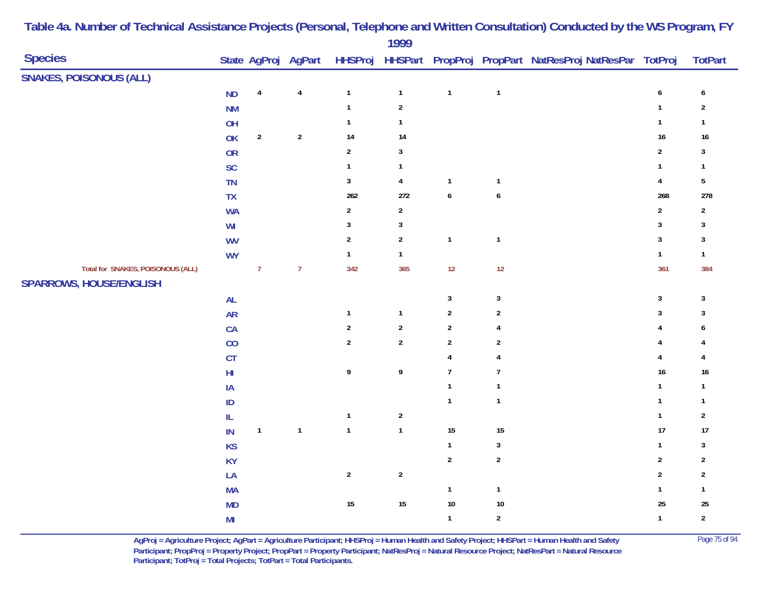| <b>Species</b>                                                      |                        |                | State AgProj AgPart |                | $\blacksquare$ |                  |                  | HHSProj HHSPart PropProj PropPart NatResProj NatResPar TotProj |                         | <b>TotPart</b>   |
|---------------------------------------------------------------------|------------------------|----------------|---------------------|----------------|----------------|------------------|------------------|----------------------------------------------------------------|-------------------------|------------------|
| <b>SNAKES, POISONOUS (ALL)</b>                                      |                        |                |                     |                |                |                  |                  |                                                                |                         |                  |
|                                                                     | <b>ND</b>              | $\pmb{4}$      | $\pmb{4}$           | $\mathbf{1}$   | $\mathbf{1}$   | $\mathbf{1}$     | $\mathbf{1}$     |                                                                | 6                       | 6                |
|                                                                     | <b>NM</b>              |                |                     | $\mathbf{1}$   | $\sqrt{2}$     |                  |                  |                                                                | $\mathbf{1}$            | $\sqrt{2}$       |
|                                                                     | OH                     |                |                     | $\mathbf{1}$   | $\mathbf{1}$   |                  |                  |                                                                | $\mathbf{1}$            | $\mathbf{1}$     |
|                                                                     | OK                     | $\overline{2}$ | $\sqrt{2}$          | 14             | 14             |                  |                  |                                                                | $16\,$                  | $16\,$           |
|                                                                     | ${\sf OR}$             |                |                     | $\sqrt{2}$     | $\sqrt{3}$     |                  |                  |                                                                | $\sqrt{2}$              | $\mathbf{3}$     |
|                                                                     | <b>SC</b>              |                |                     | $\mathbf{1}$   | $\mathbf{1}$   |                  |                  |                                                                | $\mathbf{1}$            | $\mathbf{1}$     |
|                                                                     | TN                     |                |                     | $\mathbf{3}$   | $\pmb{4}$      | $\mathbf{1}$     | $\mathbf{1}$     |                                                                | $\overline{\mathbf{4}}$ | $\sqrt{5}$       |
|                                                                     | <b>TX</b>              |                |                     | 262            | 272            | $\boldsymbol{6}$ | $\boldsymbol{6}$ |                                                                | 268                     | 278              |
|                                                                     | <b>WA</b>              |                |                     | $\overline{2}$ | $\sqrt{2}$     |                  |                  |                                                                | $\sqrt{2}$              | $\overline{2}$   |
|                                                                     | W <sub>l</sub>         |                |                     | $\sqrt{3}$     | $\sqrt{3}$     |                  |                  |                                                                | $\sqrt{3}$              | $\sqrt{3}$       |
|                                                                     | <b>WV</b>              |                |                     | $\overline{2}$ | $\sqrt{2}$     | $\mathbf{1}$     | $\mathbf{1}$     |                                                                | $\sqrt{3}$              | $\mathbf{3}$     |
|                                                                     | <b>WY</b>              |                |                     | $\mathbf{1}$   | $\mathbf{1}$   |                  |                  |                                                                | $\mathbf{1}$            | $\mathbf{1}$     |
| Total for SNAKES, POISONOUS (ALL)<br><b>SPARROWS, HOUSE/ENGLISH</b> |                        | $\overline{7}$ | $\overline{7}$      | 342            | 365            | 12               | 12               |                                                                | 361                     | 384              |
|                                                                     | <b>AL</b>              |                |                     |                |                | $\mathbf{3}$     | $\sqrt{3}$       |                                                                | $\sqrt{3}$              | $\sqrt{3}$       |
|                                                                     | <b>AR</b>              |                |                     | $\mathbf 1$    | $\mathbf{1}$   | $\sqrt{2}$       | $\boldsymbol{2}$ |                                                                | $\sqrt{3}$              | $\sqrt{3}$       |
|                                                                     | CA                     |                |                     | $\sqrt{2}$     | $\sqrt{2}$     | $\sqrt{2}$       | 4                |                                                                | 4                       | 6                |
|                                                                     | $\rm CO$               |                |                     | $\overline{2}$ | $\sqrt{2}$     | $\sqrt{2}$       | $\mathbf{2}$     |                                                                | 4                       | 4                |
|                                                                     | $\mathsf{C}\mathsf{T}$ |                |                     |                |                | $\overline{4}$   | 4                |                                                                | 4                       | 4                |
|                                                                     | ${\sf HI}$             |                |                     | 9              | 9              | $\overline{7}$   | $\boldsymbol{7}$ |                                                                | 16                      | $16\,$           |
|                                                                     | $\sf IA$               |                |                     |                |                | $\mathbf{1}$     | $\mathbf{1}$     |                                                                | 1                       | $\mathbf{1}$     |
|                                                                     | ID                     |                |                     |                |                | $\mathbf{1}$     | $\mathbf{1}$     |                                                                | $\mathbf{1}$            | $\mathbf{1}$     |
|                                                                     | ${\sf IL}$             |                |                     | $\mathbf{1}$   | $\sqrt{2}$     |                  |                  |                                                                | $\mathbf{1}$            | $\sqrt{2}$       |
|                                                                     | $\mathsf{IN}$          | $\mathbf{1}$   | $\mathbf{1}$        | $\mathbf{1}$   | $\mathbf{1}$   | 15               | 15               |                                                                | 17                      | 17               |
|                                                                     | <b>KS</b>              |                |                     |                |                | $\mathbf{1}$     | $\mathbf{3}$     |                                                                | $\mathbf{1}$            | $\sqrt{3}$       |
|                                                                     | <b>KY</b>              |                |                     |                |                | $\overline{2}$   | $\sqrt{2}$       |                                                                | $\sqrt{2}$              | $\sqrt{2}$       |
|                                                                     | LA                     |                |                     | $\sqrt{2}$     | $\sqrt{2}$     |                  |                  |                                                                | $\sqrt{2}$              | $\sqrt{2}$       |
|                                                                     | MA                     |                |                     |                |                | $\mathbf{1}$     | $\mathbf{1}$     |                                                                | $\mathbf{1}$            | $\mathbf{1}$     |
|                                                                     | MD                     |                |                     | 15             | $15\,$         | $10\,$           | 10               |                                                                | 25                      | $25\,$           |
|                                                                     | M <sub>l</sub>         |                |                     |                |                | $\mathbf{1}$     | $\boldsymbol{2}$ |                                                                | $\mathbf{1}$            | $\boldsymbol{2}$ |

> **AgProj = Agriculture Project; AgPart = Agriculture Participant; HHSProj = Human Health and Safety Project; HHSPart = Human Health and Safety** Page 75 of 94 **Participant; PropProj = Property Project; PropPart = Property Participant; NatResProj = Natural Resource Project; NatResPart = Natural Resource**  Participant; TotProj = Total Projects; TotPart = Total Participants.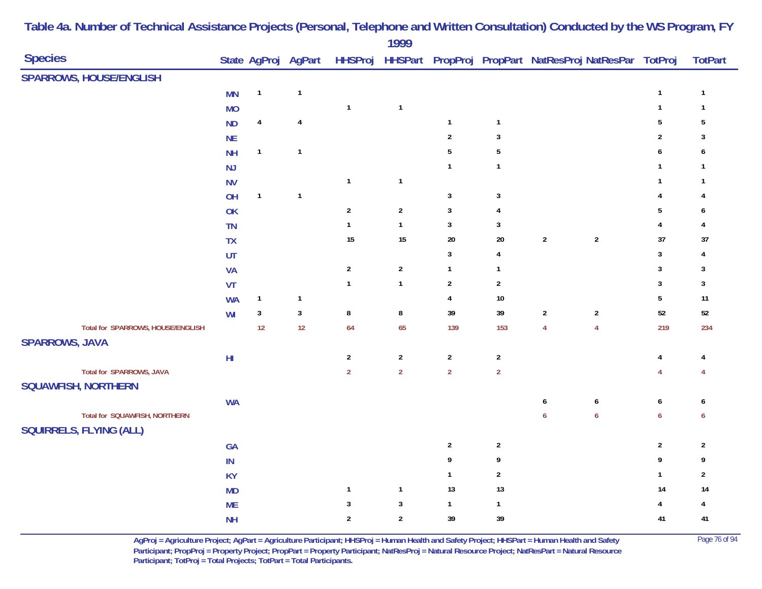|                                                                 |                         |              |                         |                | 1999             |                |                         |                                                                |                  |                         |                |
|-----------------------------------------------------------------|-------------------------|--------------|-------------------------|----------------|------------------|----------------|-------------------------|----------------------------------------------------------------|------------------|-------------------------|----------------|
| <b>Species</b>                                                  |                         |              | State AgProj AgPart     |                |                  |                |                         | HHSProj HHSPart PropProj PropPart NatResProj NatResPar TotProj |                  |                         | <b>TotPart</b> |
| <b>SPARROWS, HOUSE/ENGLISH</b>                                  |                         |              |                         |                |                  |                |                         |                                                                |                  |                         |                |
|                                                                 | <b>MN</b>               | $\mathbf{1}$ | $\mathbf{1}$            |                |                  |                |                         |                                                                |                  | $\mathbf{1}$            | $\mathbf{1}$   |
|                                                                 | <b>MO</b>               |              |                         | $\mathbf{1}$   | $\mathbf{1}$     |                |                         |                                                                |                  | $\mathbf 1$             | $\mathbf{1}$   |
|                                                                 | <b>ND</b>               | $\pmb{4}$    | $\sqrt{4}$              |                |                  | $\mathbf{1}$   | $\mathbf{1}$            |                                                                |                  | $\sqrt{5}$              | $\sqrt{5}$     |
|                                                                 | <b>NE</b>               |              |                         |                |                  | $\overline{2}$ | $\mathbf{3}$            |                                                                |                  | $\overline{2}$          | 3              |
|                                                                 | <b>NH</b>               | $\mathbf{1}$ | $\overline{\mathbf{1}}$ |                |                  | $\overline{5}$ | $\sqrt{5}$              |                                                                |                  | $\boldsymbol{6}$        | 6              |
|                                                                 | NJ                      |              |                         |                |                  | $\mathbf{1}$   | $\mathbf{1}$            |                                                                |                  | $\mathbf{1}$            | $\mathbf{1}$   |
|                                                                 | <b>NV</b>               |              |                         | $\mathbf{1}$   | $\mathbf{1}$     |                |                         |                                                                |                  | $\mathbf{1}$            | $\mathbf{1}$   |
|                                                                 | OH                      | $\mathbf{1}$ | $\mathbf{1}$            |                |                  | $\mathbf{3}$   | $\sqrt{3}$              |                                                                |                  | $\overline{4}$          | 4              |
|                                                                 | OK                      |              |                         | $\sqrt{2}$     | $\boldsymbol{2}$ | $\mathbf{3}$   | $\overline{\mathbf{4}}$ |                                                                |                  | $\sqrt{5}$              | 6              |
|                                                                 | <b>TN</b>               |              |                         | $\mathbf{1}$   | $\mathbf{1}$     | $\mathbf{3}$   | $\mathbf{3}$            |                                                                |                  | $\overline{\mathbf{r}}$ | 4              |
|                                                                 | TX                      |              |                         | $15\,$         | $15\,$           | $20\,$         | $20\,$                  | $\sqrt{2}$                                                     | $\sqrt{2}$       | $37\,$                  | $37\,$         |
|                                                                 | UT                      |              |                         |                |                  | $\mathbf{3}$   | $\overline{\mathbf{4}}$ |                                                                |                  | $\mathbf{3}$            | 4              |
|                                                                 | <b>VA</b>               |              |                         | $\sqrt{2}$     | $\sqrt{2}$       | $\mathbf{1}$   | $\mathbf{1}$            |                                                                |                  | $\sqrt{3}$              | 3              |
|                                                                 | VT                      |              |                         | $\mathbf{1}$   | $\mathbf{1}$     | $\sqrt{2}$     | $\overline{2}$          |                                                                |                  | $\sqrt{3}$              | $\sqrt{3}$     |
|                                                                 | <b>WA</b>               | $\mathbf{1}$ | $\mathbf{1}$            |                |                  | $\overline{4}$ | $10\,$                  |                                                                |                  | $\sqrt{5}$              | $11$           |
|                                                                 | WI                      | $\sqrt{3}$   | $\mathbf{3}$            | $\bf 8$        | $\bf 8$          | 39             | 39                      | $\boldsymbol{2}$                                               | $\overline{2}$   | $52\,$                  | $52\,$         |
| Total for SPARROWS, HOUSE/ENGLISH                               |                         | 12           | 12                      | 64             | 65               | 139            | 153                     | $\overline{4}$                                                 | $\overline{4}$   | 219                     | 234            |
| <b>SPARROWS, JAVA</b>                                           |                         |              |                         |                |                  |                |                         |                                                                |                  |                         |                |
|                                                                 | $\mathsf{H} \mathsf{I}$ |              |                         | $\sqrt{2}$     | $\sqrt{2}$       | $\overline{2}$ | $\sqrt{2}$              |                                                                |                  | $\overline{4}$          | 4              |
| Total for SPARROWS, JAVA<br><b>SQUAWFISH, NORTHERN</b>          |                         |              |                         | $\overline{2}$ | $\overline{2}$   | $\overline{2}$ | $\overline{2}$          |                                                                |                  | $\overline{4}$          | 4              |
|                                                                 | <b>WA</b>               |              |                         |                |                  |                |                         | 6                                                              | $\boldsymbol{6}$ | $\pmb{6}$               | 6              |
| Total for SQUAWFISH, NORTHERN<br><b>SQUIRRELS, FLYING (ALL)</b> |                         |              |                         |                |                  |                |                         | $\boldsymbol{6}$                                               | $\boldsymbol{6}$ | $\boldsymbol{6}$        | 6              |
|                                                                 | <b>GA</b>               |              |                         |                |                  | $\overline{2}$ | $\overline{2}$          |                                                                |                  | $\sqrt{2}$              | $\sqrt{2}$     |
|                                                                 | $\mathsf{IN}$           |              |                         |                |                  | 9              | 9                       |                                                                |                  | 9                       | 9              |
|                                                                 | <b>KY</b>               |              |                         |                |                  | $\mathbf{1}$   | $\overline{2}$          |                                                                |                  | $\mathbf{1}$            | $\overline{2}$ |
|                                                                 | <b>MD</b>               |              |                         | $\mathbf{1}$   | $\mathbf{1}$     | 13             | 13                      |                                                                |                  | 14                      | 14             |
|                                                                 | <b>ME</b>               |              |                         | $\mathbf{3}$   | $\sqrt{3}$       | $\mathbf{1}$   | $\mathbf{1}$            |                                                                |                  | 4                       | 4              |
|                                                                 | <b>NH</b>               |              |                         | $\overline{2}$ | $\sqrt{2}$       | 39             | 39                      |                                                                |                  | 41                      | 41             |
|                                                                 |                         |              |                         |                |                  |                |                         |                                                                |                  |                         |                |

**AgProj = Agriculture Project; AgPart = Agriculture Participant; HHSProj = Human Health and Safety Project; HHSPart = Human Health and Safety** Page 76 of 94 **Participant; PropProj = Property Project; PropPart = Property Participant; NatResProj = Natural Resource Project; NatResPart = Natural Resource**  Participant; TotProj = Total Projects; TotPart = Total Participants.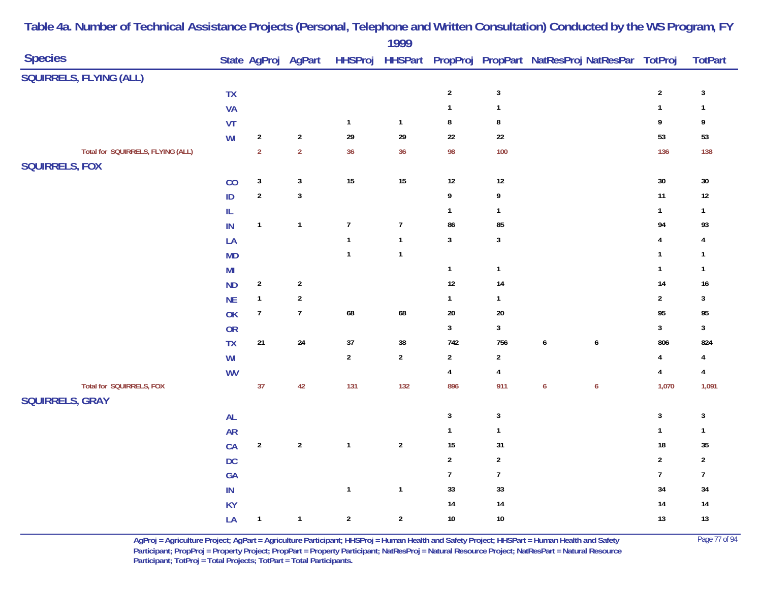|                                   |                |                |                     |                  | $1777$           |                         |                  |                                                        |                         |                |
|-----------------------------------|----------------|----------------|---------------------|------------------|------------------|-------------------------|------------------|--------------------------------------------------------|-------------------------|----------------|
| <b>Species</b>                    |                |                | State AgProj AgPart | <b>HHSProj</b>   |                  |                         |                  | HHSPart PropProj PropPart NatResProj NatResPar TotProj |                         | <b>TotPart</b> |
| SQUIRRELS, FLYING (ALL)           |                |                |                     |                  |                  |                         |                  |                                                        |                         |                |
|                                   | <b>TX</b>      |                |                     |                  |                  | $\overline{2}$          | $\sqrt{3}$       |                                                        | $\sqrt{2}$              | $\sqrt{3}$     |
|                                   | <b>VA</b>      |                |                     |                  |                  | $\mathbf{1}$            | $\mathbf 1$      |                                                        | $\mathbf{1}$            | $\mathbf{1}$   |
|                                   | VT             |                |                     | $\mathbf{1}$     | $\mathbf{1}$     | $\bf 8$                 | $\bf 8$          |                                                        | 9                       | 9              |
|                                   | WI             | $\sqrt{2}$     | $\sqrt{2}$          | 29               | ${\bf 29}$       | $22\,$                  | $22\,$           |                                                        | 53                      | 53             |
| Total for SQUIRRELS, FLYING (ALL) |                | $\overline{2}$ | $\overline{2}$      | 36               | 36               | 98                      | 100              |                                                        | 136                     | 138            |
| <b>SQUIRRELS, FOX</b>             |                |                |                     |                  |                  |                         |                  |                                                        |                         |                |
|                                   | CO             | $\sqrt{3}$     | $\mathbf{3}$        | 15               | 15               | $12\,$                  | $12\,$           |                                                        | $30\,$                  | $30\,$         |
|                                   | ID             | $\sqrt{2}$     | $\mathbf{3}$        |                  |                  | 9                       | 9                |                                                        | 11                      | $12\,$         |
|                                   | $\mathsf{IL}$  |                |                     |                  |                  | $\mathbf{1}$            | $\mathbf{1}$     |                                                        | $\mathbf{1}$            | $\mathbf{1}$   |
|                                   | $\mathsf{IN}$  | $\mathbf{1}$   | $\mathbf{1}$        | $\boldsymbol{7}$ | $\overline{7}$   | 86                      | 85               |                                                        | 94                      | 93             |
|                                   | LA             |                |                     | $\mathbf{1}$     | $\mathbf{1}$     | $\mathbf{3}$            | $\sqrt{3}$       |                                                        | $\overline{\mathbf{4}}$ | 4              |
|                                   | <b>MD</b>      |                |                     | $\mathbf{1}$     | $\mathbf{1}$     |                         |                  |                                                        | $\overline{1}$          | $\mathbf{1}$   |
|                                   | M <sub>l</sub> |                |                     |                  |                  | $\mathbf{1}$            | $\mathbf{1}$     |                                                        | $\mathbf{1}$            | $\mathbf{1}$   |
|                                   | <b>ND</b>      | $\sqrt{2}$     | $\sqrt{2}$          |                  |                  | $12\,$                  | 14               |                                                        | 14                      | 16             |
|                                   | <b>NE</b>      | $\mathbf{1}$   | $\boldsymbol{2}$    |                  |                  | $\mathbf{1}$            | $\mathbf{1}$     |                                                        | $\sqrt{2}$              | $\mathbf{3}$   |
|                                   | OK             | $\overline{7}$ | $\overline{7}$      | 68               | 68               | $20\,$                  | 20               |                                                        | 95                      | 95             |
|                                   | <b>OR</b>      |                |                     |                  |                  | $\mathbf{3}$            | $\sqrt{3}$       |                                                        | $\mathbf{3}$            | $\mathbf{3}$   |
|                                   | <b>TX</b>      | $21\,$         | $24\,$              | 37               | $38\,$           | 742                     | 756              | $\boldsymbol{6}$<br>$\pmb{6}$                          | 806                     | 824            |
|                                   | W <sub>l</sub> |                |                     | $\sqrt{2}$       | $\boldsymbol{2}$ | $\overline{2}$          | $\mathbf{2}$     |                                                        | $\pmb{4}$               | 4              |
|                                   | <b>WV</b>      |                |                     |                  |                  | $\overline{\mathbf{4}}$ | $\overline{4}$   |                                                        | $\overline{\mathbf{4}}$ | $\overline{4}$ |
| Total for SQUIRRELS, FOX          |                | 37             | 42                  | 131              | 132              | 896                     | 911              | $\boldsymbol{6}$<br>$\boldsymbol{6}$                   | 1,070                   | 1,091          |
| <b>SQUIRRELS, GRAY</b>            |                |                |                     |                  |                  |                         |                  |                                                        |                         |                |
|                                   | <b>AL</b>      |                |                     |                  |                  | $\mathbf{3}$            | $\sqrt{3}$       |                                                        | $\mathbf{3}$            | $\sqrt{3}$     |
|                                   | <b>AR</b>      |                |                     |                  |                  | $\mathbf{1}$            | $\mathbf{1}$     |                                                        | $\mathbf{1}$            | $\mathbf{1}$   |
|                                   | CA             | $\sqrt{2}$     | $\sqrt{2}$          | $\mathbf{1}$     | $\sqrt{2}$       | 15                      | 31               |                                                        | 18                      | $35\,$         |
|                                   | DC             |                |                     |                  |                  | $\overline{2}$          | $\overline{2}$   |                                                        | $\sqrt{2}$              | $\overline{2}$ |
|                                   | GA             |                |                     |                  |                  | $\overline{7}$          | $\boldsymbol{7}$ |                                                        | $\boldsymbol{7}$        | $\overline{7}$ |
|                                   | $\mathsf{IN}$  |                |                     | $\mathbf{1}$     | $\mathbf{1}$     | 33                      | 33               |                                                        | 34                      | $34\,$         |
|                                   | <b>KY</b>      |                |                     |                  |                  | $14$                    | 14               |                                                        | 14                      | $14\,$         |
|                                   | LA             | $\mathbf{1}$   | $\mathbf{1}$        | $\overline{2}$   | $\overline{2}$   | $10\,$                  | 10               |                                                        | 13                      | $13$           |
|                                   |                |                |                     |                  |                  |                         |                  |                                                        |                         |                |

> **AgProj = Agriculture Project; AgPart = Agriculture Participant; HHSProj = Human Health and Safety Project; HHSPart = Human Health and Safety** Page 77 of 94 **Participant; PropProj = Property Project; PropPart = Property Participant; NatResProj = Natural Resource Project; NatResPart = Natural Resource**  Participant; TotProj = Total Projects; TotPart = Total Participants.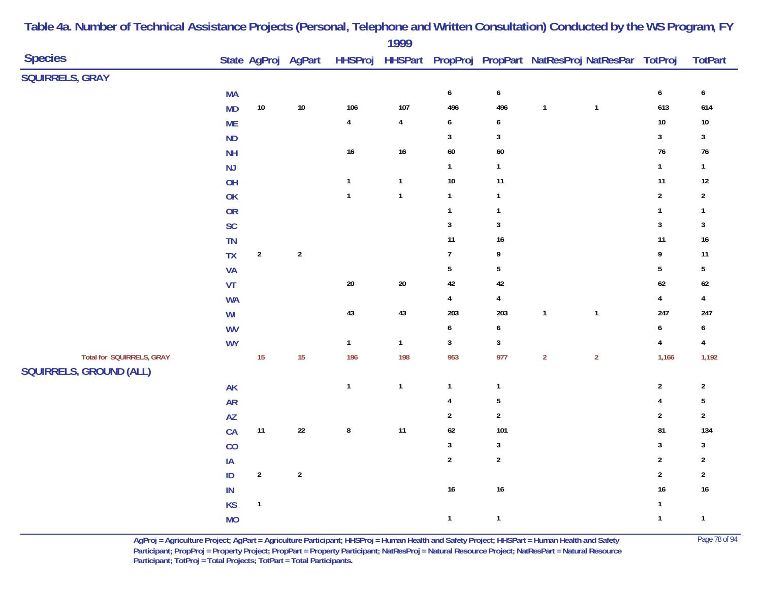|                                                             |                        |                |                     |              | 1999           |                         |                         |                |                                                                |                         |                         |
|-------------------------------------------------------------|------------------------|----------------|---------------------|--------------|----------------|-------------------------|-------------------------|----------------|----------------------------------------------------------------|-------------------------|-------------------------|
| <b>Species</b>                                              |                        |                | State AgProj AgPart |              |                |                         |                         |                | HHSProj HHSPart PropProj PropPart NatResProj NatResPar TotProj |                         | <b>TotPart</b>          |
| <b>SQUIRRELS, GRAY</b>                                      |                        |                |                     |              |                |                         |                         |                |                                                                |                         |                         |
|                                                             | <b>MA</b>              |                |                     |              |                | $\pmb{6}$               | $\pmb{6}$               |                |                                                                | $\pmb{6}$               | 6                       |
|                                                             | <b>MD</b>              | $10\,$         | $10\,$              | 106          | 107            | 496                     | 496                     | $\mathbf{1}$   | $\overline{\mathbf{1}}$                                        | 613                     | 614                     |
|                                                             | <b>ME</b>              |                |                     | $\pmb{4}$    | $\overline{4}$ | $\boldsymbol{6}$        | 6                       |                |                                                                | $10\,$                  | $10\,$                  |
|                                                             | ND                     |                |                     |              |                | $\mathbf{3}$            | $\sqrt{3}$              |                |                                                                | $\mathbf 3$             | $\mathbf{3}$            |
|                                                             | <b>NH</b>              |                |                     | $16\,$       | $16\,$         | 60                      | $60\,$                  |                |                                                                | $76\,$                  | $76\,$                  |
|                                                             | NJ                     |                |                     |              |                | $\mathbf{1}$            | $\mathbf{1}$            |                |                                                                | $\mathbf{1}$            | $\mathbf{1}$            |
|                                                             | OH                     |                |                     | $\mathbf{1}$ | $\mathbf{1}$   | $10\,$                  | 11                      |                |                                                                | 11                      | 12                      |
|                                                             | OK                     |                |                     | $\mathbf{1}$ | $\mathbf{1}$   | $\mathbf{1}$            | $\mathbf{1}$            |                |                                                                | $\overline{2}$          | $\sqrt{2}$              |
|                                                             | OR                     |                |                     |              |                | $\mathbf{1}$            | $\mathbf{1}$            |                |                                                                | $\mathbf{1}$            | $\mathbf{1}$            |
|                                                             | <b>SC</b>              |                |                     |              |                | $\mathbf{3}$            | $\sqrt{3}$              |                |                                                                | $\overline{3}$          | $\mathbf{3}$            |
|                                                             | TN                     |                |                     |              |                | 11                      | $16\,$                  |                |                                                                | 11                      | $16\,$                  |
|                                                             | <b>TX</b>              | $\sqrt{2}$     | $\sqrt{2}$          |              |                | $\boldsymbol{7}$        | 9                       |                |                                                                | $\boldsymbol{9}$        | 11                      |
|                                                             | VA                     |                |                     |              |                | $\overline{5}$          | $\sqrt{5}$              |                |                                                                | $\sqrt{5}$              | $\overline{5}$          |
|                                                             | VT                     |                |                     | $20\,$       | $20\,$         | 42                      | $42\,$                  |                |                                                                | $62\,$                  | $62\,$                  |
|                                                             | <b>WA</b>              |                |                     |              |                | $\overline{4}$          | $\overline{\mathbf{4}}$ |                |                                                                | $\pmb{4}$               | $\pmb{4}$               |
|                                                             | WI                     |                |                     | 43           | 43             | 203                     | 203                     | $\mathbf{1}$   | $\overline{1}$                                                 | 247                     | 247                     |
|                                                             | <b>WV</b>              |                |                     |              |                | $\boldsymbol{6}$        | $\boldsymbol{6}$        |                |                                                                | $\boldsymbol{6}$        | 6                       |
|                                                             | <b>WY</b>              |                |                     | $\mathbf{1}$ | $\mathbf{1}$   | $\mathbf{3}$            | $\mathbf{3}$            |                |                                                                | $\overline{\mathbf{4}}$ | $\overline{\mathbf{4}}$ |
| Total for SQUIRRELS, GRAY<br><b>SQUIRRELS, GROUND (ALL)</b> |                        | 15             | 15                  | 196          | 198            | 953                     | 977                     | $\overline{2}$ | $\overline{2}$                                                 | 1,166                   | 1,192                   |
|                                                             | <b>AK</b>              |                |                     | $\mathbf{1}$ | $\mathbf 1$    | $\mathbf{1}$            | $\mathbf{1}$            |                |                                                                | $\sqrt{2}$              | $\overline{2}$          |
|                                                             | <b>AR</b>              |                |                     |              |                | $\overline{\mathbf{4}}$ | 5                       |                |                                                                | $\overline{4}$          | $\sqrt{5}$              |
|                                                             | $\mathsf{A}\mathsf{Z}$ |                |                     |              |                | $\mathbf 2$             | $\overline{2}$          |                |                                                                | $\sqrt{2}$              | $\overline{\mathbf{c}}$ |
|                                                             | CA                     | 11             | $22\,$              | $\bf 8$      | 11             | 62                      | 101                     |                |                                                                | 81                      | 134                     |
|                                                             | CO                     |                |                     |              |                | $\mathbf{3}$            | $\sqrt{3}$              |                |                                                                | $\sqrt{3}$              | $\mathbf{3}$            |
|                                                             | IA                     |                |                     |              |                | $\sqrt{2}$              | $\boldsymbol{2}$        |                |                                                                | $\sqrt{2}$              | $\overline{2}$          |
|                                                             | ID                     | $\sqrt{2}$     | $\sqrt{2}$          |              |                |                         |                         |                |                                                                | $\overline{2}$          | $\overline{\mathbf{c}}$ |
|                                                             | IN                     |                |                     |              |                | 16                      | $16\,$                  |                |                                                                | $16\,$                  | $16\,$                  |
|                                                             | <b>KS</b>              | $\overline{1}$ |                     |              |                |                         |                         |                |                                                                | $\mathbf{1}$            |                         |
|                                                             | <b>MO</b>              |                |                     |              |                | $\mathbf{1}$            | $\mathbf{1}$            |                |                                                                | $\mathbf{1}$            | $\overline{1}$          |

**AgProj = Agriculture Project; AgPart = Agriculture Participant; HHSProj = Human Health and Safety Project; HHSPart = Human Health and Safety** Page 78 of 94 **Participant; PropProj = Property Project; PropPart = Property Participant; NatResProj = Natural Resource Project; NatResPart = Natural Resource Participant; TotProj = Total Projects; TotPart = Total Participants.**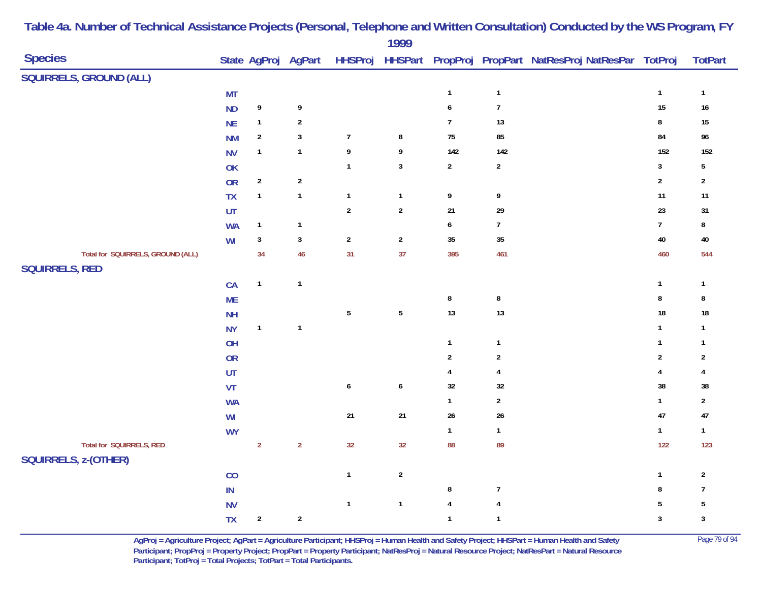|                                   |                 |                  |                     |                | 1777             |                  |                  |                                                        |                |                         |
|-----------------------------------|-----------------|------------------|---------------------|----------------|------------------|------------------|------------------|--------------------------------------------------------|----------------|-------------------------|
| <b>Species</b>                    |                 |                  | State AgProj AgPart | <b>HHSProj</b> |                  |                  |                  | HHSPart PropProj PropPart NatResProj NatResPar TotProj |                | <b>TotPart</b>          |
| <b>SQUIRRELS, GROUND (ALL)</b>    |                 |                  |                     |                |                  |                  |                  |                                                        |                |                         |
|                                   | <b>MT</b>       |                  |                     |                |                  | $\mathbf{1}$     | $\mathbf 1$      |                                                        | $\mathbf 1$    | $\mathbf{1}$            |
|                                   | <b>ND</b>       | 9                | $\pmb{9}$           |                |                  | $\boldsymbol{6}$ | $\boldsymbol{7}$ |                                                        | $15\,$         | $16\,$                  |
|                                   | <b>NE</b>       | $\mathbf{1}$     | $\boldsymbol{2}$    |                |                  | $\overline{7}$   | $13$             |                                                        | $\bf 8$        | $15\,$                  |
|                                   | <b>NM</b>       | $\overline{2}$   | $\sqrt{3}$          | $\overline{7}$ | 8                | 75               | 85               |                                                        | 84             | 96                      |
|                                   | <b>NV</b>       | $\mathbf{1}$     | $\mathbf{1}$        | 9              | 9                | 142              | 142              |                                                        | 152            | 152                     |
|                                   | OK              |                  |                     | $\mathbf{1}$   | $\mathbf{3}$     | $\overline{2}$   | $\overline{2}$   |                                                        | $\mathbf{3}$   | 5                       |
|                                   | OR              | $\boldsymbol{2}$ | $\sqrt{2}$          |                |                  |                  |                  |                                                        | $\sqrt{2}$     | $\mathbf{2}$            |
|                                   | TX              | $\mathbf{1}$     | $\mathbf{1}$        | $\mathbf{1}$   | $\mathbf{1}$     | 9                | 9                |                                                        | 11             | $11$                    |
|                                   | UT              |                  |                     | $\sqrt{2}$     | $\mathbf 2$      | 21               | 29               |                                                        | 23             | 31                      |
|                                   | <b>WA</b>       | $\mathbf{1}$     | $\mathbf{1}$        |                |                  | $\boldsymbol{6}$ | $\overline{7}$   |                                                        | $\overline{7}$ | 8                       |
|                                   | WI              | $\mathbf{3}$     | $\mathbf{3}$        | $\overline{2}$ | $\overline{2}$   | 35               | $35\,$           |                                                        | $40\,$         | $40\,$                  |
| Total for SQUIRRELS, GROUND (ALL) |                 | 34               | 46                  | 31             | 37               | 395              | 461              |                                                        | 460            | 544                     |
| <b>SQUIRRELS, RED</b>             |                 |                  |                     |                |                  |                  |                  |                                                        |                |                         |
|                                   | CA              | $\mathbf{1}$     | $\overline{1}$      |                |                  |                  |                  |                                                        | $\mathbf{1}$   | $\mathbf{1}$            |
|                                   | <b>ME</b>       |                  |                     |                |                  | $\bf 8$          | $\bf 8$          |                                                        | $\bf 8$        | 8                       |
|                                   | NH              |                  |                     | $\sqrt{5}$     | $\sqrt{5}$       | 13               | $13$             |                                                        | 18             | 18                      |
|                                   | <b>NY</b>       | $\mathbf{1}$     | $\overline{1}$      |                |                  |                  |                  |                                                        | $\mathbf{1}$   | $\mathbf{1}$            |
|                                   | OH              |                  |                     |                |                  | $\mathbf{1}$     | $\mathbf{1}$     |                                                        | $\mathbf{1}$   | $\mathbf{1}$            |
|                                   | <b>OR</b>       |                  |                     |                |                  | $\sqrt{2}$       | $\overline{2}$   |                                                        | $\sqrt{2}$     | $\overline{\mathbf{c}}$ |
|                                   | UT              |                  |                     |                |                  | $\overline{4}$   | $\pmb{4}$        |                                                        | $\pmb{4}$      | 4                       |
|                                   | VT              |                  |                     | $\pmb{6}$      | $\boldsymbol{6}$ | 32               | $32\,$           |                                                        | 38             | 38                      |
|                                   | <b>WA</b>       |                  |                     |                |                  | $\mathbf{1}$     | $\sqrt{2}$       |                                                        | $\mathbf{1}$   | $\mathbf{2}$            |
|                                   | WI              |                  |                     | $21$           | $21\,$           | $26\,$           | $26\,$           |                                                        | 47             | 47                      |
|                                   | <b>WY</b>       |                  |                     |                |                  | $\mathbf{1}$     | $\mathbf{1}$     |                                                        | $\mathbf{1}$   | $\mathbf{1}$            |
| Total for SQUIRRELS, RED          |                 | $\overline{2}$   | $\overline{2}$      | 32             | 32               | 88               | 89               |                                                        | 122            | 123                     |
| SQUIRRELS, z-(OTHER)              |                 |                  |                     |                |                  |                  |                  |                                                        |                |                         |
|                                   | CO              |                  |                     | $\mathbf{1}$   | $\sqrt{2}$       |                  |                  |                                                        | $\mathbf{1}$   | $\mathbf{2}$            |
|                                   | $\textsf{IN}{}$ |                  |                     |                |                  | $\bf 8$          | $\boldsymbol{7}$ |                                                        | 8              | $\overline{1}$          |
|                                   | <b>NV</b>       |                  |                     | $\mathbf{1}$   | $\mathbf{1}$     | $\overline{4}$   | $\overline{4}$   |                                                        | 5              | 5                       |
|                                   | <b>TX</b>       | $\boldsymbol{2}$ | $\boldsymbol{2}$    |                |                  | $\mathbf{1}$     | $\mathbf{1}$     |                                                        | 3              | $\sqrt{3}$              |

> **AgProj = Agriculture Project; AgPart = Agriculture Participant; HHSProj = Human Health and Safety Project; HHSPart = Human Health and Safety** Page 79 of 94 **Participant; PropProj = Property Project; PropPart = Property Participant; NatResProj = Natural Resource Project; NatResPart = Natural Resource**  Participant; TotProj = Total Projects; TotPart = Total Participants.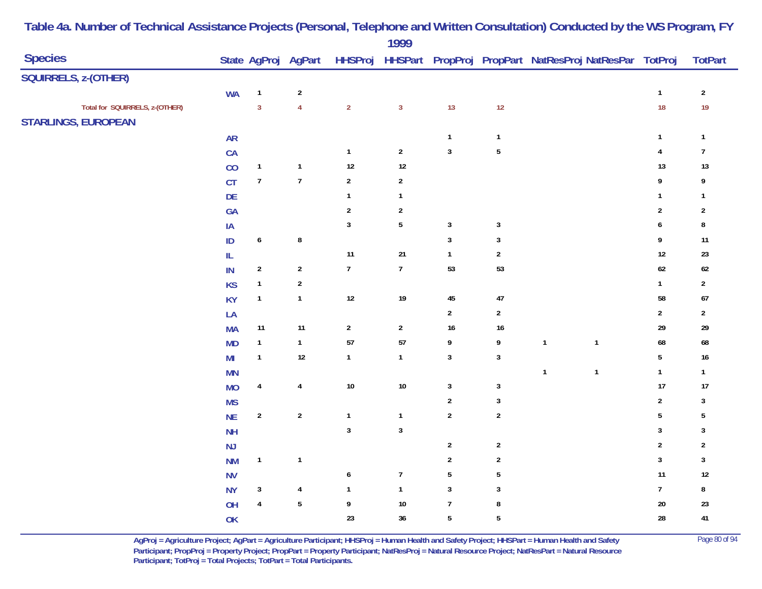|                                |                         |                |                         | 1999                    |                         |                  |                                                                |                         |                  |
|--------------------------------|-------------------------|----------------|-------------------------|-------------------------|-------------------------|------------------|----------------------------------------------------------------|-------------------------|------------------|
| <b>Species</b>                 | State AgProj AgPart     |                |                         |                         |                         |                  | HHSProj HHSPart PropProj PropPart NatResProj NatResPar TotProj |                         | <b>TotPart</b>   |
| SQUIRRELS, z-(OTHER)           |                         |                |                         |                         |                         |                  |                                                                |                         |                  |
| <b>WA</b>                      | $\mathbf{1}$            | $\sqrt{2}$     |                         |                         |                         |                  |                                                                | $\mathbf{1}$            | $\sqrt{2}$       |
| Total for SQUIRRELS, z-(OTHER) | $\overline{3}$          | $\overline{4}$ | $\overline{2}$          | $\mathbf{3}$            | 13                      | 12               |                                                                | 18                      | 19               |
| <b>STARLINGS, EUROPEAN</b>     |                         |                |                         |                         |                         |                  |                                                                |                         |                  |
| <b>AR</b>                      |                         |                |                         |                         | $\mathbf{1}$            | $\mathbf{1}$     |                                                                | $\mathbf{1}$            | $\mathbf{1}$     |
| CA                             |                         |                | $\mathbf{1}$            | $\sqrt{2}$              | $\overline{\mathbf{3}}$ | ${\bf 5}$        |                                                                | $\sqrt{4}$              | $\boldsymbol{7}$ |
| CO                             | $\mathbf{1}$            | $\mathbf{1}$   | $12$                    | $12$                    |                         |                  |                                                                | $13$                    | 13               |
| CT                             | $\boldsymbol{7}$        | $\overline{7}$ | $\sqrt{2}$              | $\overline{2}$          |                         |                  |                                                                | $\boldsymbol{9}$        | 9                |
| DE                             |                         |                | $\mathbf{1}$            | $\mathbf{1}$            |                         |                  |                                                                | $\mathbf{1}$            | $\mathbf{1}$     |
| GA                             |                         |                | $\overline{\mathbf{c}}$ | $\overline{\mathbf{c}}$ |                         |                  |                                                                | $\sqrt{2}$              | $\overline{2}$   |
| IA                             |                         |                | $\mathbf{3}$            | $\sqrt{5}$              | $\mathbf{3}$            | $\mathbf{3}$     |                                                                | $\pmb{6}$               | $\bf 8$          |
| ID                             | 6                       | $\bf 8$        |                         |                         | $\mathbf{3}$            | $\mathbf{3}$     |                                                                | 9                       | 11               |
| ${\sf IL}$                     |                         |                | $11$                    | $21$                    | $\mathbf{1}$            | $\overline{2}$   |                                                                | $12\,$                  | $23\,$           |
| IN                             | $\overline{c}$          | $\sqrt{2}$     | $\boldsymbol{7}$        | $\overline{7}$          | 53                      | 53               |                                                                | $62\,$                  | $62\,$           |
| <b>KS</b>                      | $\mathbf{1}$            | $\sqrt{2}$     |                         |                         |                         |                  |                                                                | $\mathbf{1}$            | $\sqrt{2}$       |
| <b>KY</b>                      | $\mathbf{1}$            | $\mathbf{1}$   | $12\,$                  | $19\,$                  | $\bf 45$                | $47\,$           |                                                                | 58                      | $67\,$           |
| LA                             |                         |                |                         |                         | $\overline{a}$          | $\overline{2}$   |                                                                | $\overline{2}$          | $\overline{2}$   |
| <b>MA</b>                      | $11$                    | 11             | $\sqrt{2}$              | $\overline{2}$          | $16\,$                  | $16\,$           |                                                                | $29\,$                  | 29               |
| <b>MD</b>                      | $\overline{1}$          | $\mathbf{1}$   | 57                      | 57                      | 9                       | 9                | $\mathbf{1}$<br>$\mathbf{1}$                                   | 68                      | 68               |
| MI                             | $\overline{1}$          | $12$           | $\mathbf{1}$            | $\mathbf{1}$            | $\mathbf{3}$            | $\sqrt{3}$       |                                                                | $\sqrt{5}$              | $16\,$           |
| <b>MN</b>                      |                         |                |                         |                         |                         |                  | $\overline{1}$<br>$\mathbf{1}$                                 | $\mathbf{1}$            | $\mathbf{1}$     |
| <b>MO</b>                      | $\overline{\mathbf{4}}$ | $\overline{4}$ | $10\,$                  | $10\,$                  | $\mathbf{3}$            | $\sqrt{3}$       |                                                                | 17                      | 17               |
| <b>MS</b>                      |                         |                |                         |                         | $\mathbf 2$             | $\mathbf{3}$     |                                                                | $\overline{2}$          | $\mathbf{3}$     |
| NE                             | $\boldsymbol{2}$        | $\mathbf 2$    | $\mathbf{1}$            | $\mathbf{1}$            | $\boldsymbol{2}$        | $\boldsymbol{2}$ |                                                                | $\overline{5}$          | $\mathbf 5$      |
| <b>NH</b>                      |                         |                | $\mathbf{3}$            | $\sqrt{3}$              |                         |                  |                                                                | $\overline{\mathbf{3}}$ | $\sqrt{3}$       |
| NJ                             |                         |                |                         |                         | $\boldsymbol{2}$        | $\overline{2}$   |                                                                | $\sqrt{2}$              | $\sqrt{2}$       |
| <b>NM</b>                      | $\mathbf{1}$            | $\mathbf{1}$   |                         |                         | $\boldsymbol{2}$        | $\overline{2}$   |                                                                | $\mathbf{3}$            | $\mathbf{3}$     |
| <b>NV</b>                      |                         |                | $\boldsymbol{6}$        | $\boldsymbol{7}$        | $\sqrt{5}$              | $\sqrt{5}$       |                                                                | $11$                    | $12\,$           |
| <b>NY</b>                      | $\mathbf{3}$            | $\overline{4}$ | $\mathbf{1}$            | $\mathbf{1}$            | $\mathbf{3}$            | $\sqrt{3}$       |                                                                | $\overline{7}$          | $\bf 8$          |
| OH                             | $\overline{\mathbf{4}}$ | $\sqrt{5}$     | 9                       | $10\,$                  | $\boldsymbol{7}$        | $\bf 8$          |                                                                | $20\,$                  | $23\,$           |
| OK                             |                         |                | 23                      | 36                      | $5\phantom{.0}$         | $\sqrt{5}$       |                                                                | 28                      | 41               |

**AgProj = Agriculture Project; AgPart = Agriculture Participant; HHSProj = Human Health and Safety Project; HHSPart = Human Health and Safety** Page 80 of 94 **Participant; PropProj = Property Project; PropPart = Property Participant; NatResProj = Natural Resource Project; NatResPart = Natural Resource**  Participant; TotProj = Total Projects; TotPart = Total Participants.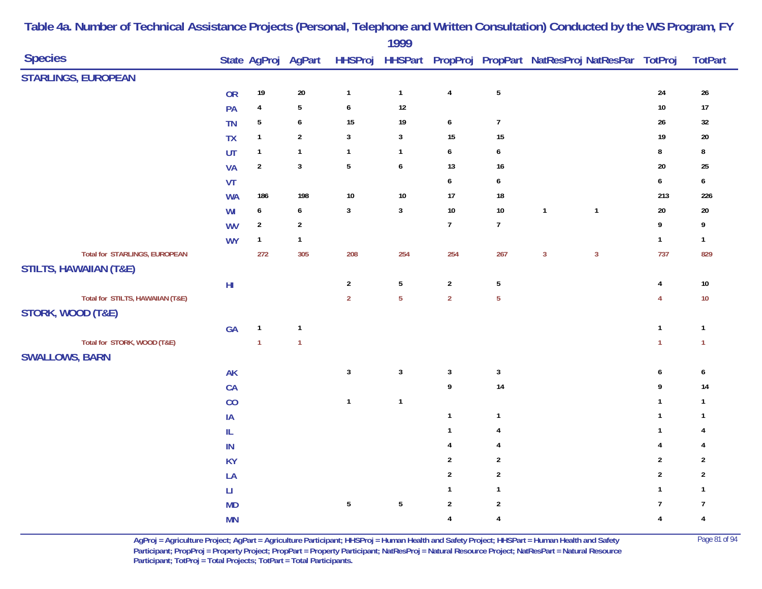| HHSProj HHSPart PropProj PropPart NatResProj NatResPar TotProj<br>State AgProj AgPart<br><b>STARLINGS, EUROPEAN</b><br>$\overline{\mathbf{4}}$<br>${\bf 5}$<br>24<br>$19$<br>$20\,$<br>$\mathbf{1}$<br>$26\,$<br><b>OR</b><br>$\mathbf{1}$<br>$\overline{5}$<br>12<br>10<br>$\overline{4}$<br>$17$<br>PA<br>6<br>$\sqrt{5}$<br>$\boldsymbol{6}$<br>15<br>19<br>26<br>$\pmb{6}$<br>$\overline{7}$<br>$32\,$<br>TN<br>$\sqrt{2}$<br>15<br>$\mathbf{1}$<br>$\mathbf{3}$<br>$\mathbf{3}$<br>$15\,$<br>19<br>TX<br>$20\,$<br>$\boldsymbol{6}$<br>$\bf 8$<br>UT<br>$\mathbf{1}$<br>$\mathbf{1}$<br>$\bf 8$<br>$\mathbf{1}$<br>$\mathbf{1}$<br>6<br>$\boldsymbol{2}$<br>$\mathbf{3}$<br>$\sqrt{5}$<br>$\boldsymbol{6}$<br>13<br>20<br>16<br>25<br><b>VA</b><br>$\boldsymbol{6}$<br>6<br>$\boldsymbol{6}$<br>VT<br>6<br>198<br>$10\,$<br>$10$<br>17<br>213<br>186<br>18<br><b>WA</b><br>$\mathbf{3}$<br>20<br>$\boldsymbol{6}$<br>$\boldsymbol{6}$<br>$\mathbf{3}$<br>$10$<br>$10$<br>$\mathbf{1}$<br>$\mathbf{1}$<br>$20\,$<br>WI<br>$\overline{7}$<br>9<br>$\overline{2}$<br>$\mathbf 2$<br>$\boldsymbol{7}$<br>9<br><b>WV</b><br>$\mathbf{1}$<br><b>WY</b><br>$\mathbf{1}$<br>$\mathbf{1}$<br>$\mathbf{1}$<br>Total for STARLINGS, EUROPEAN<br>272<br>305<br>208<br>254<br>254<br>267<br>$\mathbf{3}$<br>$\mathbf{3}$<br>737<br><b>STILTS, HAWAIIAN (T&amp;E)</b><br>5<br>$\sqrt{2}$<br>$\sqrt{2}$<br>$\sqrt{5}$<br>$10\,$<br>$\mathsf{H}\mathsf{I}$<br>$\overline{\mathbf{4}}$<br>$\overline{2}$<br>5 <sup>5</sup><br>Total for STILTS, HAWAIIAN (T&E)<br>$\overline{2}$<br>$\overline{5}$<br>$\overline{4}$<br>$10\,$<br>STORK, WOOD (T&E)<br>GA<br>$\mathbf{1}$<br>$\mathbf{1}$<br>$\mathbf{1}$<br>$\mathbf{1}$<br>Total for STORK, WOOD (T&E)<br>$\mathbf{1}$<br>$\mathbf{1}$<br>$\mathbf{1}$<br>$\mathbf{1}$<br><b>SWALLOWS, BARN</b><br>$\mathbf{3}$<br>$\mathbf{3}$<br>$\sqrt{3}$<br>$\sqrt{3}$<br>AK<br>6<br>$\pmb{6}$<br>$\boldsymbol{9}$<br>14<br>9<br>CA<br>14<br>$\mathbf{1}$<br>$\mathbf{1}$<br>$\mathbf{1}$<br>CO<br>$\mathbf{1}$<br>$\mathbf{1}$<br>$\mathbf{1}$<br>$\mathbf{1}$<br>IA<br>$\mathbf{1}$<br>$\ensuremath{\mathsf{IL}}\xspace$<br>$\mathbf{1}$<br>$\mathbf{1}$<br>$\overline{4}$<br>4<br>$\pmb{4}$<br>IN<br>$\overline{4}$<br>4<br>4<br>$\mathbf 2$<br>$\overline{2}$<br><b>KY</b><br>$\overline{2}$<br>$\overline{2}$<br>$\sqrt{2}$<br>$\overline{2}$<br>$\overline{2}$<br>$\sqrt{2}$<br>LA<br>$\mathbf{1}$<br>$\mathbf{1}$<br>$\mathbf{1}$<br>$\mathsf{L}\mathsf{L}$<br>1<br>$\sqrt{5}$<br>$\overline{5}$<br>$\overline{2}$<br>$\sqrt{2}$<br>$\overline{7}$<br>$\boldsymbol{7}$<br><b>MD</b> | <b>Species</b> |           |  | 1777 |                |                         |  |                         | <b>TotPart</b> |
|-----------------------------------------------------------------------------------------------------------------------------------------------------------------------------------------------------------------------------------------------------------------------------------------------------------------------------------------------------------------------------------------------------------------------------------------------------------------------------------------------------------------------------------------------------------------------------------------------------------------------------------------------------------------------------------------------------------------------------------------------------------------------------------------------------------------------------------------------------------------------------------------------------------------------------------------------------------------------------------------------------------------------------------------------------------------------------------------------------------------------------------------------------------------------------------------------------------------------------------------------------------------------------------------------------------------------------------------------------------------------------------------------------------------------------------------------------------------------------------------------------------------------------------------------------------------------------------------------------------------------------------------------------------------------------------------------------------------------------------------------------------------------------------------------------------------------------------------------------------------------------------------------------------------------------------------------------------------------------------------------------------------------------------------------------------------------------------------------------------------------------------------------------------------------------------------------------------------------------------------------------------------------------------------------------------------------------------------------------------------------------------------------------------------------------------------------------------------------------------------------------------------------------------------------------------------------------------------------------------------------|----------------|-----------|--|------|----------------|-------------------------|--|-------------------------|----------------|
|                                                                                                                                                                                                                                                                                                                                                                                                                                                                                                                                                                                                                                                                                                                                                                                                                                                                                                                                                                                                                                                                                                                                                                                                                                                                                                                                                                                                                                                                                                                                                                                                                                                                                                                                                                                                                                                                                                                                                                                                                                                                                                                                                                                                                                                                                                                                                                                                                                                                                                                                                                                                                       |                |           |  |      |                |                         |  |                         |                |
|                                                                                                                                                                                                                                                                                                                                                                                                                                                                                                                                                                                                                                                                                                                                                                                                                                                                                                                                                                                                                                                                                                                                                                                                                                                                                                                                                                                                                                                                                                                                                                                                                                                                                                                                                                                                                                                                                                                                                                                                                                                                                                                                                                                                                                                                                                                                                                                                                                                                                                                                                                                                                       |                |           |  |      |                |                         |  |                         |                |
|                                                                                                                                                                                                                                                                                                                                                                                                                                                                                                                                                                                                                                                                                                                                                                                                                                                                                                                                                                                                                                                                                                                                                                                                                                                                                                                                                                                                                                                                                                                                                                                                                                                                                                                                                                                                                                                                                                                                                                                                                                                                                                                                                                                                                                                                                                                                                                                                                                                                                                                                                                                                                       |                |           |  |      |                |                         |  |                         |                |
|                                                                                                                                                                                                                                                                                                                                                                                                                                                                                                                                                                                                                                                                                                                                                                                                                                                                                                                                                                                                                                                                                                                                                                                                                                                                                                                                                                                                                                                                                                                                                                                                                                                                                                                                                                                                                                                                                                                                                                                                                                                                                                                                                                                                                                                                                                                                                                                                                                                                                                                                                                                                                       |                |           |  |      |                |                         |  |                         |                |
|                                                                                                                                                                                                                                                                                                                                                                                                                                                                                                                                                                                                                                                                                                                                                                                                                                                                                                                                                                                                                                                                                                                                                                                                                                                                                                                                                                                                                                                                                                                                                                                                                                                                                                                                                                                                                                                                                                                                                                                                                                                                                                                                                                                                                                                                                                                                                                                                                                                                                                                                                                                                                       |                |           |  |      |                |                         |  |                         |                |
|                                                                                                                                                                                                                                                                                                                                                                                                                                                                                                                                                                                                                                                                                                                                                                                                                                                                                                                                                                                                                                                                                                                                                                                                                                                                                                                                                                                                                                                                                                                                                                                                                                                                                                                                                                                                                                                                                                                                                                                                                                                                                                                                                                                                                                                                                                                                                                                                                                                                                                                                                                                                                       |                |           |  |      |                |                         |  |                         |                |
|                                                                                                                                                                                                                                                                                                                                                                                                                                                                                                                                                                                                                                                                                                                                                                                                                                                                                                                                                                                                                                                                                                                                                                                                                                                                                                                                                                                                                                                                                                                                                                                                                                                                                                                                                                                                                                                                                                                                                                                                                                                                                                                                                                                                                                                                                                                                                                                                                                                                                                                                                                                                                       |                |           |  |      |                |                         |  |                         |                |
|                                                                                                                                                                                                                                                                                                                                                                                                                                                                                                                                                                                                                                                                                                                                                                                                                                                                                                                                                                                                                                                                                                                                                                                                                                                                                                                                                                                                                                                                                                                                                                                                                                                                                                                                                                                                                                                                                                                                                                                                                                                                                                                                                                                                                                                                                                                                                                                                                                                                                                                                                                                                                       |                |           |  |      |                |                         |  |                         |                |
|                                                                                                                                                                                                                                                                                                                                                                                                                                                                                                                                                                                                                                                                                                                                                                                                                                                                                                                                                                                                                                                                                                                                                                                                                                                                                                                                                                                                                                                                                                                                                                                                                                                                                                                                                                                                                                                                                                                                                                                                                                                                                                                                                                                                                                                                                                                                                                                                                                                                                                                                                                                                                       |                |           |  |      |                |                         |  |                         | 226            |
|                                                                                                                                                                                                                                                                                                                                                                                                                                                                                                                                                                                                                                                                                                                                                                                                                                                                                                                                                                                                                                                                                                                                                                                                                                                                                                                                                                                                                                                                                                                                                                                                                                                                                                                                                                                                                                                                                                                                                                                                                                                                                                                                                                                                                                                                                                                                                                                                                                                                                                                                                                                                                       |                |           |  |      |                |                         |  |                         |                |
|                                                                                                                                                                                                                                                                                                                                                                                                                                                                                                                                                                                                                                                                                                                                                                                                                                                                                                                                                                                                                                                                                                                                                                                                                                                                                                                                                                                                                                                                                                                                                                                                                                                                                                                                                                                                                                                                                                                                                                                                                                                                                                                                                                                                                                                                                                                                                                                                                                                                                                                                                                                                                       |                |           |  |      |                |                         |  |                         |                |
|                                                                                                                                                                                                                                                                                                                                                                                                                                                                                                                                                                                                                                                                                                                                                                                                                                                                                                                                                                                                                                                                                                                                                                                                                                                                                                                                                                                                                                                                                                                                                                                                                                                                                                                                                                                                                                                                                                                                                                                                                                                                                                                                                                                                                                                                                                                                                                                                                                                                                                                                                                                                                       |                |           |  |      |                |                         |  |                         |                |
|                                                                                                                                                                                                                                                                                                                                                                                                                                                                                                                                                                                                                                                                                                                                                                                                                                                                                                                                                                                                                                                                                                                                                                                                                                                                                                                                                                                                                                                                                                                                                                                                                                                                                                                                                                                                                                                                                                                                                                                                                                                                                                                                                                                                                                                                                                                                                                                                                                                                                                                                                                                                                       |                |           |  |      |                |                         |  |                         | 829            |
|                                                                                                                                                                                                                                                                                                                                                                                                                                                                                                                                                                                                                                                                                                                                                                                                                                                                                                                                                                                                                                                                                                                                                                                                                                                                                                                                                                                                                                                                                                                                                                                                                                                                                                                                                                                                                                                                                                                                                                                                                                                                                                                                                                                                                                                                                                                                                                                                                                                                                                                                                                                                                       |                |           |  |      |                |                         |  |                         |                |
|                                                                                                                                                                                                                                                                                                                                                                                                                                                                                                                                                                                                                                                                                                                                                                                                                                                                                                                                                                                                                                                                                                                                                                                                                                                                                                                                                                                                                                                                                                                                                                                                                                                                                                                                                                                                                                                                                                                                                                                                                                                                                                                                                                                                                                                                                                                                                                                                                                                                                                                                                                                                                       |                |           |  |      |                |                         |  |                         |                |
|                                                                                                                                                                                                                                                                                                                                                                                                                                                                                                                                                                                                                                                                                                                                                                                                                                                                                                                                                                                                                                                                                                                                                                                                                                                                                                                                                                                                                                                                                                                                                                                                                                                                                                                                                                                                                                                                                                                                                                                                                                                                                                                                                                                                                                                                                                                                                                                                                                                                                                                                                                                                                       |                |           |  |      |                |                         |  |                         |                |
|                                                                                                                                                                                                                                                                                                                                                                                                                                                                                                                                                                                                                                                                                                                                                                                                                                                                                                                                                                                                                                                                                                                                                                                                                                                                                                                                                                                                                                                                                                                                                                                                                                                                                                                                                                                                                                                                                                                                                                                                                                                                                                                                                                                                                                                                                                                                                                                                                                                                                                                                                                                                                       |                |           |  |      |                |                         |  |                         |                |
|                                                                                                                                                                                                                                                                                                                                                                                                                                                                                                                                                                                                                                                                                                                                                                                                                                                                                                                                                                                                                                                                                                                                                                                                                                                                                                                                                                                                                                                                                                                                                                                                                                                                                                                                                                                                                                                                                                                                                                                                                                                                                                                                                                                                                                                                                                                                                                                                                                                                                                                                                                                                                       |                |           |  |      |                |                         |  |                         |                |
|                                                                                                                                                                                                                                                                                                                                                                                                                                                                                                                                                                                                                                                                                                                                                                                                                                                                                                                                                                                                                                                                                                                                                                                                                                                                                                                                                                                                                                                                                                                                                                                                                                                                                                                                                                                                                                                                                                                                                                                                                                                                                                                                                                                                                                                                                                                                                                                                                                                                                                                                                                                                                       |                |           |  |      |                |                         |  |                         |                |
|                                                                                                                                                                                                                                                                                                                                                                                                                                                                                                                                                                                                                                                                                                                                                                                                                                                                                                                                                                                                                                                                                                                                                                                                                                                                                                                                                                                                                                                                                                                                                                                                                                                                                                                                                                                                                                                                                                                                                                                                                                                                                                                                                                                                                                                                                                                                                                                                                                                                                                                                                                                                                       |                |           |  |      |                |                         |  |                         |                |
|                                                                                                                                                                                                                                                                                                                                                                                                                                                                                                                                                                                                                                                                                                                                                                                                                                                                                                                                                                                                                                                                                                                                                                                                                                                                                                                                                                                                                                                                                                                                                                                                                                                                                                                                                                                                                                                                                                                                                                                                                                                                                                                                                                                                                                                                                                                                                                                                                                                                                                                                                                                                                       |                |           |  |      |                |                         |  |                         |                |
|                                                                                                                                                                                                                                                                                                                                                                                                                                                                                                                                                                                                                                                                                                                                                                                                                                                                                                                                                                                                                                                                                                                                                                                                                                                                                                                                                                                                                                                                                                                                                                                                                                                                                                                                                                                                                                                                                                                                                                                                                                                                                                                                                                                                                                                                                                                                                                                                                                                                                                                                                                                                                       |                |           |  |      |                |                         |  |                         |                |
|                                                                                                                                                                                                                                                                                                                                                                                                                                                                                                                                                                                                                                                                                                                                                                                                                                                                                                                                                                                                                                                                                                                                                                                                                                                                                                                                                                                                                                                                                                                                                                                                                                                                                                                                                                                                                                                                                                                                                                                                                                                                                                                                                                                                                                                                                                                                                                                                                                                                                                                                                                                                                       |                |           |  |      |                |                         |  |                         |                |
|                                                                                                                                                                                                                                                                                                                                                                                                                                                                                                                                                                                                                                                                                                                                                                                                                                                                                                                                                                                                                                                                                                                                                                                                                                                                                                                                                                                                                                                                                                                                                                                                                                                                                                                                                                                                                                                                                                                                                                                                                                                                                                                                                                                                                                                                                                                                                                                                                                                                                                                                                                                                                       |                |           |  |      |                |                         |  |                         |                |
|                                                                                                                                                                                                                                                                                                                                                                                                                                                                                                                                                                                                                                                                                                                                                                                                                                                                                                                                                                                                                                                                                                                                                                                                                                                                                                                                                                                                                                                                                                                                                                                                                                                                                                                                                                                                                                                                                                                                                                                                                                                                                                                                                                                                                                                                                                                                                                                                                                                                                                                                                                                                                       |                |           |  |      |                |                         |  |                         |                |
|                                                                                                                                                                                                                                                                                                                                                                                                                                                                                                                                                                                                                                                                                                                                                                                                                                                                                                                                                                                                                                                                                                                                                                                                                                                                                                                                                                                                                                                                                                                                                                                                                                                                                                                                                                                                                                                                                                                                                                                                                                                                                                                                                                                                                                                                                                                                                                                                                                                                                                                                                                                                                       |                |           |  |      |                |                         |  |                         |                |
|                                                                                                                                                                                                                                                                                                                                                                                                                                                                                                                                                                                                                                                                                                                                                                                                                                                                                                                                                                                                                                                                                                                                                                                                                                                                                                                                                                                                                                                                                                                                                                                                                                                                                                                                                                                                                                                                                                                                                                                                                                                                                                                                                                                                                                                                                                                                                                                                                                                                                                                                                                                                                       |                |           |  |      |                |                         |  |                         |                |
|                                                                                                                                                                                                                                                                                                                                                                                                                                                                                                                                                                                                                                                                                                                                                                                                                                                                                                                                                                                                                                                                                                                                                                                                                                                                                                                                                                                                                                                                                                                                                                                                                                                                                                                                                                                                                                                                                                                                                                                                                                                                                                                                                                                                                                                                                                                                                                                                                                                                                                                                                                                                                       |                |           |  |      |                |                         |  |                         |                |
|                                                                                                                                                                                                                                                                                                                                                                                                                                                                                                                                                                                                                                                                                                                                                                                                                                                                                                                                                                                                                                                                                                                                                                                                                                                                                                                                                                                                                                                                                                                                                                                                                                                                                                                                                                                                                                                                                                                                                                                                                                                                                                                                                                                                                                                                                                                                                                                                                                                                                                                                                                                                                       |                |           |  |      |                |                         |  |                         |                |
|                                                                                                                                                                                                                                                                                                                                                                                                                                                                                                                                                                                                                                                                                                                                                                                                                                                                                                                                                                                                                                                                                                                                                                                                                                                                                                                                                                                                                                                                                                                                                                                                                                                                                                                                                                                                                                                                                                                                                                                                                                                                                                                                                                                                                                                                                                                                                                                                                                                                                                                                                                                                                       |                |           |  |      |                |                         |  |                         |                |
|                                                                                                                                                                                                                                                                                                                                                                                                                                                                                                                                                                                                                                                                                                                                                                                                                                                                                                                                                                                                                                                                                                                                                                                                                                                                                                                                                                                                                                                                                                                                                                                                                                                                                                                                                                                                                                                                                                                                                                                                                                                                                                                                                                                                                                                                                                                                                                                                                                                                                                                                                                                                                       |                | <b>MN</b> |  |      | $\overline{4}$ | $\overline{\mathbf{4}}$ |  | $\overline{\mathbf{4}}$ | $\pmb{4}$      |

> **AgProj = Agriculture Project; AgPart = Agriculture Participant; HHSProj = Human Health and Safety Project; HHSPart = Human Health and Safety** Page 81 of 94 **Participant; PropProj = Property Project; PropPart = Property Participant; NatResProj = Natural Resource Project; NatResPart = Natural Resource**  Participant; TotProj = Total Projects; TotPart = Total Participants.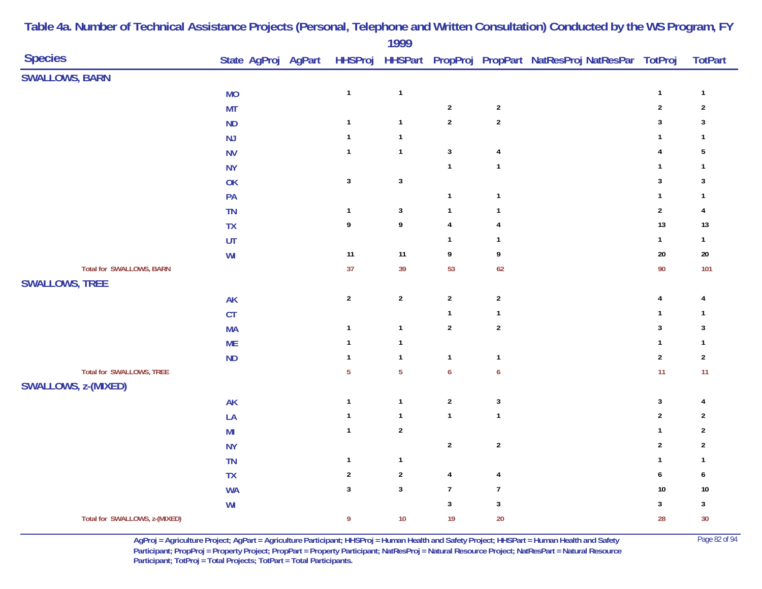| <b>Species</b><br>State AgProj AgPart<br>HHSProj HHSPart PropProj PropPart NatResProj NatResPar TotProj<br><b>SWALLOWS, BARN</b><br>$\mathbf{1}$<br>$\mathbf{1}$<br><b>MO</b><br>$\mathbf{1}$<br>$\overline{2}$<br>$\sqrt{2}$<br>$\overline{2}$<br><b>MT</b><br>$\overline{2}$<br>$\sqrt{2}$<br>$\overline{\mathbf{3}}$<br>$\mathbf{1}$<br><b>ND</b><br>$\mathbf{1}$<br>NJ<br>$\mathbf{1}$<br>$\mathbf{1}$<br>$\mathbf{1}$<br>$\sqrt{3}$<br>$\mathbf{1}$<br><b>NV</b><br>$\mathbf{1}$<br>$\overline{4}$<br>4<br>$\mathbf{1}$<br>$\mathbf{1}$<br>$\mathbf{1}$<br><b>NY</b><br>$\sqrt{3}$<br>$\ensuremath{\mathsf{3}}$<br>3<br>OK<br>$\mathbf{1}$<br>$\mathbf{1}$<br>$\mathbf{1}$<br>PA<br>$\mathbf 3$<br>$\sqrt{2}$<br><b>TN</b><br>$\mathbf{1}$<br>$\mathbf{1}$<br>$\mathbf{1}$<br>9<br>13<br>9<br>$\overline{\mathbf{4}}$<br>TX<br>$\overline{4}$<br>$\mathbf{1}$<br>UT<br>$\mathbf{1}$<br>$\mathbf{1}$<br>$11$<br>$11$<br>$\boldsymbol{9}$<br>$20\,$<br>WI<br>9<br><b>Total for SWALLOWS, BARN</b><br>37<br>39<br>53<br>90<br>62<br><b>SWALLOWS, TREE</b><br>$\overline{2}$<br>$\mathbf{2}$<br>$\overline{2}$<br>$\overline{2}$<br><b>AK</b><br>$\overline{\mathbf{4}}$<br>CT<br>$\mathbf{1}$<br>$\mathbf{1}$<br>$\mathbf{1}$<br>$\overline{2}$<br>$\boldsymbol{2}$<br>$\mathbf{3}$<br>$\mathbf{1}$<br><b>MA</b><br>$\mathbf{1}$<br>$\mathbf{1}$<br>$\mathbf 1$<br><b>ME</b><br>$\mathbf{1}$ | <b>TotPart</b><br>$\mathbf{1}$<br>$\sqrt{2}$ |
|------------------------------------------------------------------------------------------------------------------------------------------------------------------------------------------------------------------------------------------------------------------------------------------------------------------------------------------------------------------------------------------------------------------------------------------------------------------------------------------------------------------------------------------------------------------------------------------------------------------------------------------------------------------------------------------------------------------------------------------------------------------------------------------------------------------------------------------------------------------------------------------------------------------------------------------------------------------------------------------------------------------------------------------------------------------------------------------------------------------------------------------------------------------------------------------------------------------------------------------------------------------------------------------------------------------------------------------------------------------------------------------------|----------------------------------------------|
|                                                                                                                                                                                                                                                                                                                                                                                                                                                                                                                                                                                                                                                                                                                                                                                                                                                                                                                                                                                                                                                                                                                                                                                                                                                                                                                                                                                                |                                              |
|                                                                                                                                                                                                                                                                                                                                                                                                                                                                                                                                                                                                                                                                                                                                                                                                                                                                                                                                                                                                                                                                                                                                                                                                                                                                                                                                                                                                |                                              |
|                                                                                                                                                                                                                                                                                                                                                                                                                                                                                                                                                                                                                                                                                                                                                                                                                                                                                                                                                                                                                                                                                                                                                                                                                                                                                                                                                                                                |                                              |
|                                                                                                                                                                                                                                                                                                                                                                                                                                                                                                                                                                                                                                                                                                                                                                                                                                                                                                                                                                                                                                                                                                                                                                                                                                                                                                                                                                                                | $\mathbf{3}$                                 |
|                                                                                                                                                                                                                                                                                                                                                                                                                                                                                                                                                                                                                                                                                                                                                                                                                                                                                                                                                                                                                                                                                                                                                                                                                                                                                                                                                                                                | $\mathbf{1}$                                 |
|                                                                                                                                                                                                                                                                                                                                                                                                                                                                                                                                                                                                                                                                                                                                                                                                                                                                                                                                                                                                                                                                                                                                                                                                                                                                                                                                                                                                | 5                                            |
|                                                                                                                                                                                                                                                                                                                                                                                                                                                                                                                                                                                                                                                                                                                                                                                                                                                                                                                                                                                                                                                                                                                                                                                                                                                                                                                                                                                                | $\mathbf{1}$                                 |
|                                                                                                                                                                                                                                                                                                                                                                                                                                                                                                                                                                                                                                                                                                                                                                                                                                                                                                                                                                                                                                                                                                                                                                                                                                                                                                                                                                                                | 3                                            |
|                                                                                                                                                                                                                                                                                                                                                                                                                                                                                                                                                                                                                                                                                                                                                                                                                                                                                                                                                                                                                                                                                                                                                                                                                                                                                                                                                                                                | $\mathbf{1}$                                 |
|                                                                                                                                                                                                                                                                                                                                                                                                                                                                                                                                                                                                                                                                                                                                                                                                                                                                                                                                                                                                                                                                                                                                                                                                                                                                                                                                                                                                | $\overline{4}$                               |
|                                                                                                                                                                                                                                                                                                                                                                                                                                                                                                                                                                                                                                                                                                                                                                                                                                                                                                                                                                                                                                                                                                                                                                                                                                                                                                                                                                                                | $13$                                         |
|                                                                                                                                                                                                                                                                                                                                                                                                                                                                                                                                                                                                                                                                                                                                                                                                                                                                                                                                                                                                                                                                                                                                                                                                                                                                                                                                                                                                | $\mathbf{1}$                                 |
|                                                                                                                                                                                                                                                                                                                                                                                                                                                                                                                                                                                                                                                                                                                                                                                                                                                                                                                                                                                                                                                                                                                                                                                                                                                                                                                                                                                                | $20\,$                                       |
|                                                                                                                                                                                                                                                                                                                                                                                                                                                                                                                                                                                                                                                                                                                                                                                                                                                                                                                                                                                                                                                                                                                                                                                                                                                                                                                                                                                                | 101                                          |
|                                                                                                                                                                                                                                                                                                                                                                                                                                                                                                                                                                                                                                                                                                                                                                                                                                                                                                                                                                                                                                                                                                                                                                                                                                                                                                                                                                                                |                                              |
|                                                                                                                                                                                                                                                                                                                                                                                                                                                                                                                                                                                                                                                                                                                                                                                                                                                                                                                                                                                                                                                                                                                                                                                                                                                                                                                                                                                                | 4                                            |
|                                                                                                                                                                                                                                                                                                                                                                                                                                                                                                                                                                                                                                                                                                                                                                                                                                                                                                                                                                                                                                                                                                                                                                                                                                                                                                                                                                                                | $\mathbf{1}$                                 |
|                                                                                                                                                                                                                                                                                                                                                                                                                                                                                                                                                                                                                                                                                                                                                                                                                                                                                                                                                                                                                                                                                                                                                                                                                                                                                                                                                                                                | 3                                            |
|                                                                                                                                                                                                                                                                                                                                                                                                                                                                                                                                                                                                                                                                                                                                                                                                                                                                                                                                                                                                                                                                                                                                                                                                                                                                                                                                                                                                | $\mathbf{1}$                                 |
| $\sqrt{2}$<br>$\mathbf{1}$<br><b>ND</b><br>$\mathbf{1}$<br>$\mathbf{1}$<br>$\mathbf{1}$                                                                                                                                                                                                                                                                                                                                                                                                                                                                                                                                                                                                                                                                                                                                                                                                                                                                                                                                                                                                                                                                                                                                                                                                                                                                                                        | $\mathbf{2}$                                 |
| <b>Total for SWALLOWS, TREE</b><br>$\overline{5}$<br>$\boldsymbol{6}$<br>11<br>$\overline{5}$<br>$\boldsymbol{6}$                                                                                                                                                                                                                                                                                                                                                                                                                                                                                                                                                                                                                                                                                                                                                                                                                                                                                                                                                                                                                                                                                                                                                                                                                                                                              | 11                                           |
| SWALLOWS, z-(MIXED)                                                                                                                                                                                                                                                                                                                                                                                                                                                                                                                                                                                                                                                                                                                                                                                                                                                                                                                                                                                                                                                                                                                                                                                                                                                                                                                                                                            |                                              |
| $\sqrt{2}$<br>$\mathbf{3}$<br>$\mathbf 3$<br>$\mathbf{1}$<br><b>AK</b><br>$\mathbf{1}$                                                                                                                                                                                                                                                                                                                                                                                                                                                                                                                                                                                                                                                                                                                                                                                                                                                                                                                                                                                                                                                                                                                                                                                                                                                                                                         | $\overline{4}$                               |
| $\mathbf{1}$<br>$\mathbf{1}$<br>$\mathbf{1}$<br>$\boldsymbol{2}$<br>LA<br>$\mathbf{1}$                                                                                                                                                                                                                                                                                                                                                                                                                                                                                                                                                                                                                                                                                                                                                                                                                                                                                                                                                                                                                                                                                                                                                                                                                                                                                                         | $\sqrt{2}$                                   |
| $\mathbf{1}$<br>$\boldsymbol{2}$<br>$\mathbf{1}$<br>M <sub>l</sub>                                                                                                                                                                                                                                                                                                                                                                                                                                                                                                                                                                                                                                                                                                                                                                                                                                                                                                                                                                                                                                                                                                                                                                                                                                                                                                                             | $\overline{2}$                               |
| $\overline{2}$<br>$\sqrt{2}$<br>$\sqrt{2}$<br><b>NY</b>                                                                                                                                                                                                                                                                                                                                                                                                                                                                                                                                                                                                                                                                                                                                                                                                                                                                                                                                                                                                                                                                                                                                                                                                                                                                                                                                        | $\sqrt{2}$                                   |
| $\mathbf{1}$<br>$\mathbf{1}$<br><b>TN</b><br>$\mathbf{1}$                                                                                                                                                                                                                                                                                                                                                                                                                                                                                                                                                                                                                                                                                                                                                                                                                                                                                                                                                                                                                                                                                                                                                                                                                                                                                                                                      | $\mathbf{1}$                                 |
| $\boldsymbol{2}$<br><b>TX</b><br>$\sqrt{2}$<br>$\overline{4}$<br>6<br>$\overline{4}$                                                                                                                                                                                                                                                                                                                                                                                                                                                                                                                                                                                                                                                                                                                                                                                                                                                                                                                                                                                                                                                                                                                                                                                                                                                                                                           | 6                                            |
| $\mathbf{3}$<br>$\mathbf 3$<br>$\overline{7}$<br>$\overline{7}$<br>10<br><b>WA</b>                                                                                                                                                                                                                                                                                                                                                                                                                                                                                                                                                                                                                                                                                                                                                                                                                                                                                                                                                                                                                                                                                                                                                                                                                                                                                                             | $10\,$                                       |
| $\mathbf{3}$<br>$\mathbf{3}$<br>$\mathbf 3$<br>$\ensuremath{\mathsf{W}}\xspace\ensuremath{\mathsf{I}}$                                                                                                                                                                                                                                                                                                                                                                                                                                                                                                                                                                                                                                                                                                                                                                                                                                                                                                                                                                                                                                                                                                                                                                                                                                                                                         | $\mathbf{3}$                                 |
| 20<br>Total for SWALLOWS, z-(MIXED)<br>$\boldsymbol{9}$<br>$10$<br>19<br>28                                                                                                                                                                                                                                                                                                                                                                                                                                                                                                                                                                                                                                                                                                                                                                                                                                                                                                                                                                                                                                                                                                                                                                                                                                                                                                                    | $30\,$                                       |

> **AgProj = Agriculture Project; AgPart = Agriculture Participant; HHSProj = Human Health and Safety Project; HHSPart = Human Health and Safety** Page 82 of 94 **Participant; PropProj = Property Project; PropPart = Property Participant; NatResProj = Natural Resource Project; NatResPart = Natural Resource**  Participant; TotProj = Total Projects; TotPart = Total Participants.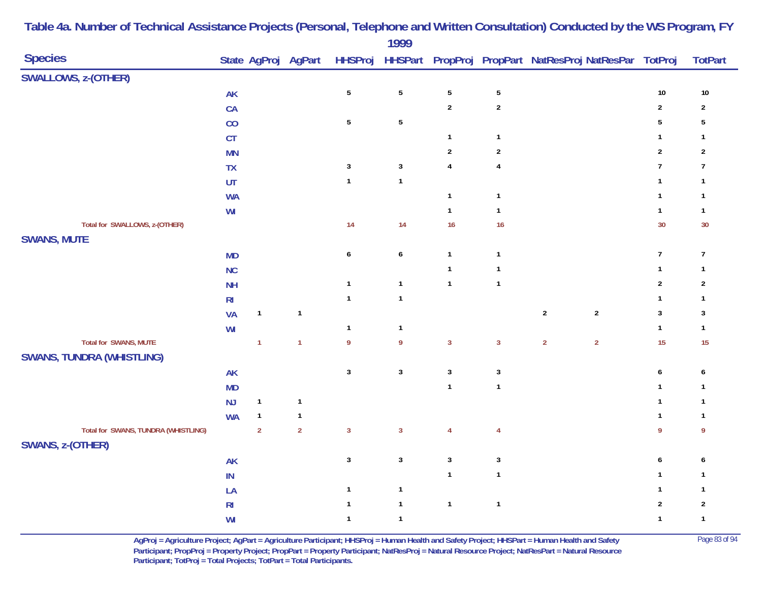| <b>Species</b>                      |                |                | State AgProj AgPart |                  |                  |                         |                         | HHSProj HHSPart PropProj PropPart NatResProj NatResPar TotProj |                  | <b>TotPart</b>   |
|-------------------------------------|----------------|----------------|---------------------|------------------|------------------|-------------------------|-------------------------|----------------------------------------------------------------|------------------|------------------|
| <b>SWALLOWS, z-(OTHER)</b>          |                |                |                     |                  |                  |                         |                         |                                                                |                  |                  |
|                                     | AK             |                |                     | $\sqrt{5}$       | $\sqrt{5}$       | $\mathbf 5$             | $\sqrt{5}$              |                                                                | $10\,$           | $10\,$           |
|                                     | CA             |                |                     |                  |                  | $\overline{2}$          | $\sqrt{2}$              |                                                                | $\sqrt{2}$       | $\mathbf{2}$     |
|                                     | CO             |                |                     | $\sqrt{5}$       | $\sqrt{5}$       |                         |                         |                                                                | $\overline{5}$   | $\overline{5}$   |
|                                     | CT             |                |                     |                  |                  | $\mathbf{1}$            | $\mathbf{1}$            |                                                                | $\mathbf{1}$     | $\mathbf{1}$     |
|                                     | <b>MN</b>      |                |                     |                  |                  | $\sqrt{2}$              | $\sqrt{2}$              |                                                                | $\mathbf 2$      | $\overline{2}$   |
|                                     | TX             |                |                     | $\sqrt{3}$       | $\mathbf{3}$     | $\overline{\mathbf{4}}$ | $\overline{\mathbf{4}}$ |                                                                | $\overline{7}$   | $\overline{7}$   |
|                                     | UT             |                |                     | $\mathbf{1}$     | $\mathbf{1}$     |                         |                         |                                                                | $\mathbf{1}$     | $\mathbf{1}$     |
|                                     | <b>WA</b>      |                |                     |                  |                  | $\mathbf{1}$            | $\mathbf{1}$            |                                                                | $\mathbf{1}$     | $\mathbf{1}$     |
|                                     | WI             |                |                     |                  |                  | $\mathbf{1}$            | $\mathbf{1}$            |                                                                | $\mathbf{1}$     | $\mathbf{1}$     |
| Total for SWALLOWS, z-(OTHER)       |                |                |                     | 14               | $14$             | 16                      | 16                      |                                                                | 30               | 30               |
| <b>SWANS, MUTE</b>                  |                |                |                     |                  |                  |                         |                         |                                                                |                  |                  |
|                                     | <b>MD</b>      |                |                     | $\boldsymbol{6}$ | $\boldsymbol{6}$ | $\mathbf{1}$            | $\mathbf{1}$            |                                                                | $\boldsymbol{7}$ | $\overline{7}$   |
|                                     | <b>NC</b>      |                |                     |                  |                  | $\mathbf{1}$            | $\mathbf{1}$            |                                                                | $\mathbf{1}$     | $\mathbf{1}$     |
|                                     | <b>NH</b>      |                |                     | $\mathbf{1}$     | $\mathbf{1}$     | $\mathbf{1}$            | $\mathbf{1}$            |                                                                | $\sqrt{2}$       | $\overline{2}$   |
|                                     | R <sub>l</sub> |                |                     | $\mathbf{1}$     | $\mathbf{1}$     |                         |                         |                                                                | $\mathbf{1}$     | $\mathbf{1}$     |
|                                     | <b>VA</b>      | $\mathbf{1}$   | $\mathbf{1}$        |                  |                  |                         |                         | $\sqrt{2}$<br>$\sqrt{2}$                                       | $\mathbf{3}$     | $\mathbf{3}$     |
|                                     | WI             |                |                     | $\mathbf{1}$     | $\mathbf{1}$     |                         |                         |                                                                | $\mathbf{1}$     | $\mathbf{1}$     |
| <b>Total for SWANS, MUTE</b>        |                | $\overline{1}$ | $\overline{1}$      | $\boldsymbol{9}$ | 9                | $\overline{3}$          | $\mathbf{3}$            | $\overline{2}$<br>$\overline{2}$                               | 15               | 15               |
| <b>SWANS, TUNDRA (WHISTLING)</b>    |                |                |                     |                  |                  |                         |                         |                                                                |                  |                  |
|                                     | AK             |                |                     | $\sqrt{3}$       | $\mathbf 3$      | $\mathbf{3}$            | $\mathbf{3}$            |                                                                | $\boldsymbol{6}$ | 6                |
|                                     | <b>MD</b>      |                |                     |                  |                  | $\mathbf{1}$            | $\mathbf{1}$            |                                                                | $\mathbf{1}$     | $\mathbf{1}$     |
|                                     | <b>NJ</b>      | $\mathbf{1}$   | $\mathbf{1}$        |                  |                  |                         |                         |                                                                | $\mathbf{1}$     | $\mathbf{1}$     |
|                                     | <b>WA</b>      | $\mathbf{1}$   | $\mathbf{1}$        |                  |                  |                         |                         |                                                                | $\mathbf{1}$     | $\mathbf{1}$     |
| Total for SWANS, TUNDRA (WHISTLING) |                | $\overline{2}$ | $\overline{2}$      | $\overline{3}$   | $\mathbf{3}$     | $\overline{4}$          | $\overline{4}$          |                                                                | $\boldsymbol{9}$ | $\boldsymbol{9}$ |
| SWANS, z-(OTHER)                    |                |                |                     |                  |                  |                         |                         |                                                                |                  |                  |
|                                     | <b>AK</b>      |                |                     | $\mathsf 3$      | $\mathbf 3$      | $\mathbf{3}$            | $\mathbf{3}$            |                                                                | $\boldsymbol{6}$ | 6                |
|                                     | $\sf IN$       |                |                     |                  |                  | $\mathbf{1}$            | $\mathbf{1}$            |                                                                | $\mathbf{1}$     | $\mathbf{1}$     |
|                                     | LA             |                |                     | $\mathbf{1}$     | $\mathbf{1}$     |                         |                         |                                                                | $\mathbf{1}$     | $\mathbf{1}$     |
|                                     | R <sub>l</sub> |                |                     | $\mathbf{1}$     | $\mathbf{1}$     | $\mathbf{1}$            | $\mathbf{1}$            |                                                                | $\sqrt{2}$       | $\sqrt{2}$       |
|                                     | WI             |                |                     | $\mathbf{1}$     | $\mathbf{1}$     |                         |                         |                                                                | $\mathbf{1}$     | $\mathbf{1}$     |

**AgProj = Agriculture Project; AgPart = Agriculture Participant; HHSProj = Human Health and Safety Project; HHSPart = Human Health and Safety** Page 83 of 94 **Participant; PropProj = Property Project; PropPart = Property Participant; NatResProj = Natural Resource Project; NatResPart = Natural Resource**  Participant; TotProj = Total Projects; TotPart = Total Participants.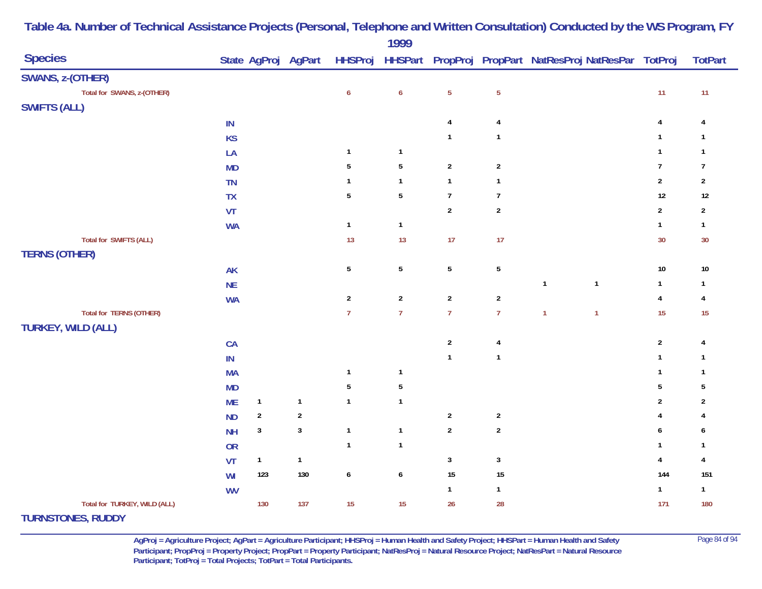| <b>Species</b>                |           |                  |                |                  | 1777             |                |                  |              | State AgProj AgPart HHSProj HHSPart PropProj PropPart NatResProj NatResPar TotProj |                | <b>TotPart</b> |
|-------------------------------|-----------|------------------|----------------|------------------|------------------|----------------|------------------|--------------|------------------------------------------------------------------------------------|----------------|----------------|
|                               |           |                  |                |                  |                  |                |                  |              |                                                                                    |                |                |
| SWANS, z-(OTHER)              |           |                  |                |                  |                  |                |                  |              |                                                                                    |                |                |
| Total for SWANS, z-(OTHER)    |           |                  |                | $\boldsymbol{6}$ | $\boldsymbol{6}$ | $\sqrt{5}$     | $\sqrt{5}$       |              |                                                                                    | 11             | $11$           |
| <b>SWIFTS (ALL)</b>           |           |                  |                |                  |                  |                |                  |              |                                                                                    |                |                |
|                               | IN        |                  |                |                  |                  | 4              | 4                |              |                                                                                    | $\overline{4}$ | 4              |
|                               | <b>KS</b> |                  |                |                  |                  | $\mathbf{1}$   | $\mathbf{1}$     |              |                                                                                    | $\mathbf{1}$   | $\mathbf{1}$   |
|                               | LA        |                  |                | $\mathbf{1}$     | $\mathbf{1}$     |                |                  |              |                                                                                    | $\mathbf{1}$   | $\mathbf{1}$   |
|                               | <b>MD</b> |                  |                | 5                | $5\phantom{.0}$  | $\overline{2}$ | $\overline{2}$   |              |                                                                                    | $\overline{7}$ | $\overline{7}$ |
|                               | <b>TN</b> |                  |                | $\mathbf{1}$     | $\mathbf{1}$     | $\mathbf{1}$   | $\mathbf{1}$     |              |                                                                                    | $\sqrt{2}$     | $\sqrt{2}$     |
|                               | TX        |                  |                | $\sqrt{5}$       | $5\,$            | $\overline{7}$ | $\boldsymbol{7}$ |              |                                                                                    | 12             | $12$           |
|                               | VT        |                  |                |                  |                  | $\overline{2}$ | $\boldsymbol{2}$ |              |                                                                                    | $\overline{2}$ | $\overline{2}$ |
|                               | <b>WA</b> |                  |                | $\mathbf{1}$     | $\mathbf{1}$     |                |                  |              |                                                                                    | $\mathbf{1}$   | $\mathbf{1}$   |
| <b>Total for SWIFTS (ALL)</b> |           |                  |                | 13               | 13               | 17             | 17               |              |                                                                                    | 30             | 30             |
| <b>TERNS (OTHER)</b>          |           |                  |                |                  |                  |                |                  |              |                                                                                    |                |                |
|                               | <b>AK</b> |                  |                | $\overline{5}$   | $5\phantom{.0}$  | $\sqrt{5}$     | $\sqrt{5}$       |              |                                                                                    | $10\,$         | $10\,$         |
|                               | <b>NE</b> |                  |                |                  |                  |                |                  | $\mathbf{1}$ | $\mathbf{1}$                                                                       | $\mathbf{1}$   | $\mathbf{1}$   |
|                               | <b>WA</b> |                  |                | $\sqrt{2}$       | $\overline{2}$   | $\overline{2}$ | $\boldsymbol{2}$ |              |                                                                                    | $\pmb{4}$      | $\overline{4}$ |
| Total for TERNS (OTHER)       |           |                  |                | $\overline{7}$   | $\overline{7}$   | $\overline{7}$ | $\overline{7}$   | $\mathbf{1}$ | $\overline{1}$                                                                     | 15             | 15             |
| <b>TURKEY, WILD (ALL)</b>     |           |                  |                |                  |                  |                |                  |              |                                                                                    |                |                |
|                               | CA        |                  |                |                  |                  | $\sqrt{2}$     | 4                |              |                                                                                    | $\sqrt{2}$     | 4              |
|                               | $\sf IN$  |                  |                |                  |                  | $\mathbf{1}$   | $\mathbf{1}$     |              |                                                                                    | $\mathbf{1}$   | $\mathbf{1}$   |
|                               | <b>MA</b> |                  |                | $\mathbf{1}$     | $\mathbf{1}$     |                |                  |              |                                                                                    | $\mathbf{1}$   | $\mathbf{1}$   |
|                               | <b>MD</b> |                  |                | $\overline{5}$   | $\sqrt{5}$       |                |                  |              |                                                                                    | $\sqrt{5}$     | $\overline{5}$ |
|                               | <b>ME</b> | $\mathbf{1}$     | $\mathbf{1}$   | $\mathbf{1}$     | $\mathbf{1}$     |                |                  |              |                                                                                    | $\overline{2}$ | $\overline{2}$ |
|                               | <b>ND</b> | $\boldsymbol{2}$ | $\overline{2}$ |                  |                  | $\overline{2}$ | $\overline{2}$   |              |                                                                                    | 4              |                |
|                               | <b>NH</b> | $\sqrt{3}$       | $\sqrt{3}$     | $\mathbf{1}$     | $\mathbf{1}$     | $\sqrt{2}$     | $\boldsymbol{2}$ |              |                                                                                    | 6              | 6              |
|                               | <b>OR</b> |                  |                | $\mathbf{1}$     | $\mathbf{1}$     |                |                  |              |                                                                                    | $\mathbf{1}$   | $\mathbf{1}$   |
|                               | VT        | $\mathbf{1}$     | $\mathbf{1}$   |                  |                  | $\mathbf{3}$   | $\sqrt{3}$       |              |                                                                                    | $\pmb{4}$      | $\overline{4}$ |
|                               | WI        | 123              | 130            | $\boldsymbol{6}$ | 6                | 15             | $15\,$           |              |                                                                                    | 144            | 151            |
|                               | <b>WV</b> |                  |                |                  |                  | $\mathbf{1}$   | $\mathbf{1}$     |              |                                                                                    | $\mathbf{1}$   | $\mathbf{1}$   |
| Total for TURKEY, WILD (ALL)  |           | 130              | 137            | 15               | 15               | 26             | 28               |              |                                                                                    | 171            | 180            |
| THOMETOMES DUDDY              |           |                  |                |                  |                  |                |                  |              |                                                                                    |                |                |

**TURNSTONES, RUDDY**

**AgProj = Agriculture Project; AgPart = Agriculture Participant; HHSProj = Human Health and Safety Project; HHSPart = Human Health and Safety** Page 84 of 94 **Participant; PropProj = Property Project; PropPart = Property Participant; NatResProj = Natural Resource Project; NatResPart = Natural Resource**  Participant; TotProj = Total Projects; TotPart = Total Participants.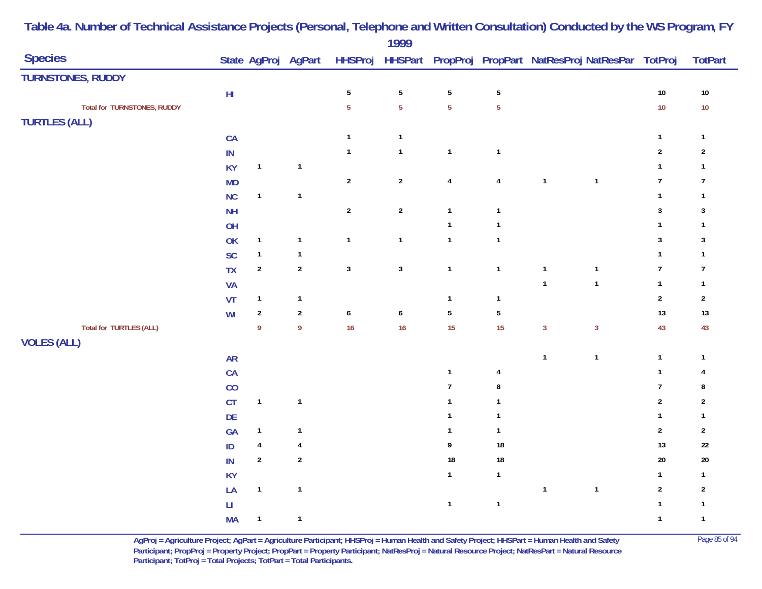|                                    |                        |                |                     |                  | $\blacksquare$          |                         |                         |              |                                                                |                  |                |
|------------------------------------|------------------------|----------------|---------------------|------------------|-------------------------|-------------------------|-------------------------|--------------|----------------------------------------------------------------|------------------|----------------|
| <b>Species</b>                     |                        |                | State AgProj AgPart |                  |                         |                         |                         |              | HHSProj HHSPart PropProj PropPart NatResProj NatResPar TotProj |                  | <b>TotPart</b> |
| <b>TURNSTONES, RUDDY</b>           |                        |                |                     |                  |                         |                         |                         |              |                                                                |                  |                |
|                                    | $\mathsf{HI}$          |                |                     | $\sqrt{5}$       | $\sqrt{5}$              | $\sqrt{5}$              | $\sqrt{5}$              |              |                                                                | $10\,$           | $10\,$         |
| <b>Total for TURNSTONES, RUDDY</b> |                        |                |                     | $\overline{5}$   | $\overline{5}$          | $\overline{5}$          | $\overline{5}$          |              |                                                                | $10$             | $10\,$         |
| <b>TURTLES (ALL)</b>               |                        |                |                     |                  |                         |                         |                         |              |                                                                |                  |                |
|                                    | CA                     |                |                     | $\mathbf{1}$     | $\overline{\mathbf{1}}$ |                         |                         |              |                                                                | $\mathbf{1}$     | $\mathbf{1}$   |
|                                    | $\sf IN$               |                |                     | $\mathbf{1}$     | $\mathbf{1}$            | $\mathbf{1}$            | $\mathbf{1}$            |              |                                                                | $\sqrt{2}$       | $\sqrt{2}$     |
|                                    | <b>KY</b>              | $\mathbf{1}$   | $\mathbf{1}$        |                  |                         |                         |                         |              |                                                                | $\mathbf{1}$     | $\mathbf{1}$   |
|                                    | <b>MD</b>              |                |                     | $\mathbf 2$      | $\overline{2}$          | $\overline{\mathbf{4}}$ | $\overline{\mathbf{4}}$ | $\mathbf{1}$ | $\mathbf{1}$                                                   | $\boldsymbol{7}$ | $\overline{7}$ |
|                                    | NC                     | $\mathbf{1}$   | $\mathbf{1}$        |                  |                         |                         |                         |              |                                                                | $\mathbf{1}$     | $\mathbf{1}$   |
|                                    | <b>NH</b>              |                |                     | $\boldsymbol{2}$ | $\sqrt{2}$              | $\mathbf{1}$            | $\mathbf{1}$            |              |                                                                | $\mathbf{3}$     | $\sqrt{3}$     |
|                                    | OH                     |                |                     |                  |                         | $\mathbf{1}$            | $\mathbf{1}$            |              |                                                                | $\mathbf{1}$     | $\mathbf{1}$   |
|                                    | OK                     | $\mathbf{1}$   | $\mathbf{1}$        | $\mathbf{1}$     | $\mathbf{1}$            | $\mathbf{1}$            | $\mathbf{1}$            |              |                                                                | $\sqrt{3}$       | $\sqrt{3}$     |
|                                    | <b>SC</b>              | $\mathbf{1}$   | $\mathbf{1}$        |                  |                         |                         |                         |              |                                                                | $\mathbf{1}$     | $\mathbf{1}$   |
|                                    | <b>TX</b>              | $\sqrt{2}$     | $\sqrt{2}$          | $\mathbf 3$      | $\mathbf{3}$            | $\mathbf{1}$            | $\mathbf{1}$            | $\mathbf{1}$ | $\mathbf{1}$                                                   | $\overline{7}$   | $\overline{7}$ |
|                                    | VA                     |                |                     |                  |                         |                         |                         | $\mathbf{1}$ | $\mathbf{1}$                                                   | $\mathbf{1}$     | $\mathbf{1}$   |
|                                    | VT                     | $\mathbf{1}$   | $\mathbf{1}$        |                  |                         | $\mathbf{1}$            | $\mathbf{1}$            |              |                                                                | $\overline{2}$   | $\sqrt{2}$     |
|                                    | WI                     | $\overline{2}$ | $\sqrt{2}$          | $\boldsymbol{6}$ | $\pmb{6}$               | $5\phantom{.0}$         | $\sqrt{5}$              |              |                                                                | $13$             | $13\,$         |
| <b>Total for TURTLES (ALL)</b>     |                        | 9              | $\boldsymbol{9}$    | 16               | 16                      | 15                      | 15                      | $\mathbf{3}$ | $\mathbf{3}$                                                   | 43               | 43             |
| <b>VOLES (ALL)</b>                 |                        |                |                     |                  |                         |                         |                         |              |                                                                |                  |                |
|                                    | ${\sf AR}$             |                |                     |                  |                         |                         |                         | $\mathbf{1}$ | $\mathbf{1}$                                                   | $\mathbf{1}$     | $\mathbf{1}$   |
|                                    | CA                     |                |                     |                  |                         | $\mathbf{1}$            | 4                       |              |                                                                | $\mathbf{1}$     | 4              |
|                                    | CO                     |                |                     |                  |                         | $\overline{7}$          | $\bf 8$                 |              |                                                                | $\boldsymbol{7}$ | 8              |
|                                    | CT                     | $\mathbf{1}$   | $\mathbf{1}$        |                  |                         | $\mathbf{1}$            | $\mathbf{1}$            |              |                                                                | $\sqrt{2}$       | $\sqrt{2}$     |
|                                    | DE                     |                |                     |                  |                         | $\mathbf{1}$            | $\mathbf{1}$            |              |                                                                | $\mathbf{1}$     | $\mathbf{1}$   |
|                                    | GA                     | $\mathbf{1}$   | $\mathbf{1}$        |                  |                         | $\mathbf{1}$            | $\mathbf{1}$            |              |                                                                | $\boldsymbol{2}$ | $\sqrt{2}$     |
|                                    | $\sf ID$               | $\overline{4}$ | $\pmb{4}$           |                  |                         | 9                       | ${\bf 18}$              |              |                                                                | $13$             | $22\,$         |
|                                    | IN                     | $\overline{2}$ | $\sqrt{2}$          |                  |                         | $18\,$                  | ${\bf 18}$              |              |                                                                | $20\,$           | $20\,$         |
|                                    | <b>KY</b>              |                |                     |                  |                         | $\mathbf{1}$            | $\mathbf{1}$            |              |                                                                | $\mathbf{1}$     | $\mathbf{1}$   |
|                                    | LA                     | $\mathbf{1}$   | $\mathbf{1}$        |                  |                         |                         |                         | $\mathbf{1}$ | $\mathbf{1}$                                                   | $\overline{2}$   | $\sqrt{2}$     |
|                                    | $\mathsf{L}\mathsf{I}$ |                |                     |                  |                         | $\mathbf{1}$            | $\mathbf{1}$            |              |                                                                | $\mathbf{1}$     | $\mathbf{1}$   |
|                                    | MA                     | $\mathbf{1}$   | $\mathbf{1}$        |                  |                         |                         |                         |              |                                                                | $\mathbf{1}$     | $\mathbf{1}$   |
|                                    |                        |                |                     |                  |                         |                         |                         |              |                                                                |                  |                |

> **AgProj = Agriculture Project; AgPart = Agriculture Participant; HHSProj = Human Health and Safety Project; HHSPart = Human Health and Safety** Page 85 of 94 **Participant; PropProj = Property Project; PropPart = Property Participant; NatResProj = Natural Resource Project; NatResPart = Natural Resource Participant; TotProj = Total Projects; TotPart = Total Participants.**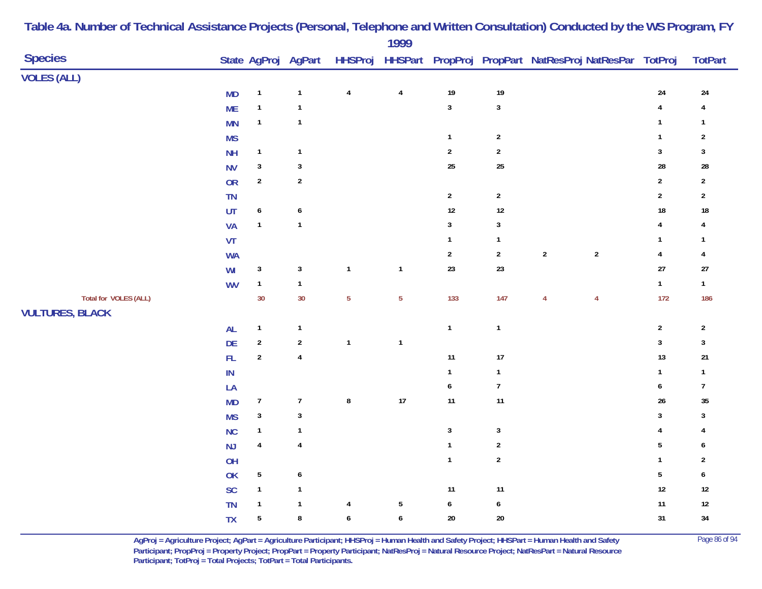| <b>Species</b>         |                 |                         | State AgProj AgPart |                         | 1777             |                  |                  |                | HHSProj HHSPart PropProj PropPart NatResProj NatResPar TotProj |                         | <b>TotPart</b>          |
|------------------------|-----------------|-------------------------|---------------------|-------------------------|------------------|------------------|------------------|----------------|----------------------------------------------------------------|-------------------------|-------------------------|
| <b>VOLES (ALL)</b>     |                 |                         |                     |                         |                  |                  |                  |                |                                                                |                         |                         |
|                        | <b>MD</b>       | $\mathbf{1}$            | $\mathbf 1$         | $\pmb{4}$               | $\pmb{4}$        | $19$             | 19               |                |                                                                | 24                      | 24                      |
|                        | <b>ME</b>       | $\mathbf{1}$            | $\mathbf{1}$        |                         |                  | $\sqrt{3}$       | $\mathbf{3}$     |                |                                                                | $\overline{\mathbf{4}}$ | $\overline{\mathbf{4}}$ |
|                        | <b>MN</b>       | $\mathbf{1}$            | $\mathbf{1}$        |                         |                  |                  |                  |                |                                                                | $\mathbf{1}$            | $\mathbf{1}$            |
|                        | <b>MS</b>       |                         |                     |                         |                  | $\mathbf{1}$     | $\boldsymbol{2}$ |                |                                                                | $\mathbf{1}$            | $\overline{\mathbf{c}}$ |
|                        | NH              | $\mathbf{1}$            | $\mathbf{1}$        |                         |                  | $\sqrt{2}$       | $\overline{2}$   |                |                                                                | $\mathbf{3}$            | $\mathbf{3}$            |
|                        | <b>NV</b>       | $\mathbf{3}$            | $\mathbf{3}$        |                         |                  | 25               | $25\,$           |                |                                                                | 28                      | 28                      |
|                        | OR              | $\overline{2}$          | $\sqrt{2}$          |                         |                  |                  |                  |                |                                                                | $\sqrt{2}$              | $\sqrt{2}$              |
|                        | TN              |                         |                     |                         |                  | $\overline{2}$   | $\overline{2}$   |                |                                                                | $\overline{2}$          | $\overline{\mathbf{c}}$ |
|                        | UT              | $\boldsymbol{6}$        | $\boldsymbol{6}$    |                         |                  | 12               | $12\,$           |                |                                                                | $18\,$                  | $18\,$                  |
|                        | <b>VA</b>       | $\mathbf{1}$            | $\mathbf{1}$        |                         |                  | $\sqrt{3}$       | $\mathbf{3}$     |                |                                                                | 4                       | 4                       |
|                        | VT              |                         |                     |                         |                  | $\mathbf{1}$     | $\mathbf{1}$     |                |                                                                | $\mathbf{1}$            | $\mathbf{1}$            |
|                        | <b>WA</b>       |                         |                     |                         |                  | $\sqrt{2}$       | $\boldsymbol{2}$ | $\sqrt{2}$     | $\sqrt{2}$                                                     | $\overline{\mathbf{4}}$ | 4                       |
|                        | WI              | $\mathbf{3}$            | $\mathbf{3}$        | $\overline{\mathbf{1}}$ | $\mathbf{1}$     | 23               | 23               |                |                                                                | $27$                    | $27\,$                  |
|                        | <b>WV</b>       | $\mathbf{1}$            | $\mathbf 1$         |                         |                  |                  |                  |                |                                                                | $\mathbf{1}$            | $\mathbf{1}$            |
| Total for VOLES (ALL)  |                 | 30                      | 30                  | $\overline{5}$          | $\overline{5}$   | 133              | $147$            | $\overline{4}$ | $\overline{4}$                                                 | 172                     | 186                     |
| <b>VULTURES, BLACK</b> |                 |                         |                     |                         |                  |                  |                  |                |                                                                |                         |                         |
|                        | AL              | $\mathbf{1}$            | $\mathbf{1}$        |                         |                  | $\mathbf{1}$     | $\mathbf{1}$     |                |                                                                | $\sqrt{2}$              | $\sqrt{2}$              |
|                        | DE              | $\boldsymbol{2}$        | $\sqrt{2}$          | $\mathbf{1}$            | $\mathbf 1$      |                  |                  |                |                                                                | $\mathbf 3$             | $\mathbf 3$             |
|                        | ${\sf FL}$      | $\overline{2}$          | $\pmb{4}$           |                         |                  | 11               | 17               |                |                                                                | 13                      | $21\,$                  |
|                        | $\textsf{IN}{}$ |                         |                     |                         |                  | $\mathbf{1}$     | $\mathbf{1}$     |                |                                                                | $\mathbf{1}$            | $\mathbf{1}$            |
|                        | LA              |                         |                     |                         |                  | $\boldsymbol{6}$ | $\boldsymbol{7}$ |                |                                                                | 6                       | $\boldsymbol{7}$        |
|                        | <b>MD</b>       | $\boldsymbol{7}$        | $\boldsymbol{7}$    | ${\bf 8}$               | $17$             | 11               | $11$             |                |                                                                | 26                      | $35\,$                  |
|                        | <b>MS</b>       | $\mathbf{3}$            | $\sqrt{3}$          |                         |                  |                  |                  |                |                                                                | 3                       | $\mathbf{3}$            |
|                        | <b>NC</b>       | $\mathbf{1}$            | $\mathbf{1}$        |                         |                  | $\sqrt{3}$       | $\mathbf{3}$     |                |                                                                | 4                       | 4                       |
|                        | NJ              | $\overline{\mathbf{4}}$ | $\pmb{4}$           |                         |                  | $\mathbf{1}$     | $\mathbf 2$      |                |                                                                | 5                       | 6                       |
|                        | OH              |                         |                     |                         |                  | $\mathbf{1}$     | $\sqrt{2}$       |                |                                                                | $\mathbf{1}$            | $\boldsymbol{2}$        |
|                        | OK              | $\overline{5}$          | 6                   |                         |                  |                  |                  |                |                                                                | $\overline{5}$          | 6                       |
|                        | SC              | $\mathbf{1}$            | $\mathbf{1}$        |                         |                  | 11               | $11$             |                |                                                                | 12                      | $12\,$                  |
|                        | <b>TN</b>       | $\mathbf{1}$            | $\mathbf{1}$        | $\pmb{4}$               | $\sqrt{5}$       | $\pmb{6}$        | $\boldsymbol{6}$ |                |                                                                | $11$                    | $12\,$                  |
|                        | <b>TX</b>       | $\overline{5}$          | $\bf 8$             | $\boldsymbol{6}$        | $\boldsymbol{6}$ | $20\,$           | $20\,$           |                |                                                                | 31                      | $34$                    |
|                        |                 |                         |                     |                         |                  |                  |                  |                |                                                                |                         |                         |

> **AgProj = Agriculture Project; AgPart = Agriculture Participant; HHSProj = Human Health and Safety Project; HHSPart = Human Health and Safety** Page 86 of 94 **Participant; PropProj = Property Project; PropPart = Property Participant; NatResProj = Natural Resource Project; NatResPart = Natural Resource**  Participant; TotProj = Total Projects; TotPart = Total Participants.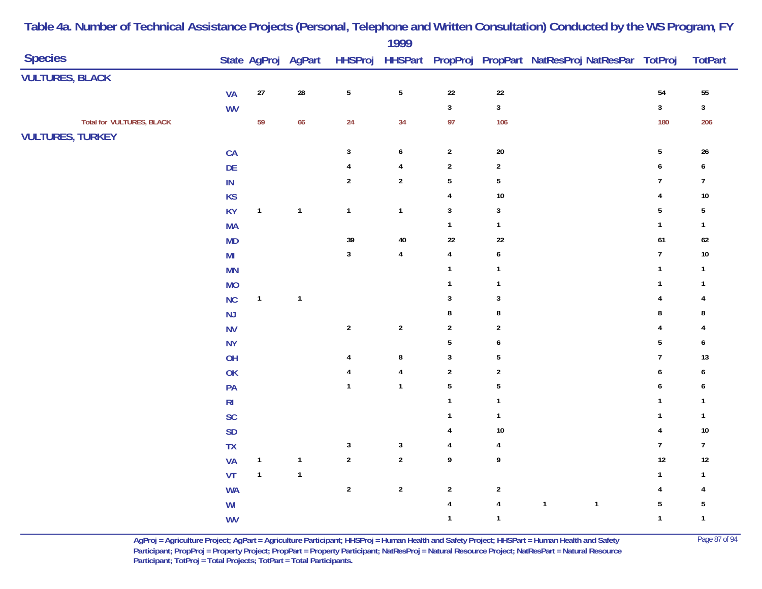|                                  |                 |              |                     |                | 1777                    |                         |                         |                                                                |                  |                         |
|----------------------------------|-----------------|--------------|---------------------|----------------|-------------------------|-------------------------|-------------------------|----------------------------------------------------------------|------------------|-------------------------|
| <b>Species</b>                   |                 |              | State AgProj AgPart |                |                         |                         |                         | HHSProj HHSPart PropProj PropPart NatResProj NatResPar TotProj |                  | <b>TotPart</b>          |
| <b>VULTURES, BLACK</b>           |                 |              |                     |                |                         |                         |                         |                                                                |                  |                         |
|                                  | <b>VA</b>       | $27\,$       | ${\bf 28}$          | $\sqrt{5}$     | $\sqrt{5}$              | $22\,$                  | $22\,$                  |                                                                | 54               | ${\bf 55}$              |
|                                  | <b>WV</b>       |              |                     |                |                         | $\overline{\mathbf{3}}$ | $\mathbf{3}$            |                                                                | $\mathbf{3}$     | $\mathbf{3}$            |
| <b>Total for VULTURES, BLACK</b> |                 | 59           | 66                  | 24             | 34                      | 97                      | 106                     |                                                                | 180              | 206                     |
| <b>VULTURES, TURKEY</b>          |                 |              |                     |                |                         |                         |                         |                                                                |                  |                         |
|                                  | CA              |              |                     | $\mathbf{3}$   | $\boldsymbol{6}$        | $\overline{\mathbf{c}}$ | $20\,$                  |                                                                | $\sqrt{5}$       | $26\,$                  |
|                                  | DE              |              |                     | 4              | $\pmb{4}$               | $\sqrt{2}$              | $\boldsymbol{2}$        |                                                                | 6                | $\pmb{6}$               |
|                                  | $\textsf{IN}{}$ |              |                     | $\overline{2}$ | $\sqrt{2}$              | $5\,$                   | $\overline{5}$          |                                                                | $\overline{7}$   | $\overline{7}$          |
|                                  | <b>KS</b>       |              |                     |                |                         | $\overline{4}$          | 10                      |                                                                | 4                | $10\,$                  |
|                                  | <b>KY</b>       | $\mathbf{1}$ | $\mathbf{1}$        | $\mathbf{1}$   | $\mathbf{1}$            | $\mathbf{3}$            | $\mathbf{3}$            |                                                                | $\sqrt{5}$       | $\sqrt{5}$              |
|                                  | <b>MA</b>       |              |                     |                |                         | $\mathbf{1}$            | $\mathbf{1}$            |                                                                | $\mathbf{1}$     | $\mathbf{1}$            |
|                                  | MD              |              |                     | 39             | $40\,$                  | $22\,$                  | $22\,$                  |                                                                | 61               | $62\,$                  |
|                                  | M <sub>l</sub>  |              |                     | $\mathbf{3}$   | $\pmb{4}$               | $\overline{4}$          | $\boldsymbol{6}$        |                                                                | $\boldsymbol{7}$ | $10\,$                  |
|                                  | <b>MN</b>       |              |                     |                |                         | $\mathbf{1}$            | $\mathbf{1}$            |                                                                | $\mathbf{1}$     | $\mathbf{1}$            |
|                                  | <b>MO</b>       |              |                     |                |                         | $\mathbf{1}$            | $\mathbf{1}$            |                                                                | $\mathbf{1}$     | $\mathbf{1}$            |
|                                  | NC              | $\mathbf{1}$ | $\mathbf{1}$        |                |                         | 3                       | $\mathbf{3}$            |                                                                | 4                | 4                       |
|                                  | NJ              |              |                     |                |                         | 8                       | 8                       |                                                                | 8                | 8                       |
|                                  | <b>NV</b>       |              |                     | $\sqrt{2}$     | $\overline{\mathbf{c}}$ | $\sqrt{2}$              | $\boldsymbol{2}$        |                                                                | 4                | 4                       |
|                                  | <b>NY</b>       |              |                     |                |                         | $\sqrt{5}$              | $\boldsymbol{6}$        |                                                                | $\sqrt{5}$       | 6                       |
|                                  | OH              |              |                     | $\overline{4}$ | $\bf 8$                 | $\mathbf{3}$            | 5                       |                                                                | $\overline{7}$   | 13                      |
|                                  | OK              |              |                     | $\overline{4}$ | $\pmb{4}$               | $\sqrt{2}$              | $\overline{\mathbf{c}}$ |                                                                | 6                | 6                       |
|                                  | PA              |              |                     | $\mathbf{1}$   | $\mathbf{1}$            | $\overline{5}$          | $\overline{5}$          |                                                                | 6                | 6                       |
|                                  | R <sub>l</sub>  |              |                     |                |                         | $\overline{1}$          | $\mathbf{1}$            |                                                                | -1               | $\mathbf{1}$            |
|                                  | SC              |              |                     |                |                         | $\overline{1}$          | $\mathbf{1}$            |                                                                | $\mathbf{1}$     | $\mathbf{1}$            |
|                                  | <b>SD</b>       |              |                     |                |                         | $\overline{4}$          | 10                      |                                                                | $\overline{4}$   | $10\,$                  |
|                                  | TX              |              |                     | $\sqrt{3}$     | $\sqrt{3}$              | $\overline{4}$          | 4                       |                                                                | $\boldsymbol{7}$ | $\overline{7}$          |
|                                  | <b>VA</b>       | $\mathbf{1}$ | $\mathbf 1$         | $\sqrt{2}$     | $\boldsymbol{2}$        | $\boldsymbol{9}$        | 9                       |                                                                | $12\,$           | $12\,$                  |
|                                  | VT              | $\mathbf{1}$ | $\mathbf{1}$        |                |                         |                         |                         |                                                                | $\mathbf{1}$     | $\mathbf{1}$            |
|                                  | <b>WA</b>       |              |                     | $\sqrt{2}$     | $\sqrt{2}$              | $\sqrt{2}$              | $\sqrt{2}$              |                                                                | 4                | $\overline{\mathbf{4}}$ |
|                                  | W <sub>l</sub>  |              |                     |                |                         | $\overline{4}$          | $\pmb{4}$               | $\mathbf{1}$<br>$\mathbf{1}$                                   | $\sqrt{5}$       | $\sqrt{5}$              |
|                                  | <b>WV</b>       |              |                     |                |                         | $\mathbf{1}$            | $\mathbf{1}$            |                                                                | $\mathbf{1}$     | $\mathbf 1$             |
|                                  |                 |              |                     |                |                         |                         |                         |                                                                |                  |                         |

> **AgProj = Agriculture Project; AgPart = Agriculture Participant; HHSProj = Human Health and Safety Project; HHSPart = Human Health and Safety** Page 87 of 94 **Participant; PropProj = Property Project; PropPart = Property Participant; NatResProj = Natural Resource Project; NatResPart = Natural Resource**  Participant; TotProj = Total Projects; TotPart = Total Participants.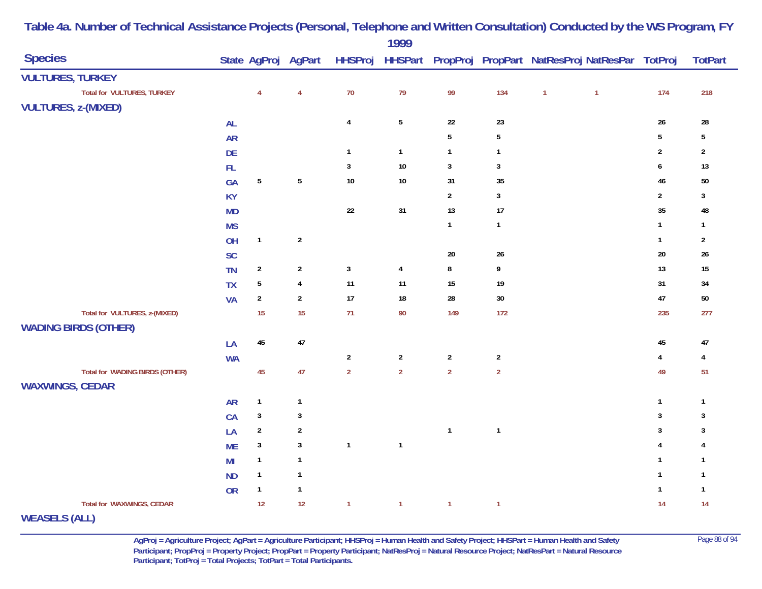|                                       |               |                  |                     |                | 1777                    |                |                |              |                                                        |                         |                |
|---------------------------------------|---------------|------------------|---------------------|----------------|-------------------------|----------------|----------------|--------------|--------------------------------------------------------|-------------------------|----------------|
| <b>Species</b>                        |               |                  | State AgProj AgPart | <b>HHSProj</b> |                         |                |                |              | HHSPart PropProj PropPart NatResProj NatResPar TotProj |                         | <b>TotPart</b> |
| <b>VULTURES, TURKEY</b>               |               |                  |                     |                |                         |                |                |              |                                                        |                         |                |
| <b>Total for VULTURES, TURKEY</b>     |               | $\overline{4}$   | $\overline{4}$      | 70             | 79                      | 99             | 134            | $\mathbf{1}$ | $\overline{1}$                                         | 174                     | 218            |
| <b>VULTURES, z-(MIXED)</b>            |               |                  |                     |                |                         |                |                |              |                                                        |                         |                |
|                                       | <b>AL</b>     |                  |                     | $\pmb{4}$      | $\sqrt{5}$              | 22             | $23\,$         |              |                                                        | $26\,$                  | ${\bf 28}$     |
|                                       | <b>AR</b>     |                  |                     |                |                         | $\sqrt{5}$     | $\overline{5}$ |              |                                                        | $\overline{5}$          | $\sqrt{5}$     |
|                                       | DE            |                  |                     | $\mathbf{1}$   | $\mathbf{1}$            | $\mathbf{1}$   | $\mathbf{1}$   |              |                                                        | $\overline{\mathbf{2}}$ | $\sqrt{2}$     |
|                                       | $\mathsf{FL}$ |                  |                     | $\mathbf{3}$   | $10$                    | $\mathbf{3}$   | $\mathbf{3}$   |              |                                                        | 6                       | 13             |
|                                       | GA            | $5\phantom{.0}$  | $\sqrt{5}$          | $10\,$         | $10\,$                  | 31             | 35             |              |                                                        | 46                      | $50\,$         |
|                                       | KY            |                  |                     |                |                         | $\overline{2}$ | $\mathbf{3}$   |              |                                                        | $\sqrt{2}$              | $\mathbf{3}$   |
|                                       | <b>MD</b>     |                  |                     | 22             | 31                      | 13             | 17             |              |                                                        | $35\,$                  | 48             |
|                                       | <b>MS</b>     |                  |                     |                |                         | $\mathbf{1}$   | $\mathbf{1}$   |              |                                                        | $\mathbf{1}$            | $\mathbf{1}$   |
|                                       | OH            | $\mathbf{1}$     | $\overline{2}$      |                |                         |                |                |              |                                                        | $\mathbf{1}$            | $\overline{2}$ |
|                                       | <b>SC</b>     |                  |                     |                |                         | 20             | $26\,$         |              |                                                        | $20\,$                  | $26\,$         |
|                                       | <b>TN</b>     | $\overline{a}$   | $\sqrt{2}$          | $\sqrt{3}$     | $\overline{\mathbf{4}}$ | $\bf 8$        | 9              |              |                                                        | $13$                    | 15             |
|                                       | <b>TX</b>     | $\sqrt{5}$       | $\pmb{4}$           | 11             | 11                      | 15             | $19$           |              |                                                        | 31                      | 34             |
|                                       | <b>VA</b>     | $\boldsymbol{2}$ | $\sqrt{2}$          | $17$           | $18\,$                  | ${\bf 28}$     | $30\,$         |              |                                                        | $47\,$                  | $50\,$         |
| Total for VULTURES, z-(MIXED)         |               | 15               | 15                  | 71             | $90\,$                  | 149            | 172            |              |                                                        | 235                     | 277            |
| <b>WADING BIRDS (OTHER)</b>           |               |                  |                     |                |                         |                |                |              |                                                        |                         |                |
|                                       | LA            | $45\,$           | 47                  |                |                         |                |                |              |                                                        | 45                      | 47             |
|                                       | <b>WA</b>     |                  |                     | $\overline{2}$ | $\sqrt{2}$              | $\overline{2}$ | $\overline{2}$ |              |                                                        | $\overline{4}$          | $\overline{4}$ |
| <b>Total for WADING BIRDS (OTHER)</b> |               | 45               | 47                  | $\overline{2}$ | $\overline{2}$          | $\overline{2}$ | $\mathbf 2$    |              |                                                        | 49                      | 51             |
| <b>WAXWINGS, CEDAR</b>                |               |                  |                     |                |                         |                |                |              |                                                        |                         |                |
|                                       | <b>AR</b>     | $\mathbf{1}$     | $\mathbf{1}$        |                |                         |                |                |              |                                                        | $\mathbf{1}$            | $\mathbf{1}$   |
|                                       | CA            | $\sqrt{3}$       | $\sqrt{3}$          |                |                         |                |                |              |                                                        | 3                       | $\mathbf{3}$   |
|                                       | LA            | $\boldsymbol{2}$ | $\sqrt{2}$          |                |                         | $\overline{1}$ | $\mathbf{1}$   |              |                                                        | 3                       | $\mathbf{3}$   |
|                                       | <b>ME</b>     | $\mathbf{3}$     | $\sqrt{3}$          | $\mathbf{1}$   | $\mathbf{1}$            |                |                |              |                                                        | $\overline{4}$          | $\overline{4}$ |
|                                       | MI            | $\mathbf{1}$     | $\mathbf{1}$        |                |                         |                |                |              |                                                        | $\mathbf{1}$            | $\mathbf{1}$   |
|                                       | <b>ND</b>     | $\mathbf{1}$     | $\mathbf{1}$        |                |                         |                |                |              |                                                        | $\mathbf{1}$            | $\mathbf{1}$   |
|                                       | OR            | $\mathbf{1}$     | $\mathbf{1}$        |                |                         |                |                |              |                                                        | $\mathbf{1}$            | $\mathbf{1}$   |
| Total for WAXWINGS, CEDAR             |               | 12               | 12                  | $\overline{1}$ | $\mathbf{1}$            | $\overline{1}$ | $\overline{1}$ |              |                                                        | 14                      | 14             |
| $1810 - 8000 + 8040 + 35$             |               |                  |                     |                |                         |                |                |              |                                                        |                         |                |

**WEASELS (ALL)**

**AgProj = Agriculture Project; AgPart = Agriculture Participant; HHSProj = Human Health and Safety Project; HHSPart = Human Health and Safety** Page 88 of 94 **Participant; PropProj = Property Project; PropPart = Property Participant; NatResProj = Natural Resource Project; NatResPart = Natural Resource**  Participant; TotProj = Total Projects; TotPart = Total Participants.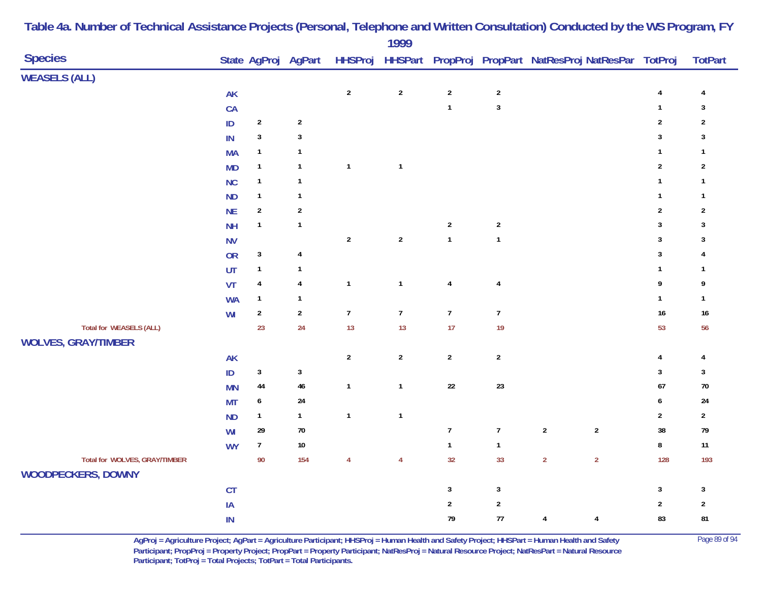| <b>Species</b>                                             |               |                  | State AgProj AgPart |                  | 1777             |                |                  | HHSProj HHSPart PropProj PropPart NatResProj NatResPar TotProj |                  | <b>TotPart</b> |
|------------------------------------------------------------|---------------|------------------|---------------------|------------------|------------------|----------------|------------------|----------------------------------------------------------------|------------------|----------------|
| <b>WEASELS (ALL)</b>                                       |               |                  |                     |                  |                  |                |                  |                                                                |                  |                |
|                                                            | $\mathsf{AK}$ |                  |                     | $\mathbf 2$      | $\sqrt{2}$       | $\sqrt{2}$     | $\boldsymbol{2}$ |                                                                | 4                | 4              |
|                                                            | CA            |                  |                     |                  |                  | $\mathbf{1}$   | $\mathbf{3}$     |                                                                | $\mathbf{1}$     | $\mathbf{3}$   |
|                                                            | $\sf ID$      | $\sqrt{2}$       | $\sqrt{2}$          |                  |                  |                |                  |                                                                | $\mathbf 2$      | $\overline{2}$ |
|                                                            | $\sf IN$      | $\mathsf 3$      | $\mathbf 3$         |                  |                  |                |                  |                                                                | $\mathbf 3$      | $\mathbf{3}$   |
|                                                            | <b>MA</b>     | $\mathbf{1}$     | $\mathbf{1}$        |                  |                  |                |                  |                                                                | $\mathbf{1}$     | $\mathbf{1}$   |
|                                                            | <b>MD</b>     | $\mathbf{1}$     | $\mathbf{1}$        | $\mathbf{1}$     | $\mathbf{1}$     |                |                  |                                                                | $\sqrt{2}$       | $\sqrt{2}$     |
|                                                            | <b>NC</b>     | $\mathbf{1}$     | $\mathbf{1}$        |                  |                  |                |                  |                                                                | $\mathbf{1}$     | $\mathbf{1}$   |
|                                                            | <b>ND</b>     | $\mathbf{1}$     | $\mathbf{1}$        |                  |                  |                |                  |                                                                | $\mathbf{1}$     | $\mathbf{1}$   |
|                                                            | <b>NE</b>     | $\sqrt{2}$       | $\boldsymbol{2}$    |                  |                  |                |                  |                                                                | $\sqrt{2}$       | $\sqrt{2}$     |
|                                                            | <b>NH</b>     | $\mathbf{1}$     | $\mathbf{1}$        |                  |                  | $\overline{2}$ | $\overline{2}$   |                                                                | $\mathbf{3}$     | $\mathbf{3}$   |
|                                                            | <b>NV</b>     |                  |                     | $\sqrt{2}$       | $\boldsymbol{2}$ | $\mathbf{1}$   | $\mathbf{1}$     |                                                                | $\overline{3}$   | $\mathbf{3}$   |
|                                                            | OR            | $\mathbf{3}$     | $\pmb{4}$           |                  |                  |                |                  |                                                                | $\mathbf{3}$     | 4              |
|                                                            | UT            | $\mathbf{1}$     | $\mathbf{1}$        |                  |                  |                |                  |                                                                | $\mathbf{1}$     | $\mathbf{1}$   |
|                                                            | VT            | $\pmb{4}$        | $\pmb{4}$           | $\mathbf 1$      | $\mathbf{1}$     | $\overline{4}$ | $\overline{4}$   |                                                                | 9                | 9              |
|                                                            | <b>WA</b>     | $\mathbf{1}$     | $\mathbf{1}$        |                  |                  |                |                  |                                                                | $\mathbf{1}$     | $\mathbf{1}$   |
|                                                            | WI            | $\sqrt{2}$       | $\overline{2}$      | $\boldsymbol{7}$ | $\boldsymbol{7}$ | $\overline{7}$ | $\boldsymbol{7}$ |                                                                | $16\,$           | $16\,$         |
| <b>Total for WEASELS (ALL)</b>                             |               | 23               | 24                  | 13               | 13               | 17             | 19               |                                                                | 53               | 56             |
| <b>WOLVES, GRAY/TIMBER</b>                                 |               |                  |                     |                  |                  |                |                  |                                                                |                  |                |
|                                                            | <b>AK</b>     |                  |                     | $\sqrt{2}$       | $\sqrt{2}$       | $\sqrt{2}$     | $\mathbf 2$      |                                                                | $\overline{4}$   | $\overline{4}$ |
|                                                            | $\mathsf{ID}$ | $\sqrt{3}$       | $\mathbf{3}$        |                  |                  |                |                  |                                                                | $\mathbf{3}$     | $\mathbf{3}$   |
|                                                            | <b>MN</b>     | 44               | $46\,$              | $\mathbf 1$      | $\mathbf{1}$     | $22\,$         | $23\,$           |                                                                | 67               | $70\,$         |
|                                                            | <b>MT</b>     | $\boldsymbol{6}$ | 24                  |                  |                  |                |                  |                                                                | $\boldsymbol{6}$ | 24             |
|                                                            | <b>ND</b>     | $\mathbf{1}$     | $\mathbf{1}$        | $\mathbf 1$      | $\mathbf{1}$     |                |                  |                                                                | $\boldsymbol{2}$ | $\overline{2}$ |
|                                                            | WI            | 29               | $70\,$              |                  |                  | $\overline{7}$ | $\boldsymbol{7}$ | $\sqrt{2}$<br>$\sqrt{2}$                                       | 38               | 79             |
|                                                            | <b>WY</b>     | $\boldsymbol{7}$ | $10\,$              |                  |                  | $\mathbf{1}$   | $\mathbf{1}$     |                                                                | $\bf 8$          | $11\,$         |
| Total for WOLVES, GRAY/TIMBER<br><b>WOODPECKERS, DOWNY</b> |               | 90               | 154                 | $\overline{4}$   | $\overline{4}$   | 32             | 33               | $\overline{2}$<br>$\overline{2}$                               | 128              | 193            |
|                                                            | CT            |                  |                     |                  |                  | $\sqrt{3}$     | $\mathbf{3}$     |                                                                | $\sqrt{3}$       | $\mathbf{3}$   |
|                                                            | $\sf IA$      |                  |                     |                  |                  | $\overline{2}$ | $\mathbf 2$      |                                                                | $\overline{2}$   | $\overline{2}$ |
|                                                            | $\sf IN$      |                  |                     |                  |                  | 79             | $77\,$           | $\overline{4}$<br>$\overline{\mathbf{4}}$                      | 83               | 81             |

> **AgProj = Agriculture Project; AgPart = Agriculture Participant; HHSProj = Human Health and Safety Project; HHSPart = Human Health and Safety** Page 89 of 94 **Participant; PropProj = Property Project; PropPart = Property Participant; NatResProj = Natural Resource Project; NatResPart = Natural Resource**  Participant; TotProj = Total Projects; TotPart = Total Participants.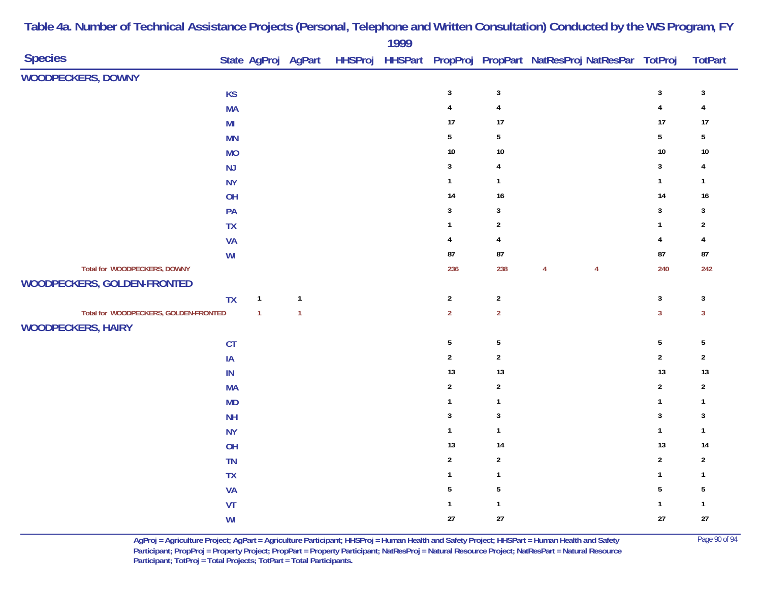| <b>Species</b>                        |           |                |                | 1777 |                         |                | State AgProj AgPart HHSProj HHSPart PropProj PropPart NatResProj NatResPar TotProj |                         | <b>TotPart</b> |
|---------------------------------------|-----------|----------------|----------------|------|-------------------------|----------------|------------------------------------------------------------------------------------|-------------------------|----------------|
| WOODPECKERS, DOWNY                    |           |                |                |      |                         |                |                                                                                    |                         |                |
|                                       | <b>KS</b> |                |                |      | $\sqrt{3}$              | $\mathbf{3}$   |                                                                                    | $\mathbf{3}$            | $\mathbf{3}$   |
|                                       | <b>MA</b> |                |                |      | $\overline{\mathbf{4}}$ | $\pmb{4}$      |                                                                                    | $\overline{\mathbf{4}}$ | $\overline{4}$ |
|                                       | MI        |                |                |      | 17                      | 17             |                                                                                    | 17                      | $17$           |
|                                       | <b>MN</b> |                |                |      | $5\phantom{.0}$         | $\sqrt{5}$     |                                                                                    | $\overline{5}$          | $\sqrt{5}$     |
|                                       | <b>MO</b> |                |                |      | $10\,$                  | $10\,$         |                                                                                    | 10                      | $10\,$         |
|                                       | NJ        |                |                |      | $\mathbf{3}$            | $\overline{4}$ |                                                                                    | $\mathbf{3}$            | 4              |
|                                       | <b>NY</b> |                |                |      | $\mathbf{1}$            | $\mathbf{1}$   |                                                                                    | $\mathbf{1}$            | $\mathbf{1}$   |
|                                       | OH        |                |                |      | 14                      | $16\,$         |                                                                                    | 14                      | $16\,$         |
|                                       | PA        |                |                |      | $\mathbf{3}$            | $\mathbf{3}$   |                                                                                    | $\overline{3}$          | $\mathbf{3}$   |
|                                       | <b>TX</b> |                |                |      | $\mathbf{1}$            | $\sqrt{2}$     |                                                                                    | $\mathbf{1}$            | $\sqrt{2}$     |
|                                       | <b>VA</b> |                |                |      | $\overline{4}$          | $\overline{4}$ |                                                                                    | $\overline{4}$          | 4              |
|                                       | WI        |                |                |      | ${\bf 87}$              | 87             |                                                                                    | 87                      | ${\bf 87}$     |
| Total for WOODPECKERS, DOWNY          |           |                |                |      | 236                     | 238            | $\overline{4}$<br>$\overline{4}$                                                   | 240                     | 242            |
| WOODPECKERS, GOLDEN-FRONTED           |           |                |                |      |                         |                |                                                                                    |                         |                |
|                                       | <b>TX</b> | $\mathbf{1}$   | $\mathbf{1}$   |      | $\overline{2}$          | $\overline{2}$ |                                                                                    | $\mathbf{3}$            | $\mathbf{3}$   |
| Total for WOODPECKERS, GOLDEN-FRONTED |           | $\overline{1}$ | $\overline{1}$ |      | $\overline{2}$          | $\overline{2}$ |                                                                                    | $\overline{3}$          | $\mathbf{3}$   |
| <b>WOODPECKERS, HAIRY</b>             |           |                |                |      |                         |                |                                                                                    |                         |                |
|                                       | CT        |                |                |      | $\sqrt{5}$              | $\sqrt{5}$     |                                                                                    | $\overline{5}$          | $5\,$          |
|                                       | IA        |                |                |      | $\sqrt{2}$              | $\sqrt{2}$     |                                                                                    | $\sqrt{2}$              | $\sqrt{2}$     |
|                                       | $\sf IN$  |                |                |      | 13                      | 13             |                                                                                    | 13                      | 13             |
|                                       | <b>MA</b> |                |                |      | $\sqrt{2}$              | $\sqrt{2}$     |                                                                                    | $\boldsymbol{2}$        | $\sqrt{2}$     |
|                                       | <b>MD</b> |                |                |      | $\mathbf{1}$            | $\mathbf{1}$   |                                                                                    | $\mathbf{1}$            | $\mathbf{1}$   |
|                                       | <b>NH</b> |                |                |      | $\mathbf{3}$            | $\mathbf{3}$   |                                                                                    | $\mathbf{3}$            | $\mathbf{3}$   |
|                                       | <b>NY</b> |                |                |      | $\mathbf{1}$            | $\mathbf{1}$   |                                                                                    | $\mathbf{1}$            | $\mathbf{1}$   |
|                                       | OH        |                |                |      | 13                      | 14             |                                                                                    | 13                      | 14             |
|                                       | TN        |                |                |      | $\sqrt{2}$              | $\overline{2}$ |                                                                                    | $\sqrt{2}$              | $\overline{2}$ |
|                                       | <b>TX</b> |                |                |      | $\mathbf{1}$            | $\mathbf{1}$   |                                                                                    | $\mathbf{1}$            | $\mathbf{1}$   |
|                                       | <b>VA</b> |                |                |      | $\sqrt{5}$              | $\sqrt{5}$     |                                                                                    | $5\phantom{a}$          | $\sqrt{5}$     |
|                                       | VT        |                |                |      | $\mathbf{1}$            | $\mathbf{1}$   |                                                                                    | $\mathbf{1}$            | $\mathbf{1}$   |
|                                       | WI        |                |                |      | $27\,$                  | $27\,$         |                                                                                    | 27                      | $27\,$         |

> **AgProj = Agriculture Project; AgPart = Agriculture Participant; HHSProj = Human Health and Safety Project; HHSPart = Human Health and Safety** Page 90 of 94 **Participant; PropProj = Property Project; PropPart = Property Participant; NatResProj = Natural Resource Project; NatResPart = Natural Resource**  Participant; TotProj = Total Projects; TotPart = Total Participants.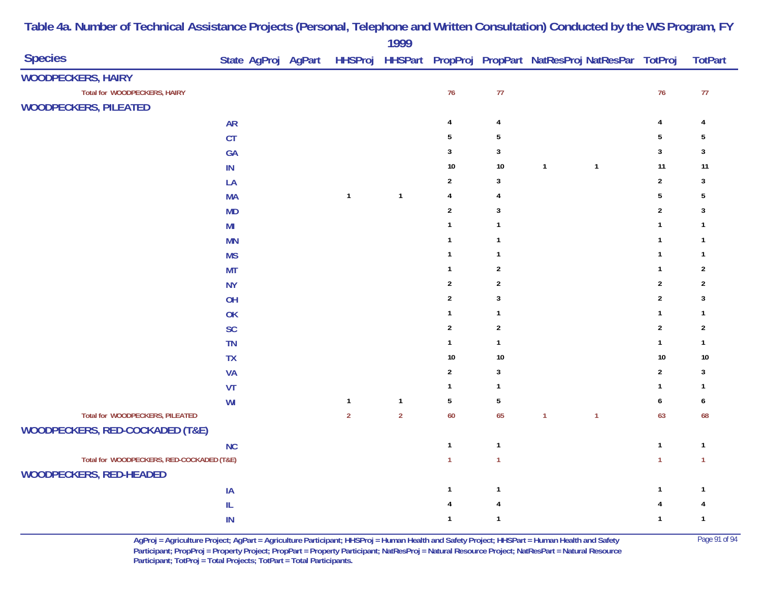| <b>Species</b>                             |               |  |                | $\frac{1}{2}$  |                 |                |                | State AgProj AgPart HHSProj HHSPart PropProj PropPart NatResProj NatResPar TotProj |                         | <b>TotPart</b> |
|--------------------------------------------|---------------|--|----------------|----------------|-----------------|----------------|----------------|------------------------------------------------------------------------------------|-------------------------|----------------|
| <b>WOODPECKERS, HAIRY</b>                  |               |  |                |                |                 |                |                |                                                                                    |                         |                |
| Total for WOODPECKERS, HAIRY               |               |  |                |                | 76              | $77\,$         |                |                                                                                    | 76                      | $77\,$         |
| <b>WOODPECKERS, PILEATED</b>               |               |  |                |                |                 |                |                |                                                                                    |                         |                |
|                                            | <b>AR</b>     |  |                |                | $\overline{4}$  | $\overline{4}$ |                |                                                                                    | $\overline{4}$          | 4              |
|                                            | CT            |  |                |                | $\sqrt{5}$      | $\sqrt{5}$     |                |                                                                                    | $\sqrt{5}$              | 5              |
|                                            | GA            |  |                |                | $\mathbf{3}$    | $\mathbf{3}$   |                |                                                                                    | $\mathbf{3}$            | $\mathbf{3}$   |
|                                            | $\mathsf{IN}$ |  |                |                | 10              | $10\,$         | $\mathbf{1}$   | $\overline{1}$                                                                     | 11                      | 11             |
|                                            | LA            |  |                |                | $\overline{2}$  | 3              |                |                                                                                    | $\overline{2}$          | $\mathbf{3}$   |
|                                            | <b>MA</b>     |  | $\mathbf{1}$   | $\mathbf{1}$   | $\overline{4}$  | 4              |                |                                                                                    | $5\,$                   | $\sqrt{5}$     |
|                                            | MD            |  |                |                | $\sqrt{2}$      | 3              |                |                                                                                    | $\sqrt{2}$              | $\mathbf{3}$   |
|                                            | MI            |  |                |                | $\overline{1}$  | $\mathbf{1}$   |                |                                                                                    | $\mathbf{1}$            | $\mathbf{1}$   |
|                                            | <b>MN</b>     |  |                |                | $\overline{1}$  | $\mathbf{1}$   |                |                                                                                    | $\mathbf{1}$            | $\mathbf{1}$   |
|                                            | <b>MS</b>     |  |                |                | $\overline{1}$  | $\mathbf{1}$   |                |                                                                                    | $\mathbf{1}$            | $\mathbf{1}$   |
|                                            | <b>MT</b>     |  |                |                | $\mathbf{1}$    | $\overline{2}$ |                |                                                                                    | $\mathbf{1}$            | $\overline{2}$ |
|                                            | <b>NY</b>     |  |                |                | $\overline{2}$  | $\overline{2}$ |                |                                                                                    | $\sqrt{2}$              | $\overline{2}$ |
|                                            | OH            |  |                |                | $\mathbf 2$     | $\mathbf{3}$   |                |                                                                                    | $\boldsymbol{2}$        | $\mathbf{3}$   |
|                                            | OK            |  |                |                | $\mathbf{1}$    | $\mathbf{1}$   |                |                                                                                    | $\mathbf{1}$            | $\mathbf{1}$   |
|                                            | <b>SC</b>     |  |                |                | $\overline{2}$  | $\overline{2}$ |                |                                                                                    | $\sqrt{2}$              | $\overline{2}$ |
|                                            | <b>TN</b>     |  |                |                | $\mathbf{1}$    | $\mathbf{1}$   |                |                                                                                    | $\mathbf{1}$            | $\mathbf{1}$   |
|                                            | <b>TX</b>     |  |                |                | 10              | $10\,$         |                |                                                                                    | $10\,$                  | $10$           |
|                                            | <b>VA</b>     |  |                |                | $\sqrt{2}$      | $\mathbf{3}$   |                |                                                                                    | $\overline{2}$          | $\mathbf{3}$   |
|                                            | VT            |  |                |                | $\mathbf{1}$    | $\mathbf{1}$   |                |                                                                                    | $\mathbf{1}$            | $\mathbf{1}$   |
|                                            | WI            |  | $\mathbf{1}$   | $\mathbf{1}$   | $5\phantom{.0}$ | $\sqrt{5}$     |                |                                                                                    | $\boldsymbol{6}$        | 6              |
| Total for WOODPECKERS, PILEATED            |               |  | $\overline{2}$ | $\overline{2}$ | 60              | 65             | $\overline{1}$ | $\overline{1}$                                                                     | 63                      | 68             |
| <b>WOODPECKERS, RED-COCKADED (T&amp;E)</b> |               |  |                |                |                 |                |                |                                                                                    |                         |                |
|                                            | <b>NC</b>     |  |                |                | $\mathbf{1}$    | $\mathbf{1}$   |                |                                                                                    | $\mathbf{1}$            | $\mathbf{1}$   |
| Total for WOODPECKERS, RED-COCKADED (T&E)  |               |  |                |                | $\mathbf{1}$    | $\mathbf{1}$   |                |                                                                                    | $\mathbf{1}$            | $\overline{1}$ |
| <b>WOODPECKERS, RED-HEADED</b>             |               |  |                |                |                 |                |                |                                                                                    |                         |                |
|                                            | IA            |  |                |                | $\mathbf{1}$    | $\mathbf{1}$   |                |                                                                                    | $\mathbf{1}$            | $\mathbf{1}$   |
|                                            | ${\sf IL}$    |  |                |                | 4               | $\overline{4}$ |                |                                                                                    | $\overline{\mathbf{4}}$ | 4              |
|                                            | IN            |  |                |                | $\overline{1}$  | $\mathbf{1}$   |                |                                                                                    | $\mathbf{1}$            | $\mathbf{1}$   |

> **AgProj = Agriculture Project; AgPart = Agriculture Participant; HHSProj = Human Health and Safety Project; HHSPart = Human Health and Safety** Page 91 of 94 **Participant; PropProj = Property Project; PropPart = Property Participant; NatResProj = Natural Resource Project; NatResPart = Natural Resource**  Participant; TotProj = Total Projects; TotPart = Total Participants.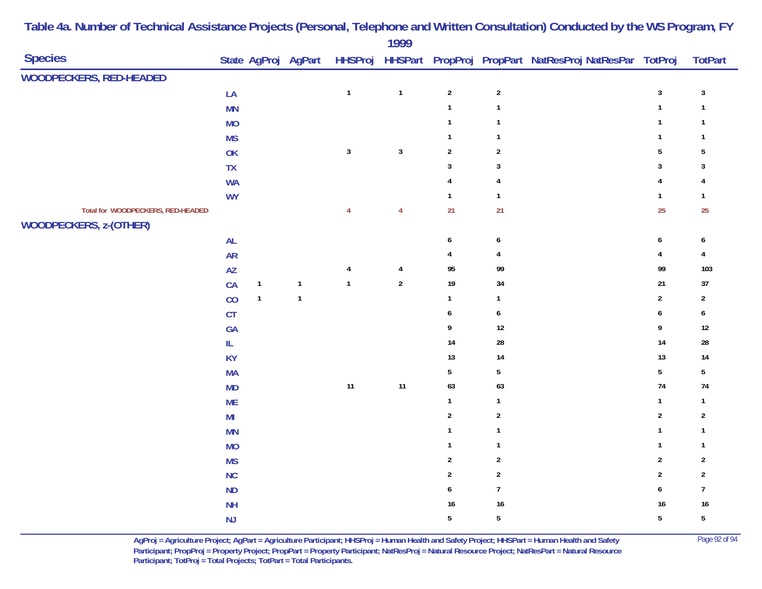| <b>Species</b>                    |                |              | State AgProj AgPart |                |                |                  |                         | HHSProj HHSPart PropProj PropPart NatResProj NatResPar TotProj |                  | <b>TotPart</b>          |
|-----------------------------------|----------------|--------------|---------------------|----------------|----------------|------------------|-------------------------|----------------------------------------------------------------|------------------|-------------------------|
| <b>WOODPECKERS, RED-HEADED</b>    |                |              |                     |                |                |                  |                         |                                                                |                  |                         |
|                                   | LA             |              |                     | $\mathbf{1}$   | $\overline{1}$ | $\overline{2}$   | $\sqrt{2}$              |                                                                | $\mathbf{3}$     | $\mathbf{3}$            |
|                                   | MN             |              |                     |                |                | $\mathbf{1}$     | $\mathbf{1}$            |                                                                | $\mathbf{1}$     | $\overline{\mathbf{1}}$ |
|                                   | <b>MO</b>      |              |                     |                |                | $\mathbf{1}$     | $\mathbf{1}$            |                                                                | $\mathbf{1}$     | $\mathbf{1}$            |
|                                   | <b>MS</b>      |              |                     |                |                | $\mathbf{1}$     | $\mathbf{1}$            |                                                                | $\mathbf{1}$     | $\overline{1}$          |
|                                   | OK             |              |                     | $\mathsf 3$    | $\mathbf{3}$   | $\overline{2}$   | $\sqrt{2}$              |                                                                | $5\,$            | $\sqrt{5}$              |
|                                   | ${\sf TX}$     |              |                     |                |                | $\mathbf{3}$     | $\mathbf{3}$            |                                                                | $\sqrt{3}$       | 3                       |
|                                   | <b>WA</b>      |              |                     |                |                | $\overline{4}$   | $\overline{\mathbf{4}}$ |                                                                | $\overline{4}$   | 4                       |
|                                   | <b>WY</b>      |              |                     |                |                | $\mathbf{1}$     | $\mathbf{1}$            |                                                                | $\mathbf{1}$     | $\overline{1}$          |
| Total for WOODPECKERS, RED-HEADED |                |              |                     | $\overline{4}$ | $\overline{4}$ | 21               | 21                      |                                                                | 25               | 25                      |
| <b>WOODPECKERS, z-(OTHER)</b>     |                |              |                     |                |                |                  |                         |                                                                |                  |                         |
|                                   | AL             |              |                     |                |                | $\boldsymbol{6}$ | 6                       |                                                                | $\boldsymbol{6}$ | 6                       |
|                                   | <b>AR</b>      |              |                     |                |                | $\overline{4}$   | 4                       |                                                                | $\pmb{4}$        | 4                       |
|                                   | <b>AZ</b>      |              |                     | 4              | $\overline{4}$ | 95               | 99                      |                                                                | 99               | 103                     |
|                                   | CA             | $\mathbf{1}$ | $\mathbf{1}$        | $\overline{1}$ | $\sqrt{2}$     | $19$             | 34                      |                                                                | 21               | 37                      |
|                                   | CO             | $\mathbf{1}$ | $\mathbf{1}$        |                |                | $\mathbf{1}$     | $\mathbf{1}$            |                                                                | $\overline{2}$   | $\overline{2}$          |
|                                   | CT             |              |                     |                |                | $\boldsymbol{6}$ | $\boldsymbol{6}$        |                                                                | $\boldsymbol{6}$ | $\pmb{6}$               |
|                                   | GA             |              |                     |                |                | $\boldsymbol{9}$ | 12                      |                                                                | $\boldsymbol{9}$ | $12$                    |
|                                   | IL.            |              |                     |                |                | 14               | 28                      |                                                                | $14$             | ${\bf 28}$              |
|                                   | <b>KY</b>      |              |                     |                |                | 13               | 14                      |                                                                | $13$             | 14                      |
|                                   | <b>MA</b>      |              |                     |                |                | $5\phantom{.0}$  | $\overline{5}$          |                                                                | $5\phantom{a}$   | $\sqrt{5}$              |
|                                   | <b>MD</b>      |              |                     | $11$           | 11             | 63               | 63                      |                                                                | $74$             | 74                      |
|                                   | <b>ME</b>      |              |                     |                |                | $\mathbf{1}$     | $\mathbf{1}$            |                                                                | $\mathbf{1}$     | $\mathbf{1}$            |
|                                   | M <sub>l</sub> |              |                     |                |                | $\overline{2}$   | $\sqrt{2}$              |                                                                | $\sqrt{2}$       | $\sqrt{2}$              |
|                                   | <b>MN</b>      |              |                     |                |                | $\mathbf{1}$     | $\mathbf{1}$            |                                                                | $\mathbf{1}$     | $\overline{1}$          |
|                                   | <b>MO</b>      |              |                     |                |                | $\mathbf{1}$     | $\mathbf{1}$            |                                                                | $\mathbf{1}$     | $\overline{1}$          |
|                                   | <b>MS</b>      |              |                     |                |                | $\sqrt{2}$       | $\boldsymbol{2}$        |                                                                | $\sqrt{2}$       | $\overline{2}$          |
|                                   | NC             |              |                     |                |                | $\sqrt{2}$       | $\sqrt{2}$              |                                                                | $\sqrt{2}$       | $\sqrt{2}$              |
|                                   | ND             |              |                     |                |                | 6                | $\boldsymbol{7}$        |                                                                | $\boldsymbol{6}$ | $\overline{7}$          |
|                                   | <b>NH</b>      |              |                     |                |                | $16\,$           | 16                      |                                                                | $16\,$           | $16$                    |
|                                   | NJ             |              |                     |                |                | $\sqrt{5}$       | $\overline{5}$          |                                                                | $\overline{5}$   | $\overline{5}$          |

> **AgProj = Agriculture Project; AgPart = Agriculture Participant; HHSProj = Human Health and Safety Project; HHSPart = Human Health and Safety** Page 92 of 94 **Participant; PropProj = Property Project; PropPart = Property Participant; NatResProj = Natural Resource Project; NatResPart = Natural Resource**  Participant; TotProj = Total Projects; TotPart = Total Participants.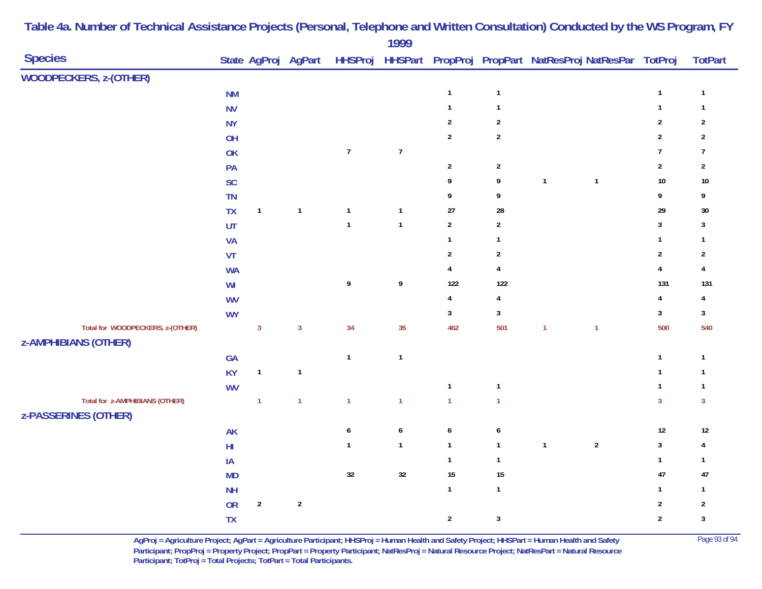| <b>Species</b>                                                  |                                                         |                |                |                  | $\frac{1}{2}$    |                |                         | State AgProj AgPart HHSProj HHSPart PropProj PropPart NatResProj NatResPar TotProj |                |                  | <b>TotPart</b> |
|-----------------------------------------------------------------|---------------------------------------------------------|----------------|----------------|------------------|------------------|----------------|-------------------------|------------------------------------------------------------------------------------|----------------|------------------|----------------|
| <b>WOODPECKERS, z-(OTHER)</b>                                   |                                                         |                |                |                  |                  |                |                         |                                                                                    |                |                  |                |
|                                                                 | <b>NM</b>                                               |                |                |                  |                  | $\mathbf{1}$   | $\mathbf{1}$            |                                                                                    |                | $\mathbf{1}$     | $\mathbf{1}$   |
|                                                                 | <b>NV</b>                                               |                |                |                  |                  | $\mathbf{1}$   | $\mathbf{1}$            |                                                                                    |                | $\mathbf{1}$     | $\mathbf{1}$   |
|                                                                 | <b>NY</b>                                               |                |                |                  |                  | $\sqrt{2}$     | $\sqrt{2}$              |                                                                                    |                | $\overline{2}$   | $\overline{2}$ |
|                                                                 | OH                                                      |                |                |                  |                  | $\overline{2}$ | $\sqrt{2}$              |                                                                                    |                | $\mathbf 2$      | $\sqrt{2}$     |
|                                                                 | OK                                                      |                |                | $\boldsymbol{7}$ | $\boldsymbol{7}$ |                |                         |                                                                                    |                | $\boldsymbol{7}$ | $\overline{7}$ |
|                                                                 | PA                                                      |                |                |                  |                  | $\sqrt{2}$     | $\overline{2}$          |                                                                                    |                | $\mathbf{2}$     | $\sqrt{2}$     |
|                                                                 | SC                                                      |                |                |                  |                  | 9              | 9                       | $\overline{1}$                                                                     | $\mathbf{1}$   | $10\,$           | $10\,$         |
|                                                                 | <b>TN</b>                                               |                |                |                  |                  | 9              | 9                       |                                                                                    |                | 9                | 9              |
|                                                                 | <b>TX</b>                                               | $\mathbf{1}$   | $\mathbf{1}$   | $\mathbf{1}$     | $\mathbf{1}$     | 27             | 28                      |                                                                                    |                | 29               | $30\,$         |
|                                                                 | UT                                                      |                |                | $\mathbf{1}$     | $\mathbf{1}$     | $\overline{2}$ | $\overline{2}$          |                                                                                    |                | $\mathbf 3$      | $\mathbf{3}$   |
|                                                                 | <b>VA</b>                                               |                |                |                  |                  | $\mathbf{1}$   | $\mathbf{1}$            |                                                                                    |                | $\mathbf{1}$     | $\mathbf{1}$   |
|                                                                 | VT                                                      |                |                |                  |                  | $\overline{2}$ | $\overline{2}$          |                                                                                    |                | $\boldsymbol{2}$ | $\sqrt{2}$     |
|                                                                 | <b>WA</b>                                               |                |                |                  |                  | $\pmb{4}$      | $\overline{\mathbf{4}}$ |                                                                                    |                | $\pmb{4}$        | $\overline{4}$ |
|                                                                 | $\ensuremath{\mathsf{W}}\xspace\ensuremath{\mathsf{I}}$ |                |                | 9                | 9                | 122            | 122                     |                                                                                    |                | 131              | 131            |
|                                                                 | <b>WV</b>                                               |                |                |                  |                  | $\overline{4}$ | $\overline{4}$          |                                                                                    |                | $\pmb{4}$        | 4              |
|                                                                 | <b>WY</b>                                               |                |                |                  |                  | $\mathbf{3}$   | $\mathbf{3}$            |                                                                                    |                | $\mathbf 3$      | $\mathbf{3}$   |
| Total for WOODPECKERS, z-(OTHER)<br><b>z-AMPHIBIANS (OTHER)</b> |                                                         | $\overline{3}$ | $\overline{3}$ | 34               | 35               | 462            | 501                     | $\mathbf{1}$                                                                       | $\overline{1}$ | 500              | 540            |
|                                                                 | GA                                                      |                |                | $\mathbf{1}$     | $\mathbf{1}$     |                |                         |                                                                                    |                | $\mathbf{1}$     | $\mathbf{1}$   |
|                                                                 | <b>KY</b>                                               | $\mathbf{1}$   | $\mathbf{1}$   |                  |                  |                |                         |                                                                                    |                | $\mathbf{1}$     | $\mathbf{1}$   |
|                                                                 | <b>WV</b>                                               |                |                |                  |                  | $\mathbf{1}$   | $\mathbf{1}$            |                                                                                    |                | $\mathbf{1}$     | $\mathbf{1}$   |
| Total for z-AMPHIBIANS (OTHER)<br><b>z-PASSERINES (OTHER)</b>   |                                                         | $\mathbf{1}$   | $\overline{1}$ | $\mathbf{1}$     | $\mathbf{1}$     | $\overline{1}$ | $\mathbf{1}$            |                                                                                    |                | $\overline{3}$   | $\overline{3}$ |
|                                                                 | AK                                                      |                |                | $\pmb{6}$        | $\boldsymbol{6}$ | $\pmb{6}$      | $\boldsymbol{6}$        |                                                                                    |                | $12\,$           | $12$           |
|                                                                 | $\mathsf{HI}$                                           |                |                | $\mathbf{1}$     | $\mathbf{1}$     | $\mathbf{1}$   | $\mathbf{1}$            | $\mathbf{1}$                                                                       | $\sqrt{2}$     | $\sqrt{3}$       | 4              |
|                                                                 | $\sf IA$                                                |                |                |                  |                  | $\mathbf{1}$   | $\mathbf{1}$            |                                                                                    |                | $\mathbf{1}$     | $\mathbf{1}$   |
|                                                                 | MD                                                      |                |                | $32\,$           | $32\,$           | 15             | 15                      |                                                                                    |                | 47               | 47             |
|                                                                 | <b>NH</b>                                               |                |                |                  |                  | $\mathbf{1}$   | $\mathbf{1}$            |                                                                                    |                | $\mathbf{1}$     | $\mathbf{1}$   |
|                                                                 | OR                                                      | $\sqrt{2}$     | $\sqrt{2}$     |                  |                  |                |                         |                                                                                    |                | $\mathbf 2$      | $\sqrt{2}$     |
|                                                                 | TX                                                      |                |                |                  |                  | $\overline{2}$ | $\mathbf{3}$            |                                                                                    |                | $\boldsymbol{2}$ | $\mathbf{3}$   |
|                                                                 |                                                         |                |                |                  |                  |                |                         |                                                                                    |                |                  |                |

> **AgProj = Agriculture Project; AgPart = Agriculture Participant; HHSProj = Human Health and Safety Project; HHSPart = Human Health and Safety** Page 93 of 94 **Participant; PropProj = Property Project; PropPart = Property Participant; NatResProj = Natural Resource Project; NatResPart = Natural Resource**  Participant; TotProj = Total Projects; TotPart = Total Participants.